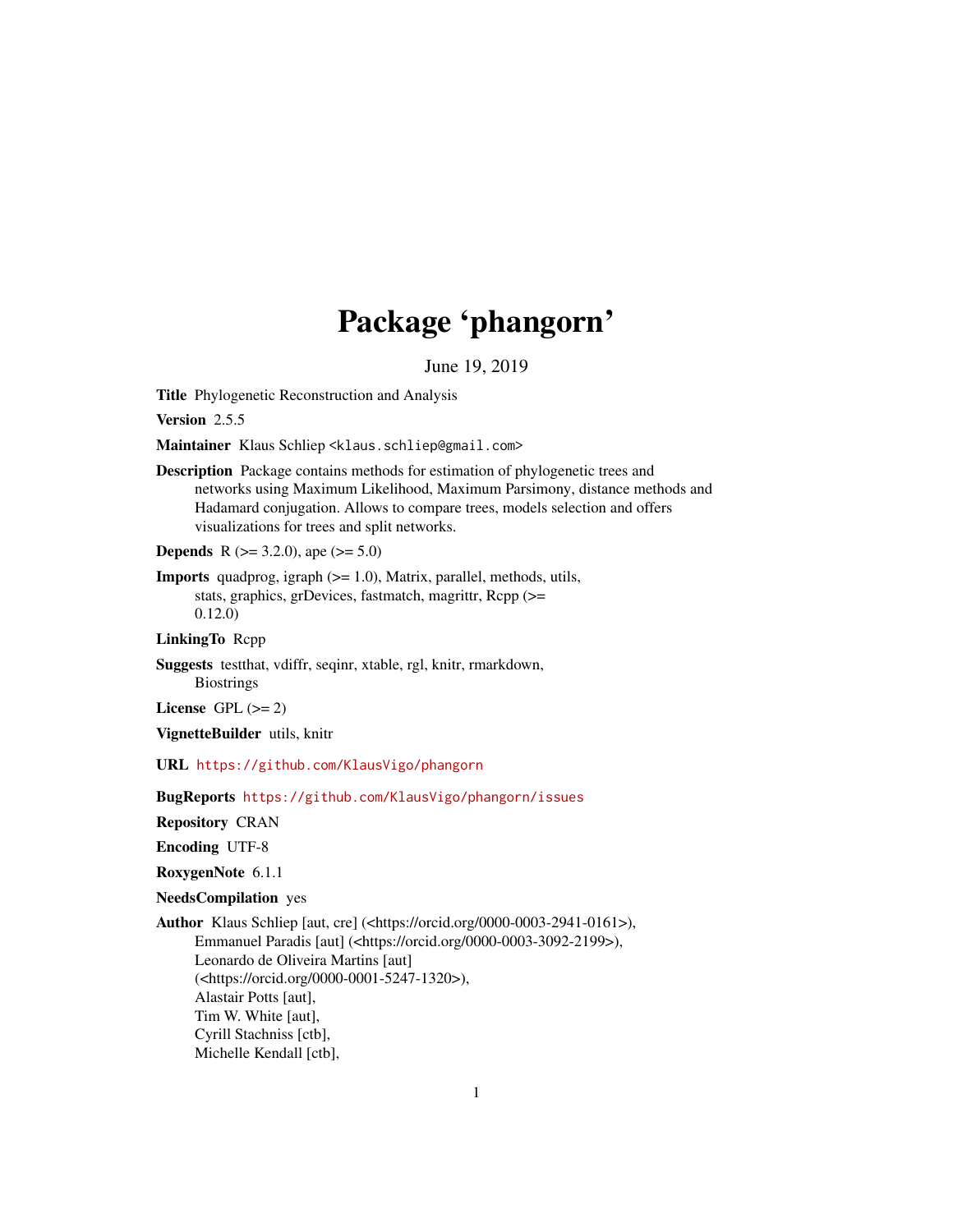# Package 'phangorn'

June 19, 2019

<span id="page-0-0"></span>Title Phylogenetic Reconstruction and Analysis

Version 2.5.5

Maintainer Klaus Schliep <klaus.schliep@gmail.com>

Description Package contains methods for estimation of phylogenetic trees and networks using Maximum Likelihood, Maximum Parsimony, distance methods and Hadamard conjugation. Allows to compare trees, models selection and offers visualizations for trees and split networks.

**Depends** R ( $>= 3.2.0$ ), ape ( $>= 5.0$ )

Imports quadprog, igraph (>= 1.0), Matrix, parallel, methods, utils, stats, graphics, grDevices, fastmatch, magrittr, Rcpp (>= 0.12.0)

LinkingTo Rcpp

Suggests testthat, vdiffr, seqinr, xtable, rgl, knitr, rmarkdown, **Biostrings** 

License GPL  $(>= 2)$ 

VignetteBuilder utils, knitr

URL <https://github.com/KlausVigo/phangorn>

BugReports <https://github.com/KlausVigo/phangorn/issues>

Repository CRAN

Encoding UTF-8

RoxygenNote 6.1.1

NeedsCompilation yes

Author Klaus Schliep [aut, cre] (<https://orcid.org/0000-0003-2941-0161>), Emmanuel Paradis [aut] (<https://orcid.org/0000-0003-3092-2199>), Leonardo de Oliveira Martins [aut] (<https://orcid.org/0000-0001-5247-1320>), Alastair Potts [aut], Tim W. White [aut], Cyrill Stachniss [ctb], Michelle Kendall [ctb],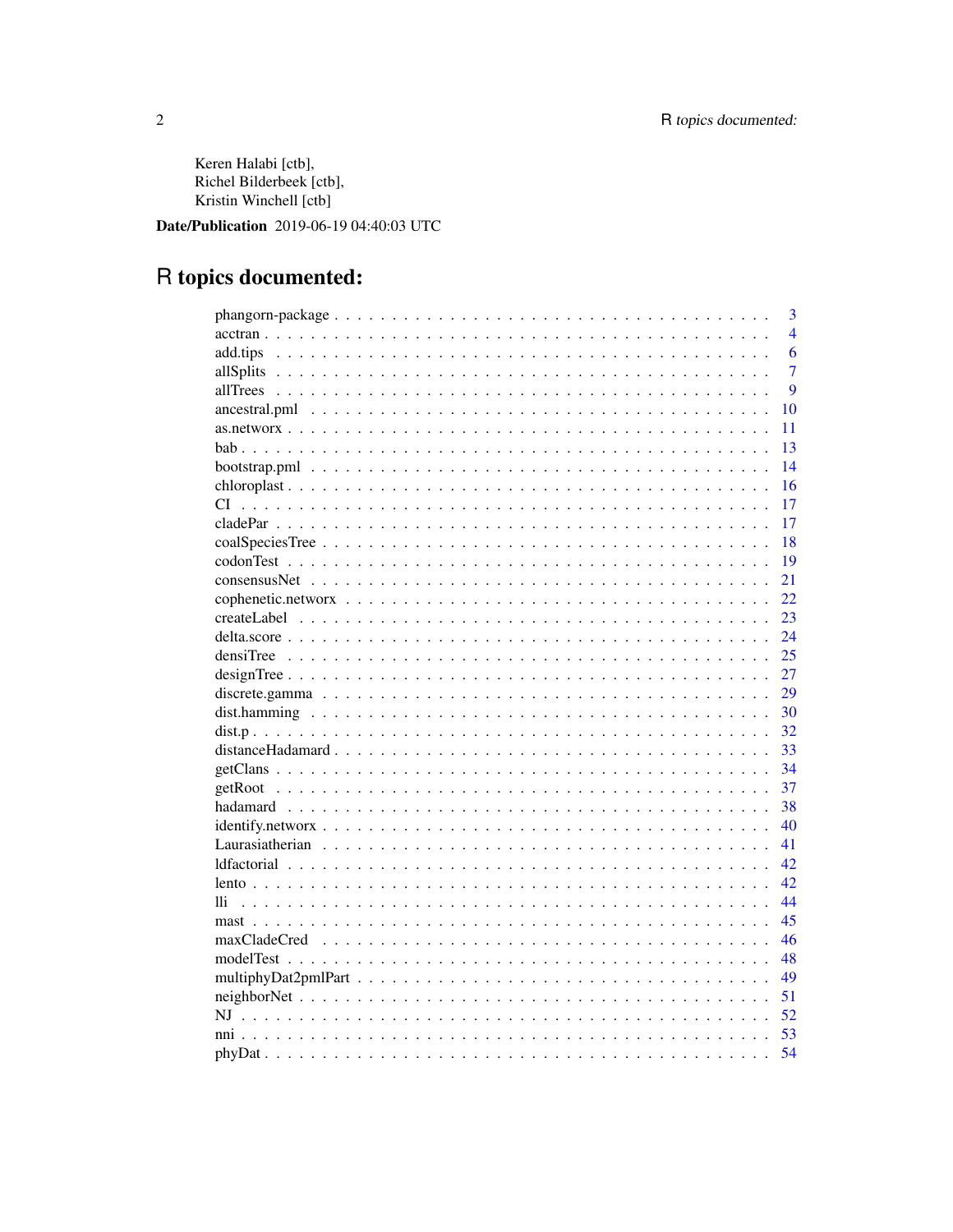Keren Halabi [ctb], Richel Bilderbeek [ctb], Kristin Winchell [ctb]

Date/Publication 2019-06-19 04:40:03 UTC

# R topics documented:

|                                  | 3              |
|----------------------------------|----------------|
|                                  | $\overline{4}$ |
| add.tips                         | 6              |
|                                  | 7              |
|                                  | $\overline{Q}$ |
|                                  | 10             |
|                                  | 11             |
|                                  | 13             |
|                                  | 14             |
|                                  | 16             |
|                                  | 17             |
|                                  | 17             |
|                                  | 18             |
|                                  | 19             |
|                                  | 21             |
|                                  | 22             |
|                                  | 23             |
|                                  | 24             |
|                                  | 25             |
|                                  | 27             |
|                                  | 29             |
|                                  | 30             |
|                                  | 32             |
|                                  | 33             |
| $getClass                      $ | 34             |
|                                  | 37             |
|                                  | 38             |
|                                  | 40             |
|                                  | 41             |
|                                  | 42             |
|                                  | 42             |
| 11i                              | 44             |
|                                  | 45             |
|                                  | 46             |
|                                  | 48             |
|                                  | 49             |
|                                  | 51             |
|                                  | 52             |
|                                  | 53             |
|                                  | 54             |
|                                  |                |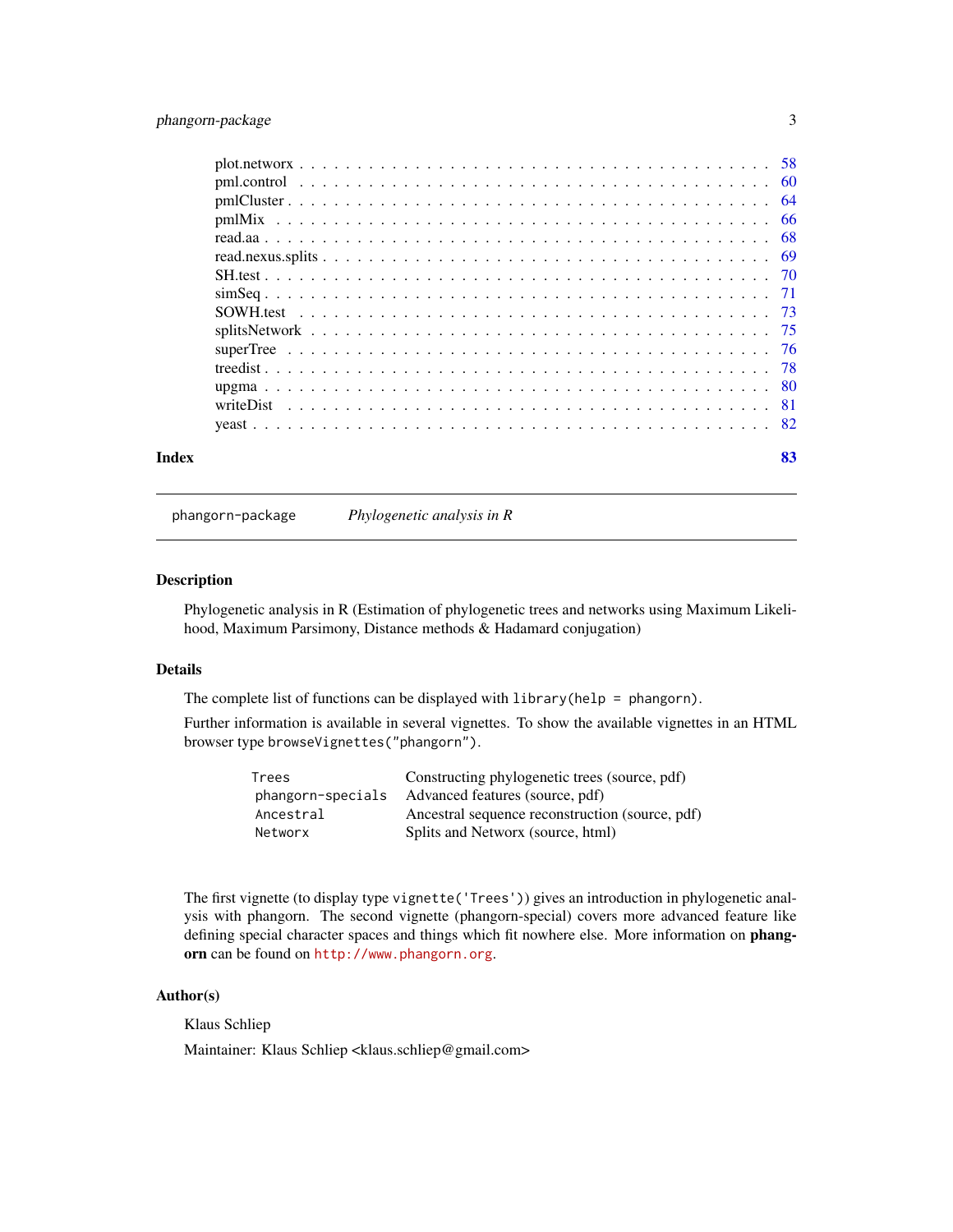# <span id="page-2-0"></span>phangorn-package 3

| Index | 83 |
|-------|----|

phangorn-package *Phylogenetic analysis in R*

#### Description

Phylogenetic analysis in R (Estimation of phylogenetic trees and networks using Maximum Likelihood, Maximum Parsimony, Distance methods & Hadamard conjugation)

# Details

The complete list of functions can be displayed with library(help = phangorn).

Further information is available in several vignettes. To show the available vignettes in an HTML browser type browseVignettes("phangorn").

| Trees             | Constructing phylogenetic trees (source, pdf)   |
|-------------------|-------------------------------------------------|
| phangorn-specials | Advanced features (source, pdf)                 |
| Ancestral         | Ancestral sequence reconstruction (source, pdf) |
| Networx           | Splits and Networx (source, html)               |

The first vignette (to display type vignette('Trees')) gives an introduction in phylogenetic analysis with phangorn. The second vignette (phangorn-special) covers more advanced feature like defining special character spaces and things which fit nowhere else. More information on phangorn can be found on <http://www.phangorn.org>.

# Author(s)

Klaus Schliep

Maintainer: Klaus Schliep <klaus.schliep@gmail.com>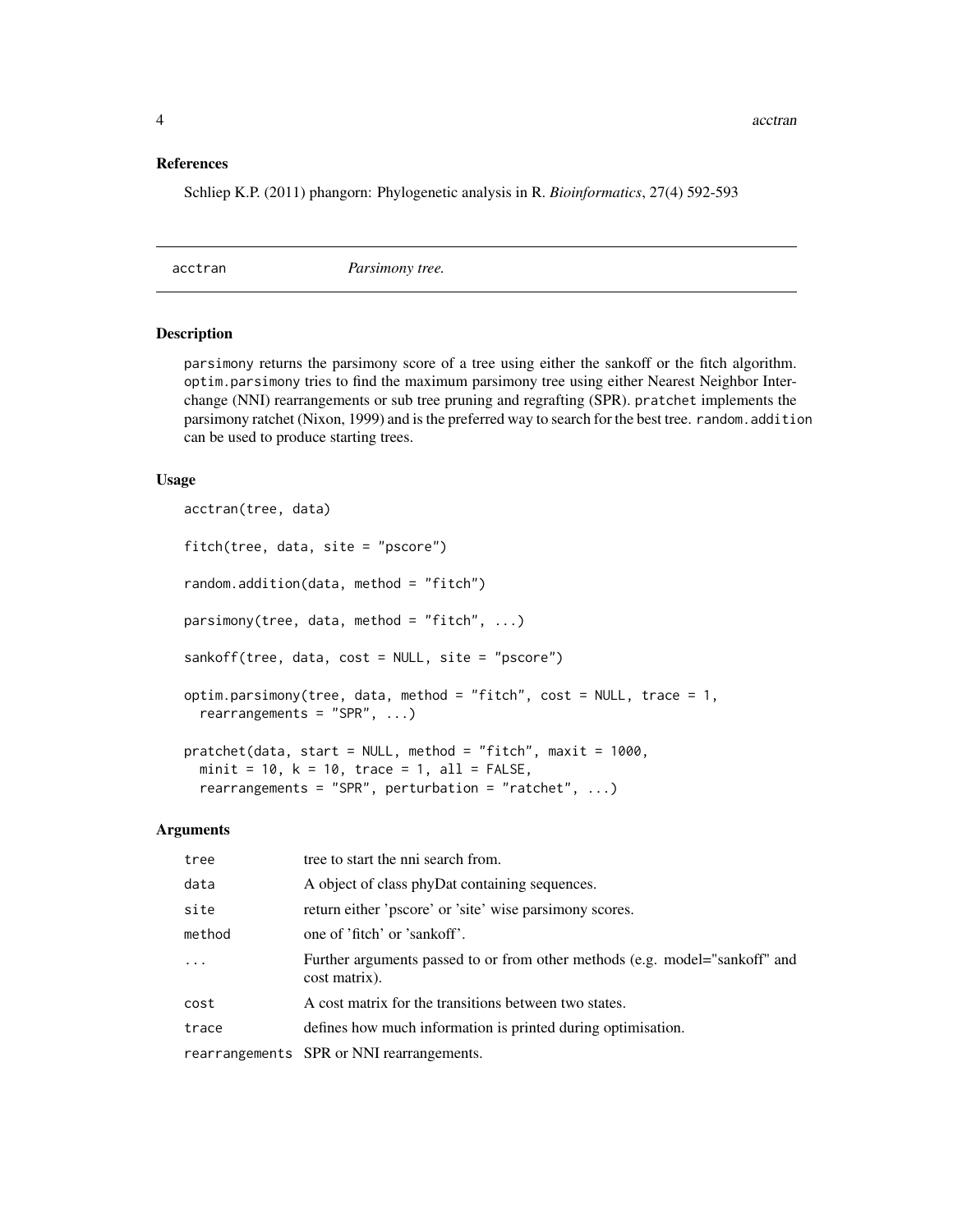#### <span id="page-3-0"></span>References

Schliep K.P. (2011) phangorn: Phylogenetic analysis in R. *Bioinformatics*, 27(4) 592-593

acctran *Parsimony tree.*

# <span id="page-3-1"></span>Description

parsimony returns the parsimony score of a tree using either the sankoff or the fitch algorithm. optim.parsimony tries to find the maximum parsimony tree using either Nearest Neighbor Interchange (NNI) rearrangements or sub tree pruning and regrafting (SPR). pratchet implements the parsimony ratchet (Nixon, 1999) and is the preferred way to search for the best tree. random.addition can be used to produce starting trees.

#### Usage

```
acctran(tree, data)
fitch(tree, data, site = "pscore")
random.addition(data, method = "fitch")
parsimony(tree, data, method = "fitch", ...)sankoff(tree, data, cost = NULL, site = "pscore")
optim.parsimony(tree, data, method = "fitch", cost = NULL, trace = 1,
  rearrangements = "SPR", ...)
pratchet(data, start = NULL, method = "fitch", maxit = 1000,minit = 10, k = 10, trace = 1, all = FALSE,
  rearrangements = "SPR", perturbation = "ratchet", \ldots)
```
# Arguments

| tree     | tree to start the nni search from.                                                           |
|----------|----------------------------------------------------------------------------------------------|
| data     | A object of class phyDat containing sequences.                                               |
| site     | return either 'pscore' or 'site' wise parsimony scores.                                      |
| method   | one of 'fitch' or 'sankoff'.                                                                 |
| $\ddots$ | Further arguments passed to or from other methods (e.g. model="sankoff" and<br>cost matrix). |
| cost     | A cost matrix for the transitions between two states.                                        |
| trace    | defines how much information is printed during optimisation.                                 |
|          | rearrangements SPR or NNI rearrangements.                                                    |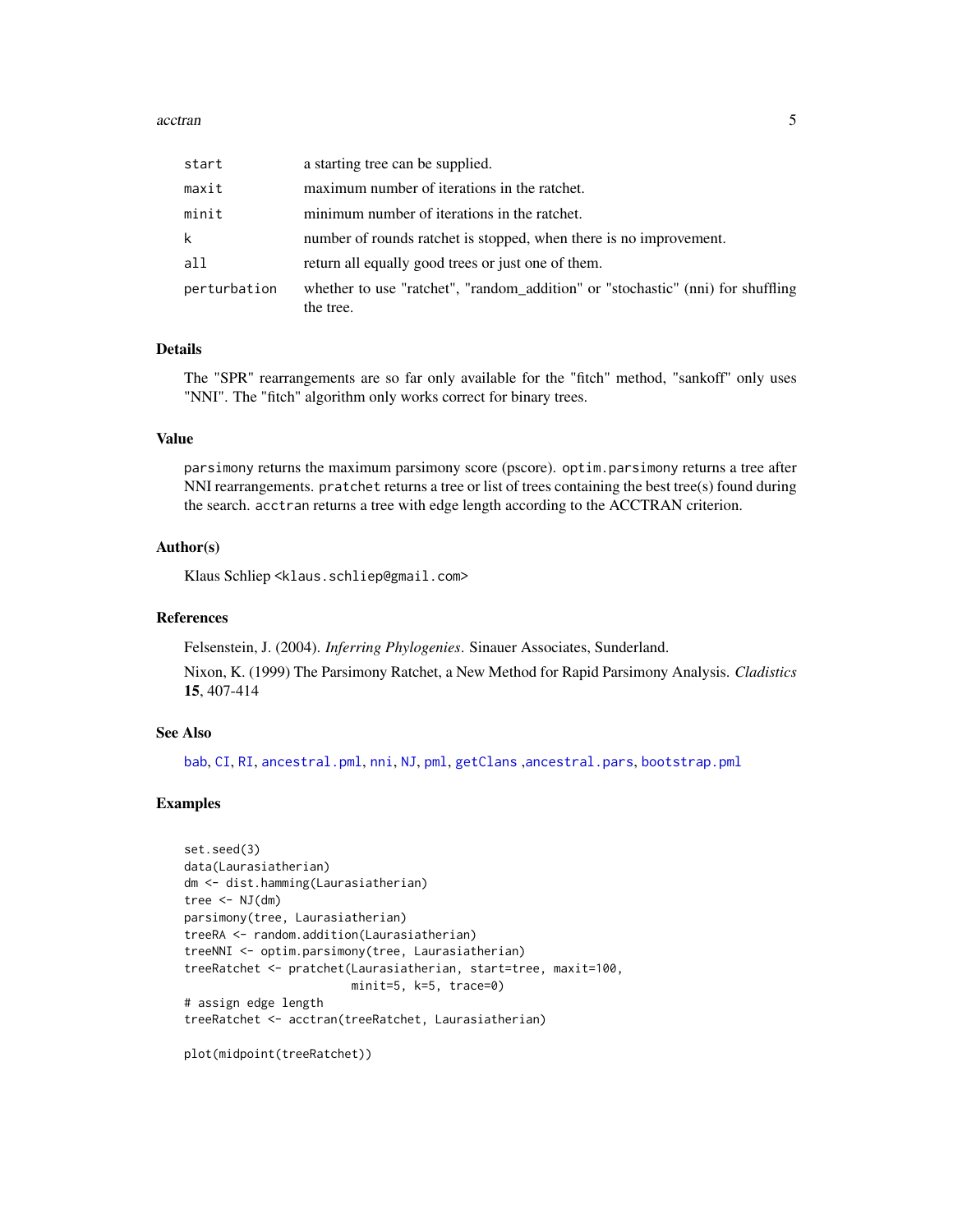#### acctran 5

| start        | a starting tree can be supplied.                                                             |
|--------------|----------------------------------------------------------------------------------------------|
| maxit        | maximum number of iterations in the ratchet.                                                 |
| minit        | minimum number of iterations in the ratchet.                                                 |
| k            | number of rounds ratchet is stopped, when there is no improvement.                           |
| all          | return all equally good trees or just one of them.                                           |
| perturbation | whether to use "ratchet", "random_addition" or "stochastic" (nni) for shuffling<br>the tree. |

#### Details

The "SPR" rearrangements are so far only available for the "fitch" method, "sankoff" only uses "NNI". The "fitch" algorithm only works correct for binary trees.

#### Value

parsimony returns the maximum parsimony score (pscore). optim.parsimony returns a tree after NNI rearrangements. pratchet returns a tree or list of trees containing the best tree(s) found during the search. acctran returns a tree with edge length according to the ACCTRAN criterion.

# Author(s)

Klaus Schliep <klaus.schliep@gmail.com>

#### References

Felsenstein, J. (2004). *Inferring Phylogenies*. Sinauer Associates, Sunderland.

Nixon, K. (1999) The Parsimony Ratchet, a New Method for Rapid Parsimony Analysis. *Cladistics* 15, 407-414

# See Also

[bab](#page-12-1), [CI](#page-16-1), [RI](#page-16-2), [ancestral.pml](#page-9-1), [nni](#page-52-1), [NJ](#page-51-1), [pml](#page-59-1), [getClans](#page-33-1) ,[ancestral.pars](#page-9-2), [bootstrap.pml](#page-13-1)

#### Examples

```
set.seed(3)
data(Laurasiatherian)
dm <- dist.hamming(Laurasiatherian)
tree <- NJ(dm)parsimony(tree, Laurasiatherian)
treeRA <- random.addition(Laurasiatherian)
treeNNI <- optim.parsimony(tree, Laurasiatherian)
treeRatchet <- pratchet(Laurasiatherian, start=tree, maxit=100,
                        minit=5, k=5, trace=0)
# assign edge length
treeRatchet <- acctran(treeRatchet, Laurasiatherian)
```
plot(midpoint(treeRatchet))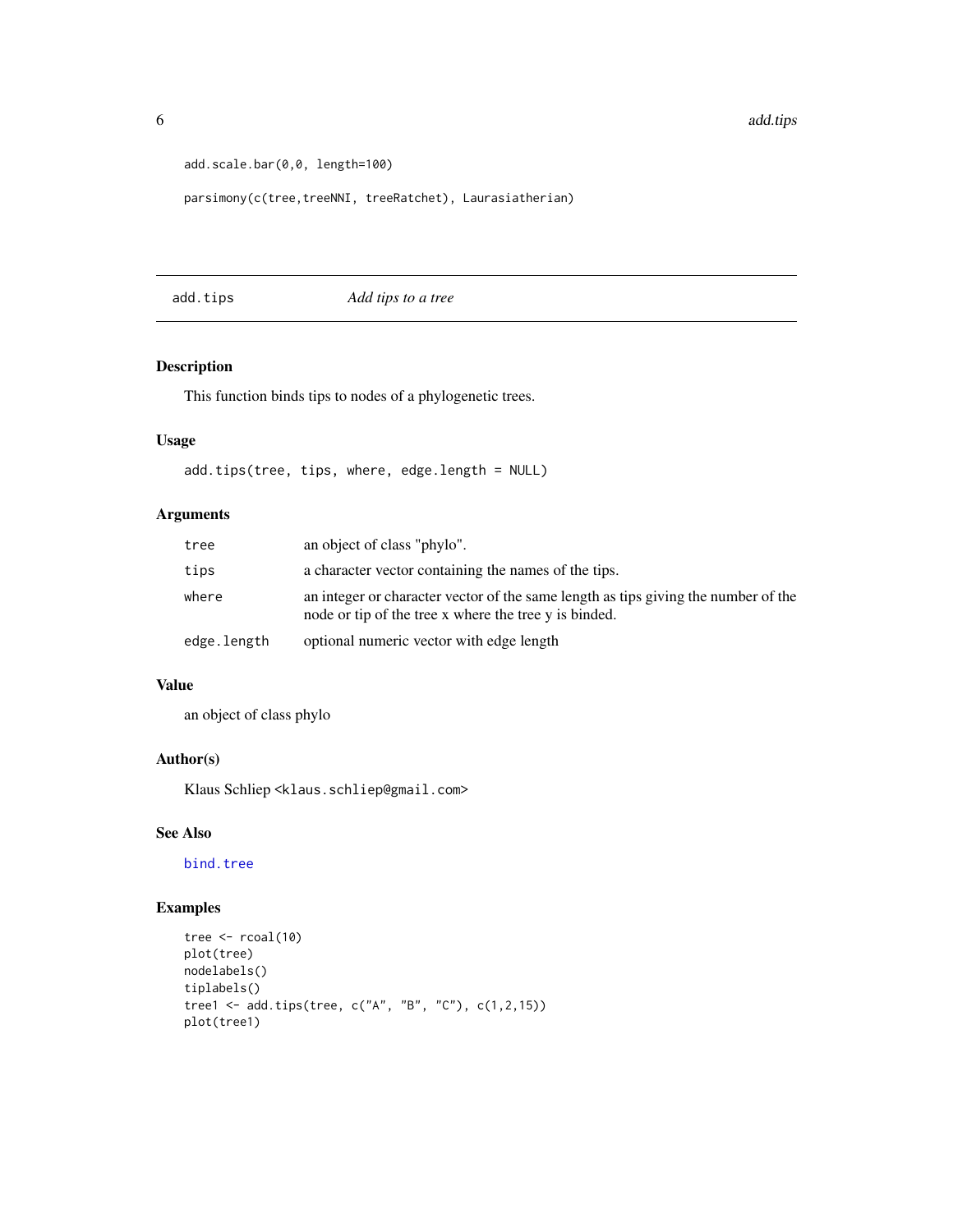```
add.scale.bar(0,0, length=100)
```

```
parsimony(c(tree,treeNNI, treeRatchet), Laurasiatherian)
```
add.tips *Add tips to a tree*

# Description

This function binds tips to nodes of a phylogenetic trees.

# Usage

add.tips(tree, tips, where, edge.length = NULL)

# Arguments

| tree        | an object of class "phylo".                                                                                                                 |
|-------------|---------------------------------------------------------------------------------------------------------------------------------------------|
| tips        | a character vector containing the names of the tips.                                                                                        |
| where       | an integer or character vector of the same length as tips giving the number of the<br>node or tip of the tree x where the tree y is binded. |
| edge.length | optional numeric vector with edge length                                                                                                    |

# Value

an object of class phylo

#### Author(s)

Klaus Schliep <klaus.schliep@gmail.com>

# See Also

[bind.tree](#page-0-0)

# Examples

```
tree \le rcoal(10)
plot(tree)
nodelabels()
tiplabels()
tree1 <- add.tips(tree, c("A", "B", "C"), c(1,2,15))
plot(tree1)
```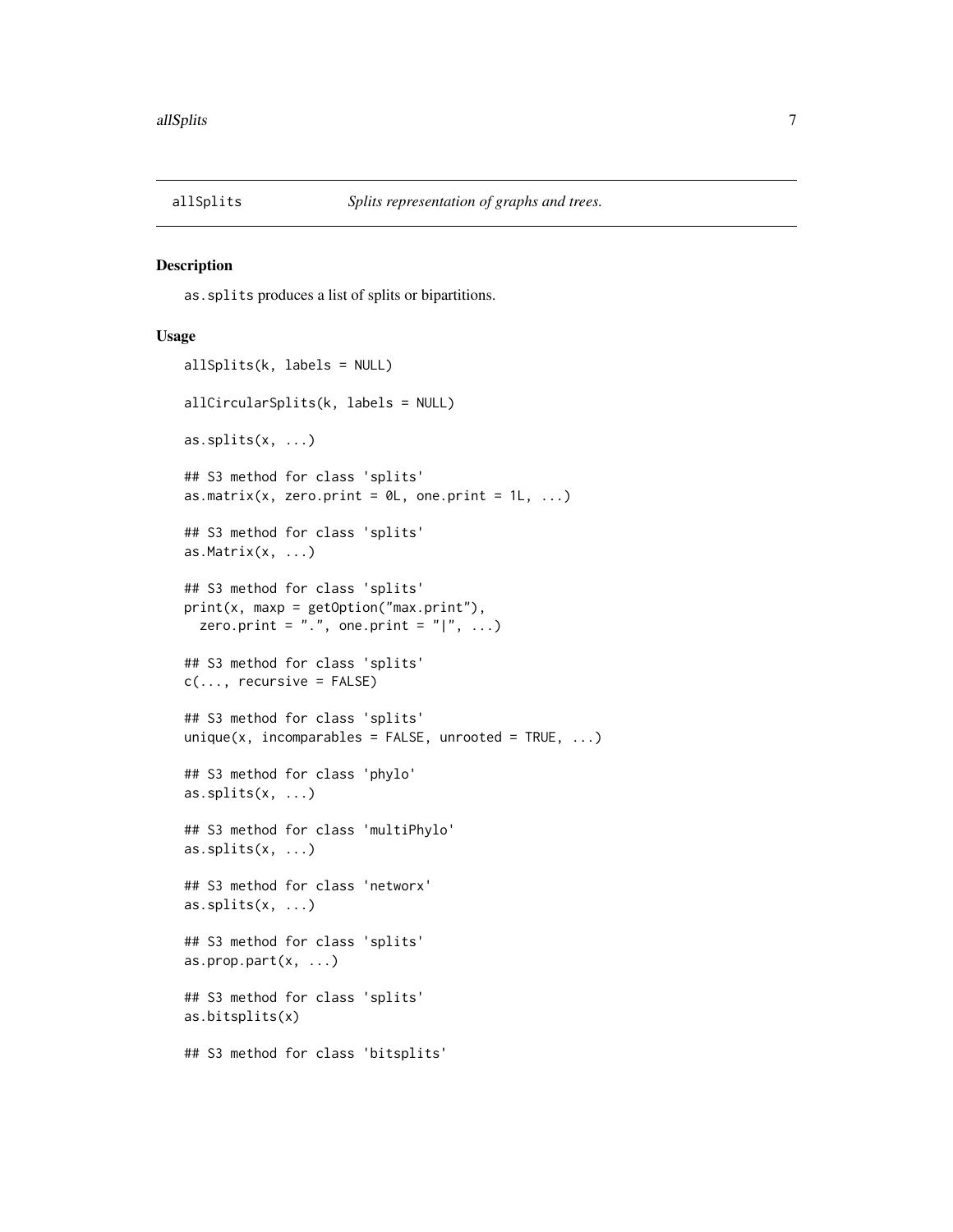<span id="page-6-0"></span>

#### <span id="page-6-1"></span>Description

as.splits produces a list of splits or bipartitions.

```
allSplits(k, labels = NULL)
allCircularSplits(k, labels = NULL)
as.splits(x, ...)
## S3 method for class 'splits'
as.matrix(x, zero.print = \emptyset L, one.print = 1L, ...)
## S3 method for class 'splits'
as.Matrix(x, ...)
## S3 method for class 'splits'
print(x, maxp = getOption("max.print"),zero.print = "."., one.print = " |". ...)
## S3 method for class 'splits'
c(\ldots, recursive = FALSE)
## S3 method for class 'splits'
unique(x, incomparables = FALSE, unrooted = TRUE, ...)## S3 method for class 'phylo'
as.splits(x, ...)
## S3 method for class 'multiPhylo'
as.splits(x, ...)## S3 method for class 'networx'
as.splits(x, ...)
## S3 method for class 'splits'
as.prop.part(x, \ldots)## S3 method for class 'splits'
as.bitsplits(x)
## S3 method for class 'bitsplits'
```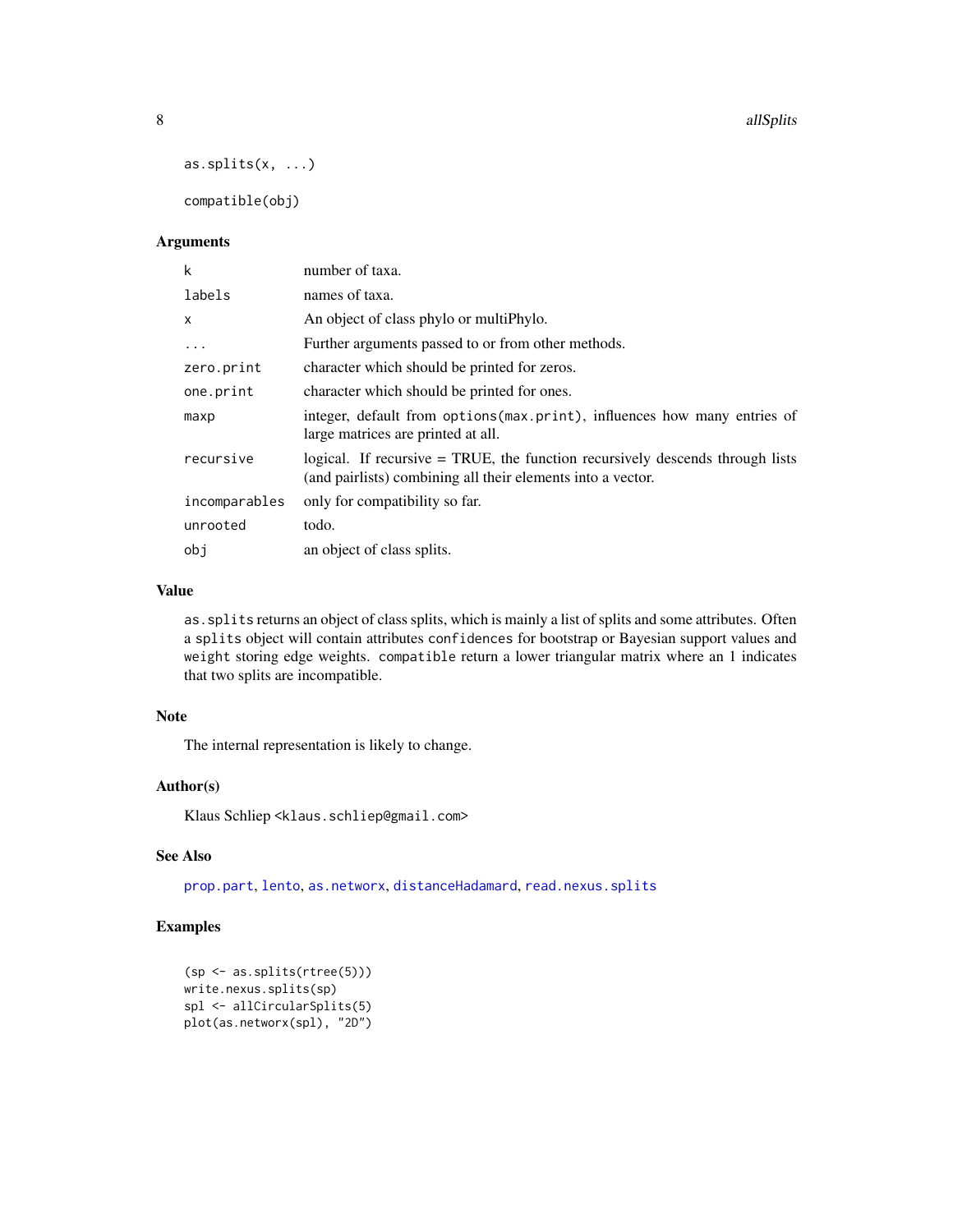```
as.splits(x, ...)
```
compatible(obj)

# Arguments

| k             | number of taxa.                                                                                                                              |
|---------------|----------------------------------------------------------------------------------------------------------------------------------------------|
| labels        | names of taxa.                                                                                                                               |
| X             | An object of class phylo or multiphylo.                                                                                                      |
| $\ddots$ .    | Further arguments passed to or from other methods.                                                                                           |
| zero.print    | character which should be printed for zeros.                                                                                                 |
| one.print     | character which should be printed for ones.                                                                                                  |
| maxp          | integer, default from options (max.print), influences how many entries of<br>large matrices are printed at all.                              |
| recursive     | logical. If recursive = TRUE, the function recursively descends through lists<br>(and pairlists) combining all their elements into a vector. |
| incomparables | only for compatibility so far.                                                                                                               |
| unrooted      | todo.                                                                                                                                        |
| obi           | an object of class splits.                                                                                                                   |

# Value

as.splits returns an object of class splits, which is mainly a list of splits and some attributes. Often a splits object will contain attributes confidences for bootstrap or Bayesian support values and weight storing edge weights. compatible return a lower triangular matrix where an 1 indicates that two splits are incompatible.

# Note

The internal representation is likely to change.

# Author(s)

Klaus Schliep <klaus.schliep@gmail.com>

# See Also

[prop.part](#page-0-0), [lento](#page-41-1), [as.networx](#page-10-1), [distanceHadamard](#page-32-1), [read.nexus.splits](#page-68-1)

# Examples

```
(sp <- as.splits(rtree(5)))
write.nexus.splits(sp)
spl <- allCircularSplits(5)
plot(as.networx(spl), "2D")
```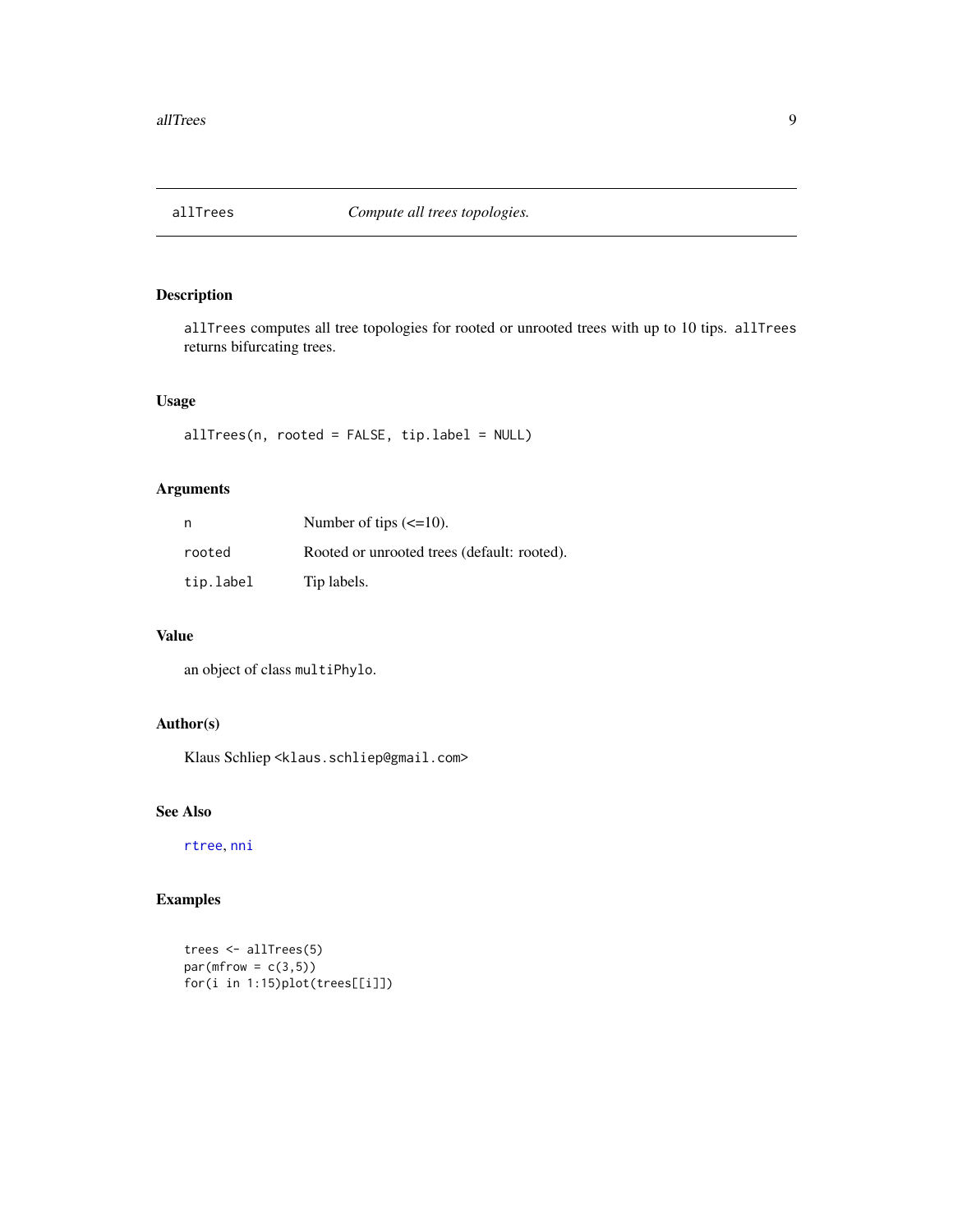<span id="page-8-0"></span>

# Description

allTrees computes all tree topologies for rooted or unrooted trees with up to 10 tips. allTrees returns bifurcating trees.

# Usage

```
allTrees(n, rooted = FALSE, tip.label = NULL)
```
# Arguments

| n         | Number of tips $\left(\leq 10\right)$ .     |
|-----------|---------------------------------------------|
| rooted    | Rooted or unrooted trees (default: rooted). |
| tip.label | Tip labels.                                 |

### Value

an object of class multiPhylo.

# Author(s)

Klaus Schliep <klaus.schliep@gmail.com>

# See Also

[rtree](#page-0-0), [nni](#page-52-1)

# Examples

```
trees <- allTrees(5)
par(mfrow = c(3,5))for(i in 1:15)plot(trees[[i]])
```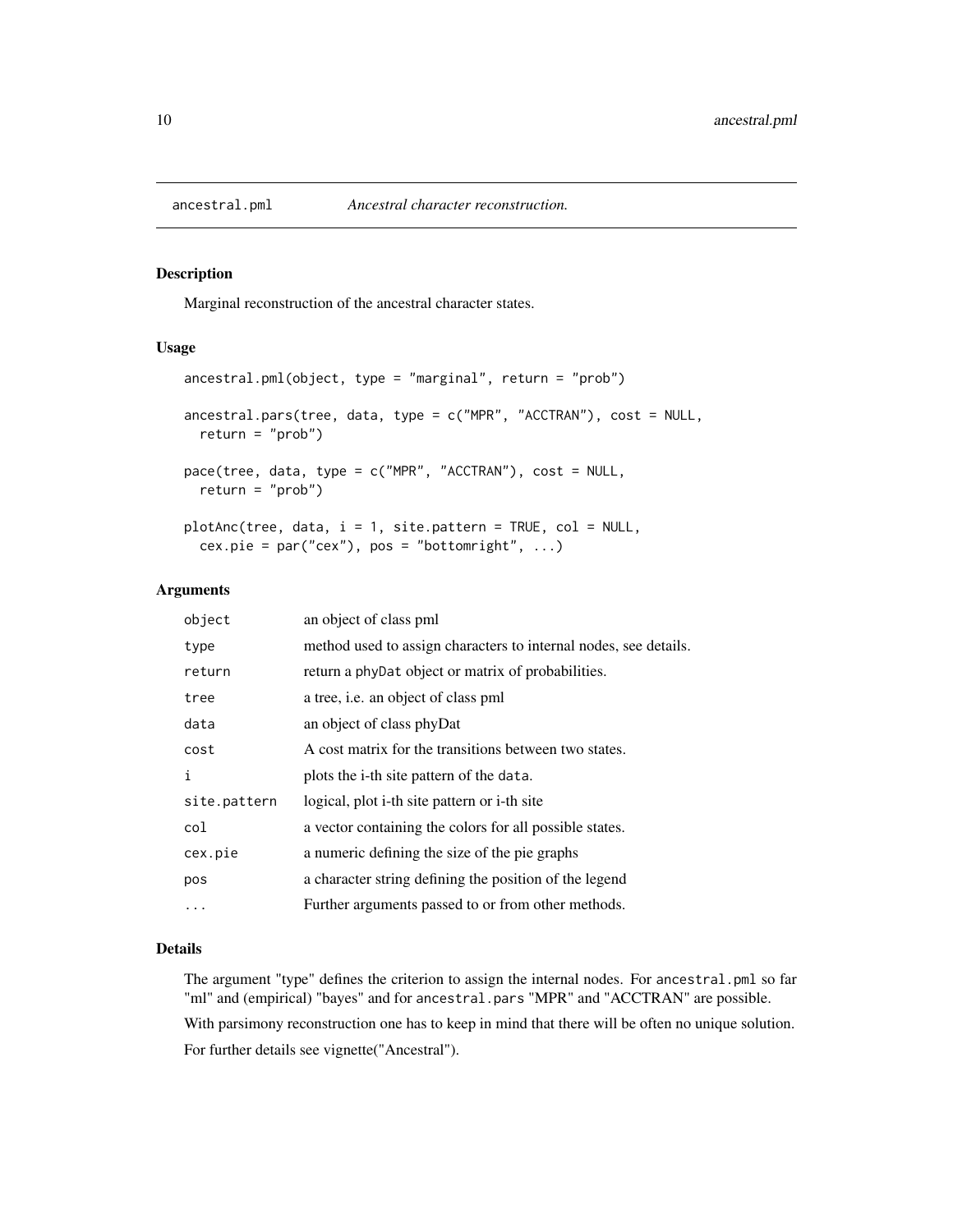<span id="page-9-1"></span><span id="page-9-0"></span>

# <span id="page-9-2"></span>Description

Marginal reconstruction of the ancestral character states.

#### Usage

```
ancestral.pml(object, type = "marginal", return = "prob")
ancestral.pars(tree, data, type = c("MPR", "ACCTRAN"), cost = NULL,
 return = "prob")
pace(tree, data, type = c("MPR", "ACCTRAN"), cost = NULL,
  return = "prob")
plotAnc(tree, data, i = 1, site.pattern = TRUE, col = NULL,
  cex.pie = par("cex"), pos = "bottomright", ...)
```
# Arguments

| object       | an object of class pml                                           |
|--------------|------------------------------------------------------------------|
| type         | method used to assign characters to internal nodes, see details. |
| return       | return a phyDat object or matrix of probabilities.               |
| tree         | a tree, i.e. an object of class pml                              |
| data         | an object of class phyDat                                        |
| cost         | A cost matrix for the transitions between two states.            |
| $\mathbf{i}$ | plots the i-th site pattern of the data.                         |
| site.pattern | logical, plot i-th site pattern or i-th site                     |
| col          | a vector containing the colors for all possible states.          |
| cex.pie      | a numeric defining the size of the pie graphs                    |
| pos          | a character string defining the position of the legend           |
| $\cdots$     | Further arguments passed to or from other methods.               |

#### Details

The argument "type" defines the criterion to assign the internal nodes. For ancestral.pml so far "ml" and (empirical) "bayes" and for ancestral.pars "MPR" and "ACCTRAN" are possible.

With parsimony reconstruction one has to keep in mind that there will be often no unique solution. For further details see vignette("Ancestral").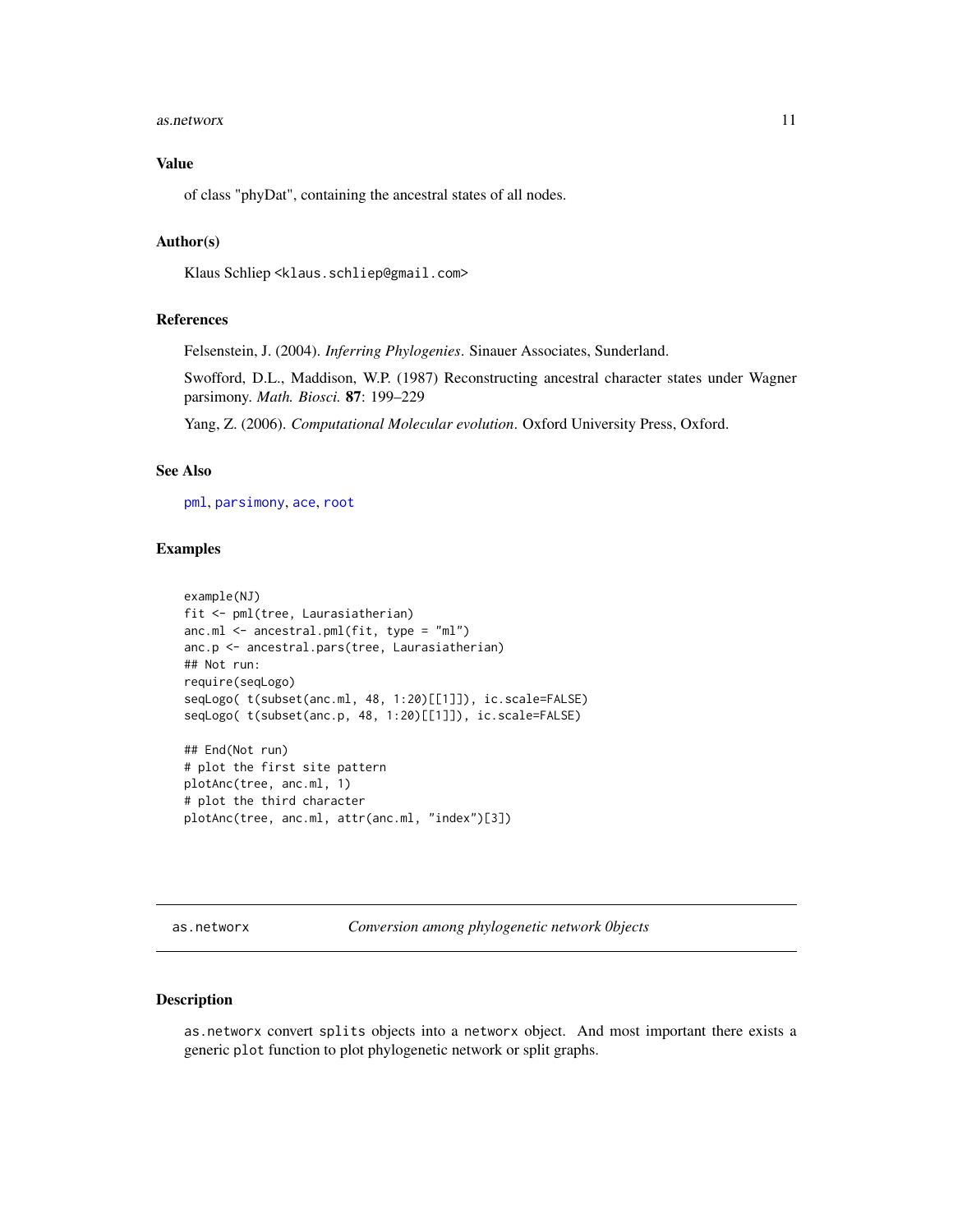#### <span id="page-10-0"></span>as.networx 11

# Value

of class "phyDat", containing the ancestral states of all nodes.

#### Author(s)

Klaus Schliep <klaus.schliep@gmail.com>

#### References

Felsenstein, J. (2004). *Inferring Phylogenies*. Sinauer Associates, Sunderland.

Swofford, D.L., Maddison, W.P. (1987) Reconstructing ancestral character states under Wagner parsimony. *Math. Biosci.* 87: 199–229

Yang, Z. (2006). *Computational Molecular evolution*. Oxford University Press, Oxford.

# See Also

[pml](#page-59-1), [parsimony](#page-3-1), [ace](#page-0-0), [root](#page-0-0)

#### Examples

```
example(NJ)
fit <- pml(tree, Laurasiatherian)
anc.ml <- ancestral.pml(fit, type = "ml")
anc.p <- ancestral.pars(tree, Laurasiatherian)
## Not run:
require(seqLogo)
seqLogo( t(subset(anc.ml, 48, 1:20)[[1]]), ic.scale=FALSE)
seqLogo( t(subset(anc.p, 48, 1:20)[[1]]), ic.scale=FALSE)
## End(Not run)
# plot the first site pattern
plotAnc(tree, anc.ml, 1)
# plot the third character
plotAnc(tree, anc.ml, attr(anc.ml, "index")[3])
```
<span id="page-10-1"></span>as.networx *Conversion among phylogenetic network 0bjects*

# Description

as.networx convert splits objects into a networx object. And most important there exists a generic plot function to plot phylogenetic network or split graphs.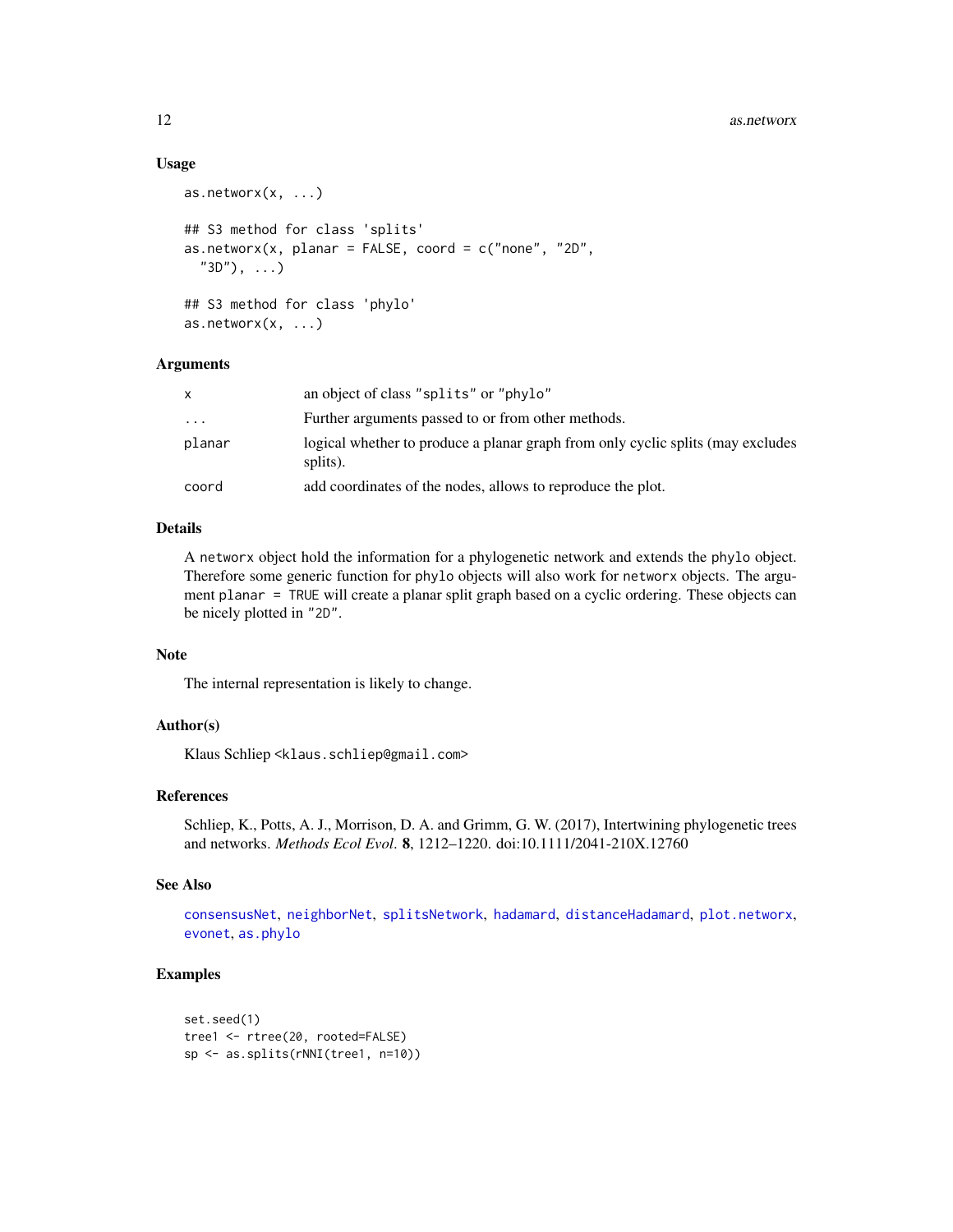#### Usage

```
as.networx(x, \ldots)## S3 method for class 'splits'
as.nextworx(x, planar = FALSE, coord = c("none", "2D","3D"), ...)
## S3 method for class 'phylo'
as.networx(x, \ldots)
```
# Arguments

| x        | an object of class "splits" or "phylo"                                                      |
|----------|---------------------------------------------------------------------------------------------|
| $\cdots$ | Further arguments passed to or from other methods.                                          |
| planar   | logical whether to produce a planar graph from only cyclic splits (may excludes<br>splits). |
| coord    | add coordinates of the nodes, allows to reproduce the plot.                                 |

#### Details

A networx object hold the information for a phylogenetic network and extends the phylo object. Therefore some generic function for phylo objects will also work for networx objects. The argument planar = TRUE will create a planar split graph based on a cyclic ordering. These objects can be nicely plotted in "2D".

# Note

The internal representation is likely to change.

#### Author(s)

Klaus Schliep <klaus.schliep@gmail.com>

# References

Schliep, K., Potts, A. J., Morrison, D. A. and Grimm, G. W. (2017), Intertwining phylogenetic trees and networks. *Methods Ecol Evol*. 8, 1212–1220. doi:10.1111/2041-210X.12760

# See Also

[consensusNet](#page-20-1), [neighborNet](#page-50-1), [splitsNetwork](#page-74-1), [hadamard](#page-37-1), [distanceHadamard](#page-32-1), [plot.networx](#page-57-1), [evonet](#page-0-0), [as.phylo](#page-0-0)

# Examples

```
set.seed(1)
tree1 <- rtree(20, rooted=FALSE)
sp <- as.splits(rNNI(tree1, n=10))
```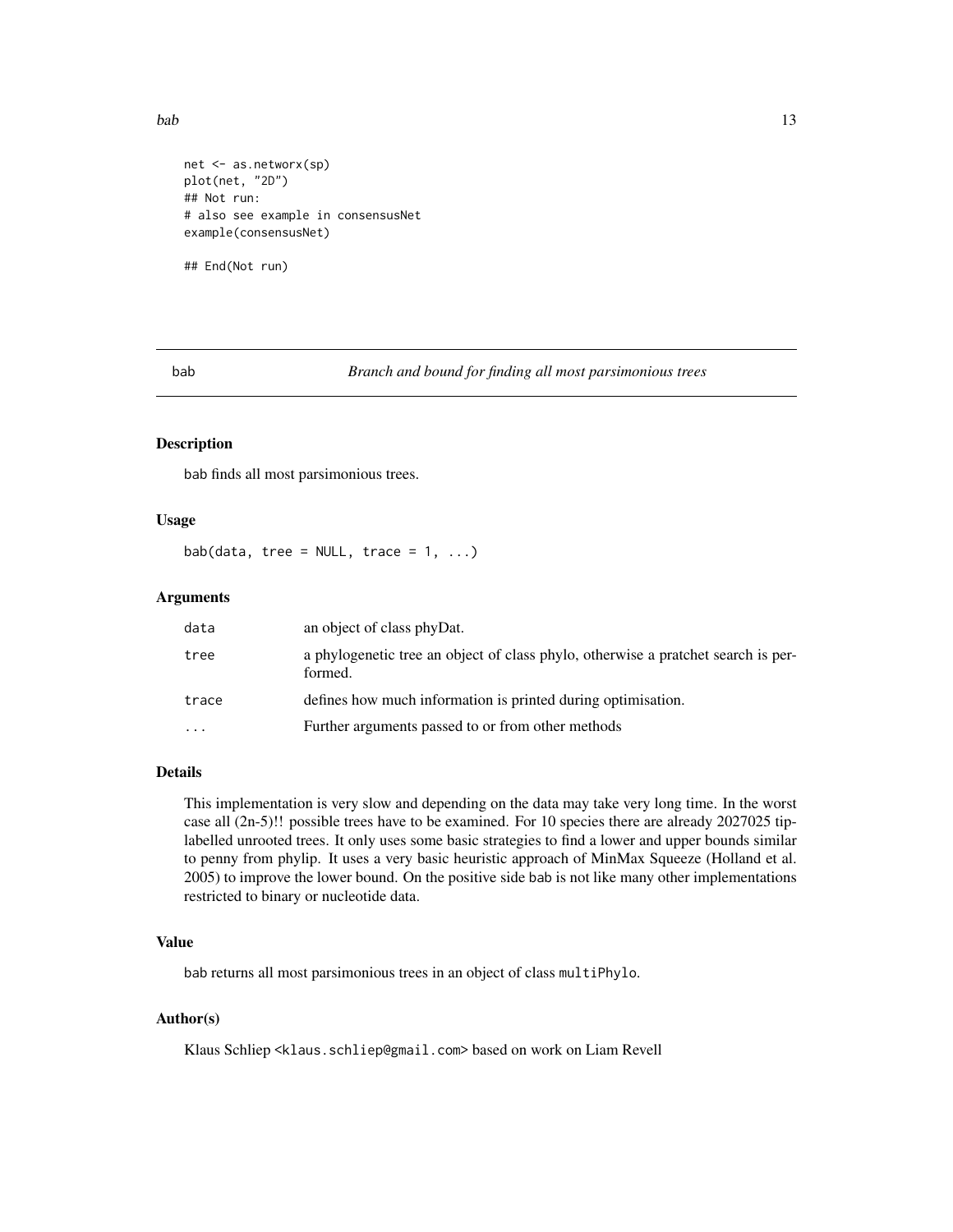<span id="page-12-0"></span>bab 13

```
net <- as.networx(sp)
plot(net, "2D")
## Not run:
# also see example in consensusNet
example(consensusNet)
```
## End(Not run)

<span id="page-12-1"></span>bab *Branch and bound for finding all most parsimonious trees*

### Description

bab finds all most parsimonious trees.

### Usage

bab(data, tree = NULL, trace =  $1, ...$ )

### Arguments

| data      | an object of class phyDat.                                                                   |
|-----------|----------------------------------------------------------------------------------------------|
| tree      | a phylogenetic tree an object of class phylo, otherwise a pratchet search is per-<br>formed. |
| trace     | defines how much information is printed during optimisation.                                 |
| $\ddotsc$ | Further arguments passed to or from other methods                                            |

## Details

This implementation is very slow and depending on the data may take very long time. In the worst case all (2n-5)!! possible trees have to be examined. For 10 species there are already 2027025 tiplabelled unrooted trees. It only uses some basic strategies to find a lower and upper bounds similar to penny from phylip. It uses a very basic heuristic approach of MinMax Squeeze (Holland et al. 2005) to improve the lower bound. On the positive side bab is not like many other implementations restricted to binary or nucleotide data.

# Value

bab returns all most parsimonious trees in an object of class multiPhylo.

# Author(s)

Klaus Schliep <klaus.schliep@gmail.com> based on work on Liam Revell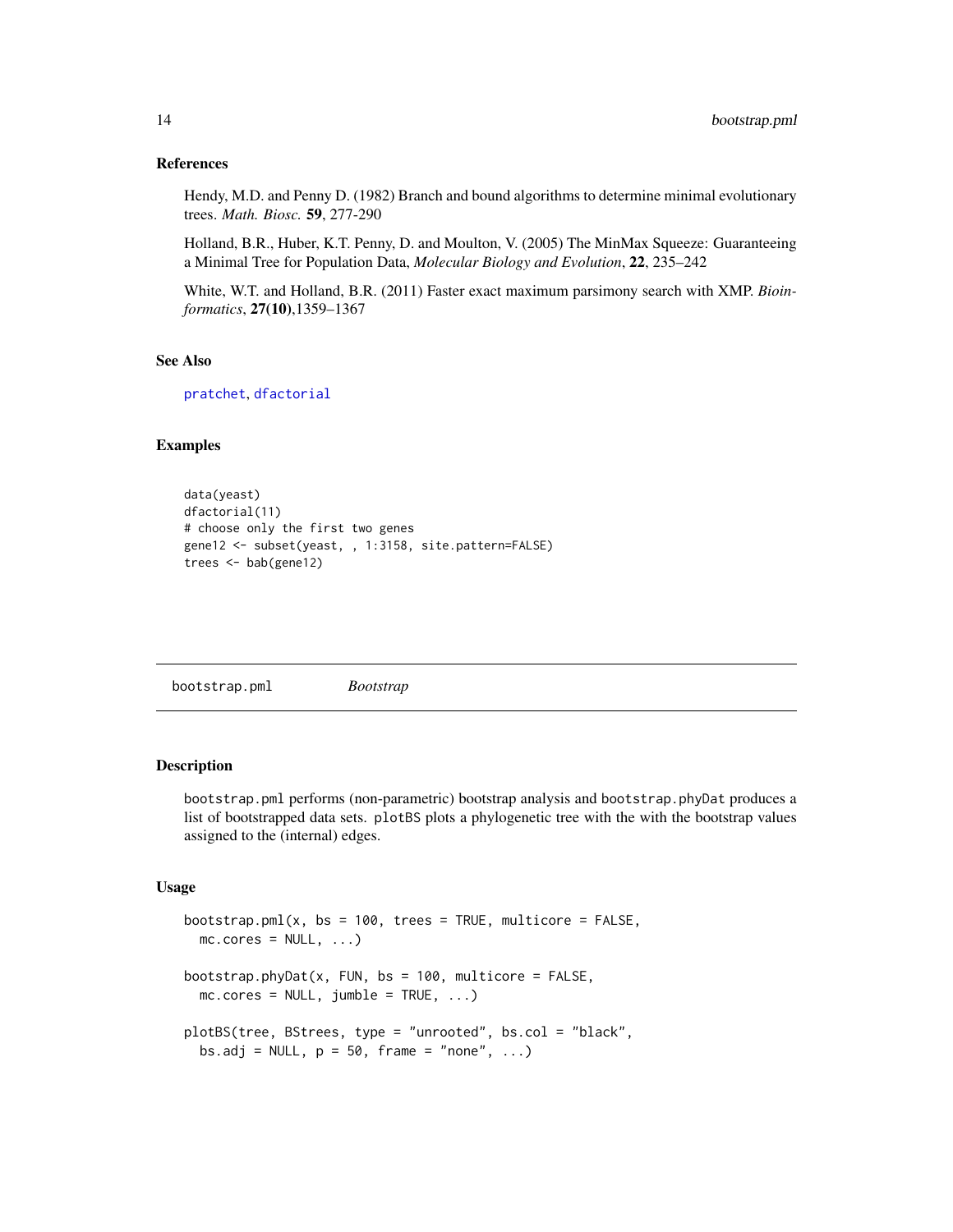#### <span id="page-13-0"></span>References

Hendy, M.D. and Penny D. (1982) Branch and bound algorithms to determine minimal evolutionary trees. *Math. Biosc.* 59, 277-290

Holland, B.R., Huber, K.T. Penny, D. and Moulton, V. (2005) The MinMax Squeeze: Guaranteeing a Minimal Tree for Population Data, *Molecular Biology and Evolution*, 22, 235–242

White, W.T. and Holland, B.R. (2011) Faster exact maximum parsimony search with XMP. *Bioinformatics*, 27(10),1359–1367

#### See Also

[pratchet](#page-3-1), [dfactorial](#page-41-2)

# Examples

```
data(yeast)
dfactorial(11)
# choose only the first two genes
gene12 <- subset(yeast, , 1:3158, site.pattern=FALSE)
trees <- bab(gene12)
```
<span id="page-13-1"></span>bootstrap.pml *Bootstrap*

# Description

bootstrap.pml performs (non-parametric) bootstrap analysis and bootstrap.phyDat produces a list of bootstrapped data sets. plotBS plots a phylogenetic tree with the with the bootstrap values assigned to the (internal) edges.

```
bootstrap.pml(x, bs = 100, trees = TRUE, multicore = FALSE,mc.core = NULL, ...)bootstrap.phyDat(x, FUN, bs = 100, multicore = FALSE,
 mc.core = NULL, jumble = TRUE, \ldots)
plotBS(tree, BStrees, type = "unrooted", bs.col = "black",
 bs.adj = NULL, p = 50, frame = "none", ...)
```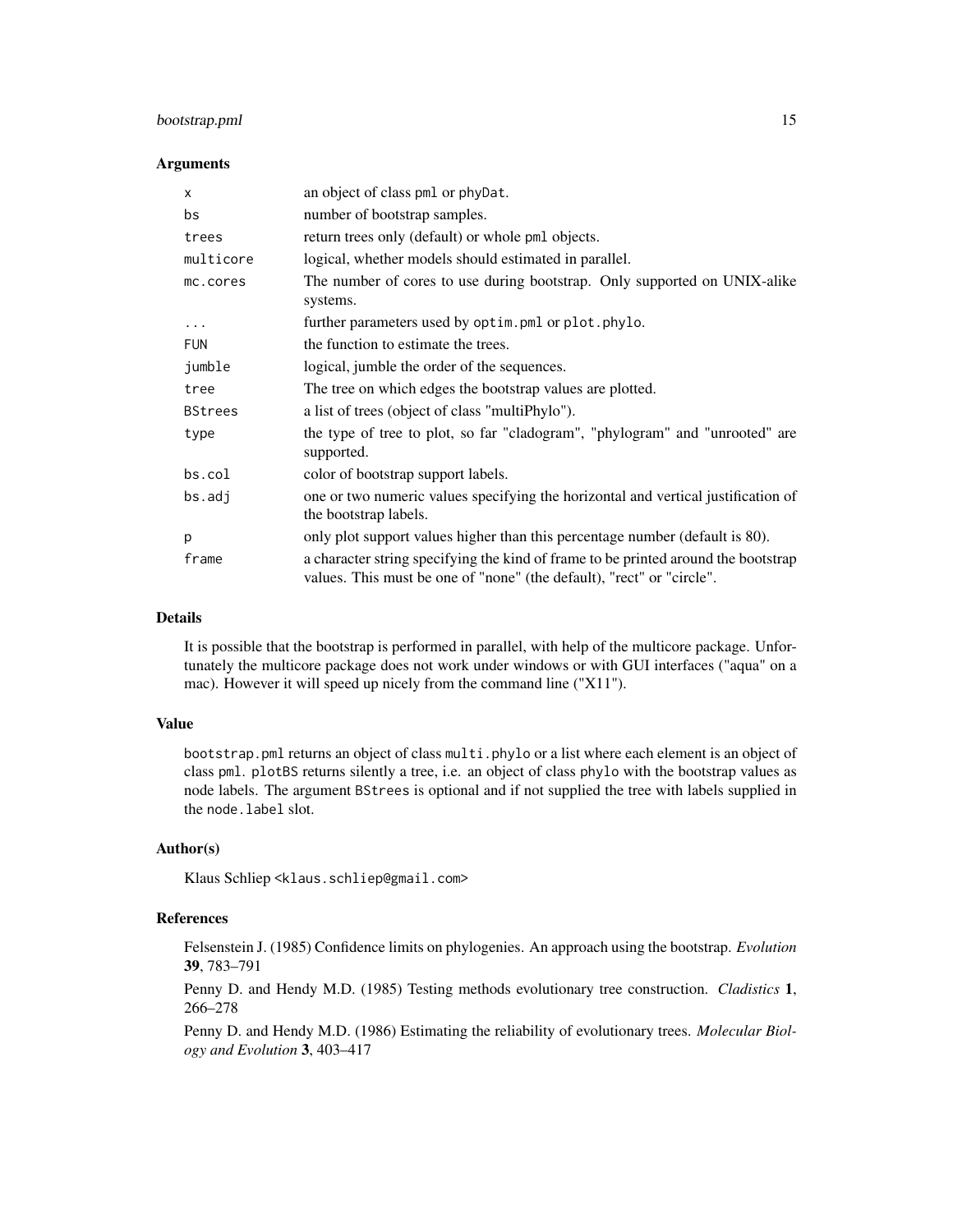# bootstrap.pml 15

#### Arguments

| X              | an object of class pml or phyDat.                                                                                                                           |
|----------------|-------------------------------------------------------------------------------------------------------------------------------------------------------------|
| bs             | number of bootstrap samples.                                                                                                                                |
| trees          | return trees only (default) or whole pml objects.                                                                                                           |
| multicore      | logical, whether models should estimated in parallel.                                                                                                       |
| mc.cores       | The number of cores to use during bootstrap. Only supported on UNIX-alike<br>systems.                                                                       |
| $\cdots$       | further parameters used by optim. pml or plot. phylo.                                                                                                       |
| <b>FUN</b>     | the function to estimate the trees.                                                                                                                         |
| jumble         | logical, jumble the order of the sequences.                                                                                                                 |
| tree           | The tree on which edges the bootstrap values are plotted.                                                                                                   |
| <b>BStrees</b> | a list of trees (object of class "multiPhylo").                                                                                                             |
| type           | the type of tree to plot, so far "cladogram", "phylogram" and "unrooted" are<br>supported.                                                                  |
| bs.col         | color of bootstrap support labels.                                                                                                                          |
| bs.addj        | one or two numeric values specifying the horizontal and vertical justification of<br>the bootstrap labels.                                                  |
| p              | only plot support values higher than this percentage number (default is 80).                                                                                |
| frame          | a character string specifying the kind of frame to be printed around the bootstrap<br>values. This must be one of "none" (the default), "rect" or "circle". |

# Details

It is possible that the bootstrap is performed in parallel, with help of the multicore package. Unfortunately the multicore package does not work under windows or with GUI interfaces ("aqua" on a mac). However it will speed up nicely from the command line ("X11").

# Value

bootstrap.pml returns an object of class multi.phylo or a list where each element is an object of class pml. plotBS returns silently a tree, i.e. an object of class phylo with the bootstrap values as node labels. The argument BStrees is optional and if not supplied the tree with labels supplied in the node.label slot.

#### Author(s)

Klaus Schliep <klaus.schliep@gmail.com>

# References

Felsenstein J. (1985) Confidence limits on phylogenies. An approach using the bootstrap. *Evolution* 39, 783–791

Penny D. and Hendy M.D. (1985) Testing methods evolutionary tree construction. *Cladistics* 1, 266–278

Penny D. and Hendy M.D. (1986) Estimating the reliability of evolutionary trees. *Molecular Biology and Evolution* 3, 403–417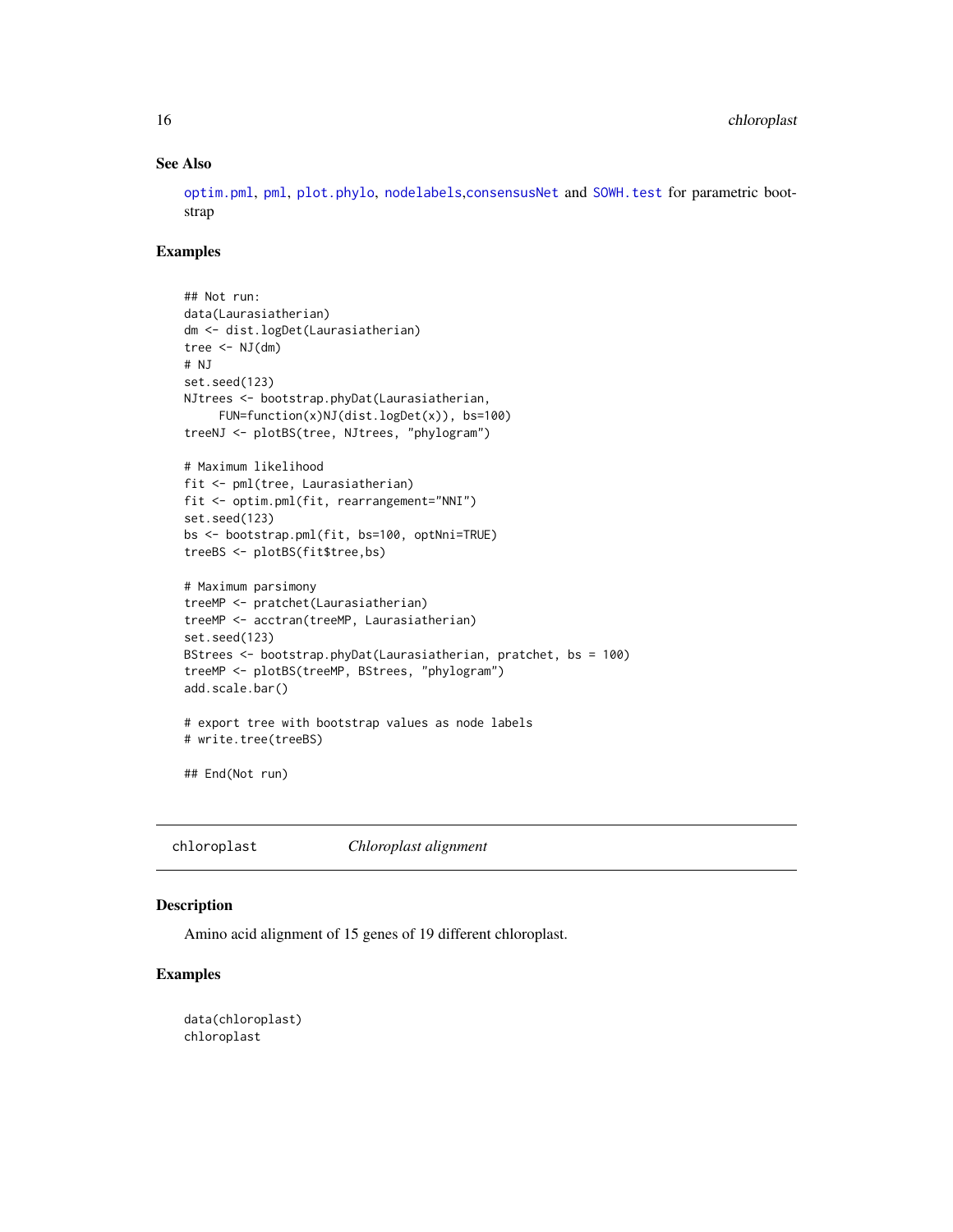# See Also

[optim.pml](#page-59-1), [pml](#page-59-1), [plot.phylo](#page-0-0), [nodelabels](#page-0-0),[consensusNet](#page-20-1) and [SOWH.test](#page-72-1) for parametric bootstrap

#### Examples

```
## Not run:
data(Laurasiatherian)
dm <- dist.logDet(Laurasiatherian)
tree \leq NJ(dm)# NJ
set.seed(123)
NJtrees <- bootstrap.phyDat(Laurasiatherian,
     FUN=function(x)NJ(dist.logDet(x)), bs=100)
treeNJ <- plotBS(tree, NJtrees, "phylogram")
# Maximum likelihood
fit <- pml(tree, Laurasiatherian)
fit <- optim.pml(fit, rearrangement="NNI")
set.seed(123)
bs <- bootstrap.pml(fit, bs=100, optNni=TRUE)
treeBS <- plotBS(fit$tree,bs)
# Maximum parsimony
treeMP <- pratchet(Laurasiatherian)
treeMP <- acctran(treeMP, Laurasiatherian)
set.seed(123)
BStrees <- bootstrap.phyDat(Laurasiatherian, pratchet, bs = 100)
treeMP <- plotBS(treeMP, BStrees, "phylogram")
add.scale.bar()
# export tree with bootstrap values as node labels
# write.tree(treeBS)
## End(Not run)
```
chloroplast *Chloroplast alignment*

#### Description

Amino acid alignment of 15 genes of 19 different chloroplast.

# Examples

data(chloroplast) chloroplast

<span id="page-15-0"></span>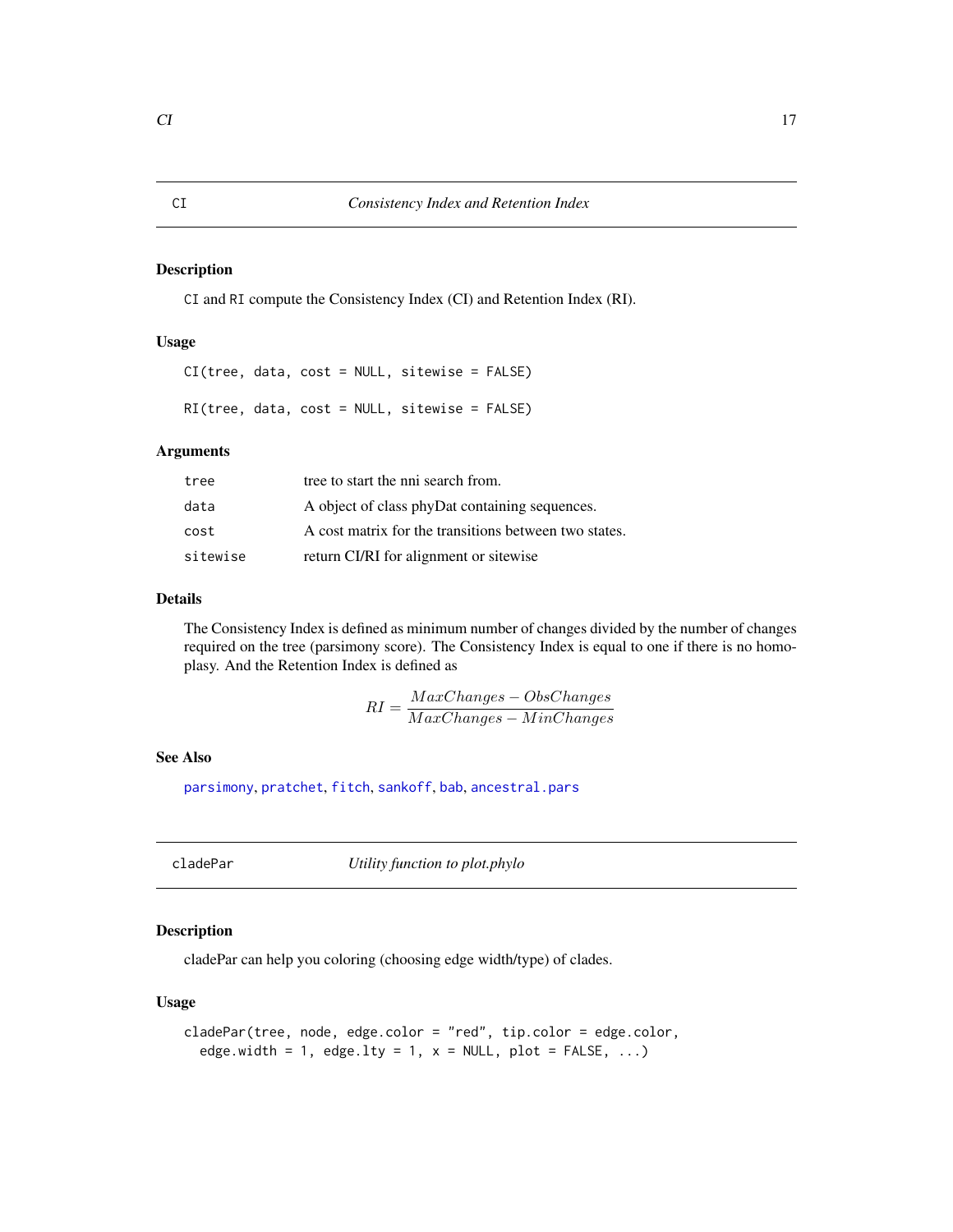#### <span id="page-16-2"></span><span id="page-16-1"></span><span id="page-16-0"></span>Description

CI and RI compute the Consistency Index (CI) and Retention Index (RI).

# Usage

CI(tree, data, cost = NULL, sitewise = FALSE)

RI(tree, data, cost = NULL, sitewise = FALSE)

# Arguments

| tree     | tree to start the nni search from.                    |
|----------|-------------------------------------------------------|
| data     | A object of class phyDat containing sequences.        |
| cost     | A cost matrix for the transitions between two states. |
| sitewise | return CI/RI for alignment or sitewise                |

# Details

The Consistency Index is defined as minimum number of changes divided by the number of changes required on the tree (parsimony score). The Consistency Index is equal to one if there is no homoplasy. And the Retention Index is defined as

$$
RI = \frac{MaxChanges - ObsChanges}{MaxChanges - MinChanges}
$$

# See Also

[parsimony](#page-3-1), [pratchet](#page-3-1), [fitch](#page-3-1), [sankoff](#page-3-1), [bab](#page-12-1), [ancestral.pars](#page-9-2)

cladePar *Utility function to plot.phylo*

# Description

cladePar can help you coloring (choosing edge width/type) of clades.

```
cladePar(tree, node, edge.color = "red", tip.color = edge.color,
  edge.width = 1, edge.lty = 1, x = NULL, plot = FALSE, ...)
```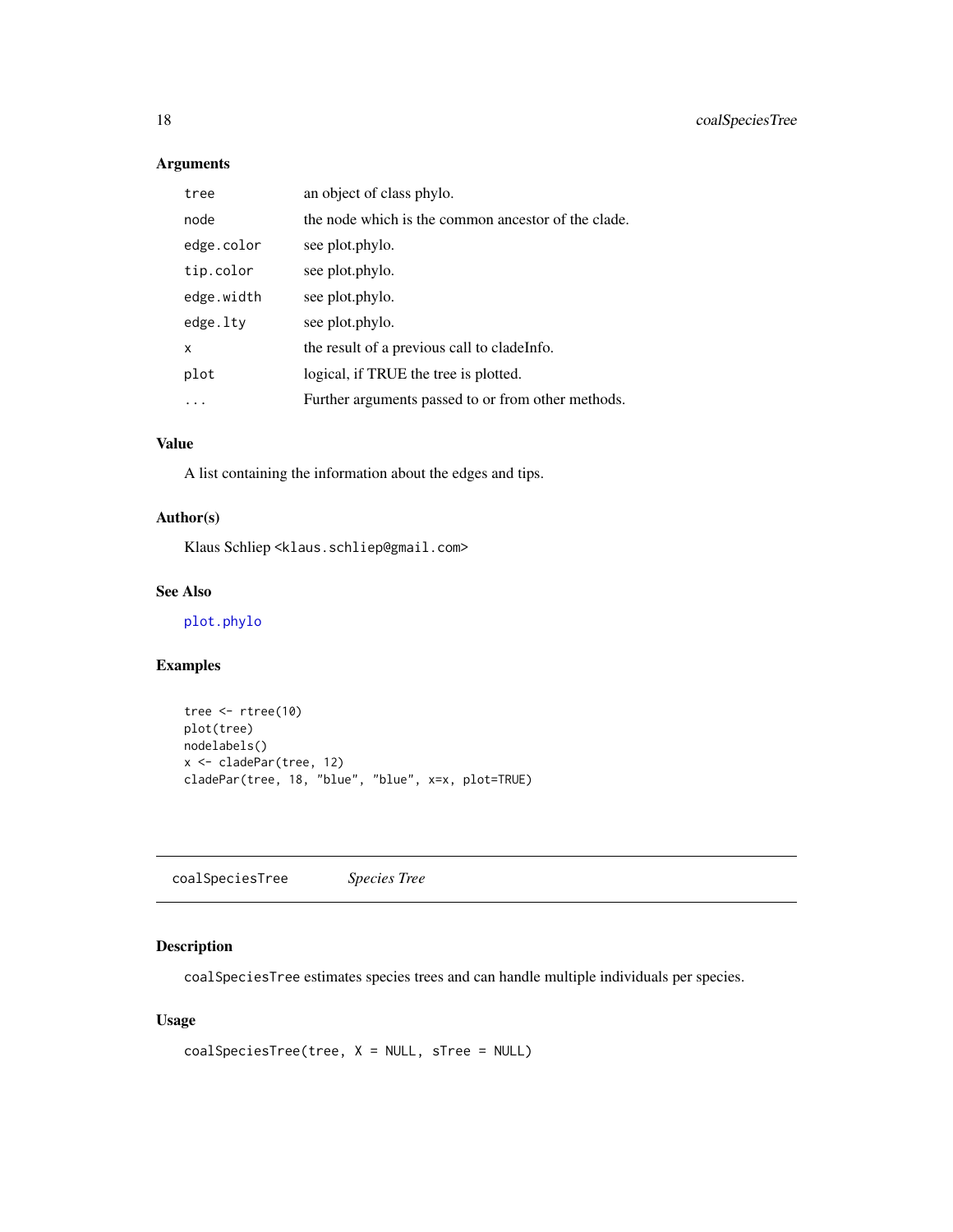# Arguments

| tree       | an object of class phylo.                           |
|------------|-----------------------------------------------------|
| node       | the node which is the common ancestor of the clade. |
| edge.color | see plot.phylo.                                     |
| tip.color  | see plot.phylo.                                     |
| edge.width | see plot.phylo.                                     |
| edge.lty   | see plot.phylo.                                     |
| x          | the result of a previous call to cladelenfo.        |
| plot       | logical, if TRUE the tree is plotted.               |
|            | Further arguments passed to or from other methods.  |

# Value

A list containing the information about the edges and tips.

# Author(s)

Klaus Schliep <klaus.schliep@gmail.com>

# See Also

[plot.phylo](#page-0-0)

# Examples

```
tree <- rtree(10)
plot(tree)
nodelabels()
x <- cladePar(tree, 12)
cladePar(tree, 18, "blue", "blue", x=x, plot=TRUE)
```
coalSpeciesTree *Species Tree*

# Description

coalSpeciesTree estimates species trees and can handle multiple individuals per species.

```
coalSpeciesTree(tree, X = NULL, sTree = NULL)
```
<span id="page-17-0"></span>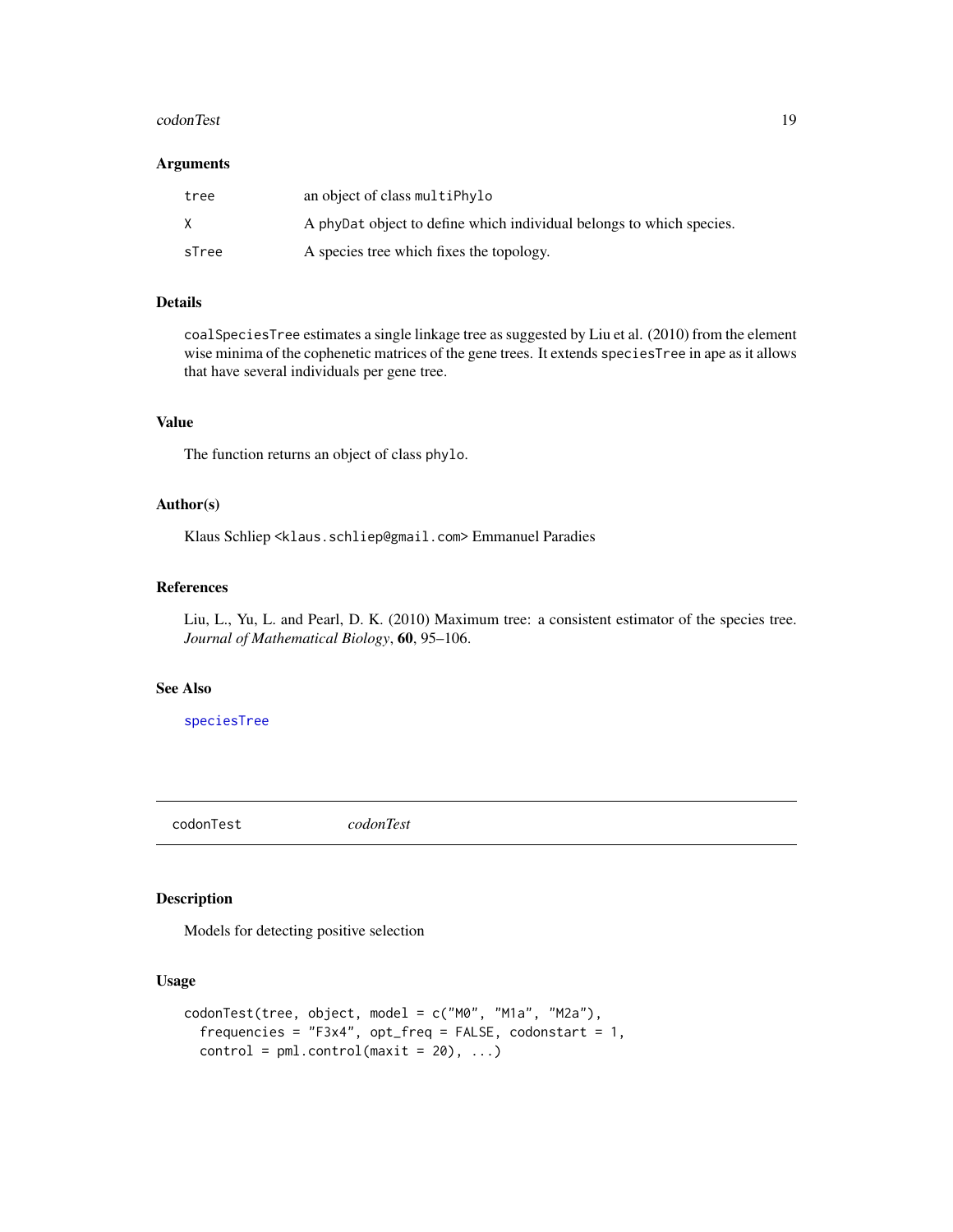#### <span id="page-18-0"></span>codonTest 2008 and 2008 and 2008 and 2008 and 2008 and 2008 and 2008 and 2008 and 2008 and 2008 and 2008 and 20

#### Arguments

| tree  | an object of class multiPhylo                                        |
|-------|----------------------------------------------------------------------|
| X     | A phybat object to define which individual belongs to which species. |
| sTree | A species tree which fixes the topology.                             |

# Details

coalSpeciesTree estimates a single linkage tree as suggested by Liu et al. (2010) from the element wise minima of the cophenetic matrices of the gene trees. It extends speciesTree in ape as it allows that have several individuals per gene tree.

# Value

The function returns an object of class phylo.

# Author(s)

Klaus Schliep <klaus.schliep@gmail.com> Emmanuel Paradies

#### References

Liu, L., Yu, L. and Pearl, D. K. (2010) Maximum tree: a consistent estimator of the species tree. *Journal of Mathematical Biology*, 60, 95–106.

#### See Also

[speciesTree](#page-0-0)

codonTest *codonTest*

# Description

Models for detecting positive selection

```
codonTest(tree, object, model = c("M0", "M1a", "M2a"),
  frequencies = "F3x4", opt\_freq = FALSE, codonstart = 1,
  control = pm1.control(maxit = 20), ...
```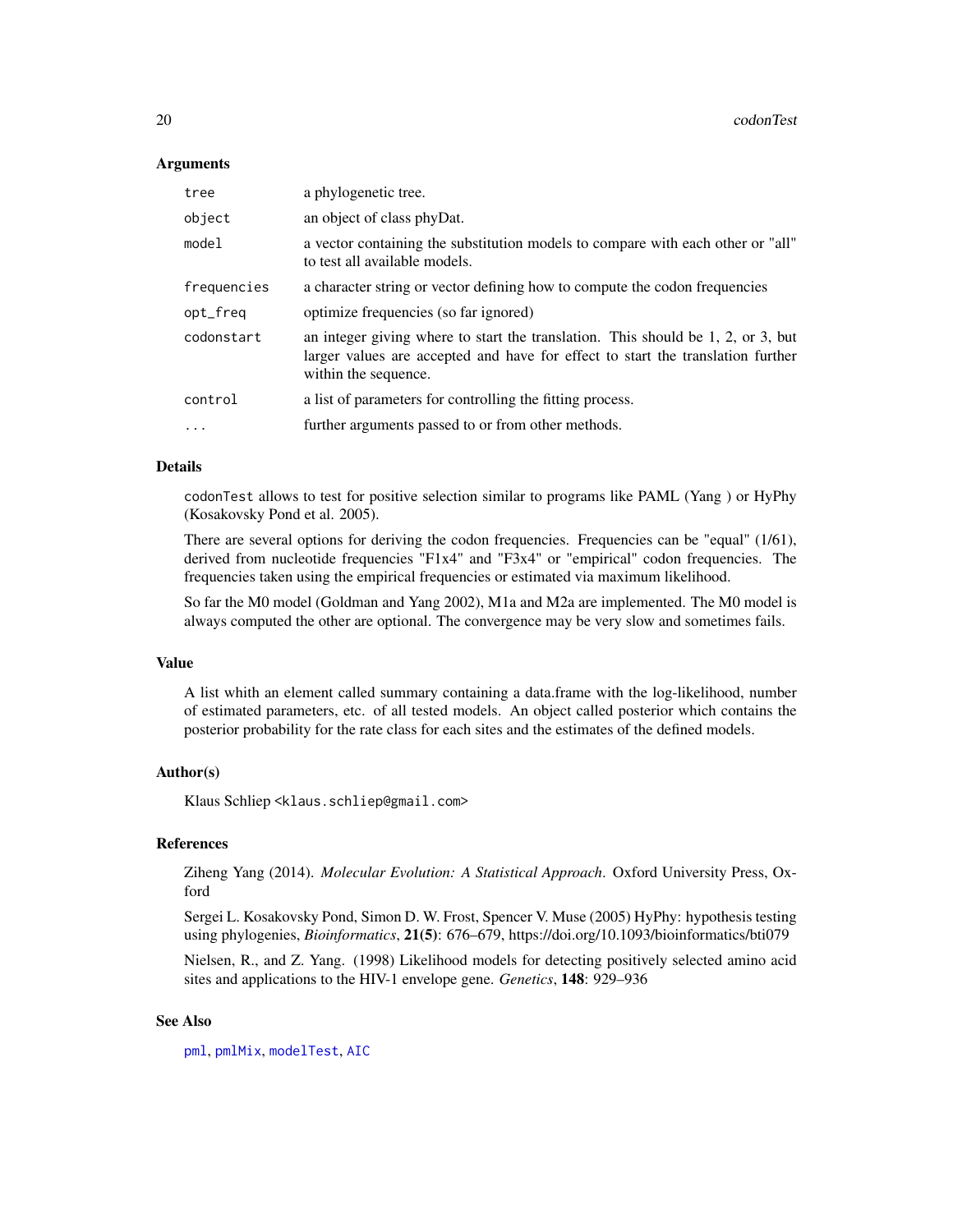#### Arguments

| tree        | a phylogenetic tree.                                                                                                                                                                             |
|-------------|--------------------------------------------------------------------------------------------------------------------------------------------------------------------------------------------------|
| object      | an object of class phyDat.                                                                                                                                                                       |
| model       | a vector containing the substitution models to compare with each other or "all"<br>to test all available models.                                                                                 |
| frequencies | a character string or vector defining how to compute the codon frequencies                                                                                                                       |
| opt_freq    | optimize frequencies (so far ignored)                                                                                                                                                            |
| codonstart  | an integer giving where to start the translation. This should be $1, 2,$ or $3$ , but<br>larger values are accepted and have for effect to start the translation further<br>within the sequence. |
| control     | a list of parameters for controlling the fitting process.                                                                                                                                        |
| $\ddotsc$   | further arguments passed to or from other methods.                                                                                                                                               |

#### Details

codonTest allows to test for positive selection similar to programs like PAML (Yang ) or HyPhy (Kosakovsky Pond et al. 2005).

There are several options for deriving the codon frequencies. Frequencies can be "equal" (1/61), derived from nucleotide frequencies "F1x4" and "F3x4" or "empirical" codon frequencies. The frequencies taken using the empirical frequencies or estimated via maximum likelihood.

So far the M0 model (Goldman and Yang 2002), M1a and M2a are implemented. The M0 model is always computed the other are optional. The convergence may be very slow and sometimes fails.

#### Value

A list whith an element called summary containing a data.frame with the log-likelihood, number of estimated parameters, etc. of all tested models. An object called posterior which contains the posterior probability for the rate class for each sites and the estimates of the defined models.

#### Author(s)

Klaus Schliep <klaus.schliep@gmail.com>

#### References

Ziheng Yang (2014). *Molecular Evolution: A Statistical Approach*. Oxford University Press, Oxford

Sergei L. Kosakovsky Pond, Simon D. W. Frost, Spencer V. Muse (2005) HyPhy: hypothesis testing using phylogenies, *Bioinformatics*, 21(5): 676–679, https://doi.org/10.1093/bioinformatics/bti079

Nielsen, R., and Z. Yang. (1998) Likelihood models for detecting positively selected amino acid sites and applications to the HIV-1 envelope gene. *Genetics*, 148: 929–936

#### See Also

[pml](#page-59-1), [pmlMix](#page-65-1), [modelTest](#page-47-1), [AIC](#page-0-0)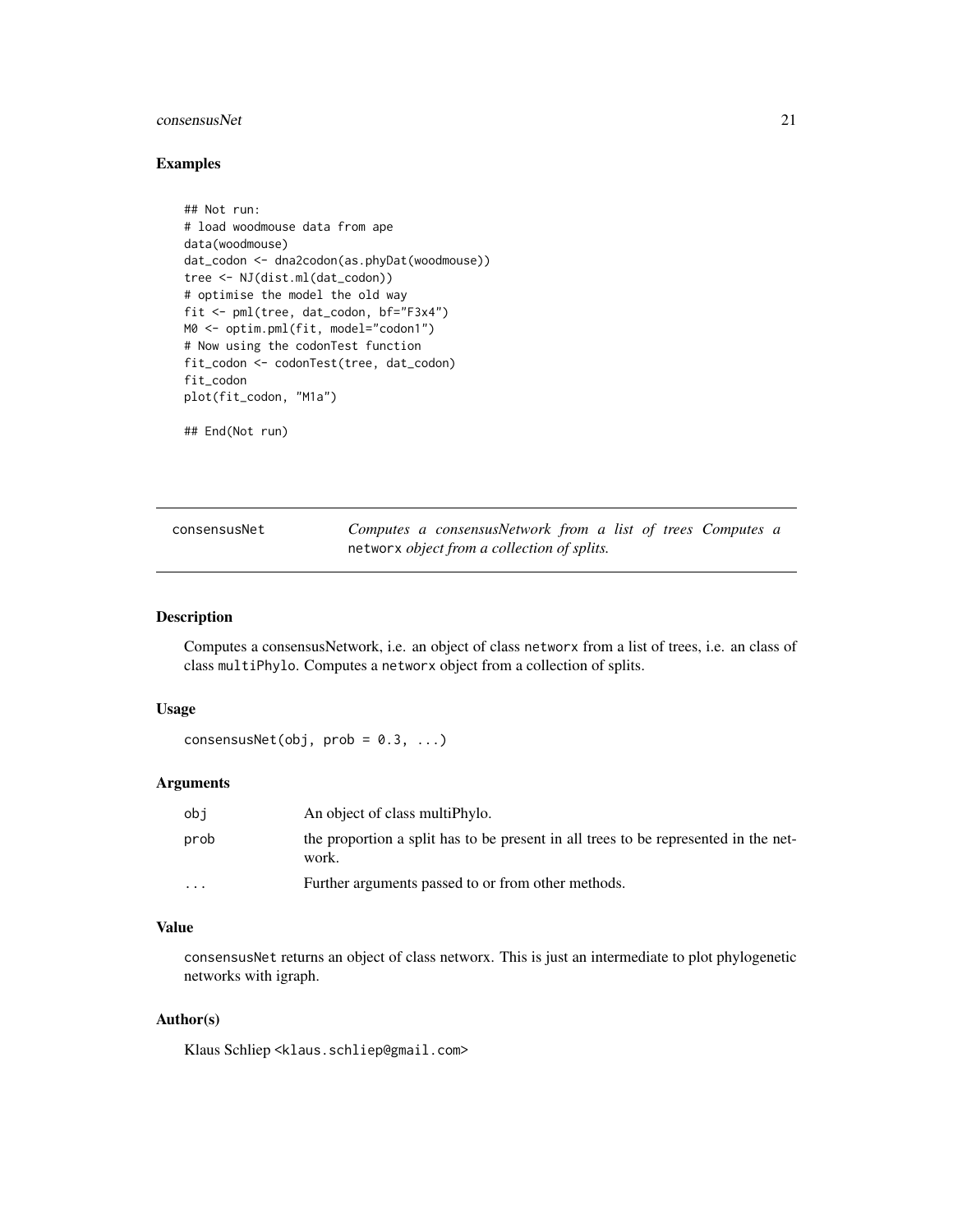# <span id="page-20-0"></span>consensusNet 21

#### Examples

```
## Not run:
# load woodmouse data from ape
data(woodmouse)
dat_codon <- dna2codon(as.phyDat(woodmouse))
tree <- NJ(dist.ml(dat_codon))
# optimise the model the old way
fit <- pml(tree, dat_codon, bf="F3x4")
M0 <- optim.pml(fit, model="codon1")
# Now using the codonTest function
fit_codon <- codonTest(tree, dat_codon)
fit_codon
plot(fit_codon, "M1a")
## End(Not run)
```
<span id="page-20-1"></span>

| consensusNet | Computes a consensusNetwork from a list of trees Computes a |
|--------------|-------------------------------------------------------------|
|              | networx <i>object from a collection of splits</i> .         |

# Description

Computes a consensusNetwork, i.e. an object of class networx from a list of trees, i.e. an class of class multiPhylo. Computes a networx object from a collection of splits.

#### Usage

```
consensusNet(obj, prob = 0.3, ...)
```
#### Arguments

| obi                     | An object of class multiphylo.                                                               |
|-------------------------|----------------------------------------------------------------------------------------------|
| prob                    | the proportion a split has to be present in all trees to be represented in the net-<br>work. |
| $\cdot$ $\cdot$ $\cdot$ | Further arguments passed to or from other methods.                                           |

# Value

consensusNet returns an object of class networx. This is just an intermediate to plot phylogenetic networks with igraph.

# Author(s)

Klaus Schliep <klaus.schliep@gmail.com>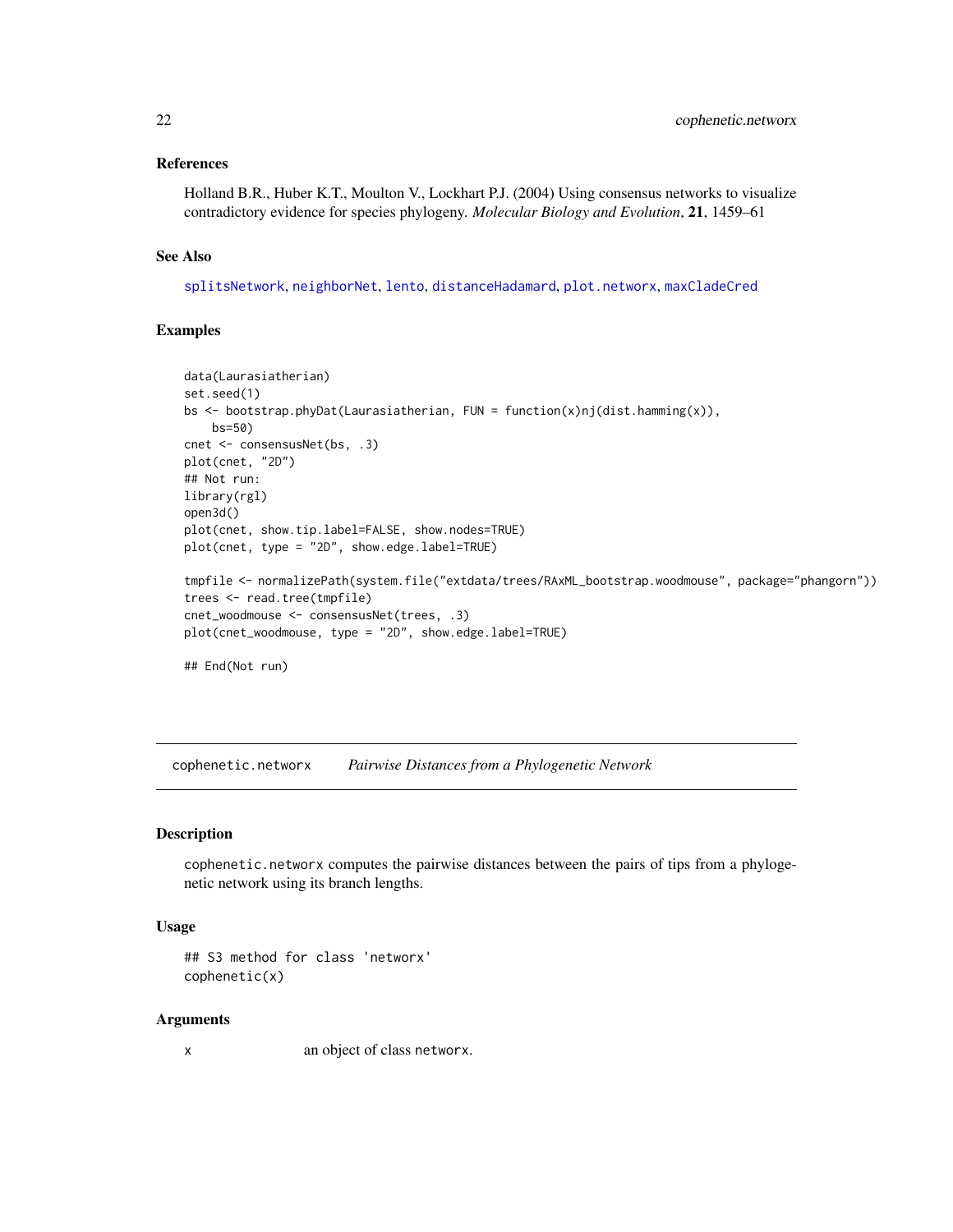#### <span id="page-21-0"></span>References

Holland B.R., Huber K.T., Moulton V., Lockhart P.J. (2004) Using consensus networks to visualize contradictory evidence for species phylogeny. *Molecular Biology and Evolution*, 21, 1459–61

# See Also

[splitsNetwork](#page-74-1), [neighborNet](#page-50-1), [lento](#page-41-1), [distanceHadamard](#page-32-1), [plot.networx](#page-57-1), [maxCladeCred](#page-45-1)

# Examples

```
data(Laurasiatherian)
set.seed(1)
bs <- bootstrap.phyDat(Laurasiatherian, FUN = function(x)nj(dist.hamming(x)),
   bs=50)
cnet <- consensusNet(bs, .3)
plot(cnet, "2D")
## Not run:
library(rgl)
open3d()
plot(cnet, show.tip.label=FALSE, show.nodes=TRUE)
plot(cnet, type = "2D", show.edge.label=TRUE)
tmpfile <- normalizePath(system.file("extdata/trees/RAxML_bootstrap.woodmouse", package="phangorn"))
trees <- read.tree(tmpfile)
cnet_woodmouse <- consensusNet(trees, .3)
plot(cnet_woodmouse, type = "2D", show.edge.label=TRUE)
## End(Not run)
```
cophenetic.networx *Pairwise Distances from a Phylogenetic Network*

#### Description

cophenetic.networx computes the pairwise distances between the pairs of tips from a phylogenetic network using its branch lengths.

#### Usage

```
## S3 method for class 'networx'
cophenetic(x)
```
#### Arguments

x an object of class networx.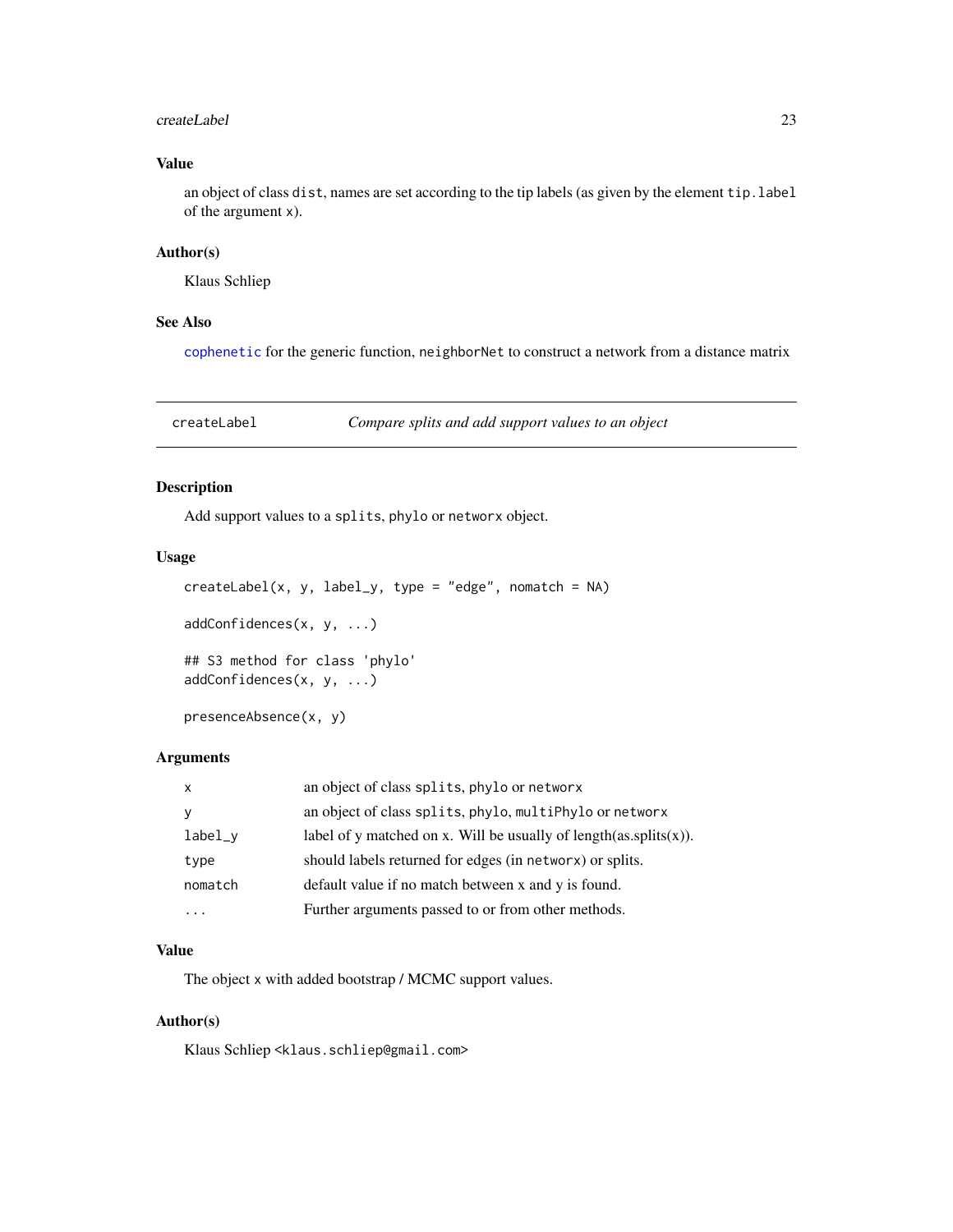#### <span id="page-22-0"></span>createLabel 23

# Value

an object of class dist, names are set according to the tip labels (as given by the element tip.label of the argument x).

#### Author(s)

Klaus Schliep

#### See Also

[cophenetic](#page-0-0) for the generic function, neighborNet to construct a network from a distance matrix

createLabel *Compare splits and add support values to an object*

# Description

Add support values to a splits, phylo or networx object.

#### Usage

```
createdLabel(x, y, label_y, type = "edge", nomatch = NA)addConfidences(x, y, ...)
## S3 method for class 'phylo'
addConfidences(x, y, ...)
```
presenceAbsence(x, y)

# Arguments

| an object of class splits, phylo, multiPhylo or networx<br>label_y<br>should labels returned for edges (in networx) or splits.<br>type<br>default value if no match between x and y is found.<br>nomatch<br>Further arguments passed to or from other methods.<br>. | X | an object of class splits, phylo or networx                           |
|---------------------------------------------------------------------------------------------------------------------------------------------------------------------------------------------------------------------------------------------------------------------|---|-----------------------------------------------------------------------|
|                                                                                                                                                                                                                                                                     |   |                                                                       |
|                                                                                                                                                                                                                                                                     |   | label of y matched on x. Will be usually of length $(as.splits(x))$ . |
|                                                                                                                                                                                                                                                                     |   |                                                                       |
|                                                                                                                                                                                                                                                                     |   |                                                                       |
|                                                                                                                                                                                                                                                                     |   |                                                                       |

# Value

The object x with added bootstrap / MCMC support values.

# Author(s)

Klaus Schliep <klaus.schliep@gmail.com>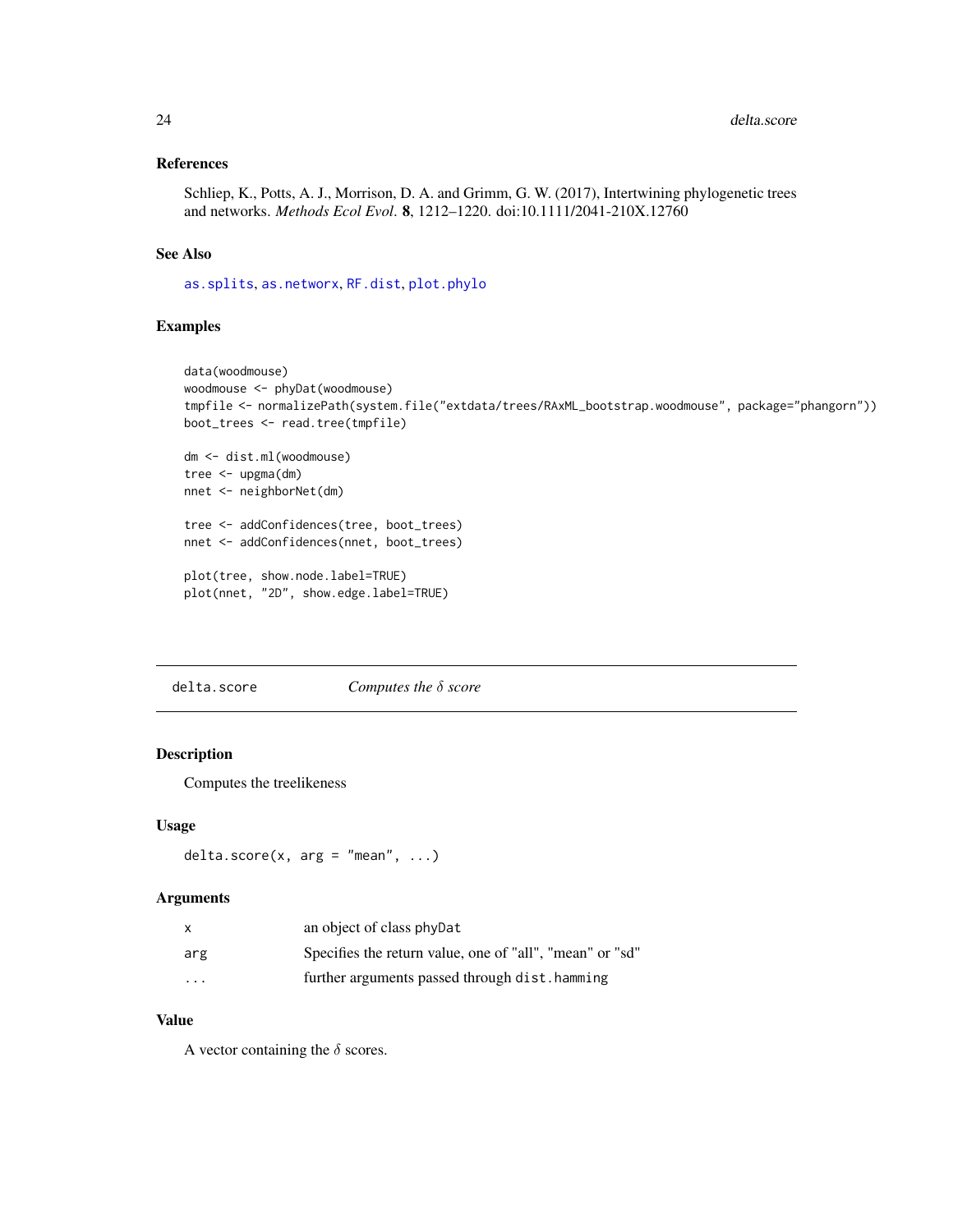# <span id="page-23-0"></span>References

Schliep, K., Potts, A. J., Morrison, D. A. and Grimm, G. W. (2017), Intertwining phylogenetic trees and networks. *Methods Ecol Evol*. 8, 1212–1220. doi:10.1111/2041-210X.12760

#### See Also

[as.splits](#page-6-1), [as.networx](#page-10-1), [RF.dist](#page-77-1), [plot.phylo](#page-0-0)

# Examples

```
data(woodmouse)
woodmouse <- phyDat(woodmouse)
tmpfile <- normalizePath(system.file("extdata/trees/RAxML_bootstrap.woodmouse", package="phangorn"))
boot_trees <- read.tree(tmpfile)
dm <- dist.ml(woodmouse)
tree <- upgma(dm)
nnet <- neighborNet(dm)
tree <- addConfidences(tree, boot_trees)
nnet <- addConfidences(nnet, boot_trees)
plot(tree, show.node.label=TRUE)
plot(nnet, "2D", show.edge.label=TRUE)
```
delta.score *Computes the* δ *score*

# Description

Computes the treelikeness

#### Usage

```
delta.score(x, arg = "mean", ...)
```
# Arguments

| X                       | an object of class phyDat                                |
|-------------------------|----------------------------------------------------------|
| arg                     | Specifies the return value, one of "all", "mean" or "sd" |
| $\cdot$ $\cdot$ $\cdot$ | further arguments passed through dist. hamming           |

# Value

A vector containing the  $\delta$  scores.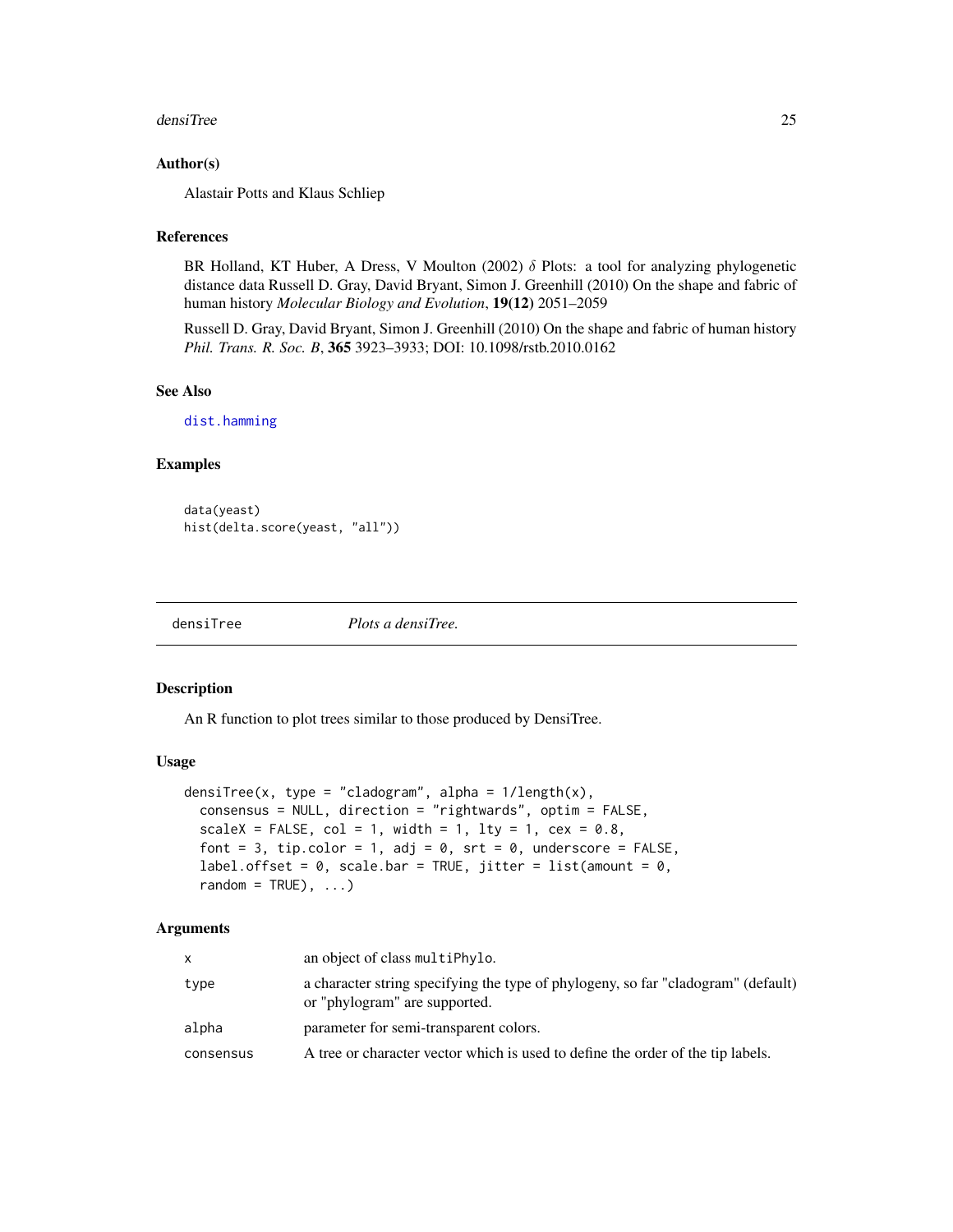#### <span id="page-24-0"></span>densiTree 25

#### Author(s)

Alastair Potts and Klaus Schliep

#### References

BR Holland, KT Huber, A Dress, V Moulton (2002)  $\delta$  Plots: a tool for analyzing phylogenetic distance data Russell D. Gray, David Bryant, Simon J. Greenhill (2010) On the shape and fabric of human history *Molecular Biology and Evolution*, 19(12) 2051–2059

Russell D. Gray, David Bryant, Simon J. Greenhill (2010) On the shape and fabric of human history *Phil. Trans. R. Soc. B*, 365 3923–3933; DOI: 10.1098/rstb.2010.0162

# See Also

[dist.hamming](#page-29-1)

#### Examples

```
data(yeast)
hist(delta.score(yeast, "all"))
```
densiTree *Plots a densiTree.*

#### Description

An R function to plot trees similar to those produced by DensiTree.

# Usage

```
densiTree(x, type = "cladogram", alpha = 1/length(x),
  consensus = NULL, direction = "rightwards", optim = FALSE,
  scaleX = FALSE, col = 1, width = 1, lty = 1, cex = 0.8,
  font = 3, tip.color = 1, adj = 0, srt = 0, underscore = FALSE,
  label.offset = 0, scale.bar = TRUE, jitter = list(amount = 0,
  random = TRUE), \ldots)
```
#### Arguments

| x         | an object of class multiPhylo.                                                                                     |
|-----------|--------------------------------------------------------------------------------------------------------------------|
| type      | a character string specifying the type of phylogeny, so far "cladogram" (default)<br>or "phylogram" are supported. |
| alpha     | parameter for semi-transparent colors.                                                                             |
| consensus | A tree or character vector which is used to define the order of the tip labels.                                    |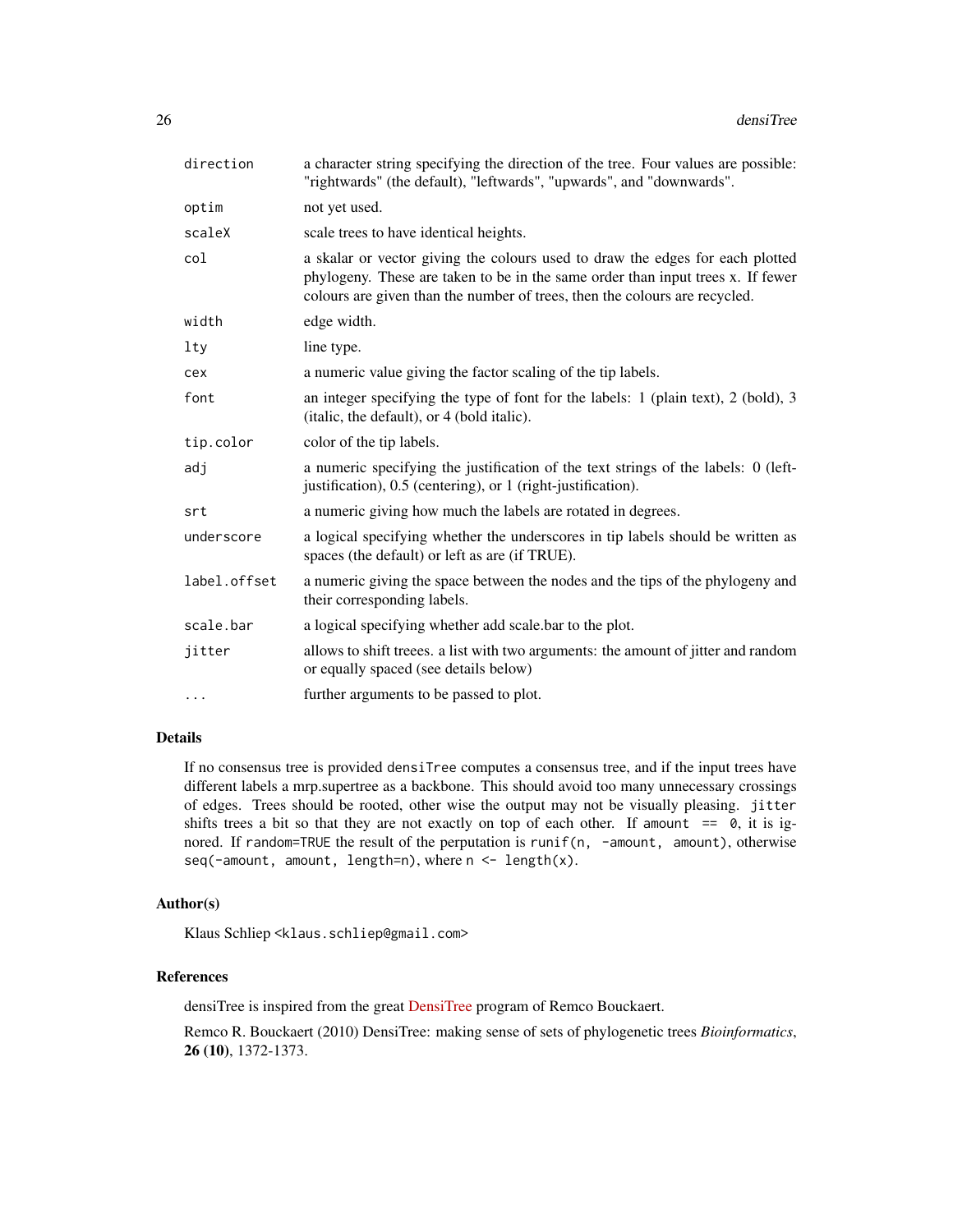| direction    | a character string specifying the direction of the tree. Four values are possible:<br>"rightwards" (the default), "leftwards", "upwards", and "downwards".                                                                                     |
|--------------|------------------------------------------------------------------------------------------------------------------------------------------------------------------------------------------------------------------------------------------------|
| optim        | not yet used.                                                                                                                                                                                                                                  |
| scaleX       | scale trees to have identical heights.                                                                                                                                                                                                         |
| col          | a skalar or vector giving the colours used to draw the edges for each plotted<br>phylogeny. These are taken to be in the same order than input trees x. If fewer<br>colours are given than the number of trees, then the colours are recycled. |
| width        | edge width.                                                                                                                                                                                                                                    |
| $1$ ty       | line type.                                                                                                                                                                                                                                     |
| cex          | a numeric value giving the factor scaling of the tip labels.                                                                                                                                                                                   |
| font         | an integer specifying the type of font for the labels: 1 (plain text), 2 (bold), 3<br>(italic, the default), or 4 (bold italic).                                                                                                               |
| tip.color    | color of the tip labels.                                                                                                                                                                                                                       |
| adj          | a numeric specifying the justification of the text strings of the labels: 0 (left-<br>justification), 0.5 (centering), or 1 (right-justification).                                                                                             |
| srt          | a numeric giving how much the labels are rotated in degrees.                                                                                                                                                                                   |
| underscore   | a logical specifying whether the underscores in tip labels should be written as<br>spaces (the default) or left as are (if TRUE).                                                                                                              |
| label.offset | a numeric giving the space between the nodes and the tips of the phylogeny and<br>their corresponding labels.                                                                                                                                  |
| scale.bar    | a logical specifying whether add scale bar to the plot.                                                                                                                                                                                        |
| jitter       | allows to shift treees. a list with two arguments: the amount of jitter and random<br>or equally spaced (see details below)                                                                                                                    |
| .            | further arguments to be passed to plot.                                                                                                                                                                                                        |

# Details

If no consensus tree is provided densiTree computes a consensus tree, and if the input trees have different labels a mrp.supertree as a backbone. This should avoid too many unnecessary crossings of edges. Trees should be rooted, other wise the output may not be visually pleasing. jitter shifts trees a bit so that they are not exactly on top of each other. If amount  $== 0$ , it is ignored. If random=TRUE the result of the perputation is runif(n, -amount, amount), otherwise seq(-amount, amount, length=n), where  $n < -$  length(x).

### Author(s)

Klaus Schliep <klaus.schliep@gmail.com>

#### References

densiTree is inspired from the great [DensiTree](https://www.cs.auckland.ac.nz/~remco/DensiTree) program of Remco Bouckaert.

Remco R. Bouckaert (2010) DensiTree: making sense of sets of phylogenetic trees *Bioinformatics*, 26 (10), 1372-1373.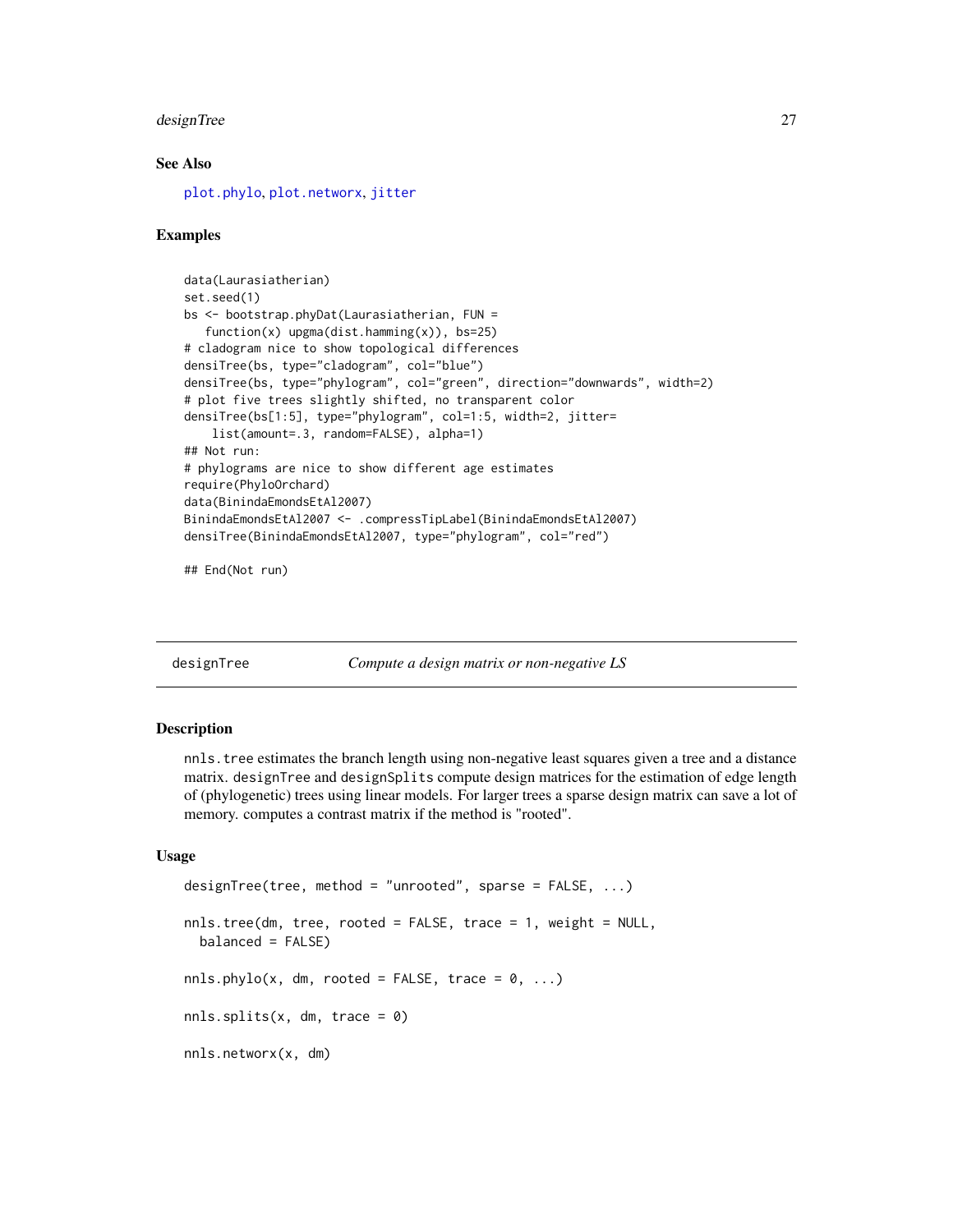#### <span id="page-26-0"></span>designTree 27

# See Also

[plot.phylo](#page-0-0), [plot.networx](#page-57-1), [jitter](#page-0-0)

#### Examples

```
data(Laurasiatherian)
set.seed(1)
bs <- bootstrap.phyDat(Laurasiatherian, FUN =
   function(x) upgma(dist.hamming(x)), bs=25)
# cladogram nice to show topological differences
densiTree(bs, type="cladogram", col="blue")
densiTree(bs, type="phylogram", col="green", direction="downwards", width=2)
# plot five trees slightly shifted, no transparent color
densiTree(bs[1:5], type="phylogram", col=1:5, width=2, jitter=
    list(amount=.3, random=FALSE), alpha=1)
## Not run:
# phylograms are nice to show different age estimates
require(PhyloOrchard)
data(BinindaEmondsEtAl2007)
BinindaEmondsEtAl2007 <- .compressTipLabel(BinindaEmondsEtAl2007)
densiTree(BinindaEmondsEtAl2007, type="phylogram", col="red")
```
## End(Not run)

designTree *Compute a design matrix or non-negative LS*

#### Description

nnls.tree estimates the branch length using non-negative least squares given a tree and a distance matrix. designTree and designSplits compute design matrices for the estimation of edge length of (phylogenetic) trees using linear models. For larger trees a sparse design matrix can save a lot of memory. computes a contrast matrix if the method is "rooted".

```
designTree(tree, method = "unrooted", sparse = FALSE, ...)
nnls.tree(dm, tree, rooted = FALSE, trace = 1, weight = NULL,
 balanced = FALSE)
nnls.phylo(x, dm, rooted = FALSE, trace = 0, ...)
nnls.splits(x, dm, trace = 0)
nnls.networx(x, dm)
```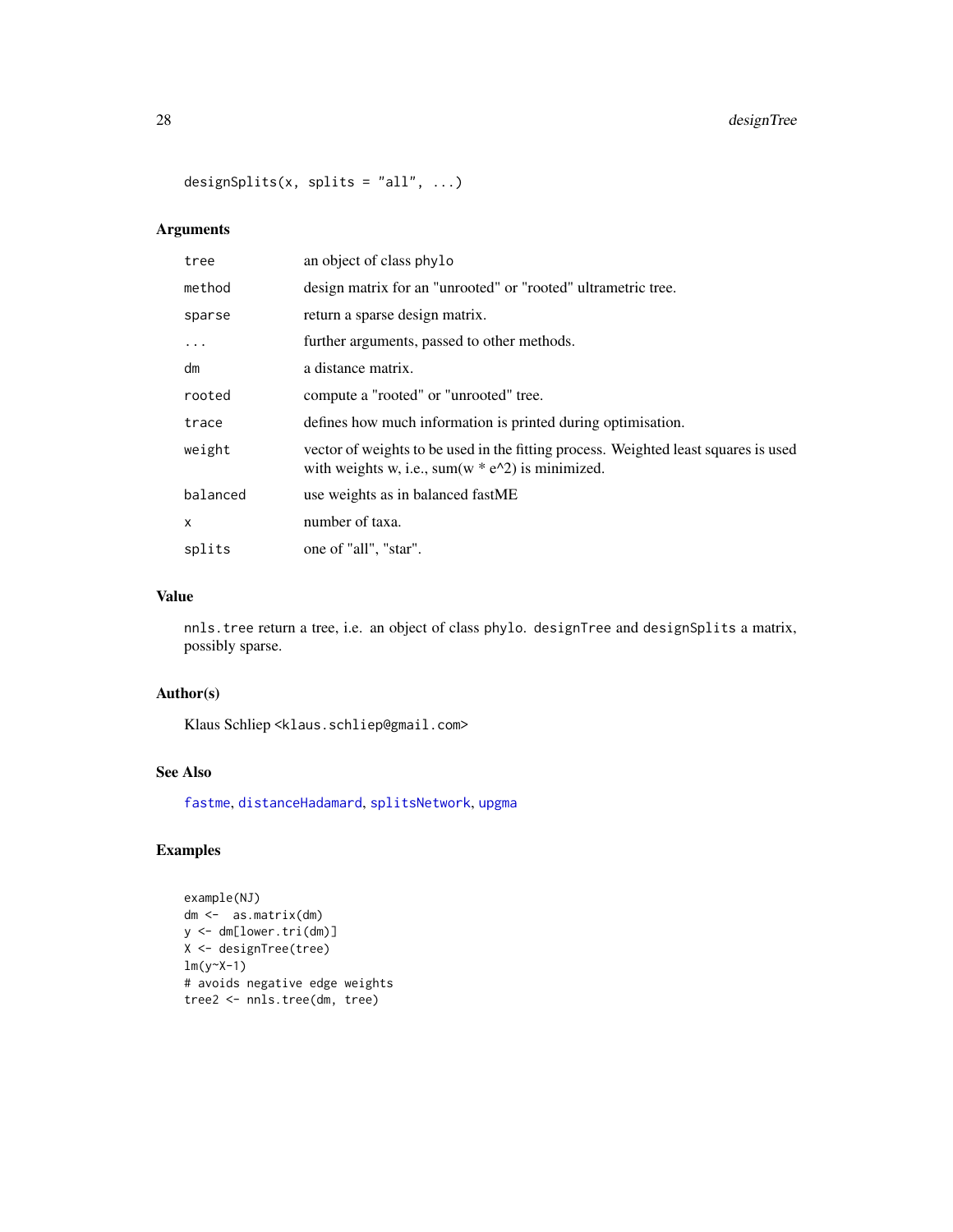# 28 designTree

designSplits(x, splits = "all", ...)

# Arguments

| tree     | an object of class phylo                                                                                                                            |
|----------|-----------------------------------------------------------------------------------------------------------------------------------------------------|
| method   | design matrix for an "unrooted" or "rooted" ultrametric tree.                                                                                       |
| sparse   | return a sparse design matrix.                                                                                                                      |
| $\cdot$  | further arguments, passed to other methods.                                                                                                         |
| dm       | a distance matrix.                                                                                                                                  |
| rooted   | compute a "rooted" or "unrooted" tree.                                                                                                              |
| trace    | defines how much information is printed during optimisation.                                                                                        |
| weight   | vector of weights to be used in the fitting process. Weighted least squares is used<br>with weights w, i.e., sum(w $* e^{\Lambda}2$ ) is minimized. |
| balanced | use weights as in balanced fastME                                                                                                                   |
| x        | number of taxa.                                                                                                                                     |
| splits   | one of "all", "star".                                                                                                                               |

# Value

nnls.tree return a tree, i.e. an object of class phylo. designTree and designSplits a matrix, possibly sparse.

# Author(s)

Klaus Schliep <klaus.schliep@gmail.com>

# See Also

[fastme](#page-0-0), [distanceHadamard](#page-32-1), [splitsNetwork](#page-74-1), [upgma](#page-79-1)

# Examples

```
example(NJ)
dm <- as.matrix(dm)
y <- dm[lower.tri(dm)]
X <- designTree(tree)
lm(y~X-1)
# avoids negative edge weights
tree2 <- nnls.tree(dm, tree)
```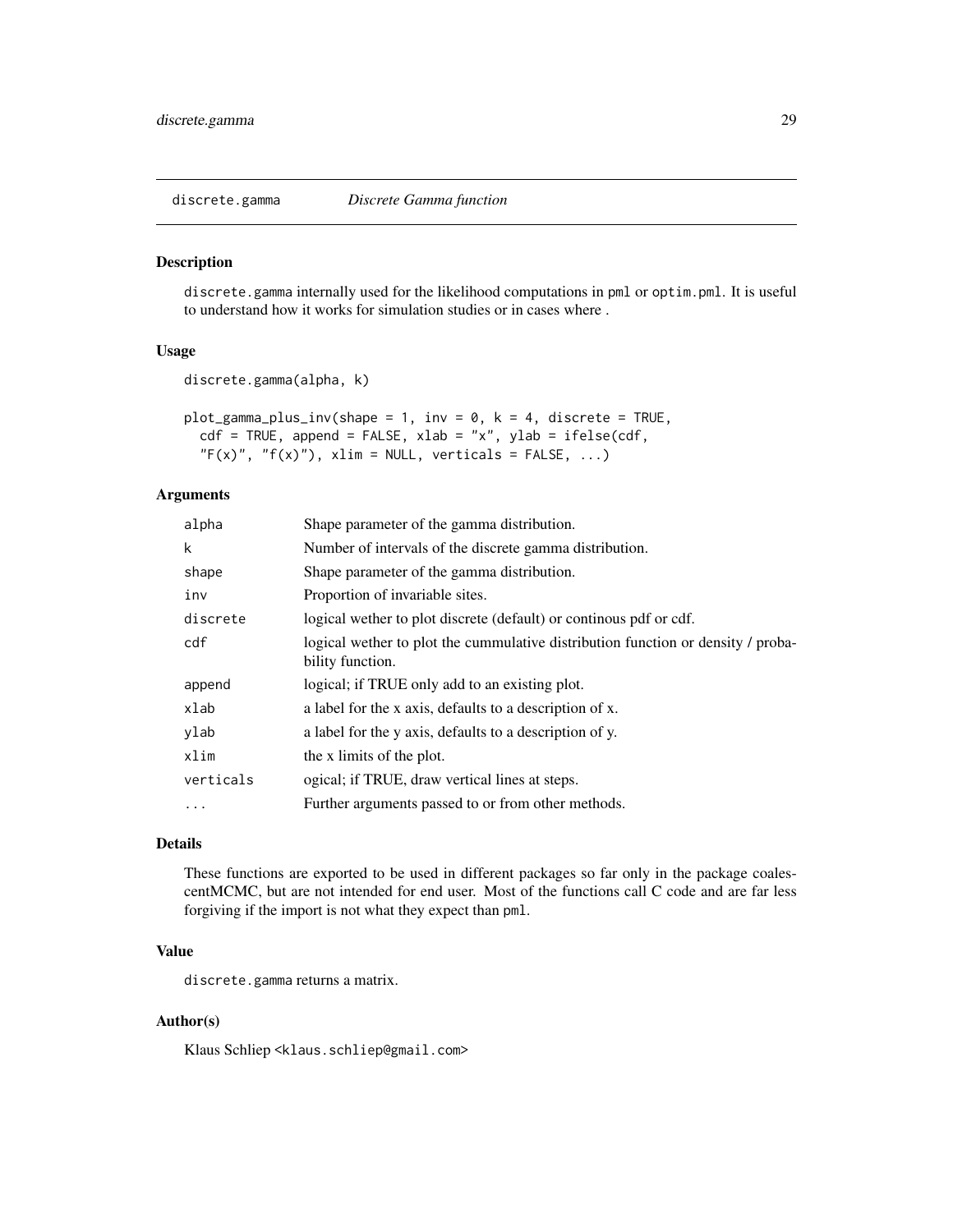<span id="page-28-0"></span>

#### Description

discrete.gamma internally used for the likelihood computations in pml or optim.pml. It is useful to understand how it works for simulation studies or in cases where .

# Usage

```
discrete.gamma(alpha, k)
```

```
plot\_gamma\_plus\_inv(shape = 1, inv = 0, k = 4, discrete = TRUE,cdf = TRUE, append = FALSE, xlab = "x", ylab = ifelse(cdf,
  "F(x)", "f(x)"), xlim = NULL, verticals = FALSE, ...)
```
# Arguments

| alpha      | Shape parameter of the gamma distribution.                                                           |
|------------|------------------------------------------------------------------------------------------------------|
| k          | Number of intervals of the discrete gamma distribution.                                              |
| shape      | Shape parameter of the gamma distribution.                                                           |
| inv        | Proportion of invariable sites.                                                                      |
| discrete   | logical wether to plot discrete (default) or continuous pdf or cdf.                                  |
| cdf        | logical wether to plot the cummulative distribution function or density / proba-<br>bility function. |
| append     | logical; if TRUE only add to an existing plot.                                                       |
| xlab       | a label for the x axis, defaults to a description of x.                                              |
| ylab       | a label for the y axis, defaults to a description of y.                                              |
| xlim       | the x limits of the plot.                                                                            |
| verticals  | ogical; if TRUE, draw vertical lines at steps.                                                       |
| $\ddots$ . | Further arguments passed to or from other methods.                                                   |
|            |                                                                                                      |

#### Details

These functions are exported to be used in different packages so far only in the package coalescentMCMC, but are not intended for end user. Most of the functions call C code and are far less forgiving if the import is not what they expect than pml.

# Value

discrete.gamma returns a matrix.

# Author(s)

Klaus Schliep <klaus.schliep@gmail.com>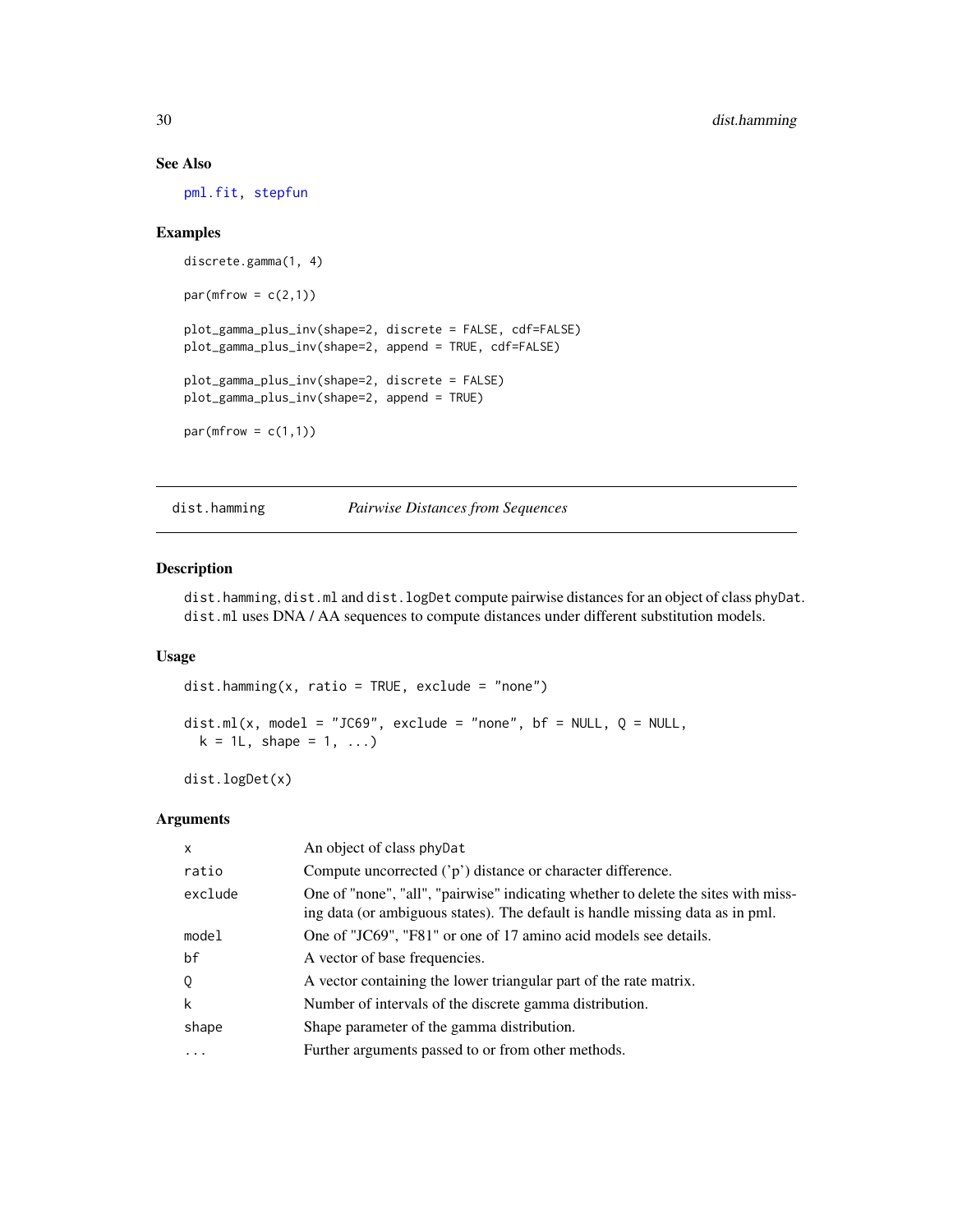# See Also

[pml.fit,](#page-43-1) [stepfun](#page-0-0)

# Examples

```
discrete.gamma(1, 4)
par(mfrow = c(2,1))plot_gamma_plus_inv(shape=2, discrete = FALSE, cdf=FALSE)
plot_gamma_plus_inv(shape=2, append = TRUE, cdf=FALSE)
plot_gamma_plus_inv(shape=2, discrete = FALSE)
plot_gamma_plus_inv(shape=2, append = TRUE)
par(mfrow = c(1,1))
```
<span id="page-29-1"></span>dist.hamming *Pairwise Distances from Sequences*

# Description

dist.hamming, dist.ml and dist.logDet compute pairwise distances for an object of class phyDat. dist.ml uses DNA / AA sequences to compute distances under different substitution models.

#### Usage

```
dist.hamming(x, ratio = TRUE, exclude = "none")dist.ml(x, model = "JC69", exclude = "none", bf = NULL, Q = NULL,
 k = 1, shape = 1, ...)
```
dist.logDet(x)

#### Arguments

| $\mathsf{x}$ | An object of class phyDat                                                                                                                                           |
|--------------|---------------------------------------------------------------------------------------------------------------------------------------------------------------------|
| ratio        | Compute uncorrected $('p')$ distance or character difference.                                                                                                       |
| exclude      | One of "none", "all", "pairwise" indicating whether to delete the sites with miss-<br>ing data (or ambiguous states). The default is handle missing data as in pml. |
| model        | One of "JC69", "F81" or one of 17 amino acid models see details.                                                                                                    |
| bf           | A vector of base frequencies.                                                                                                                                       |
| Q            | A vector containing the lower triangular part of the rate matrix.                                                                                                   |
| k            | Number of intervals of the discrete gamma distribution.                                                                                                             |
| shape        | Shape parameter of the gamma distribution.                                                                                                                          |
| .            | Further arguments passed to or from other methods.                                                                                                                  |

<span id="page-29-0"></span>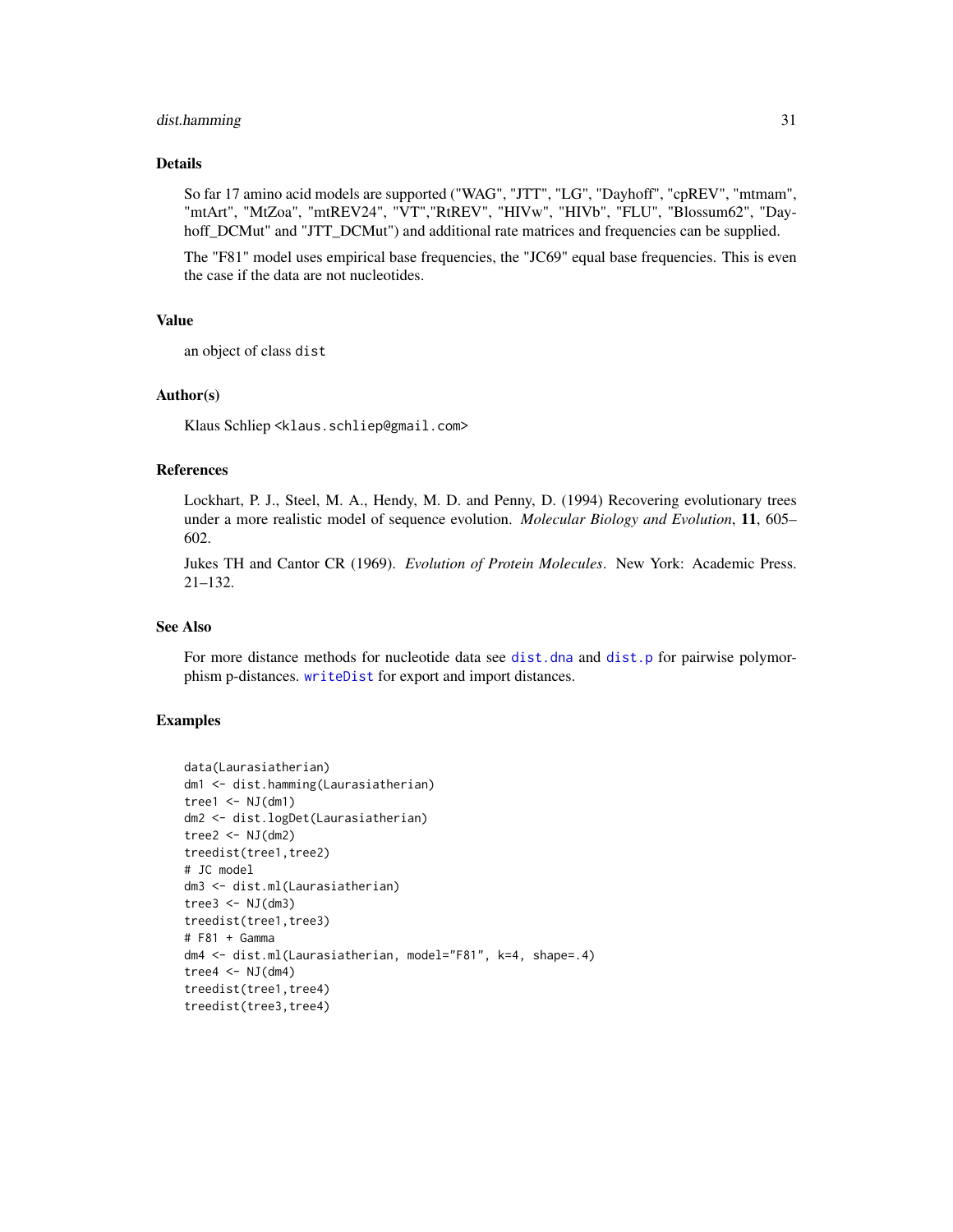#### dist.hamming 31

# Details

So far 17 amino acid models are supported ("WAG", "JTT", "LG", "Dayhoff", "cpREV", "mtmam", "mtArt", "MtZoa", "mtREV24", "VT","RtREV", "HIVw", "HIVb", "FLU", "Blossum62", "Dayhoff\_DCMut" and "JTT\_DCMut") and additional rate matrices and frequencies can be supplied.

The "F81" model uses empirical base frequencies, the "JC69" equal base frequencies. This is even the case if the data are not nucleotides.

#### Value

an object of class dist

# Author(s)

Klaus Schliep <klaus.schliep@gmail.com>

# References

Lockhart, P. J., Steel, M. A., Hendy, M. D. and Penny, D. (1994) Recovering evolutionary trees under a more realistic model of sequence evolution. *Molecular Biology and Evolution*, 11, 605– 602.

Jukes TH and Cantor CR (1969). *Evolution of Protein Molecules*. New York: Academic Press. 21–132.

#### See Also

For more distance methods for nucleotide data see [dist.dna](#page-0-0) and [dist.p](#page-31-1) for pairwise polymorphism p-distances. [writeDist](#page-80-1) for export and import distances.

# Examples

```
data(Laurasiatherian)
dm1 <- dist.hamming(Laurasiatherian)
tree1 \leq NJ(dm1)
dm2 <- dist.logDet(Laurasiatherian)
tree2 < - NJ(dm2)treedist(tree1,tree2)
# JC model
dm3 <- dist.ml(Laurasiatherian)
tree3 <- NJ(dm3)treedist(tree1,tree3)
# F81 + Gamma
dm4 <- dist.ml(Laurasiatherian, model="F81", k=4, shape=.4)
tree4 <- NJ(dm4)
treedist(tree1,tree4)
treedist(tree3,tree4)
```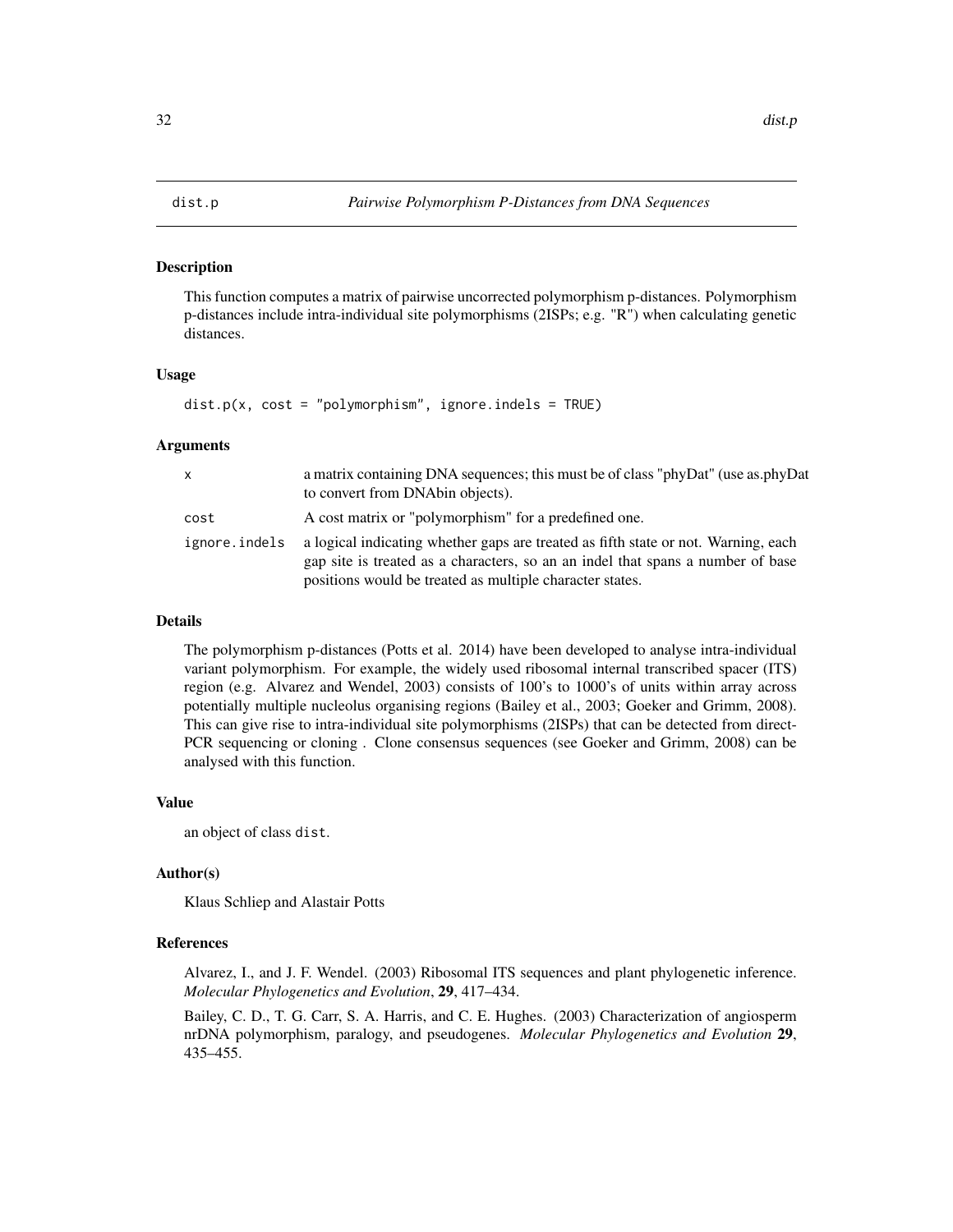#### <span id="page-31-1"></span><span id="page-31-0"></span>Description

This function computes a matrix of pairwise uncorrected polymorphism p-distances. Polymorphism p-distances include intra-individual site polymorphisms (2ISPs; e.g. "R") when calculating genetic distances.

# Usage

 $dist.p(x, cost = "polymorphism", ignore.index = TRUE)$ 

#### Arguments

| x             | a matrix containing DNA sequences; this must be of class "phyDat" (use as.phyDat<br>to convert from DNAbin objects).                                                                                                              |
|---------------|-----------------------------------------------------------------------------------------------------------------------------------------------------------------------------------------------------------------------------------|
| cost          | A cost matrix or "polymorphism" for a predefined one.                                                                                                                                                                             |
| ignore.indels | a logical indicating whether gaps are treated as fifth state or not. Warning, each<br>gap site is treated as a characters, so an an indel that spans a number of base<br>positions would be treated as multiple character states. |

#### Details

The polymorphism p-distances (Potts et al. 2014) have been developed to analyse intra-individual variant polymorphism. For example, the widely used ribosomal internal transcribed spacer (ITS) region (e.g. Alvarez and Wendel, 2003) consists of 100's to 1000's of units within array across potentially multiple nucleolus organising regions (Bailey et al., 2003; Goeker and Grimm, 2008). This can give rise to intra-individual site polymorphisms (2ISPs) that can be detected from direct-PCR sequencing or cloning . Clone consensus sequences (see Goeker and Grimm, 2008) can be analysed with this function.

#### Value

an object of class dist.

#### Author(s)

Klaus Schliep and Alastair Potts

#### References

Alvarez, I., and J. F. Wendel. (2003) Ribosomal ITS sequences and plant phylogenetic inference. *Molecular Phylogenetics and Evolution*, 29, 417–434.

Bailey, C. D., T. G. Carr, S. A. Harris, and C. E. Hughes. (2003) Characterization of angiosperm nrDNA polymorphism, paralogy, and pseudogenes. *Molecular Phylogenetics and Evolution* 29, 435–455.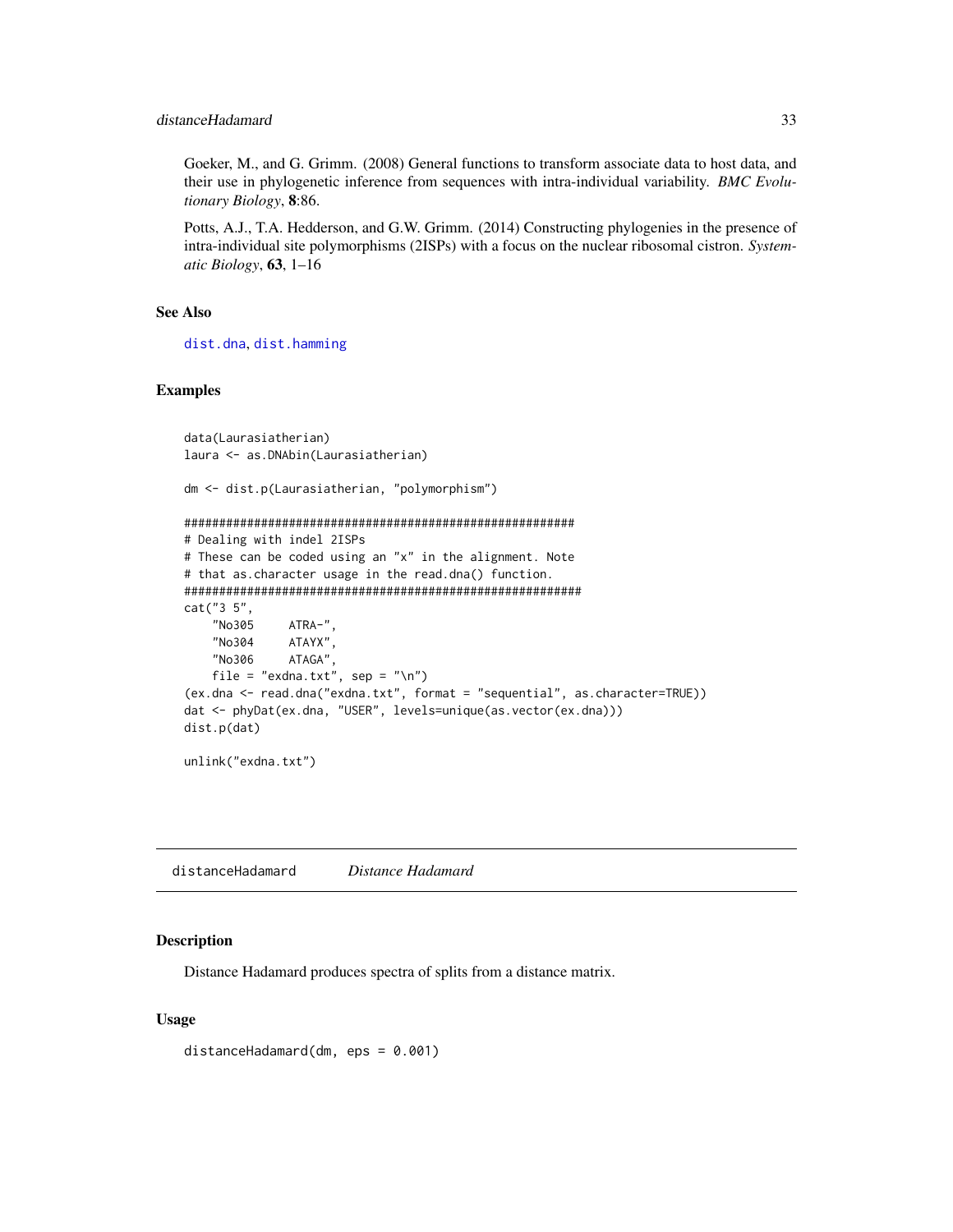<span id="page-32-0"></span>Goeker, M., and G. Grimm. (2008) General functions to transform associate data to host data, and their use in phylogenetic inference from sequences with intra-individual variability. *BMC Evolutionary Biology*, 8:86.

Potts, A.J., T.A. Hedderson, and G.W. Grimm. (2014) Constructing phylogenies in the presence of intra-individual site polymorphisms (2ISPs) with a focus on the nuclear ribosomal cistron. *Systematic Biology*, 63, 1–16

#### See Also

[dist.dna](#page-0-0), [dist.hamming](#page-29-1)

# Examples

```
data(Laurasiatherian)
laura <- as.DNAbin(Laurasiatherian)
dm <- dist.p(Laurasiatherian, "polymorphism")
########################################################
# Dealing with indel 2ISPs
# These can be coded using an "x" in the alignment. Note
# that as.character usage in the read.dna() function.
#########################################################
cat("3 5",
    "No305 ATRA-",
    "No304 ATAYX",
    "No306 ATAGA",
    file = "exdna.txt", sep = "\n")
(ex.dna <- read.dna("exdna.txt", format = "sequential", as.character=TRUE))
dat <- phyDat(ex.dna, "USER", levels=unique(as.vector(ex.dna)))
dist.p(dat)
unlink("exdna.txt")
```
<span id="page-32-1"></span>distanceHadamard *Distance Hadamard*

#### Description

Distance Hadamard produces spectra of splits from a distance matrix.

#### Usage

distanceHadamard(dm, eps = 0.001)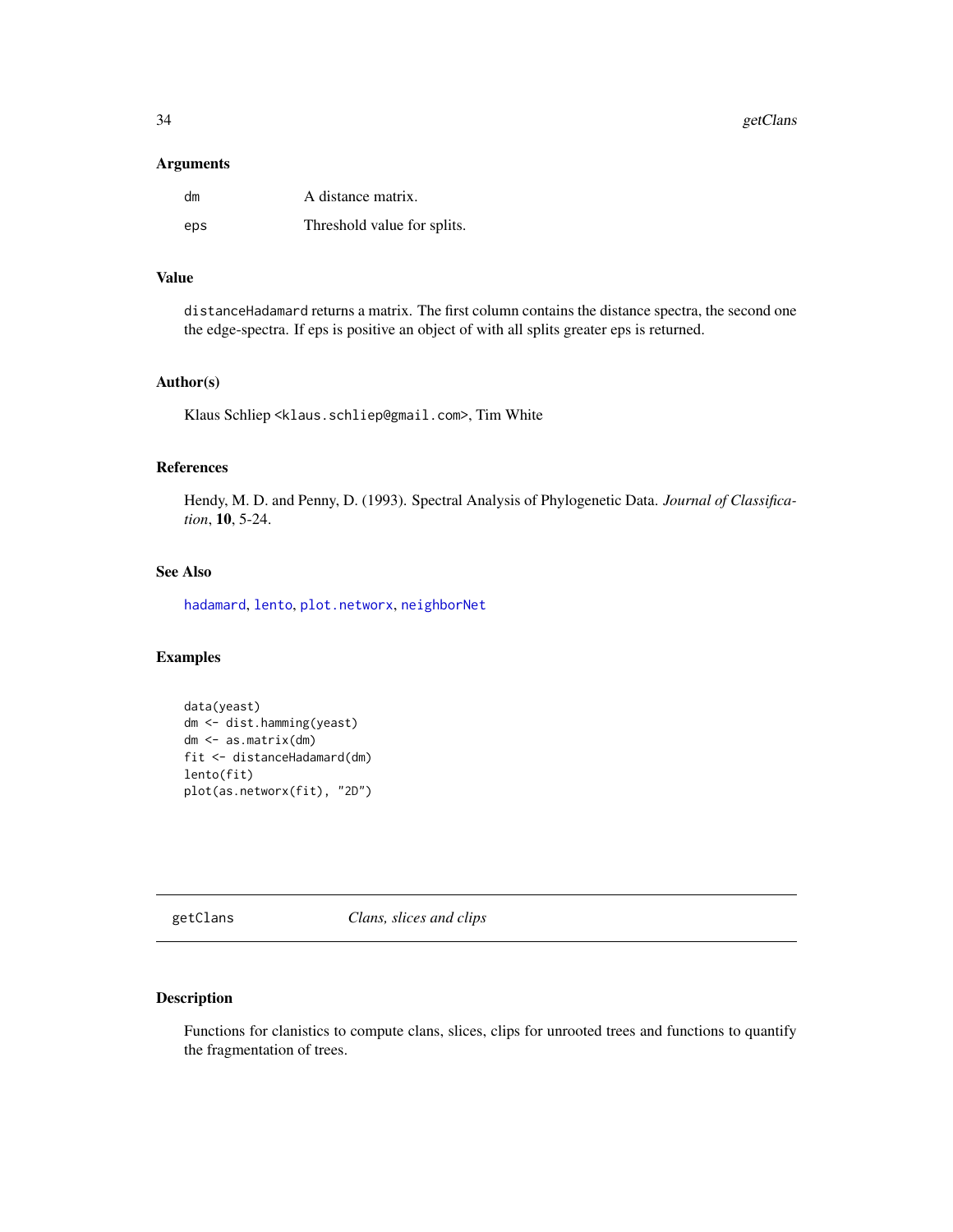# <span id="page-33-0"></span>Arguments

| dm  | A distance matrix.          |
|-----|-----------------------------|
| eps | Threshold value for splits. |

# Value

distanceHadamard returns a matrix. The first column contains the distance spectra, the second one the edge-spectra. If eps is positive an object of with all splits greater eps is returned.

#### Author(s)

Klaus Schliep <klaus.schliep@gmail.com>, Tim White

#### References

Hendy, M. D. and Penny, D. (1993). Spectral Analysis of Phylogenetic Data. *Journal of Classification*, 10, 5-24.

#### See Also

[hadamard](#page-37-1), [lento](#page-41-1), [plot.networx](#page-57-1), [neighborNet](#page-50-1)

# Examples

```
data(yeast)
dm <- dist.hamming(yeast)
dm <- as.matrix(dm)
fit <- distanceHadamard(dm)
lento(fit)
plot(as.networx(fit), "2D")
```
<span id="page-33-1"></span>getClans *Clans, slices and clips*

#### Description

Functions for clanistics to compute clans, slices, clips for unrooted trees and functions to quantify the fragmentation of trees.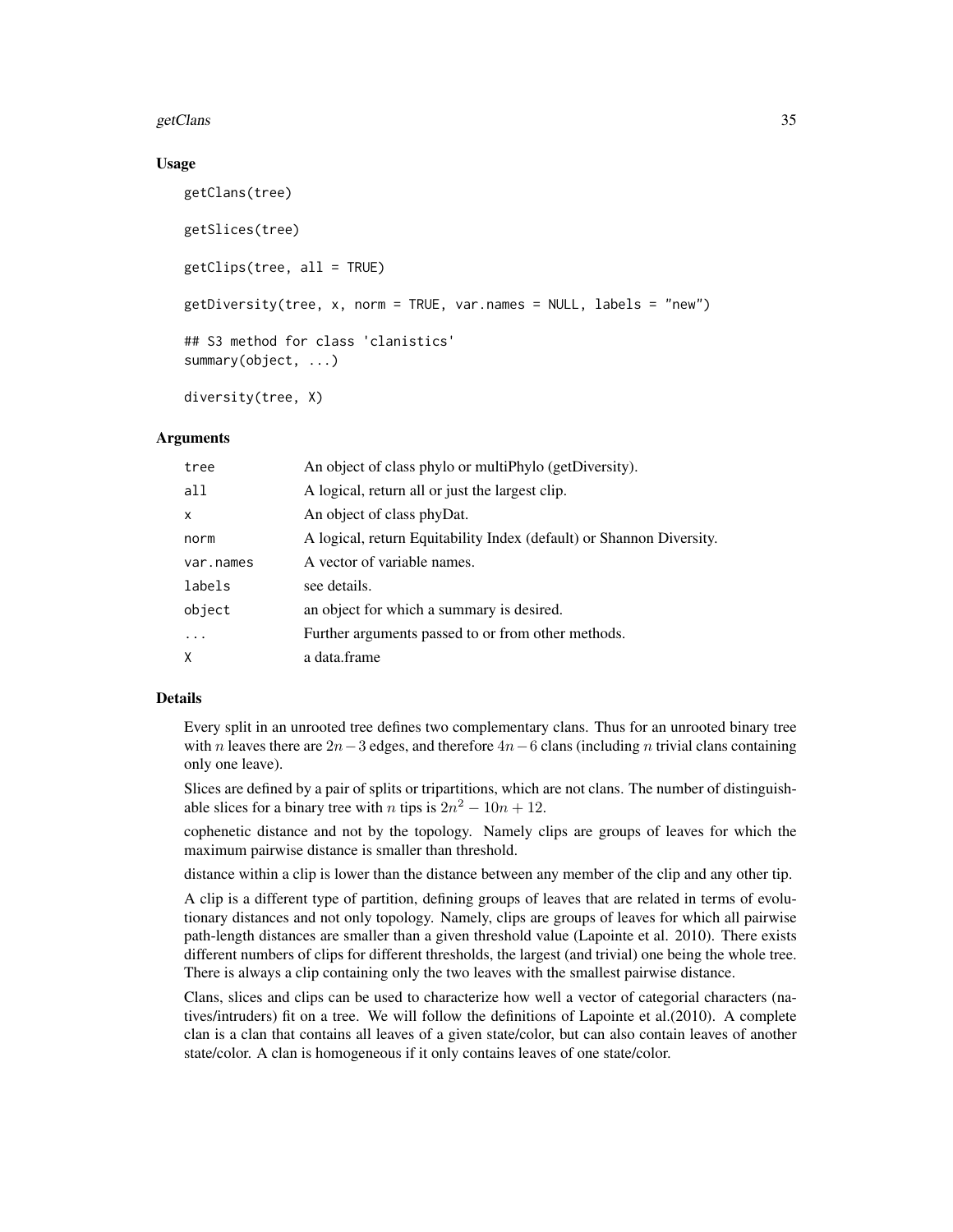#### getClans 35

### Usage

```
getClans(tree)
getSlices(tree)
getClips(tree, all = TRUE)
getDiversity(tree, x, norm = TRUE, var.names = NULL, labels = "new")
## S3 method for class 'clanistics'
summary(object, ...)
```
diversity(tree, X)

#### Arguments

| tree      | An object of class phylo or multiPhylo (getDiversity).               |  |
|-----------|----------------------------------------------------------------------|--|
| all       | A logical, return all or just the largest clip.                      |  |
| X         | An object of class phyDat.                                           |  |
| norm      | A logical, return Equitability Index (default) or Shannon Diversity. |  |
| var.names | A vector of variable names.                                          |  |
| labels    | see details.                                                         |  |
| object    | an object for which a summary is desired.                            |  |
| $\ddots$  | Further arguments passed to or from other methods.                   |  |
| X         | a data.frame                                                         |  |

# Details

Every split in an unrooted tree defines two complementary clans. Thus for an unrooted binary tree with n leaves there are  $2n-3$  edges, and therefore  $4n-6$  clans (including n trivial clans containing only one leave).

Slices are defined by a pair of splits or tripartitions, which are not clans. The number of distinguishable slices for a binary tree with *n* tips is  $2n^2 - 10n + 12$ .

cophenetic distance and not by the topology. Namely clips are groups of leaves for which the maximum pairwise distance is smaller than threshold.

distance within a clip is lower than the distance between any member of the clip and any other tip.

A clip is a different type of partition, defining groups of leaves that are related in terms of evolutionary distances and not only topology. Namely, clips are groups of leaves for which all pairwise path-length distances are smaller than a given threshold value (Lapointe et al. 2010). There exists different numbers of clips for different thresholds, the largest (and trivial) one being the whole tree. There is always a clip containing only the two leaves with the smallest pairwise distance.

Clans, slices and clips can be used to characterize how well a vector of categorial characters (natives/intruders) fit on a tree. We will follow the definitions of Lapointe et al.(2010). A complete clan is a clan that contains all leaves of a given state/color, but can also contain leaves of another state/color. A clan is homogeneous if it only contains leaves of one state/color.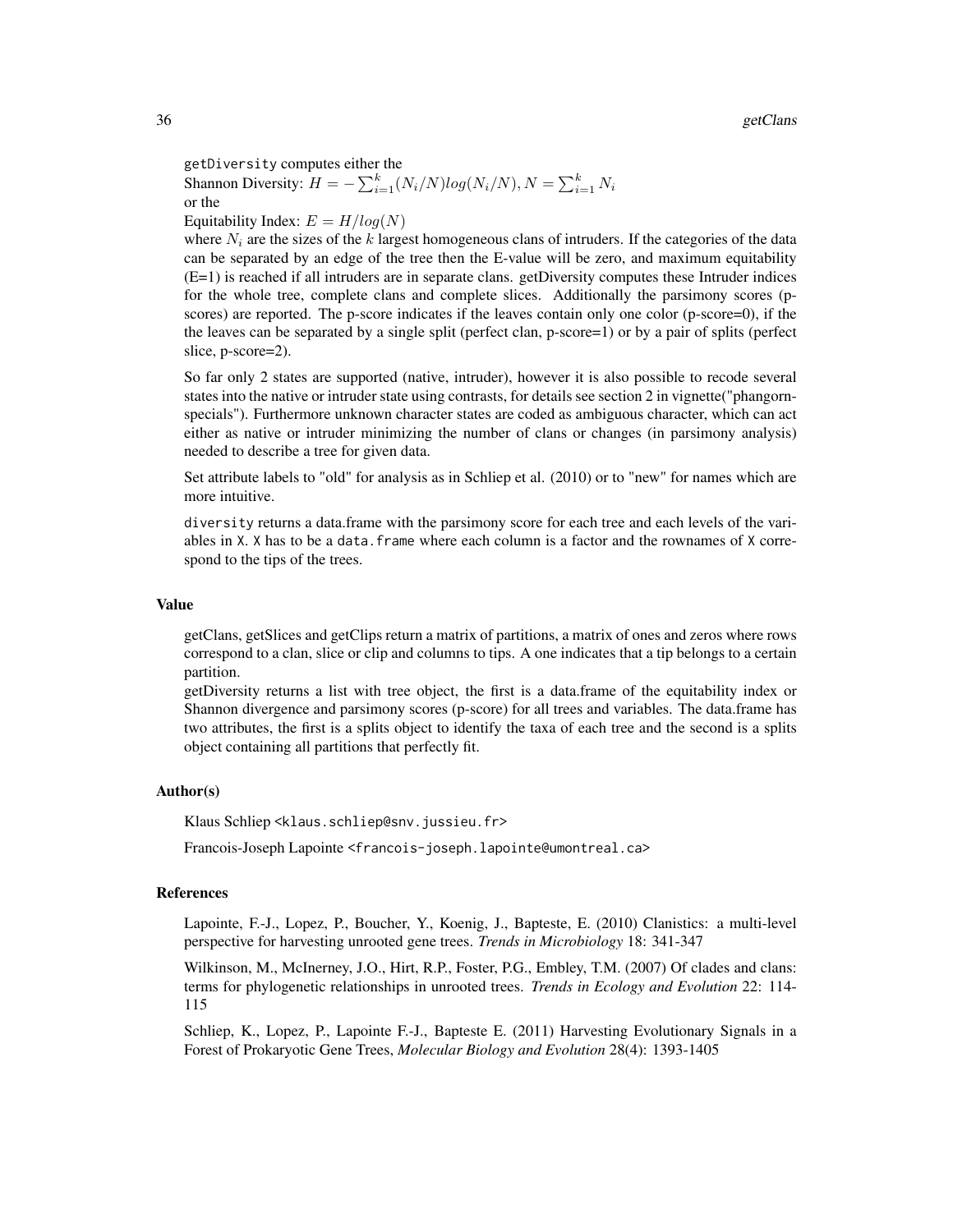getDiversity computes either the

Shannon Diversity:  $H = -\sum_{i=1}^{k} (N_i/N) log(N_i/N), N = \sum_{i=1}^{k} N_i$ or the

Equitability Index:  $E = H/log(N)$ 

where  $N_i$  are the sizes of the k largest homogeneous clans of intruders. If the categories of the data can be separated by an edge of the tree then the E-value will be zero, and maximum equitability (E=1) is reached if all intruders are in separate clans. getDiversity computes these Intruder indices for the whole tree, complete clans and complete slices. Additionally the parsimony scores (pscores) are reported. The p-score indicates if the leaves contain only one color (p-score=0), if the the leaves can be separated by a single split (perfect clan, p-score=1) or by a pair of splits (perfect slice, p-score=2).

So far only 2 states are supported (native, intruder), however it is also possible to recode several states into the native or intruder state using contrasts, for details see section 2 in vignette("phangornspecials"). Furthermore unknown character states are coded as ambiguous character, which can act either as native or intruder minimizing the number of clans or changes (in parsimony analysis) needed to describe a tree for given data.

Set attribute labels to "old" for analysis as in Schliep et al. (2010) or to "new" for names which are more intuitive.

diversity returns a data.frame with the parsimony score for each tree and each levels of the variables in X. X has to be a data. frame where each column is a factor and the rownames of X correspond to the tips of the trees.

#### Value

getClans, getSlices and getClips return a matrix of partitions, a matrix of ones and zeros where rows correspond to a clan, slice or clip and columns to tips. A one indicates that a tip belongs to a certain partition.

getDiversity returns a list with tree object, the first is a data.frame of the equitability index or Shannon divergence and parsimony scores (p-score) for all trees and variables. The data.frame has two attributes, the first is a splits object to identify the taxa of each tree and the second is a splits object containing all partitions that perfectly fit.

#### Author(s)

Klaus Schliep <klaus.schliep@snv.jussieu.fr>

Francois-Joseph Lapointe <francois-joseph.lapointe@umontreal.ca>

# References

Lapointe, F.-J., Lopez, P., Boucher, Y., Koenig, J., Bapteste, E. (2010) Clanistics: a multi-level perspective for harvesting unrooted gene trees. *Trends in Microbiology* 18: 341-347

Wilkinson, M., McInerney, J.O., Hirt, R.P., Foster, P.G., Embley, T.M. (2007) Of clades and clans: terms for phylogenetic relationships in unrooted trees. *Trends in Ecology and Evolution* 22: 114- 115

Schliep, K., Lopez, P., Lapointe F.-J., Bapteste E. (2011) Harvesting Evolutionary Signals in a Forest of Prokaryotic Gene Trees, *Molecular Biology and Evolution* 28(4): 1393-1405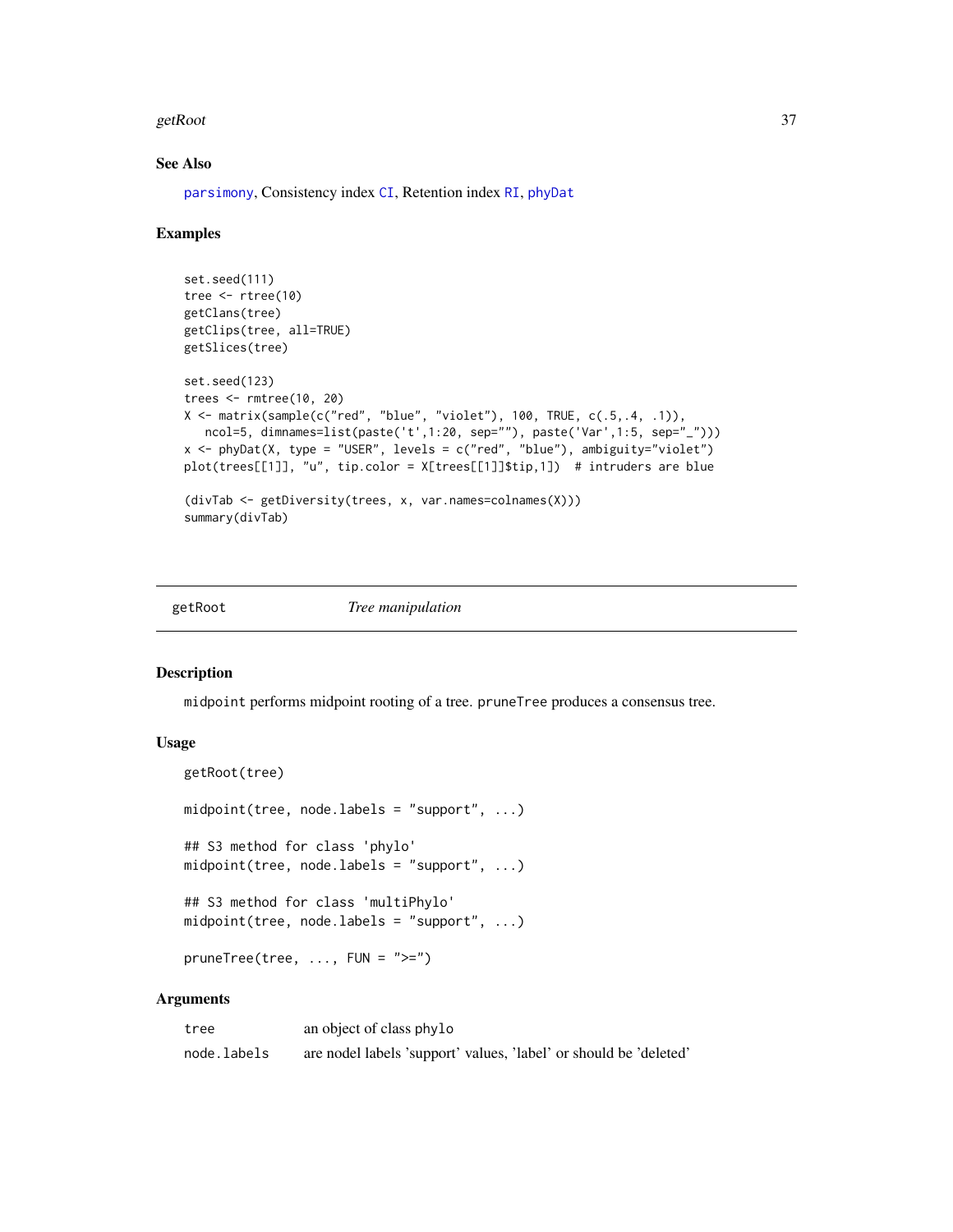#### getRoot 37

#### See Also

[parsimony](#page-3-0), Consistency index [CI](#page-16-0), Retention index [RI](#page-16-1), [phyDat](#page-53-0)

#### Examples

```
set.seed(111)
tree <- rtree(10)
getClans(tree)
getClips(tree, all=TRUE)
getSlices(tree)
set.seed(123)
trees <- rmtree(10, 20)
X \le matrix(sample(c("red", "blue", "violet"), 100, TRUE, c(.5,.4, .1)),
  ncol=5, dimnames=list(paste('t',1:20, sep=""), paste('Var',1:5, sep="_")))
x <- phyDat(X, type = "USER", levels = c("red", "blue"), ambiguity="violet")
plot(trees[[1]], "u", tip.color = X[trees[[1]]$tip,1]) # intruders are blue
(divTab <- getDiversity(trees, x, var.names=colnames(X)))
summary(divTab)
```
getRoot *Tree manipulation*

#### Description

midpoint performs midpoint rooting of a tree. pruneTree produces a consensus tree.

#### Usage

```
getRoot(tree)
midpoint(tree, node.labels = "support", ...)
## S3 method for class 'phylo'
midpoint(tree, node.labels = "support", ...)
## S3 method for class 'multiPhylo'
midpoint(tree, node.labels = "support", ...)
pruneTree(tree, ..., FUN = ">=")
```

| tree        | an object of class phylo                                          |
|-------------|-------------------------------------------------------------------|
| node.labels | are nodel labels 'support' values, 'label' or should be 'deleted' |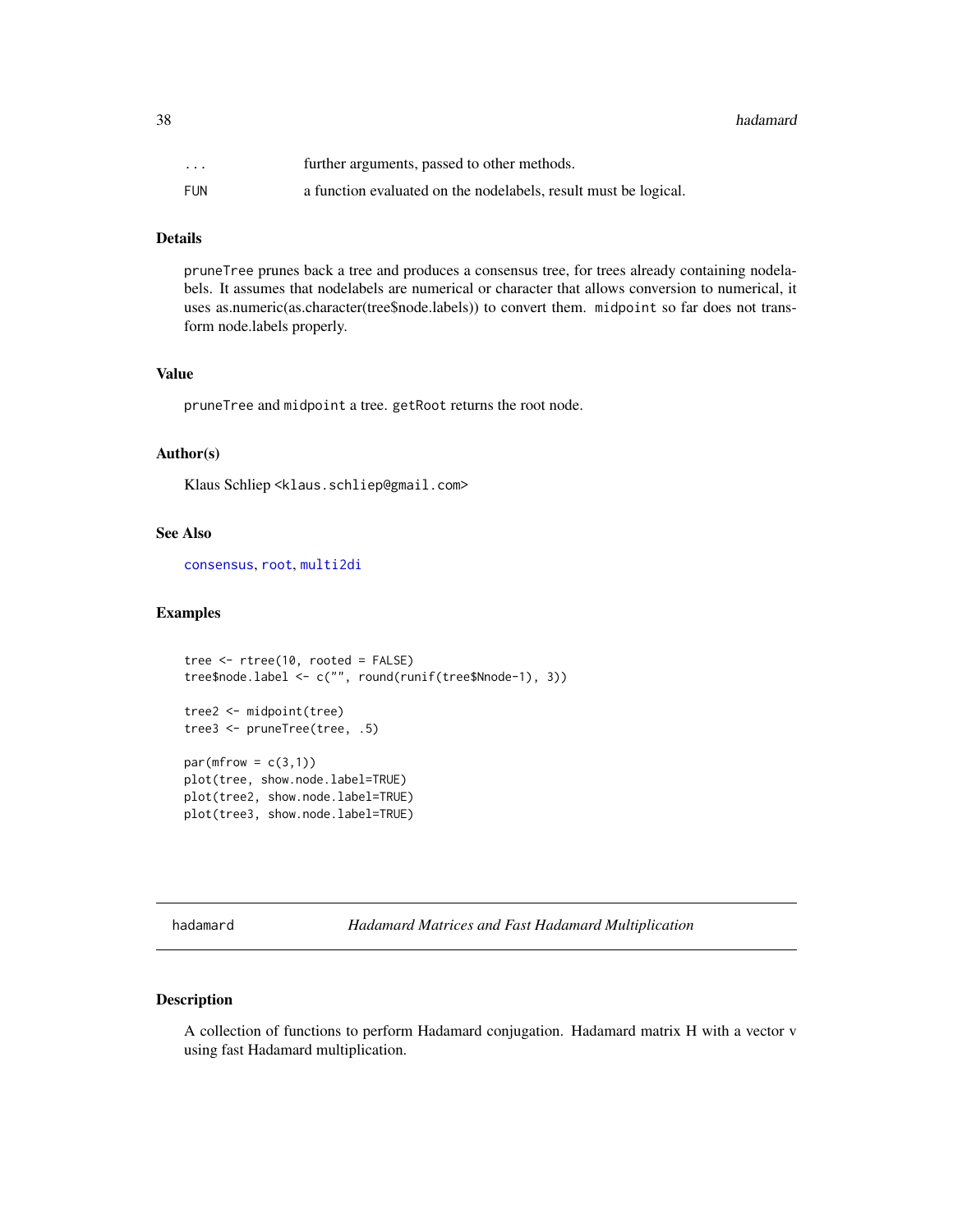38 hadamard

| $\ddot{\phantom{0}}$ | further arguments, passed to other methods.                     |
|----------------------|-----------------------------------------------------------------|
| FUN                  | a function evaluated on the nodelabels, result must be logical. |

# Details

pruneTree prunes back a tree and produces a consensus tree, for trees already containing nodelabels. It assumes that nodelabels are numerical or character that allows conversion to numerical, it uses as.numeric(as.character(tree\$node.labels)) to convert them. midpoint so far does not transform node.labels properly.

#### Value

pruneTree and midpoint a tree. getRoot returns the root node.

# Author(s)

Klaus Schliep <klaus.schliep@gmail.com>

# See Also

[consensus](#page-0-0), [root](#page-0-0), [multi2di](#page-0-0)

#### Examples

```
tree <- rtree(10, rooted = FALSE)
tree$node.label <- c("", round(runif(tree$Nnode-1), 3))
tree2 <- midpoint(tree)
tree3 <- pruneTree(tree, .5)
par(mfrow = c(3,1))plot(tree, show.node.label=TRUE)
plot(tree2, show.node.label=TRUE)
plot(tree3, show.node.label=TRUE)
```
<span id="page-37-0"></span>hadamard *Hadamard Matrices and Fast Hadamard Multiplication*

# Description

A collection of functions to perform Hadamard conjugation. Hadamard matrix H with a vector v using fast Hadamard multiplication.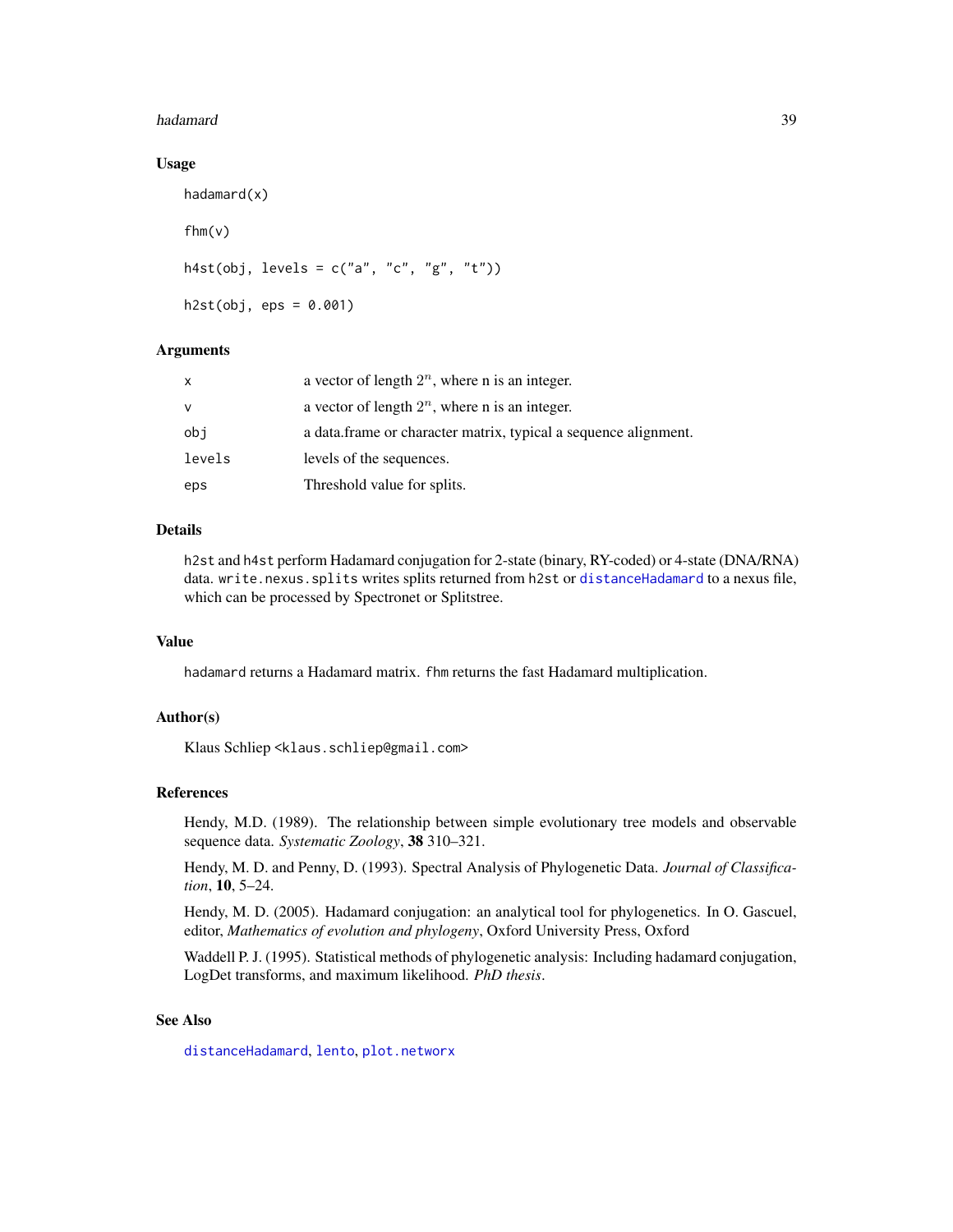#### hadamard 39

#### Usage

```
hadamard(x)
fhm(v)
h4st(obj, levels = c("a", "c", "g", "t"))h2st(obj,eps = 0.001)
```
# Arguments

| x      | a vector of length $2^n$ , where n is an integer.               |
|--------|-----------------------------------------------------------------|
| v      | a vector of length $2^n$ , where n is an integer.               |
| obi    | a data frame or character matrix, typical a sequence alignment. |
| levels | levels of the sequences.                                        |
| eps    | Threshold value for splits.                                     |

#### Details

h2st and h4st perform Hadamard conjugation for 2-state (binary, RY-coded) or 4-state (DNA/RNA) data. write.nexus.splits writes splits returned from h2st or [distanceHadamard](#page-32-0) to a nexus file, which can be processed by Spectronet or Splitstree.

## Value

hadamard returns a Hadamard matrix. fhm returns the fast Hadamard multiplication.

#### Author(s)

Klaus Schliep <klaus.schliep@gmail.com>

## References

Hendy, M.D. (1989). The relationship between simple evolutionary tree models and observable sequence data. *Systematic Zoology*, 38 310–321.

Hendy, M. D. and Penny, D. (1993). Spectral Analysis of Phylogenetic Data. *Journal of Classification*, 10, 5–24.

Hendy, M. D. (2005). Hadamard conjugation: an analytical tool for phylogenetics. In O. Gascuel, editor, *Mathematics of evolution and phylogeny*, Oxford University Press, Oxford

Waddell P. J. (1995). Statistical methods of phylogenetic analysis: Including hadamard conjugation, LogDet transforms, and maximum likelihood. *PhD thesis*.

# See Also

[distanceHadamard](#page-32-0), [lento](#page-41-0), [plot.networx](#page-57-0)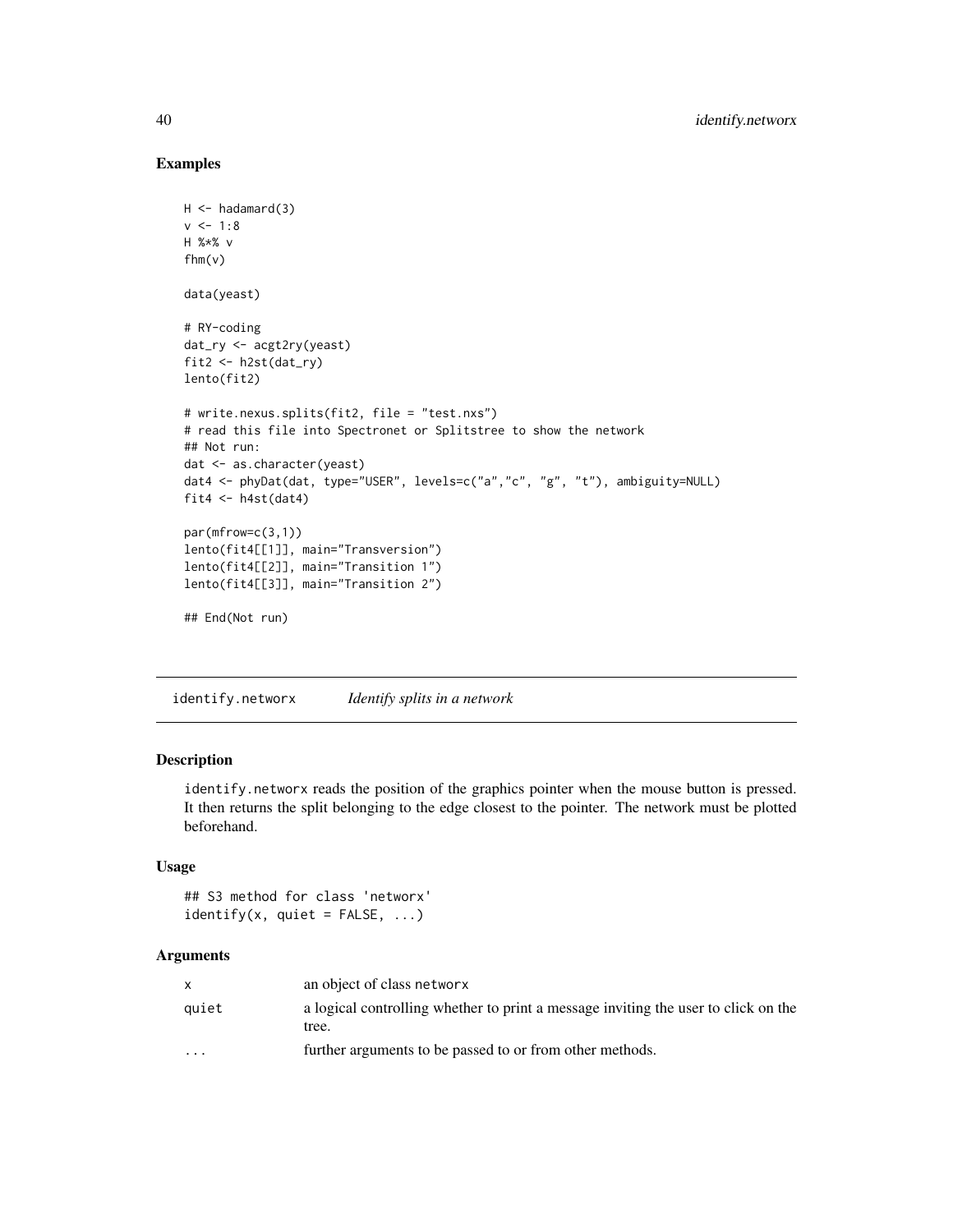# Examples

```
H < -hadamard(3)v < -1:8H %*% v
fhm(v)
data(yeast)
# RY-coding
dat_ry <- acgt2ry(yeast)
fit2 <- h2st(dat_ry)
lento(fit2)
# write.nexus.splits(fit2, file = "test.nxs")
# read this file into Spectronet or Splitstree to show the network
## Not run:
dat <- as.character(yeast)
dat4 <- phyDat(dat, type="USER", levels=c("a","c", "g", "t"), ambiguity=NULL)
fit4 \leftarrow h4st(dat4)
par(mfrow=c(3,1))
lento(fit4[[1]], main="Transversion")
lento(fit4[[2]], main="Transition 1")
lento(fit4[[3]], main="Transition 2")
## End(Not run)
```
identify.networx *Identify splits in a network*

# Description

identify.networx reads the position of the graphics pointer when the mouse button is pressed. It then returns the split belonging to the edge closest to the pointer. The network must be plotted beforehand.

#### Usage

```
## S3 method for class 'networx'
identity(x, quite t = FALSE, ...)
```

|         | an object of class networx                                                                  |
|---------|---------------------------------------------------------------------------------------------|
| auiet   | a logical controlling whether to print a message inviting the user to click on the<br>tree. |
| $\cdot$ | further arguments to be passed to or from other methods.                                    |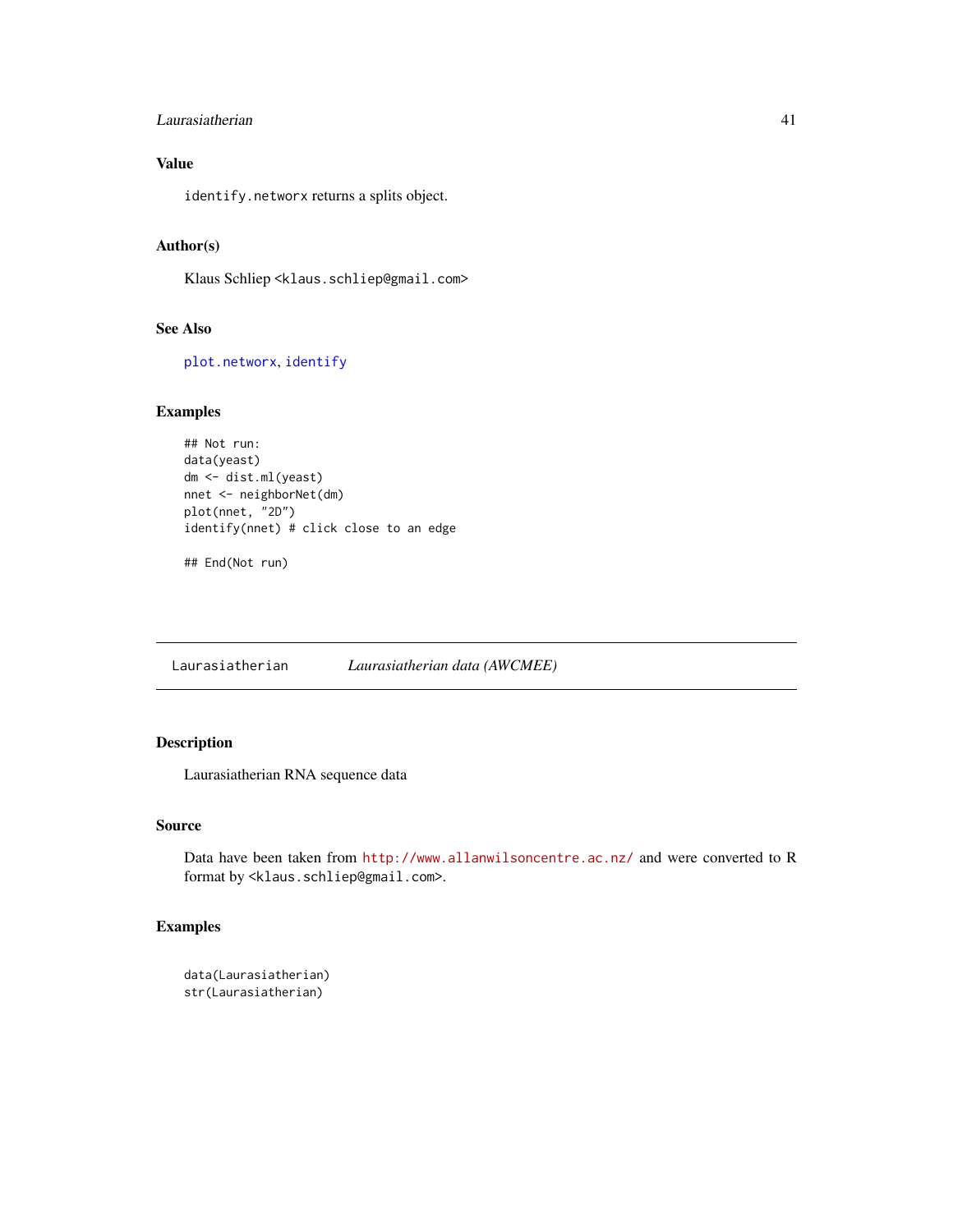## Laurasiatherian 41

# Value

identify.networx returns a splits object.

## Author(s)

Klaus Schliep <klaus.schliep@gmail.com>

# See Also

[plot.networx](#page-57-0), [identify](#page-0-0)

## Examples

```
## Not run:
data(yeast)
dm <- dist.ml(yeast)
nnet <- neighborNet(dm)
plot(nnet, "2D")
identify(nnet) # click close to an edge
```
## End(Not run)

Laurasiatherian *Laurasiatherian data (AWCMEE)*

# Description

Laurasiatherian RNA sequence data

## Source

Data have been taken from <http://www.allanwilsoncentre.ac.nz/> and were converted to R format by <klaus.schliep@gmail.com>.

## Examples

```
data(Laurasiatherian)
str(Laurasiatherian)
```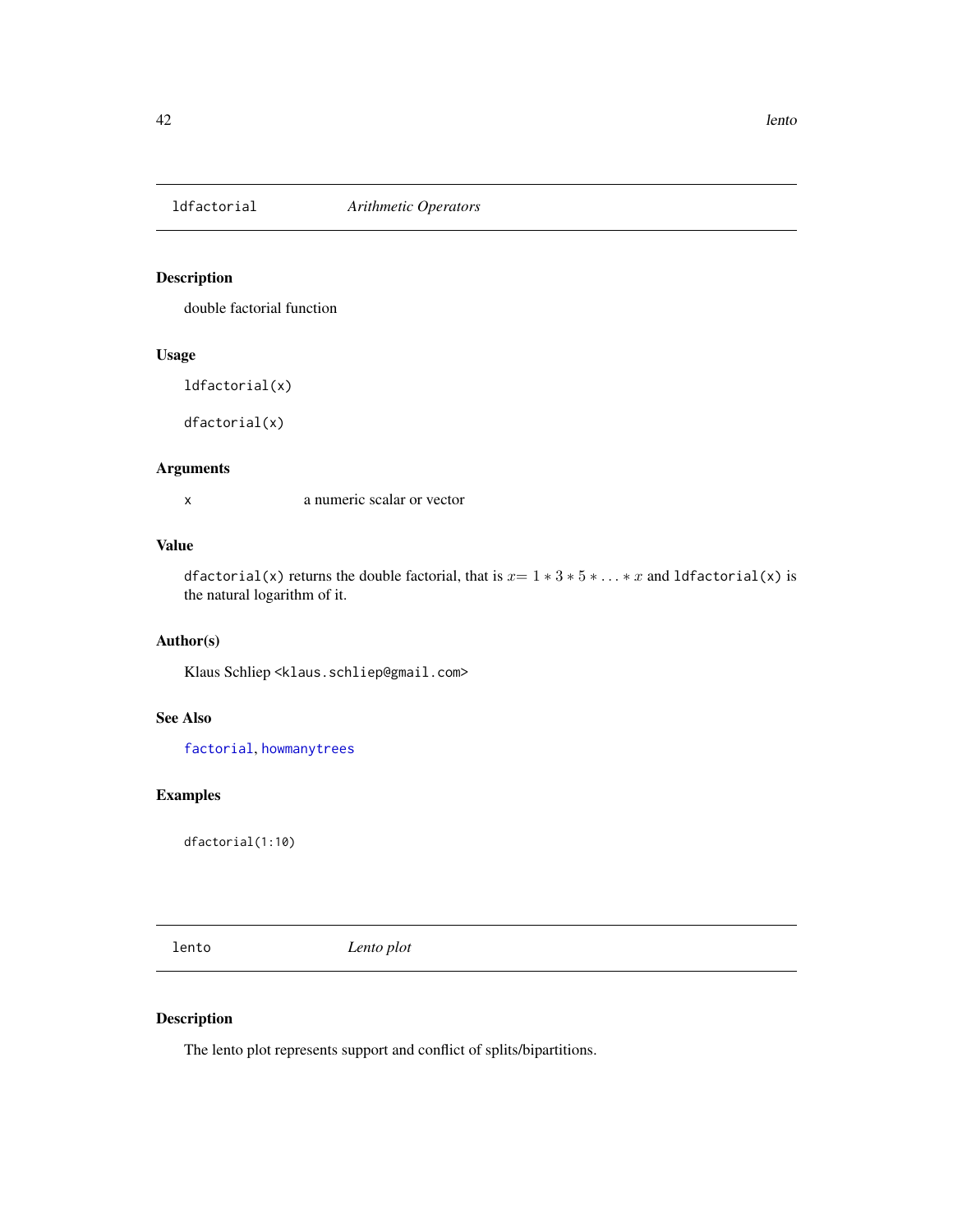#### Description

double factorial function

# Usage

ldfactorial(x)

dfactorial(x)

# Arguments

x a numeric scalar or vector

# Value

dfactorial(x) returns the double factorial, that is  $x=1*3*5*...*x$  and ldfactorial(x) is the natural logarithm of it.

# Author(s)

Klaus Schliep <klaus.schliep@gmail.com>

# See Also

[factorial](#page-0-0), [howmanytrees](#page-0-0)

# Examples

dfactorial(1:10)

<span id="page-41-0"></span>lento *Lento plot*

# Description

The lento plot represents support and conflict of splits/bipartitions.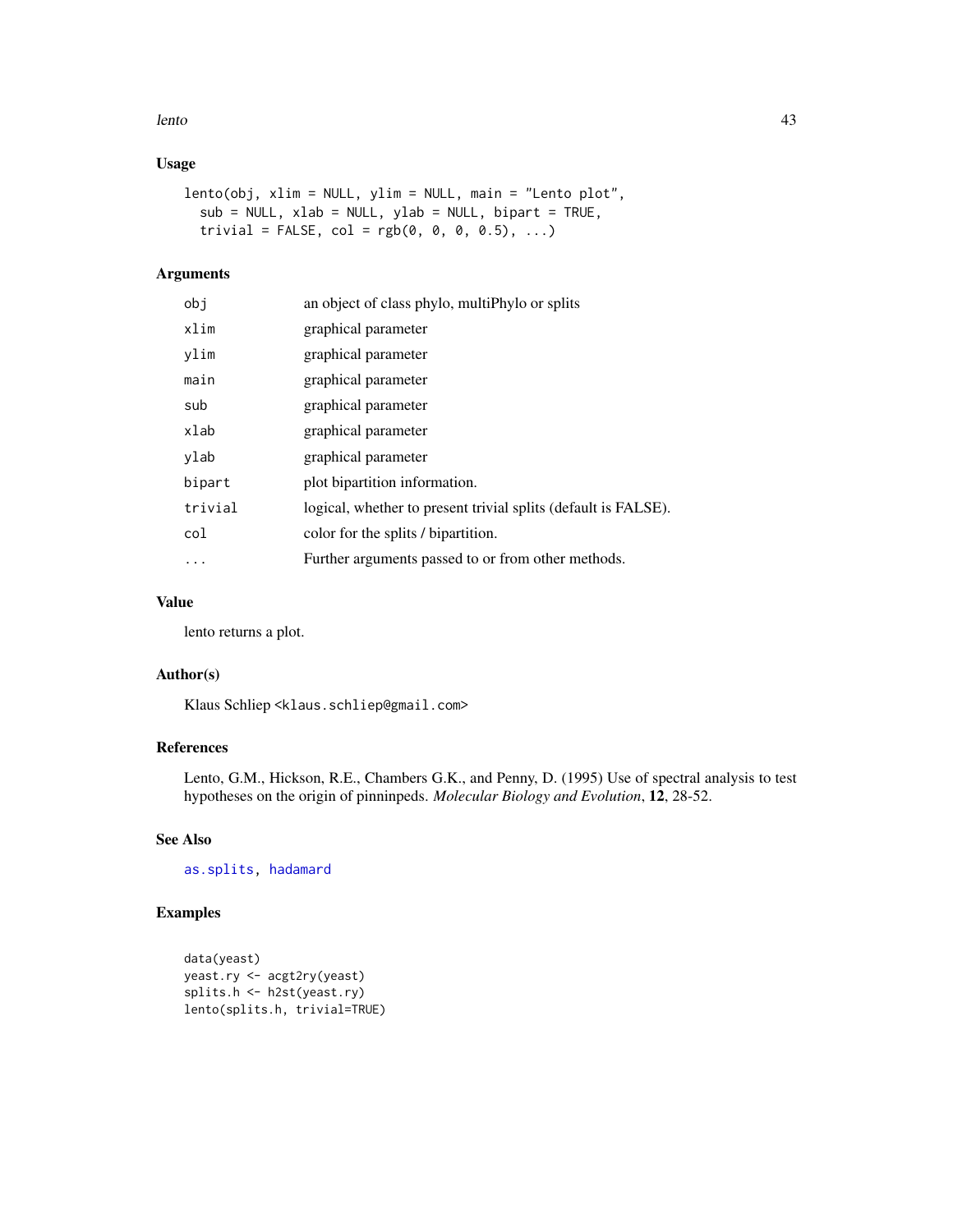#### lento 43

# Usage

```
lento(obj, xlim = NULL, ylim = NULL, main = "Lento plot",
  sub = NULL, xlab = NULL, ylab = NULL, bipart = TRUE,
  trivial = FALSE, col = rgb(0, 0, 0, 0.5), ...)
```
# Arguments

| obj      | an object of class phylo, multiphylo or splits                 |
|----------|----------------------------------------------------------------|
| xlim     | graphical parameter                                            |
| ylim     | graphical parameter                                            |
| main     | graphical parameter                                            |
| sub      | graphical parameter                                            |
| xlab     | graphical parameter                                            |
| ylab     | graphical parameter                                            |
| bipart   | plot bipartition information.                                  |
| trivial  | logical, whether to present trivial splits (default is FALSE). |
| col      | color for the splits / bipartition.                            |
| $\cdots$ | Further arguments passed to or from other methods.             |

# Value

lento returns a plot.

# Author(s)

Klaus Schliep <klaus.schliep@gmail.com>

# References

Lento, G.M., Hickson, R.E., Chambers G.K., and Penny, D. (1995) Use of spectral analysis to test hypotheses on the origin of pinninpeds. *Molecular Biology and Evolution*, 12, 28-52.

# See Also

[as.splits,](#page-6-0) [hadamard](#page-37-0)

# Examples

```
data(yeast)
yeast.ry <- acgt2ry(yeast)
splits.h <- h2st(yeast.ry)
lento(splits.h, trivial=TRUE)
```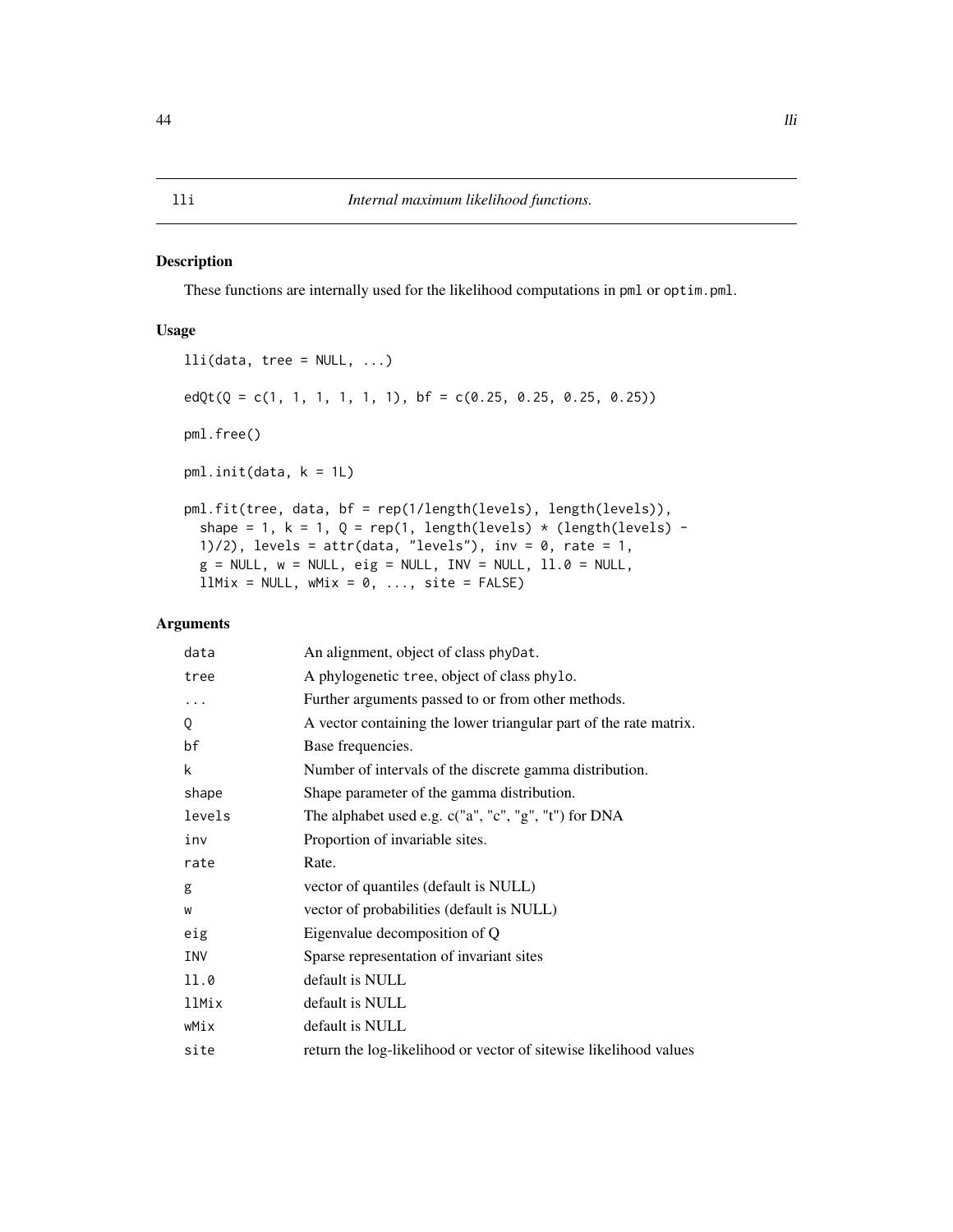#### Description

These functions are internally used for the likelihood computations in pml or optim.pml.

## Usage

```
lli(data, tree = NULL, ...)edQt(Q = c(1, 1, 1, 1, 1, 1), bf = c(0.25, 0.25, 0.25, 0.25))pml.free()
pml.init(data, k = 1L)
pml.fit(tree, data, bf = rep(1/length(levels), length(levels)),
  shape = 1, k = 1, Q = rep(1, length(levels) * (length(levels) -
  1)/2), levels = attr(data, "levels"), inv = 0, rate = 1,
 g = NULL, w = NULL, eig = NULL, INV = NULL, 11.0 = NULL,
 llMix = NULL, wMix = 0, ..., site = FALSE)
```

| data   | An alignment, object of class phyDat.                             |
|--------|-------------------------------------------------------------------|
| tree   | A phylogenetic tree, object of class phylo.                       |
| .      | Further arguments passed to or from other methods.                |
| Q      | A vector containing the lower triangular part of the rate matrix. |
| bf     | Base frequencies.                                                 |
| k      | Number of intervals of the discrete gamma distribution.           |
| shape  | Shape parameter of the gamma distribution.                        |
| levels | The alphabet used e.g. c("a", "c", "g", "t") for DNA              |
| inv    | Proportion of invariable sites.                                   |
| rate   | Rate.                                                             |
| g      | vector of quantiles (default is NULL)                             |
| W      | vector of probabilities (default is NULL)                         |
| eig    | Eigenvalue decomposition of Q                                     |
| INV    | Sparse representation of invariant sites                          |
| 11.0   | default is NULL                                                   |
| 11Mix  | default is NULL                                                   |
| wMix   | default is NULL                                                   |
| site   | return the log-likelihood or vector of sitewise likelihood values |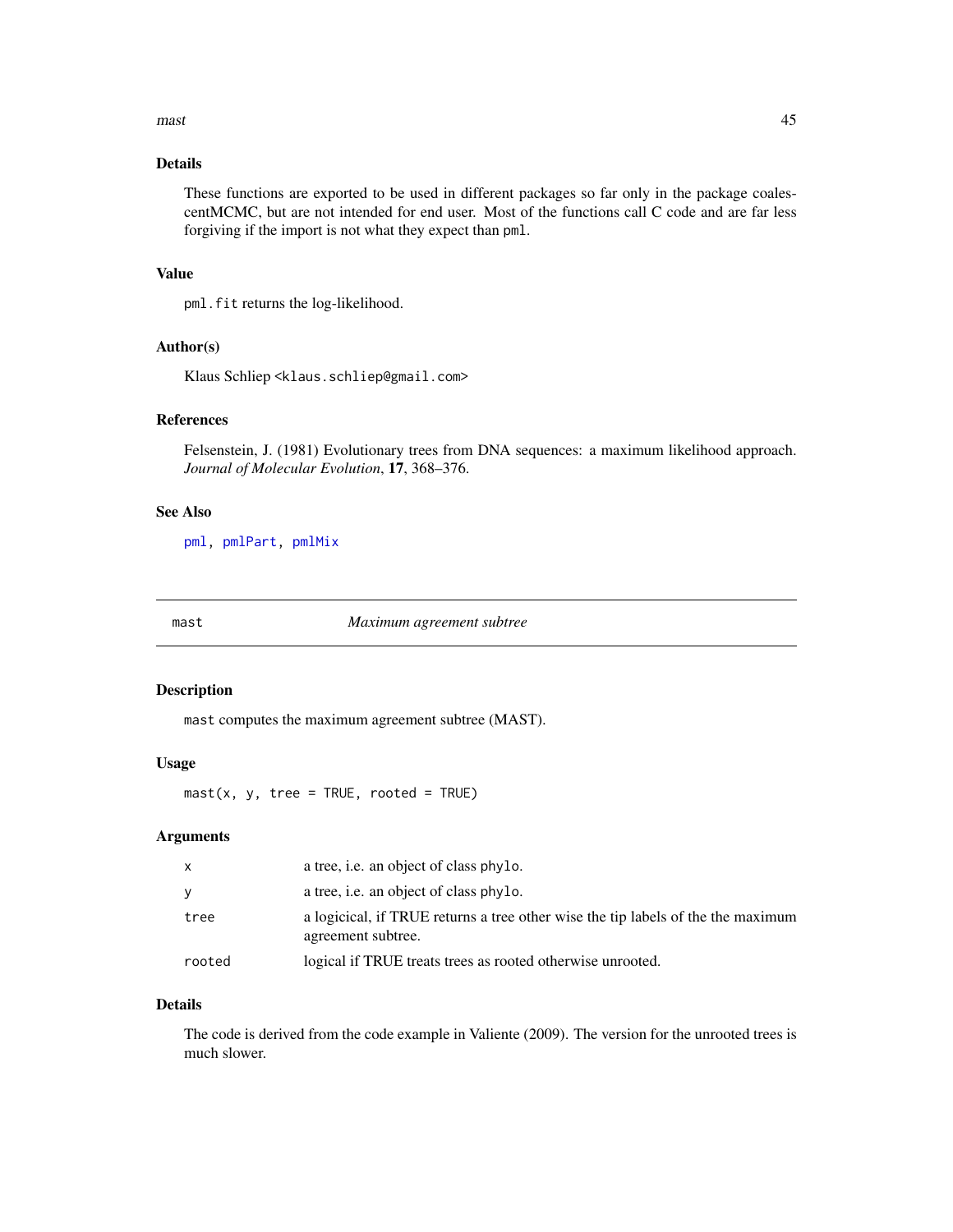#### $\frac{m}{45}$  and  $\frac{45}{45}$  and  $\frac{45}{45}$  and  $\frac{45}{45}$  and  $\frac{45}{45}$  and  $\frac{45}{45}$  and  $\frac{45}{45}$  and  $\frac{45}{45}$  and  $\frac{45}{45}$  and  $\frac{45}{45}$  and  $\frac{45}{45}$  and  $\frac{45}{45}$  and  $\frac{45}{45}$  and  $\frac{45}{45}$  an

# Details

These functions are exported to be used in different packages so far only in the package coalescentMCMC, but are not intended for end user. Most of the functions call C code and are far less forgiving if the import is not what they expect than pml.

# Value

pml.fit returns the log-likelihood.

#### Author(s)

Klaus Schliep <klaus.schliep@gmail.com>

# References

Felsenstein, J. (1981) Evolutionary trees from DNA sequences: a maximum likelihood approach. *Journal of Molecular Evolution*, 17, 368–376.

# See Also

[pml,](#page-59-0) [pmlPart,](#page-48-0) [pmlMix](#page-65-0)

mast *Maximum agreement subtree*

#### Description

mast computes the maximum agreement subtree (MAST).

# Usage

 $\text{mast}(x, y, \text{tree} = \text{TRUE}, \text{rooted} = \text{TRUE})$ 

#### Arguments

| $\mathsf{x}$ | a tree, i.e. an object of class phylo.                                                                 |
|--------------|--------------------------------------------------------------------------------------------------------|
| y            | a tree, i.e. an object of class phylo.                                                                 |
| tree         | a logicical, if TRUE returns a tree other wise the tip labels of the the maximum<br>agreement subtree. |
| rooted       | logical if TRUE treats trees as rooted otherwise unrooted.                                             |

# Details

The code is derived from the code example in Valiente (2009). The version for the unrooted trees is much slower.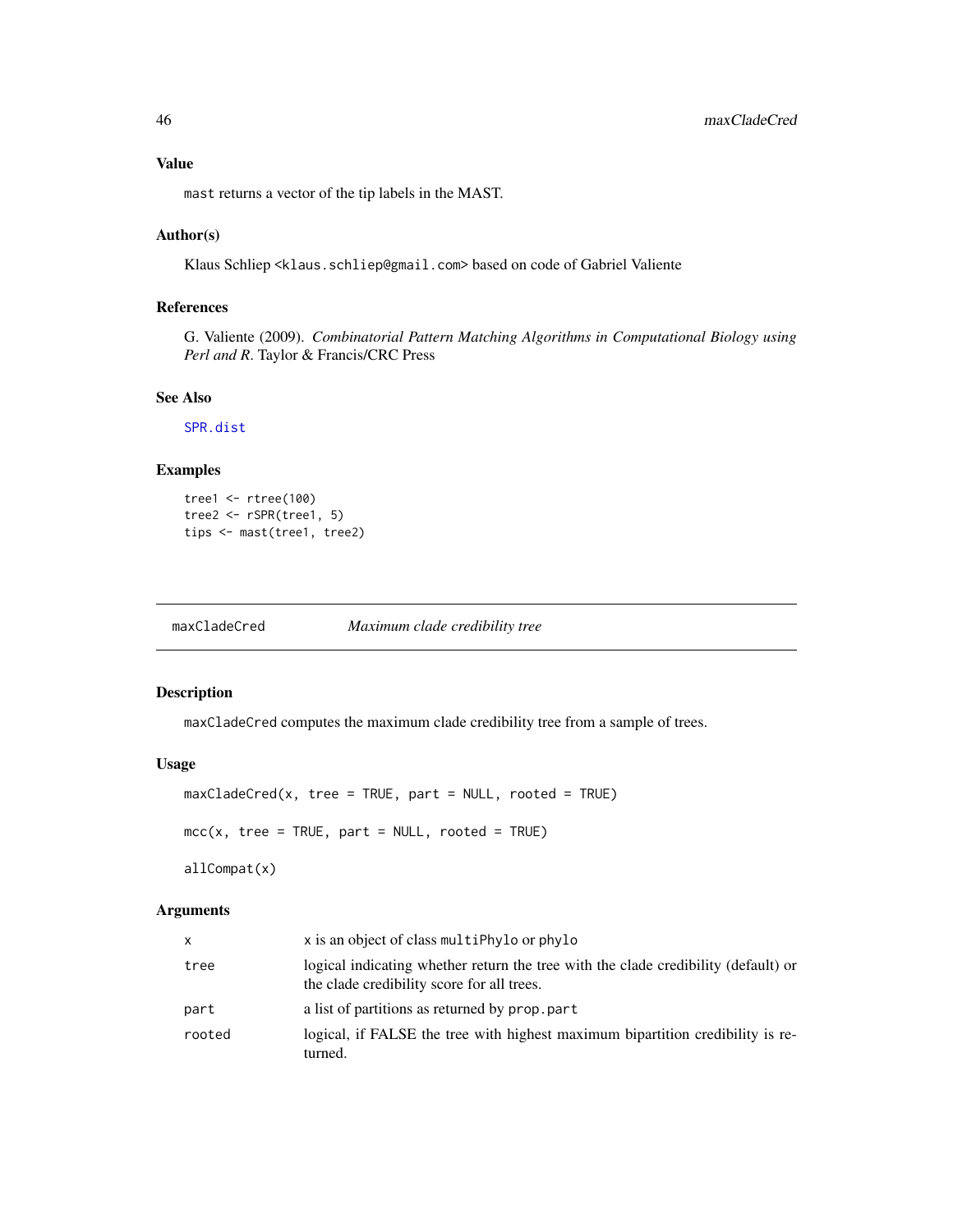# Value

mast returns a vector of the tip labels in the MAST.

# Author(s)

Klaus Schliep <klaus.schliep@gmail.com> based on code of Gabriel Valiente

# References

G. Valiente (2009). *Combinatorial Pattern Matching Algorithms in Computational Biology using Perl and R*. Taylor & Francis/CRC Press

### See Also

[SPR.dist](#page-77-0)

# Examples

```
tree1 <- rtree(100)
tree2 <- rSPR(tree1, 5)
tips <- mast(tree1, tree2)
```
maxCladeCred *Maximum clade credibility tree*

# Description

maxCladeCred computes the maximum clade credibility tree from a sample of trees.

# Usage

```
maxCladeCred(x, tree = TRUE, part = NULL, rooted = TRUE)
mcc(x, tree = TRUE, part = NULL, rooted = TRUE)
```
allCompat(x)

| X      | x is an object of class multiphylo or phylo                                                                                      |
|--------|----------------------------------------------------------------------------------------------------------------------------------|
| tree   | logical indicating whether return the tree with the clade credibility (default) or<br>the clade credibility score for all trees. |
| part   | a list of partitions as returned by prop. part                                                                                   |
| rooted | logical, if FALSE the tree with highest maximum bipartition credibility is re-<br>turned.                                        |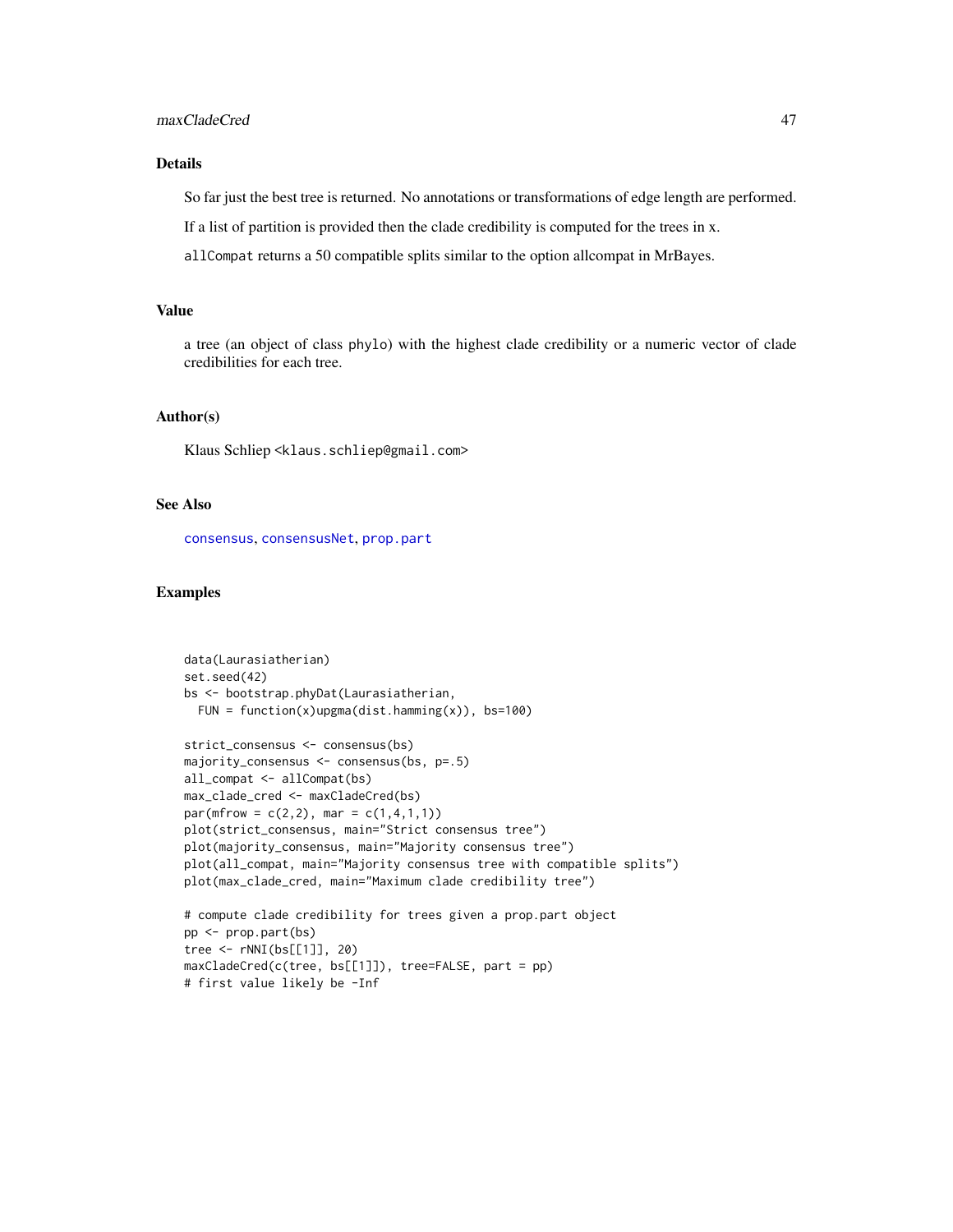# Details

So far just the best tree is returned. No annotations or transformations of edge length are performed.

If a list of partition is provided then the clade credibility is computed for the trees in x.

allCompat returns a 50 compatible splits similar to the option allcompat in MrBayes.

# Value

a tree (an object of class phylo) with the highest clade credibility or a numeric vector of clade credibilities for each tree.

## Author(s)

Klaus Schliep <klaus.schliep@gmail.com>

# See Also

[consensus](#page-0-0), [consensusNet](#page-20-0), [prop.part](#page-0-0)

# first value likely be -Inf

# Examples

```
data(Laurasiatherian)
set.seed(42)
bs <- bootstrap.phyDat(Laurasiatherian,
 FUN = function(x)upgma(dist.hamming(x)), bs=100)
strict_consensus <- consensus(bs)
majority_consensus <- consensus(bs, p=.5)
all_compat <- allCompat(bs)
max_clade_cred <- maxCladeCred(bs)
par(mfrow = c(2,2), mar = c(1,4,1,1))plot(strict_consensus, main="Strict consensus tree")
plot(majority_consensus, main="Majority consensus tree")
plot(all_compat, main="Majority consensus tree with compatible splits")
plot(max_clade_cred, main="Maximum clade credibility tree")
# compute clade credibility for trees given a prop.part object
pp <- prop.part(bs)
tree <- rNNI(bs[[1]], 20)
maxCladeCred(c(tree, bs[[1]]), tree=FALSE, part = pp)
```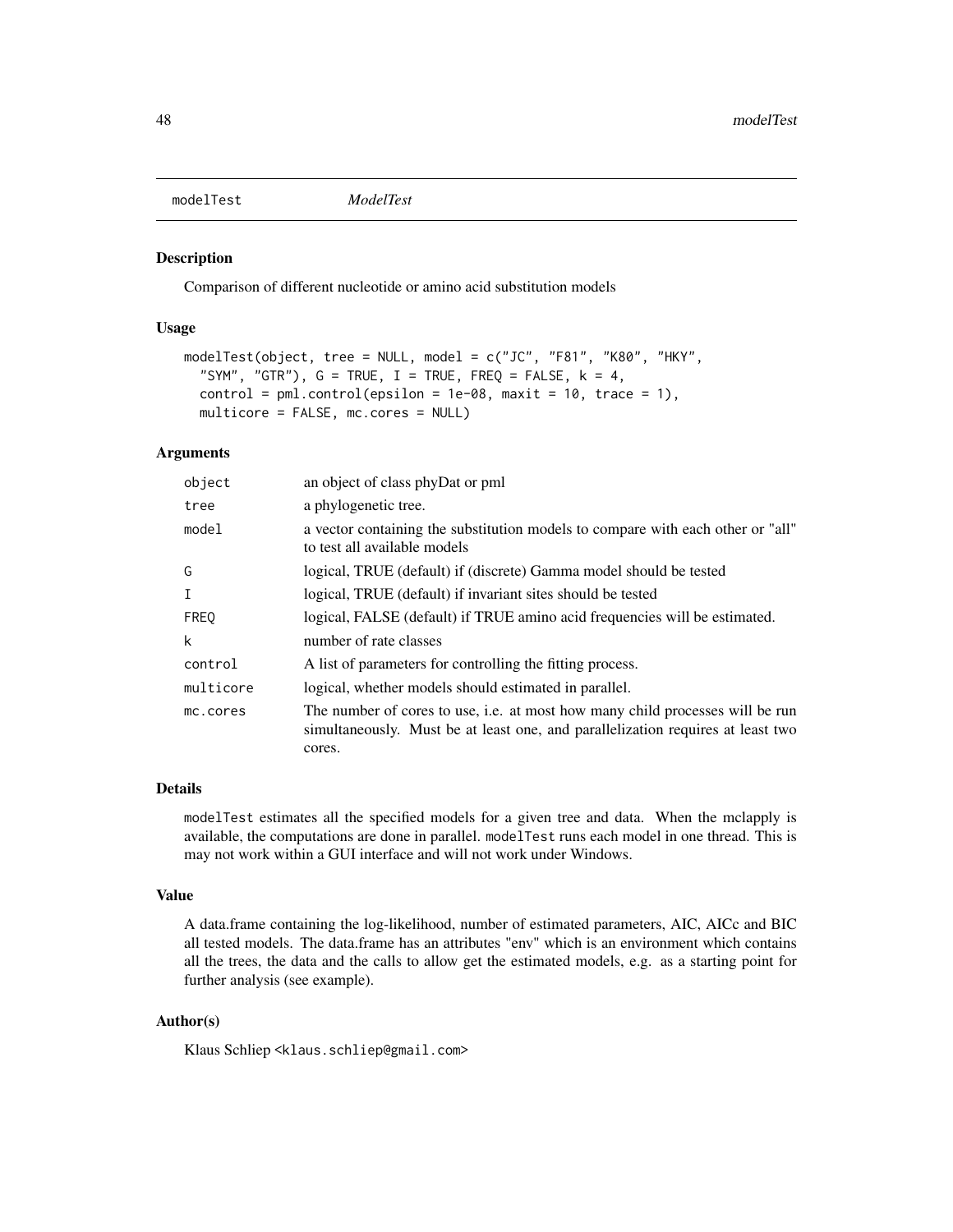<span id="page-47-0"></span>modelTest *ModelTest*

# Description

Comparison of different nucleotide or amino acid substitution models

## Usage

```
modelTest(object, tree = NULL, model = c("JC", "F81", "K80", "HKY",
  "SYM", "GTR"), G = TRUE, I = TRUE, FREQ = FALSE, k = 4,
  control = pm1.contrib(epsilon = 1e-08, maxit = 10, trace = 1),multicore = FALSE, mc.cores = NULL)
```
#### Arguments

| object      | an object of class phyDat or pml                                                                                                                                           |
|-------------|----------------------------------------------------------------------------------------------------------------------------------------------------------------------------|
| tree        | a phylogenetic tree.                                                                                                                                                       |
| model       | a vector containing the substitution models to compare with each other or "all"<br>to test all available models                                                            |
| G           | logical, TRUE (default) if (discrete) Gamma model should be tested                                                                                                         |
| $\mathbf I$ | logical, TRUE (default) if invariant sites should be tested                                                                                                                |
| <b>FREQ</b> | logical, FALSE (default) if TRUE amino acid frequencies will be estimated.                                                                                                 |
| k           | number of rate classes                                                                                                                                                     |
| control     | A list of parameters for controlling the fitting process.                                                                                                                  |
| multicore   | logical, whether models should estimated in parallel.                                                                                                                      |
| mc.cores    | The number of cores to use, i.e. at most how many child processes will be run<br>simultaneously. Must be at least one, and parallelization requires at least two<br>cores. |

#### Details

modelTest estimates all the specified models for a given tree and data. When the mclapply is available, the computations are done in parallel. modelTest runs each model in one thread. This is may not work within a GUI interface and will not work under Windows.

#### Value

A data.frame containing the log-likelihood, number of estimated parameters, AIC, AICc and BIC all tested models. The data.frame has an attributes "env" which is an environment which contains all the trees, the data and the calls to allow get the estimated models, e.g. as a starting point for further analysis (see example).

#### Author(s)

Klaus Schliep <klaus.schliep@gmail.com>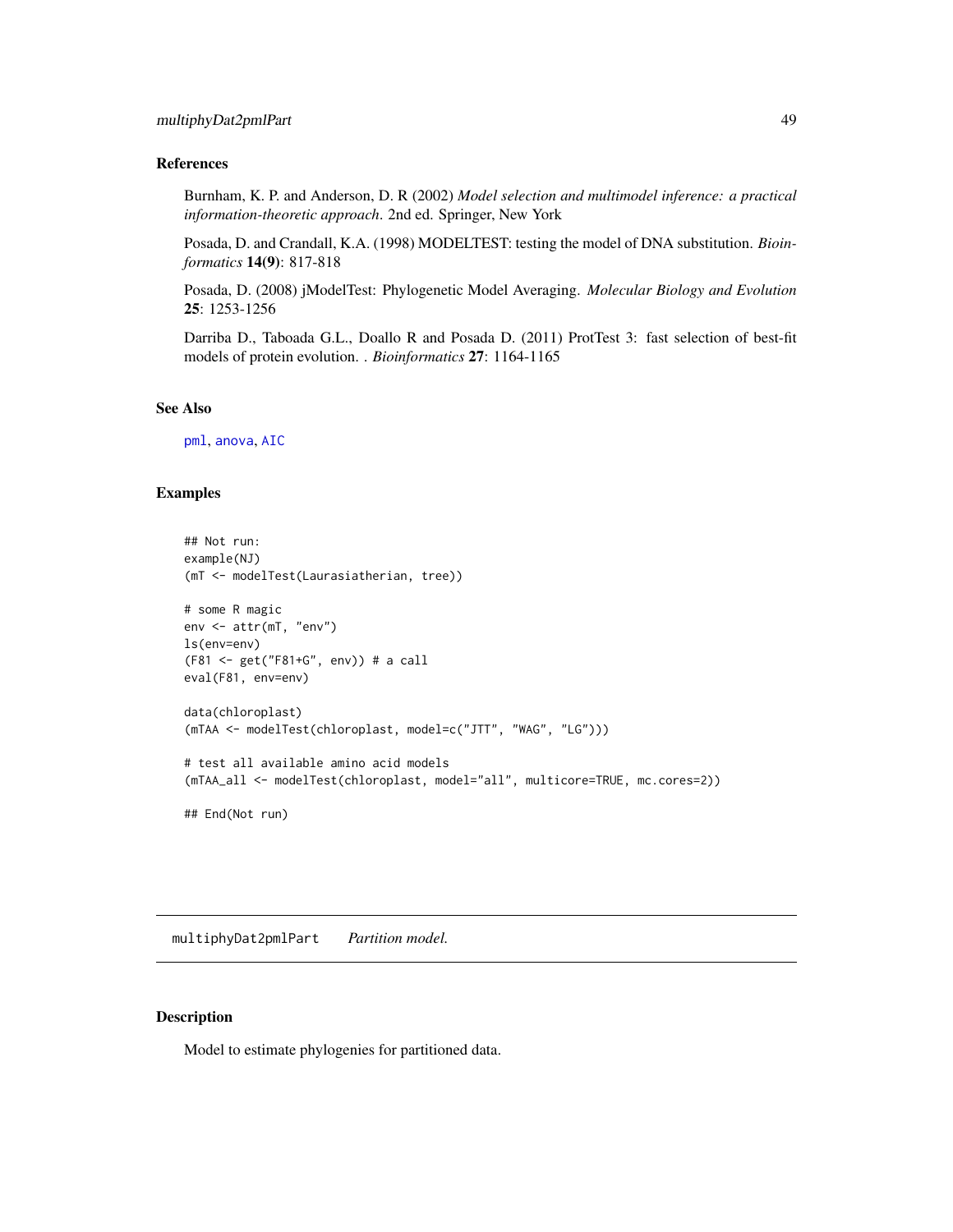# References

Burnham, K. P. and Anderson, D. R (2002) *Model selection and multimodel inference: a practical information-theoretic approach*. 2nd ed. Springer, New York

Posada, D. and Crandall, K.A. (1998) MODELTEST: testing the model of DNA substitution. *Bioinformatics* 14(9): 817-818

Posada, D. (2008) jModelTest: Phylogenetic Model Averaging. *Molecular Biology and Evolution* 25: 1253-1256

Darriba D., Taboada G.L., Doallo R and Posada D. (2011) ProtTest 3: fast selection of best-fit models of protein evolution. . *Bioinformatics* 27: 1164-1165

# See Also

[pml](#page-59-0), [anova](#page-0-0), [AIC](#page-0-0)

#### Examples

```
## Not run:
example(NJ)
(mT <- modelTest(Laurasiatherian, tree))
# some R magic
env <- attr(mT, "env")
ls(env=env)
(F81 <- get("F81+G", env)) # a call
eval(F81, env=env)
data(chloroplast)
(mTAA <- modelTest(chloroplast, model=c("JTT", "WAG", "LG")))
# test all available amino acid models
(mTAA_all <- modelTest(chloroplast, model="all", multicore=TRUE, mc.cores=2))
## End(Not run)
```
multiphyDat2pmlPart *Partition model.*

#### <span id="page-48-0"></span>Description

Model to estimate phylogenies for partitioned data.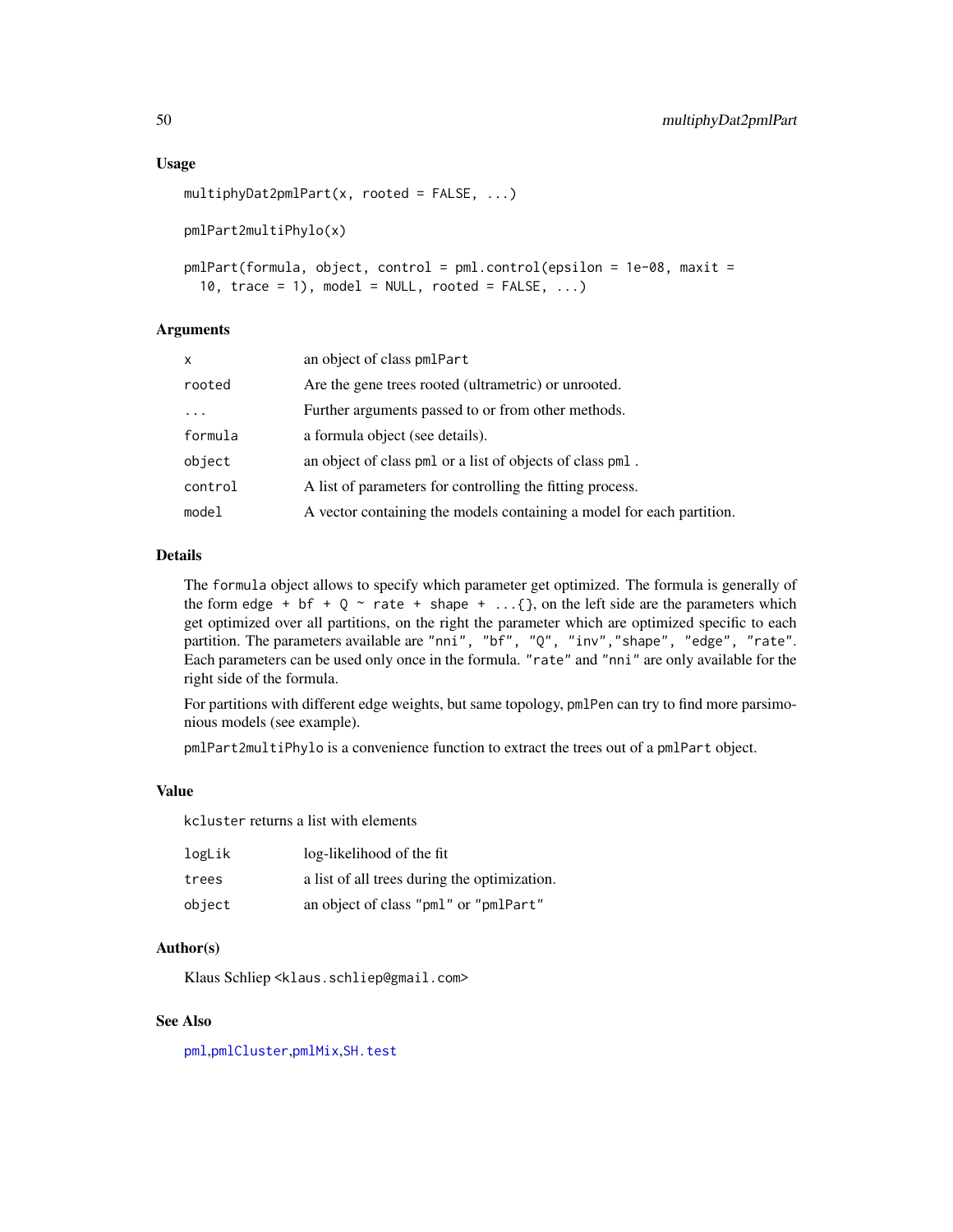#### Usage

```
multiphyDat2pmlPart(x, rooted = FALSE, ...)
pmlPart2multiPhylo(x)
pmlPart(formula, object, control = pml.control(epsilon = 1e-08, maxit =
  10, trace = 1), model = NULL, rooted = FALSE, ...)
```
# Arguments

| x       | an object of class pmlPart                                            |
|---------|-----------------------------------------------------------------------|
| rooted  | Are the gene trees rooted (ultrametric) or unrooted.                  |
| .       | Further arguments passed to or from other methods.                    |
| formula | a formula object (see details).                                       |
| object  | an object of class pml or a list of objects of class pml.             |
| control | A list of parameters for controlling the fitting process.             |
| model   | A vector containing the models containing a model for each partition. |

# Details

The formula object allows to specify which parameter get optimized. The formula is generally of the form edge + bf + Q  $\sim$  rate + shape + ...{}, on the left side are the parameters which get optimized over all partitions, on the right the parameter which are optimized specific to each partition. The parameters available are "nni", "bf", "Q", "inv", "shape", "edge", "rate". Each parameters can be used only once in the formula. "rate" and "nni" are only available for the right side of the formula.

For partitions with different edge weights, but same topology, pmlPen can try to find more parsimonious models (see example).

pmlPart2multiPhylo is a convenience function to extract the trees out of a pmlPart object.

#### Value

kcluster returns a list with elements

| logLik | log-likelihood of the fit                    |
|--------|----------------------------------------------|
| trees  | a list of all trees during the optimization. |
| object | an object of class "pml" or "pmlPart"        |

## Author(s)

Klaus Schliep <klaus.schliep@gmail.com>

# See Also

[pml](#page-59-0),[pmlCluster](#page-63-0),[pmlMix](#page-65-0),[SH.test](#page-69-0)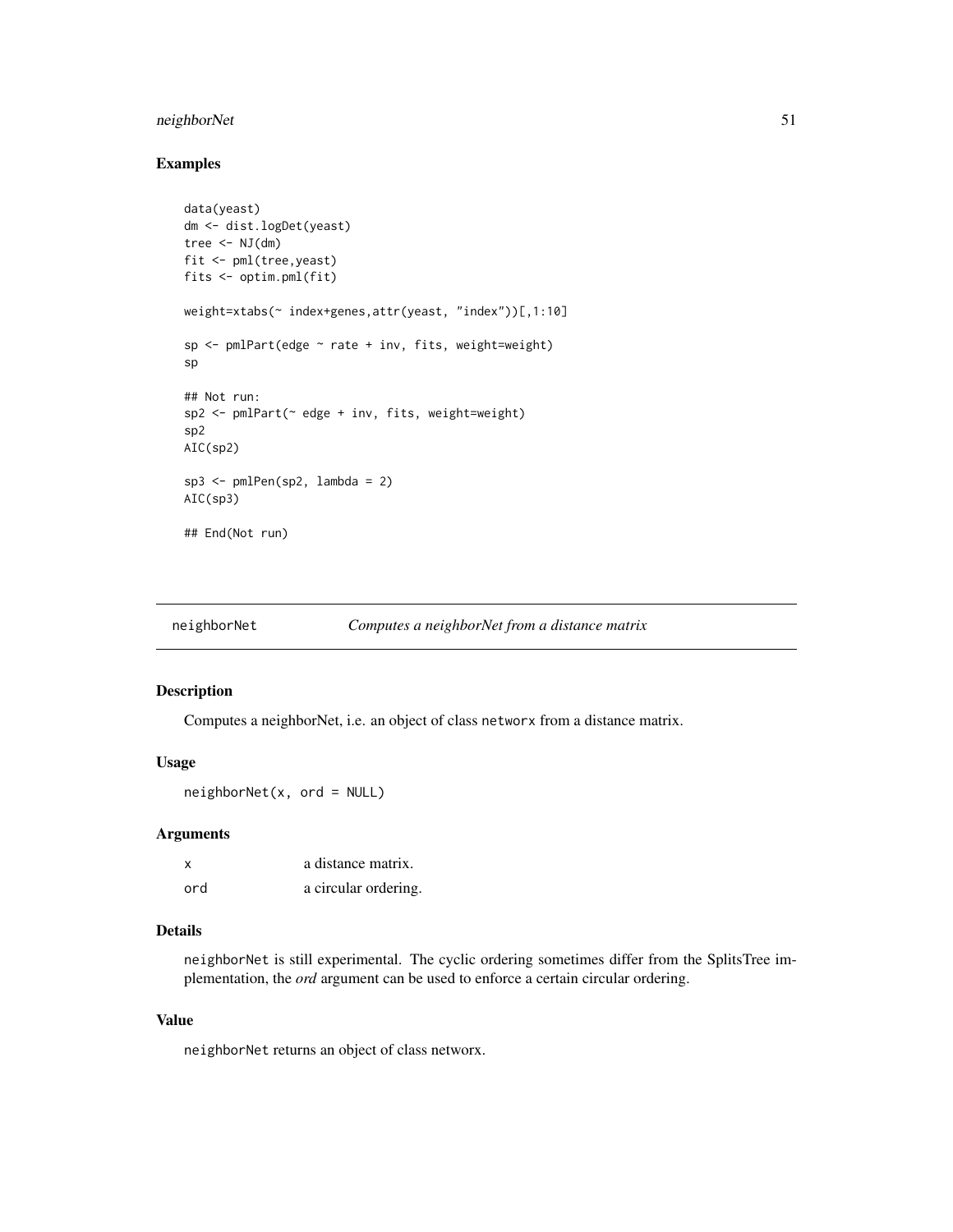# neighborNet 51

# Examples

```
data(yeast)
dm <- dist.logDet(yeast)
tree \leq NJ(dm)fit <- pml(tree,yeast)
fits <- optim.pml(fit)
weight=xtabs(~ index+genes,attr(yeast, "index"))[,1:10]
sp <- pmlPart(edge ~ rate + inv, fits, weight=weight)
sp
## Not run:
sp2 \leq -pmlPart(\sim edge + inv, fits, weight=weight)sp2
AIC(sp2)
sp3 <- pmlPen(sp2, lambda = 2)
AIC(sp3)
## End(Not run)
```
<span id="page-50-0"></span>

| neighborNet |  | Computes a neighborNet from a distance matrix |  |
|-------------|--|-----------------------------------------------|--|
|             |  |                                               |  |

# Description

Computes a neighborNet, i.e. an object of class networx from a distance matrix.

# Usage

 $neighborNet(x, ord = NULL)$ 

#### Arguments

| x   | a distance matrix.   |
|-----|----------------------|
| ord | a circular ordering. |

## Details

neighborNet is still experimental. The cyclic ordering sometimes differ from the SplitsTree implementation, the *ord* argument can be used to enforce a certain circular ordering.

# Value

neighborNet returns an object of class networx.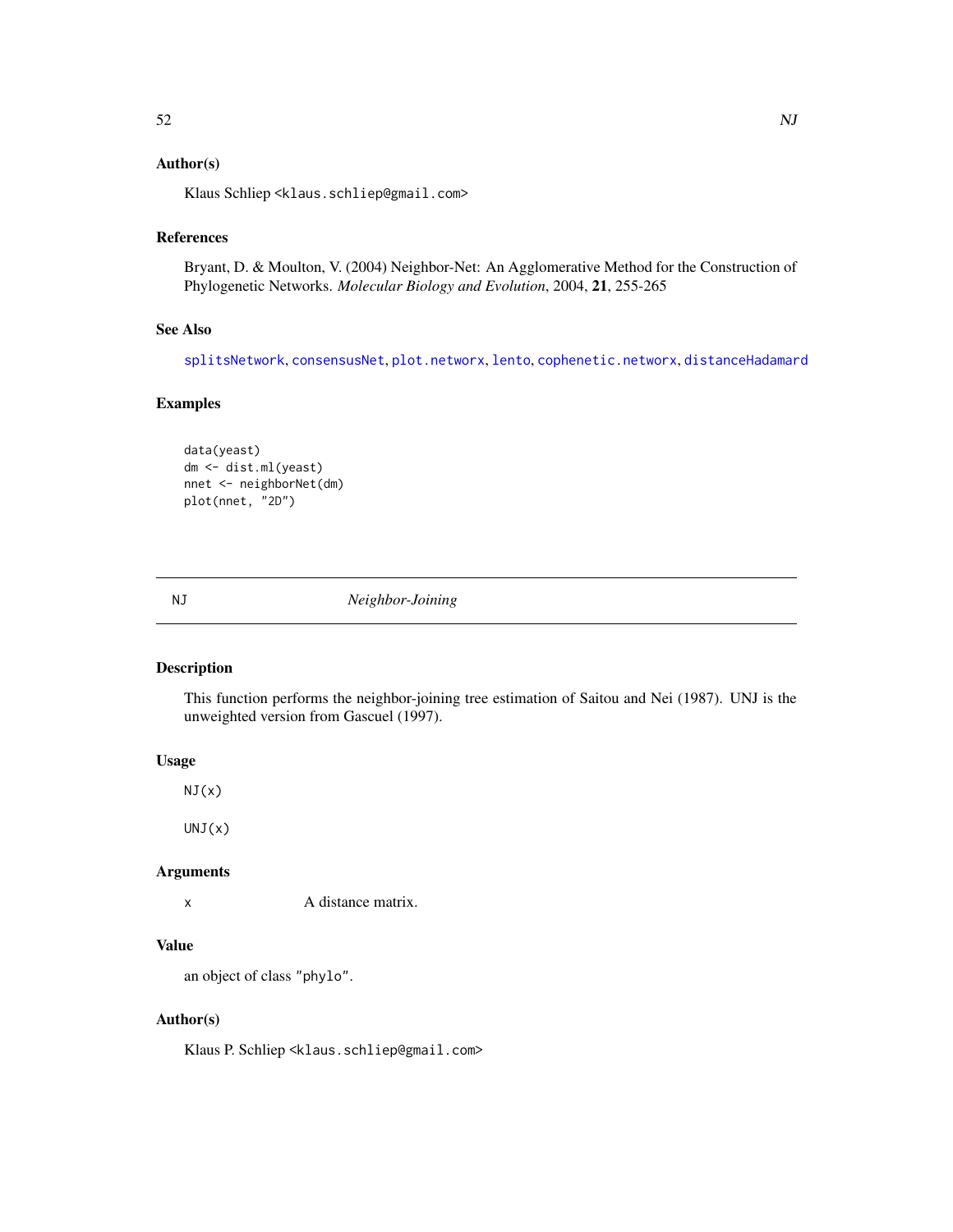## Author(s)

Klaus Schliep <klaus.schliep@gmail.com>

#### References

Bryant, D. & Moulton, V. (2004) Neighbor-Net: An Agglomerative Method for the Construction of Phylogenetic Networks. *Molecular Biology and Evolution*, 2004, 21, 255-265

#### See Also

[splitsNetwork](#page-74-0), [consensusNet](#page-20-0), [plot.networx](#page-57-0), [lento](#page-41-0), [cophenetic.networx](#page-21-0), [distanceHadamard](#page-32-0)

# Examples

```
data(yeast)
dm <- dist.ml(yeast)
nnet <- neighborNet(dm)
plot(nnet, "2D")
```
NJ *Neighbor-Joining*

### Description

This function performs the neighbor-joining tree estimation of Saitou and Nei (1987). UNJ is the unweighted version from Gascuel (1997).

# Usage

 $NJ(x)$ 

 $UNJ(x)$ 

# Arguments

x A distance matrix.

# Value

an object of class "phylo".

## Author(s)

Klaus P. Schliep <klaus.schliep@gmail.com>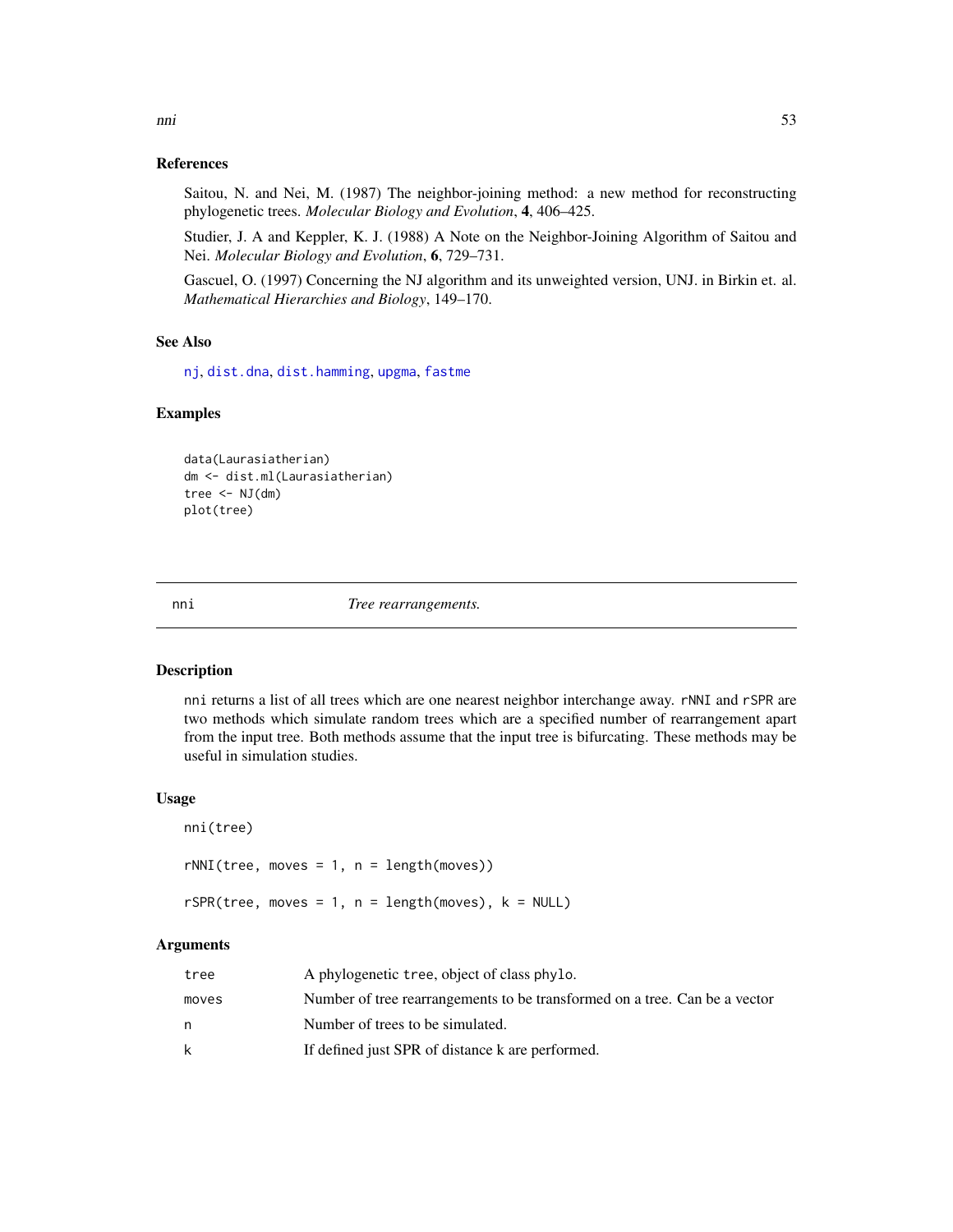## References

Saitou, N. and Nei, M. (1987) The neighbor-joining method: a new method for reconstructing phylogenetic trees. *Molecular Biology and Evolution*, 4, 406–425.

Studier, J. A and Keppler, K. J. (1988) A Note on the Neighbor-Joining Algorithm of Saitou and Nei. *Molecular Biology and Evolution*, 6, 729–731.

Gascuel, O. (1997) Concerning the NJ algorithm and its unweighted version, UNJ. in Birkin et. al. *Mathematical Hierarchies and Biology*, 149–170.

# See Also

[nj](#page-0-0), [dist.dna](#page-0-0), [dist.hamming](#page-29-0), [upgma](#page-79-0), [fastme](#page-0-0)

#### Examples

data(Laurasiatherian) dm <- dist.ml(Laurasiatherian) tree  $\leq -NJ(dm)$ plot(tree)

nni *Tree rearrangements.*

## Description

nni returns a list of all trees which are one nearest neighbor interchange away. rNNI and rSPR are two methods which simulate random trees which are a specified number of rearrangement apart from the input tree. Both methods assume that the input tree is bifurcating. These methods may be useful in simulation studies.

#### Usage

```
nni(tree)
rNNI(tree, moves = 1, n = length(moves))rSPR(tree, moves = 1, n = length(moves), k = NULL)
```
#### Arguments

| tree  | A phylogenetic tree, object of class phylo.                                |
|-------|----------------------------------------------------------------------------|
| moves | Number of tree rearrangements to be transformed on a tree. Can be a vector |
| n     | Number of trees to be simulated.                                           |
| k     | If defined just SPR of distance k are performed.                           |

nni 53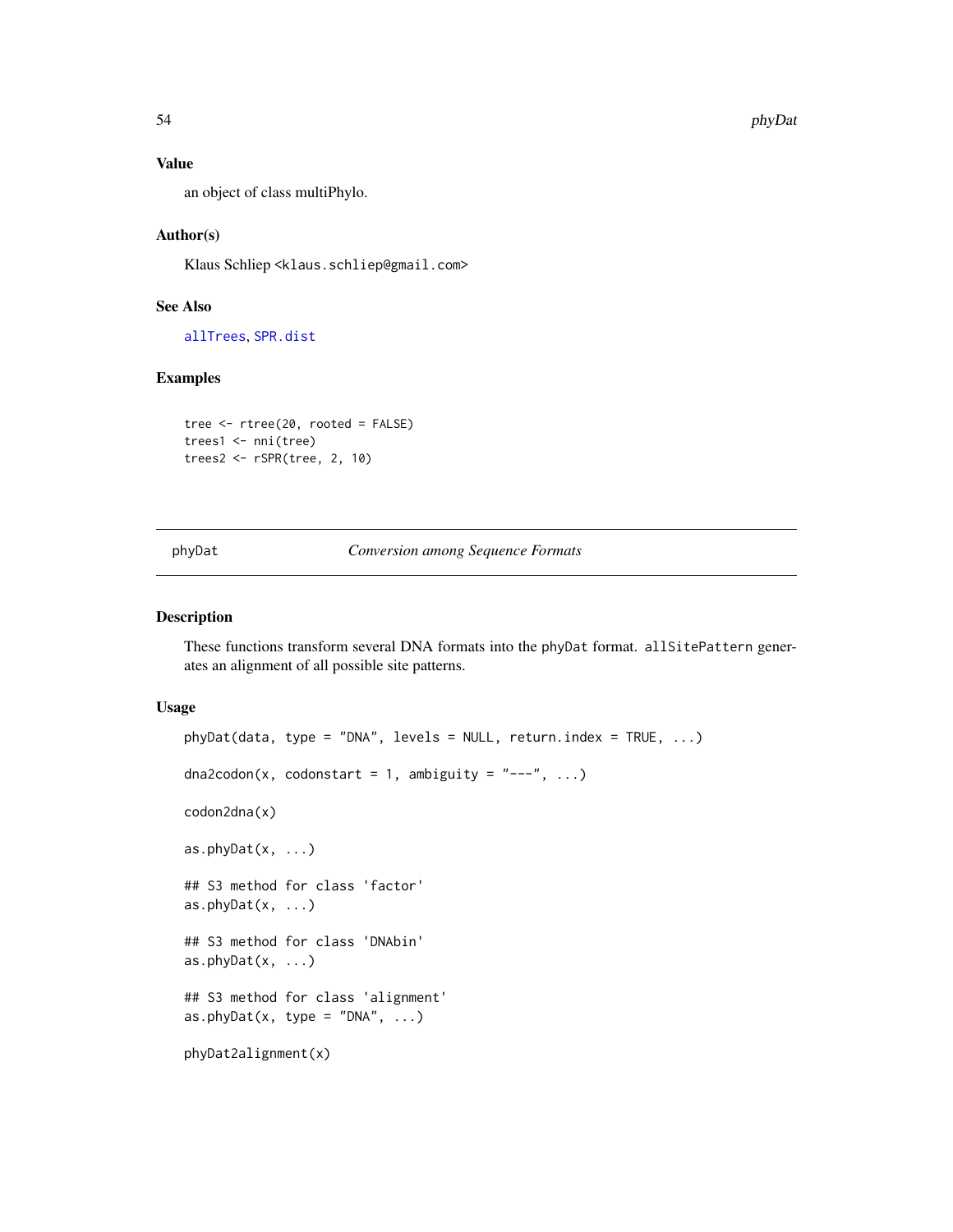## Value

an object of class multiPhylo.

## Author(s)

Klaus Schliep <klaus.schliep@gmail.com>

# See Also

[allTrees](#page-8-0), [SPR.dist](#page-77-0)

# Examples

```
tree <- rtree(20, rooted = FALSE)
trees1 <- nni(tree)
trees2 <- rSPR(tree, 2, 10)
```
<span id="page-53-0"></span>phyDat *Conversion among Sequence Formats*

## Description

These functions transform several DNA formats into the phyDat format. allSitePattern generates an alignment of all possible site patterns.

#### Usage

```
phyDot(data, type = "DNA", levels = NULL, return.index = TRUE, ...)dna2codon(x, codonstart = 1, ambiguity = "---", ...)
codon2dna(x)
as.phyDat(x, \ldots)## S3 method for class 'factor'
as.phyDat(x, ...)
## S3 method for class 'DNAbin'
as.phyDot(x, ...)## S3 method for class 'alignment'
as.phyDat(x, type = "DNA", \ldots)
phyDat2alignment(x)
```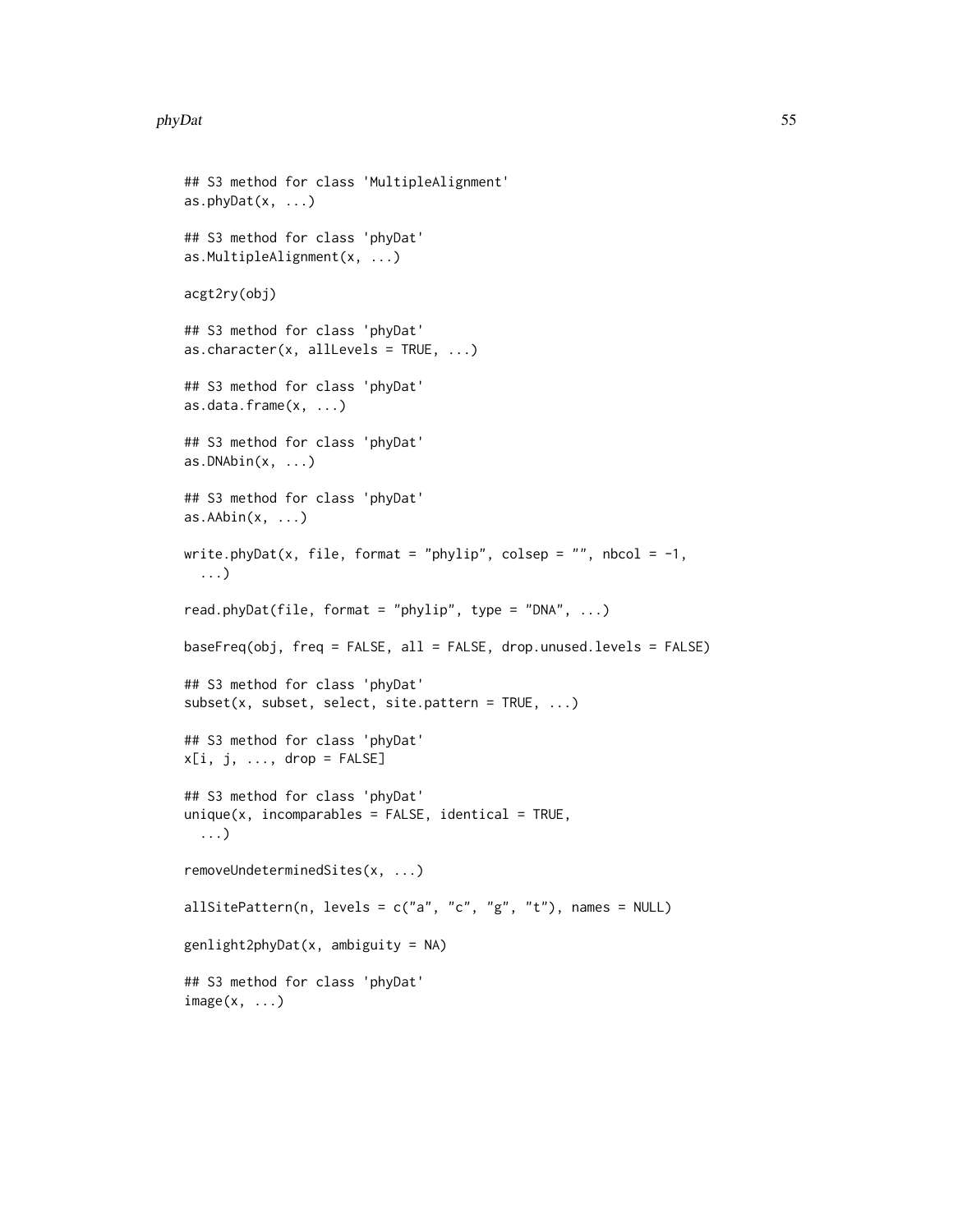#### phyDat 55

```
## S3 method for class 'MultipleAlignment'
as.phyDet(x, \ldots)## S3 method for class 'phyDat'
as.MultipleAlignment(x, ...)
acgt2ry(obj)
## S3 method for class 'phyDat'
as.character(x, allLevels = TRUE, ...)
## S3 method for class 'phyDat'
as.data.frame(x, ...)
## S3 method for class 'phyDat'
as.DNAbin(x, ...)## S3 method for class 'phyDat'
as.AAbin(x, \ldots)write.phyDat(x, file, format = "phylip", colsep = "", nbcol = -1,
  ...)
read.phyDat(file, format = "phylip", type = "DNA", \ldots)
baseFreq(obj, freq = FALSE, all = FALSE, drop.unused.levels = FALSE)
## S3 method for class 'phyDat'
subset(x, subset, select, site.pattern = TRUE, ...)
## S3 method for class 'phyDat'
x[i, j, ..., drop = FALSE]## S3 method for class 'phyDat'
unique(x, incomparable = FALSE, identical = TRUE,...)
removeUndeterminedSites(x, ...)
allSitePattern(n, levels = c("a", "c", "g", "t"), names = NULL)
genlight2phyDet(x, ambiguity = NA)## S3 method for class 'phyDat'
image(x, \ldots)
```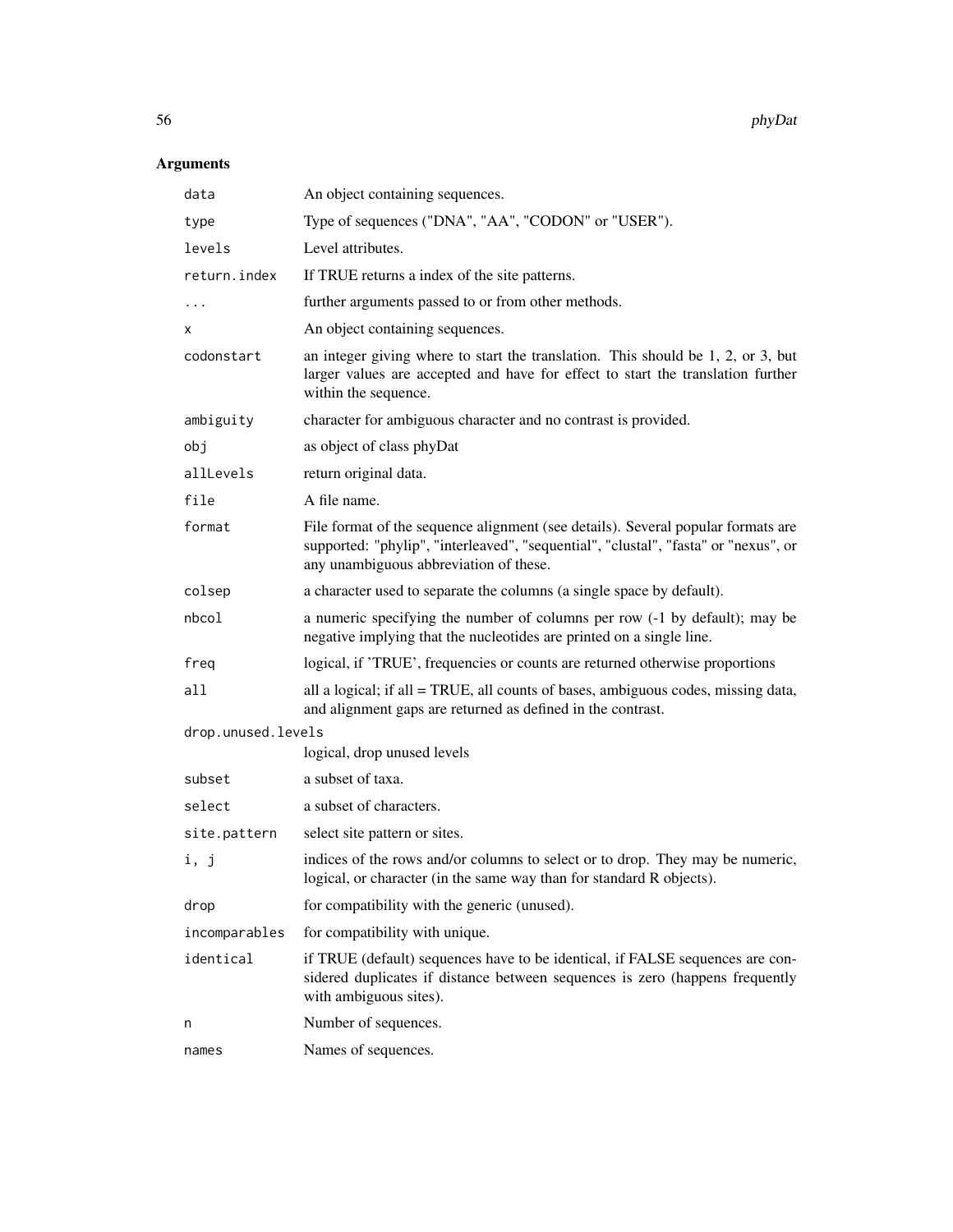| data               | An object containing sequences.                                                                                                                                                                                   |
|--------------------|-------------------------------------------------------------------------------------------------------------------------------------------------------------------------------------------------------------------|
| type               | Type of sequences ("DNA", "AA", "CODON" or "USER").                                                                                                                                                               |
| levels             | Level attributes.                                                                                                                                                                                                 |
| return.index       | If TRUE returns a index of the site patterns.                                                                                                                                                                     |
| .                  | further arguments passed to or from other methods.                                                                                                                                                                |
| x                  | An object containing sequences.                                                                                                                                                                                   |
| codonstart         | an integer giving where to start the translation. This should be 1, 2, or 3, but<br>larger values are accepted and have for effect to start the translation further<br>within the sequence.                       |
| ambiguity          | character for ambiguous character and no contrast is provided.                                                                                                                                                    |
| obj                | as object of class phyDat                                                                                                                                                                                         |
| allLevels          | return original data.                                                                                                                                                                                             |
| file               | A file name.                                                                                                                                                                                                      |
| format             | File format of the sequence alignment (see details). Several popular formats are<br>supported: "phylip", "interleaved", "sequential", "clustal", "fasta" or "nexus", or<br>any unambiguous abbreviation of these. |
| colsep             | a character used to separate the columns (a single space by default).                                                                                                                                             |
| nbcol              | a numeric specifying the number of columns per row (-1 by default); may be<br>negative implying that the nucleotides are printed on a single line.                                                                |
| freq               | logical, if 'TRUE', frequencies or counts are returned otherwise proportions                                                                                                                                      |
| all                | all a logical; if all = TRUE, all counts of bases, ambiguous codes, missing data,<br>and alignment gaps are returned as defined in the contrast.                                                                  |
| drop.unused.levels |                                                                                                                                                                                                                   |
|                    | logical, drop unused levels                                                                                                                                                                                       |
| subset             | a subset of taxa.                                                                                                                                                                                                 |
| select             | a subset of characters.                                                                                                                                                                                           |
| site.pattern       | select site pattern or sites.                                                                                                                                                                                     |
| i, j               | indices of the rows and/or columns to select or to drop. They may be numeric,<br>logical, or character (in the same way than for standard R objects).                                                             |
| drop               | for compatibility with the generic (unused).                                                                                                                                                                      |
| incomparables      | for compatibility with unique.                                                                                                                                                                                    |
| identical          | if TRUE (default) sequences have to be identical, if FALSE sequences are con-<br>sidered duplicates if distance between sequences is zero (happens frequently<br>with ambiguous sites).                           |
| n                  | Number of sequences.                                                                                                                                                                                              |
| names              | Names of sequences.                                                                                                                                                                                               |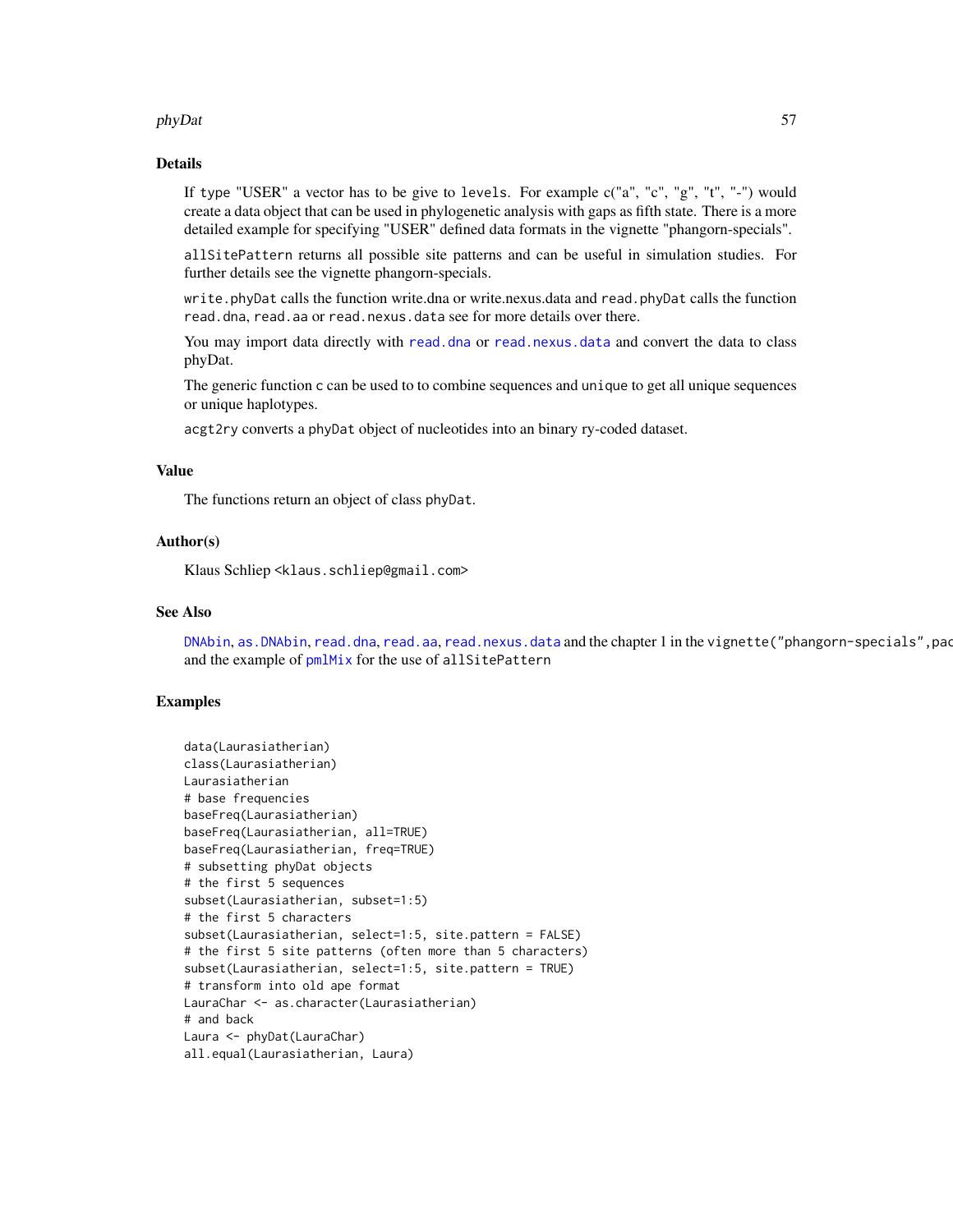#### phyDat 57

#### Details

If type "USER" a vector has to be give to levels. For example c("a", "c", "g", "t", "-") would create a data object that can be used in phylogenetic analysis with gaps as fifth state. There is a more detailed example for specifying "USER" defined data formats in the vignette "phangorn-specials".

allSitePattern returns all possible site patterns and can be useful in simulation studies. For further details see the vignette phangorn-specials.

write.phyDat calls the function write.dna or write.nexus.data and read.phyDat calls the function read.dna, read.aa or read.nexus.data see for more details over there.

You may import data directly with [read.dna](#page-0-0) or [read.nexus.data](#page-0-0) and convert the data to class phyDat.

The generic function c can be used to to combine sequences and unique to get all unique sequences or unique haplotypes.

acgt2ry converts a phyDat object of nucleotides into an binary ry-coded dataset.

# Value

The functions return an object of class phyDat.

# Author(s)

Klaus Schliep <klaus.schliep@gmail.com>

## See Also

[DNAbin](#page-0-0), [as.DNAbin](#page-0-0), [read.dna](#page-0-0), [read.aa](#page-67-0), [read.nexus.data](#page-0-0) and the chapter 1 in the vignette("phangorn-specials", pac and the example of  $pm$ IMix for the use of allSitePattern

## Examples

```
data(Laurasiatherian)
class(Laurasiatherian)
Laurasiatherian
# base frequencies
baseFreq(Laurasiatherian)
baseFreq(Laurasiatherian, all=TRUE)
baseFreq(Laurasiatherian, freq=TRUE)
# subsetting phyDat objects
# the first 5 sequences
subset(Laurasiatherian, subset=1:5)
# the first 5 characters
subset(Laurasiatherian, select=1:5, site.pattern = FALSE)
# the first 5 site patterns (often more than 5 characters)
subset(Laurasiatherian, select=1:5, site.pattern = TRUE)
# transform into old ape format
LauraChar <- as.character(Laurasiatherian)
# and back
Laura <- phyDat(LauraChar)
all.equal(Laurasiatherian, Laura)
```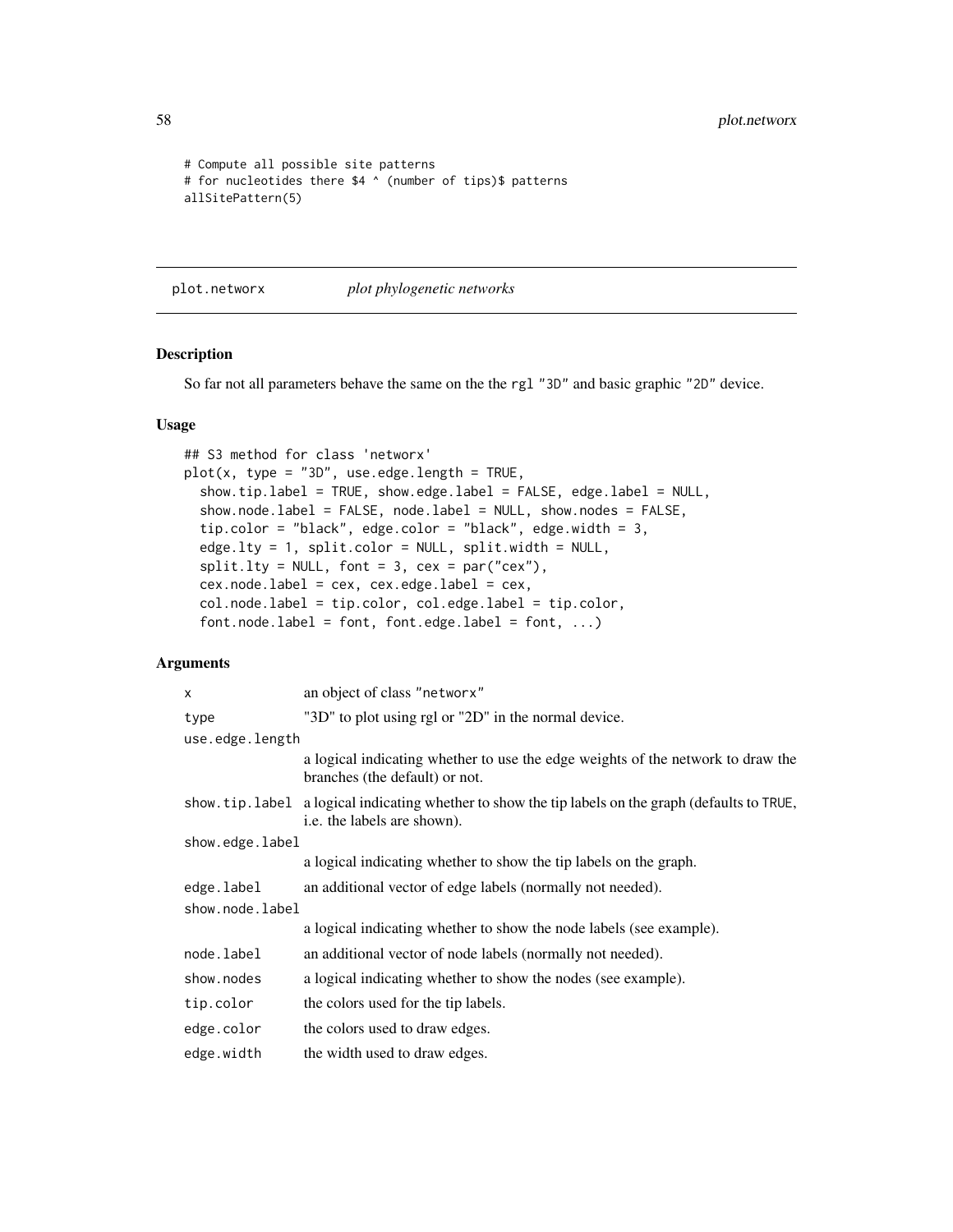58 plot.networx

```
# Compute all possible site patterns
# for nucleotides there $4 ^ (number of tips)$ patterns
allSitePattern(5)
```
<span id="page-57-0"></span>plot.networx *plot phylogenetic networks*

#### Description

So far not all parameters behave the same on the the rgl "3D" and basic graphic "2D" device.

#### Usage

```
## S3 method for class 'networx'
plot(x, type = "3D", use.edge.length = TRUE,
  show.tip.label = TRUE, show.edge.label = FALSE, edge.label = NULL,
  show.node.label = FALSE, node.label = NULL, show.nodes = FALSE,
  tip.color = "black", edge.color = "black", edge.width = 3,
  edge.lty = 1, split.color = NULL, split.width = NULL,
  split. Ity = NULL, font = 3, cex = par("cex"),
  cex.node.label = cex, cex.edge.label = cex,
  col.node.label = tip.color, col.edge.label = tip.color,
  font nodeu = font, font-edgeu = font, for the code. \ldots)
```

| an object of class "networx"                                                                                                        |
|-------------------------------------------------------------------------------------------------------------------------------------|
| "3D" to plot using rgl or "2D" in the normal device.                                                                                |
| use.edge.length                                                                                                                     |
| a logical indicating whether to use the edge weights of the network to draw the<br>branches (the default) or not.                   |
| show. tip. label a logical indicating whether to show the tip labels on the graph (defaults to TRUE,<br>i.e. the labels are shown). |
| show.edge.label                                                                                                                     |
| a logical indicating whether to show the tip labels on the graph.                                                                   |
| an additional vector of edge labels (normally not needed).                                                                          |
|                                                                                                                                     |
| a logical indicating whether to show the node labels (see example).                                                                 |
| an additional vector of node labels (normally not needed).                                                                          |
| a logical indicating whether to show the nodes (see example).                                                                       |
| the colors used for the tip labels.                                                                                                 |
| the colors used to draw edges.                                                                                                      |
| the width used to draw edges.                                                                                                       |
| show.node.label                                                                                                                     |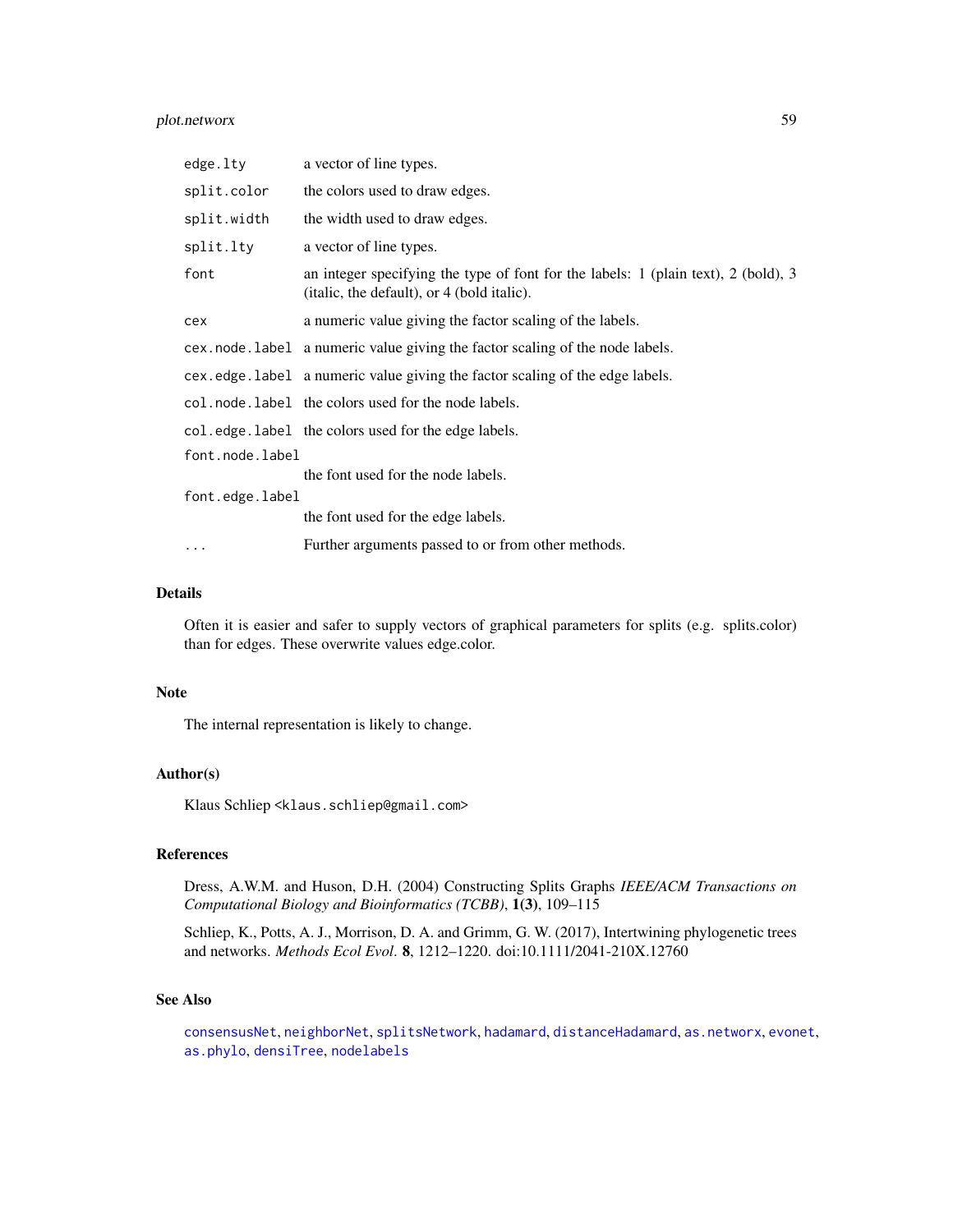# plot.networx 59

| edge.lty        | a vector of line types.                                                                                                          |
|-----------------|----------------------------------------------------------------------------------------------------------------------------------|
| split.color     | the colors used to draw edges.                                                                                                   |
| split.width     | the width used to draw edges.                                                                                                    |
| split.lty       | a vector of line types.                                                                                                          |
| font            | an integer specifying the type of font for the labels: 1 (plain text), 2 (bold), 3<br>(italic, the default), or 4 (bold italic). |
| cex             | a numeric value giving the factor scaling of the labels.                                                                         |
|                 | cex.node.label a numeric value giving the factor scaling of the node labels.                                                     |
|                 | cex.edge.label a numeric value giving the factor scaling of the edge labels.                                                     |
|                 | col. node. label the colors used for the node labels.                                                                            |
|                 | col.edge.label the colors used for the edge labels.                                                                              |
| font.node.label |                                                                                                                                  |
|                 | the font used for the node labels.                                                                                               |
| font.edge.label |                                                                                                                                  |
|                 | the font used for the edge labels.                                                                                               |
|                 | Further arguments passed to or from other methods.                                                                               |

# Details

Often it is easier and safer to supply vectors of graphical parameters for splits (e.g. splits.color) than for edges. These overwrite values edge.color.

# Note

The internal representation is likely to change.

#### Author(s)

Klaus Schliep <klaus.schliep@gmail.com>

## References

Dress, A.W.M. and Huson, D.H. (2004) Constructing Splits Graphs *IEEE/ACM Transactions on Computational Biology and Bioinformatics (TCBB)*, 1(3), 109–115

Schliep, K., Potts, A. J., Morrison, D. A. and Grimm, G. W. (2017), Intertwining phylogenetic trees and networks. *Methods Ecol Evol*. 8, 1212–1220. doi:10.1111/2041-210X.12760

# See Also

[consensusNet](#page-20-0), [neighborNet](#page-50-0), [splitsNetwork](#page-74-0), [hadamard](#page-37-0), [distanceHadamard](#page-32-0), [as.networx](#page-10-0), [evonet](#page-0-0), [as.phylo](#page-0-0), [densiTree](#page-24-0), [nodelabels](#page-0-0)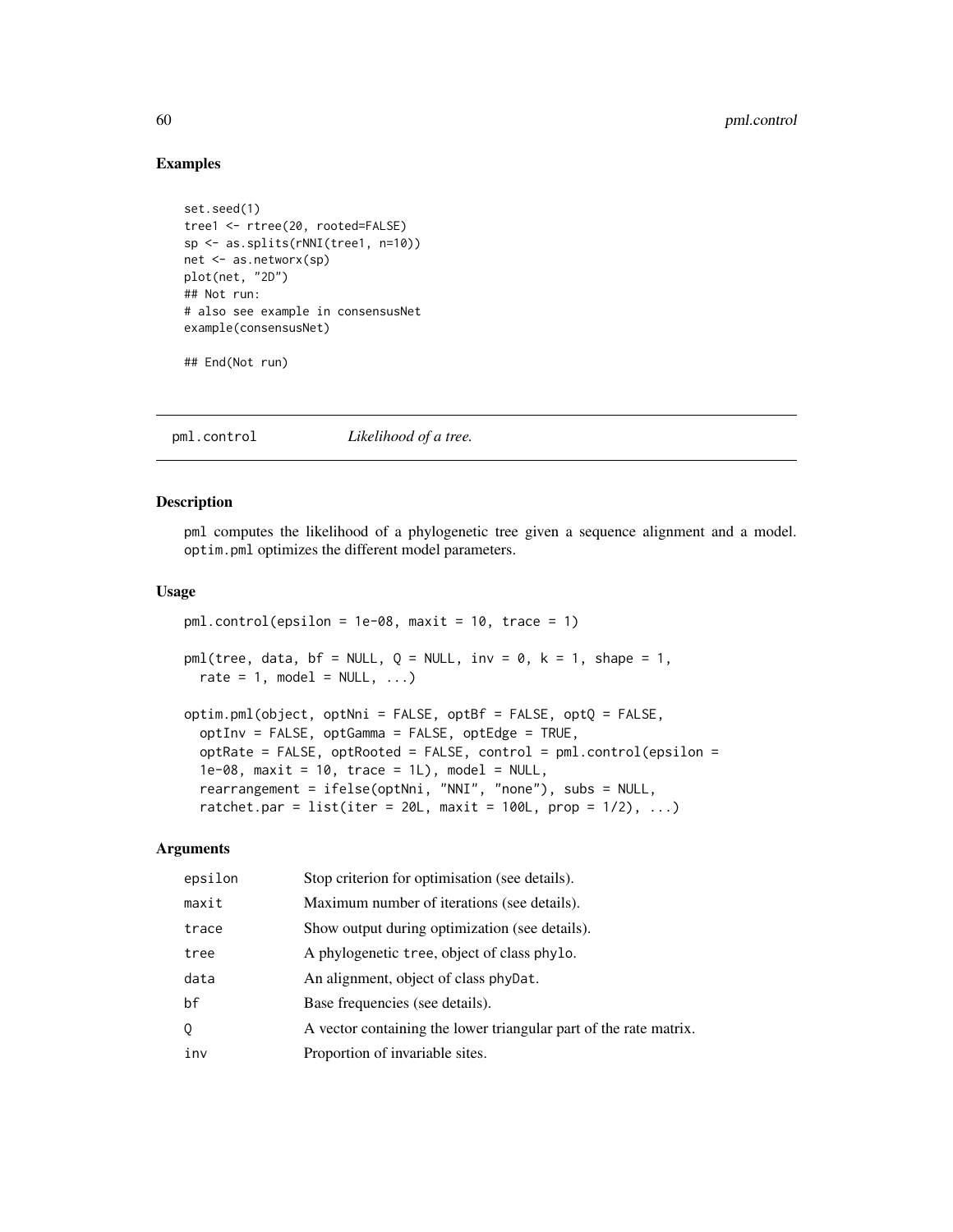# 60 pml.control

#### Examples

```
set.seed(1)
tree1 <- rtree(20, rooted=FALSE)
sp <- as.splits(rNNI(tree1, n=10))
net <- as.networx(sp)
plot(net, "2D")
## Not run:
# also see example in consensusNet
example(consensusNet)
```
## End(Not run)

pml.control *Likelihood of a tree.*

#### <span id="page-59-0"></span>Description

pml computes the likelihood of a phylogenetic tree given a sequence alignment and a model. optim.pml optimizes the different model parameters.

#### Usage

```
pm1.control(epsilon = 1e-08, maxit = 10, trace = 1)pm1(tree, data, bf = NULL, Q = NULL, inv = 0, k = 1, shape = 1,
 rate = 1, model = NULL, ...)optim.pml(object, optNni = FALSE, optBf = FALSE, optQ = FALSE,
  optInv = FALSE, optGamma = FALSE, optEdge = TRUE,
  optRate = FALSE, optRooted = FALSE, control = pm1.control(epsilon) =1e-08, maxit = 10, trace = 1L), model = NULL,
  rearrangement = ifelse(optNni, "NNI", "none"), subs = NULL,
  ratchet.par = list(iter = 20L, maxit = 100L, prop = 1/2), ...)
```

| epsilon | Stop criterion for optimisation (see details).                    |
|---------|-------------------------------------------------------------------|
| maxit   | Maximum number of iterations (see details).                       |
| trace   | Show output during optimization (see details).                    |
| tree    | A phylogenetic tree, object of class phylo.                       |
| data    | An alignment, object of class phyDat.                             |
| bf      | Base frequencies (see details).                                   |
| 0       | A vector containing the lower triangular part of the rate matrix. |
| inv     | Proportion of invariable sites.                                   |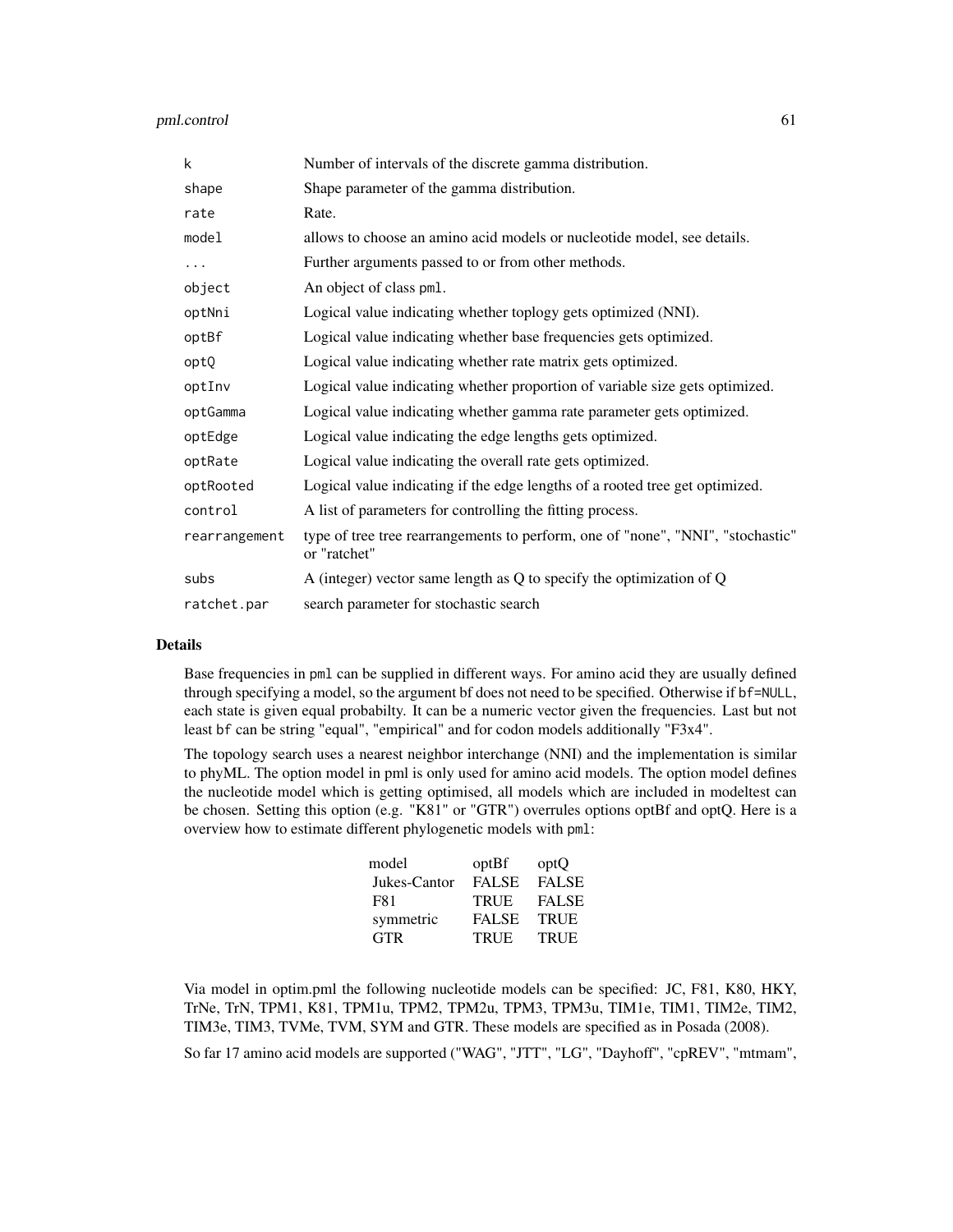# pml.control 61

| k             | Number of intervals of the discrete gamma distribution.                                         |
|---------------|-------------------------------------------------------------------------------------------------|
| shape         | Shape parameter of the gamma distribution.                                                      |
| rate          | Rate.                                                                                           |
| model         | allows to choose an amino acid models or nucleotide model, see details.                         |
| .             | Further arguments passed to or from other methods.                                              |
| object        | An object of class pml.                                                                         |
| optNni        | Logical value indicating whether toplogy gets optimized (NNI).                                  |
| optBf         | Logical value indicating whether base frequencies gets optimized.                               |
| optQ          | Logical value indicating whether rate matrix gets optimized.                                    |
| optInv        | Logical value indicating whether proportion of variable size gets optimized.                    |
| optGamma      | Logical value indicating whether gamma rate parameter gets optimized.                           |
| optEdge       | Logical value indicating the edge lengths gets optimized.                                       |
| optRate       | Logical value indicating the overall rate gets optimized.                                       |
| optRooted     | Logical value indicating if the edge lengths of a rooted tree get optimized.                    |
| control       | A list of parameters for controlling the fitting process.                                       |
| rearrangement | type of tree tree rearrangements to perform, one of "none", "NNI", "stochastic"<br>or "ratchet" |
| subs          | A (integer) vector same length as Q to specify the optimization of Q                            |
| ratchet.par   | search parameter for stochastic search                                                          |

#### Details

Base frequencies in pml can be supplied in different ways. For amino acid they are usually defined through specifying a model, so the argument bf does not need to be specified. Otherwise if bf=NULL, each state is given equal probabilty. It can be a numeric vector given the frequencies. Last but not least bf can be string "equal", "empirical" and for codon models additionally "F3x4".

The topology search uses a nearest neighbor interchange (NNI) and the implementation is similar to phyML. The option model in pml is only used for amino acid models. The option model defines the nucleotide model which is getting optimised, all models which are included in modeltest can be chosen. Setting this option (e.g. "K81" or "GTR") overrules options optBf and optQ. Here is a overview how to estimate different phylogenetic models with pml:

| model        | optBf        | optQ         |
|--------------|--------------|--------------|
| Jukes-Cantor | <b>FALSE</b> | <b>FALSE</b> |
| F81          | <b>TRUE</b>  | <b>FALSE</b> |
| symmetric    | <b>FALSE</b> | <b>TRUE</b>  |
| <b>GTR</b>   | <b>TRUE</b>  | <b>TRUE</b>  |

Via model in optim.pml the following nucleotide models can be specified: JC, F81, K80, HKY, TrNe, TrN, TPM1, K81, TPM1u, TPM2, TPM2u, TPM3, TPM3u, TIM1e, TIM1, TIM2e, TIM2, TIM3e, TIM3, TVMe, TVM, SYM and GTR. These models are specified as in Posada (2008).

So far 17 amino acid models are supported ("WAG", "JTT", "LG", "Dayhoff", "cpREV", "mtmam",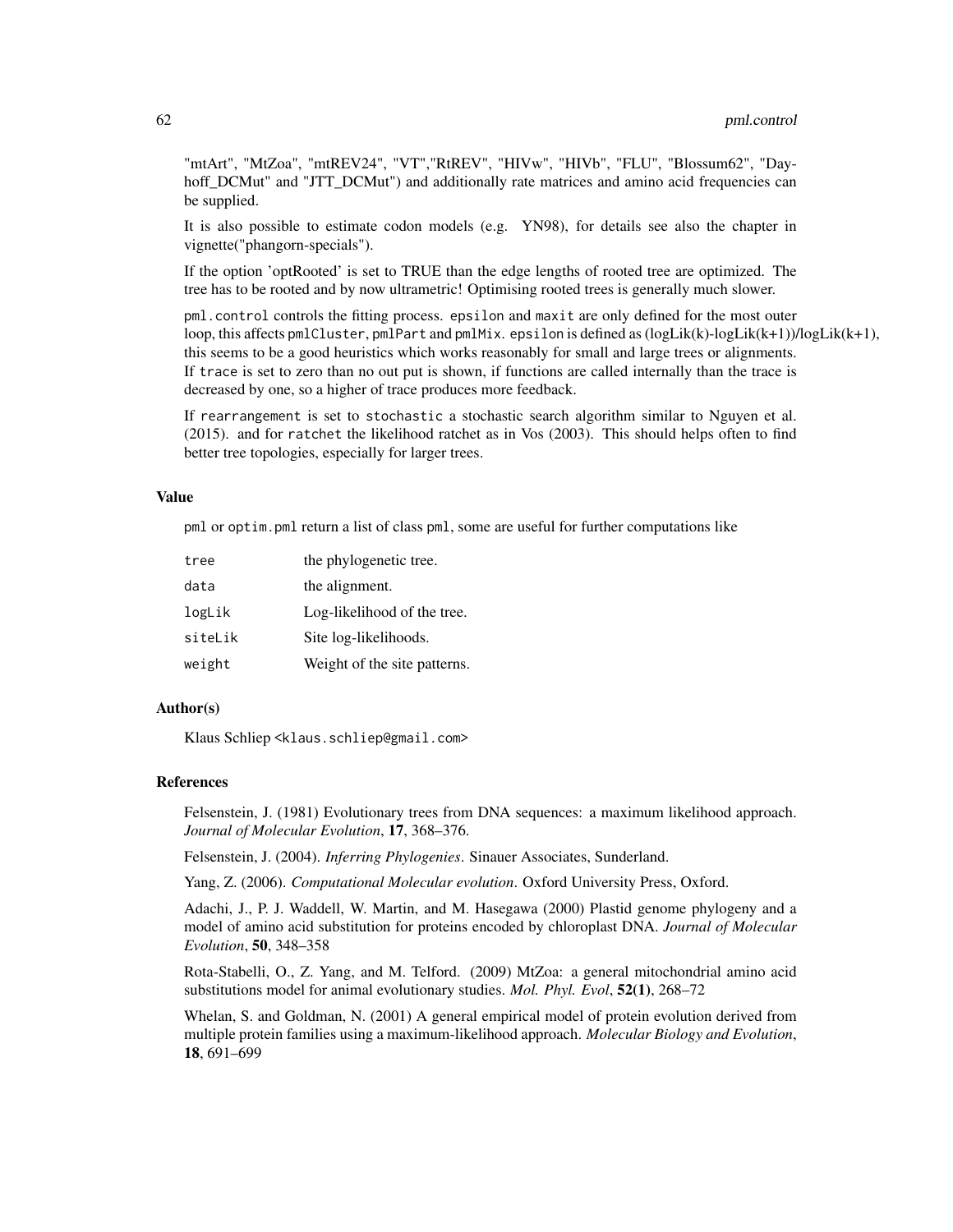"mtArt", "MtZoa", "mtREV24", "VT","RtREV", "HIVw", "HIVb", "FLU", "Blossum62", "Dayhoff DCMut" and "JTT\_DCMut") and additionally rate matrices and amino acid frequencies can be supplied.

It is also possible to estimate codon models (e.g. YN98), for details see also the chapter in vignette("phangorn-specials").

If the option 'optRooted' is set to TRUE than the edge lengths of rooted tree are optimized. The tree has to be rooted and by now ultrametric! Optimising rooted trees is generally much slower.

pml.control controls the fitting process. epsilon and maxit are only defined for the most outer loop, this affects pmlCluster, pmlPart and pmlMix. epsilon is defined as (logLik(k)-logLik(k+1))/logLik(k+1), this seems to be a good heuristics which works reasonably for small and large trees or alignments. If trace is set to zero than no out put is shown, if functions are called internally than the trace is decreased by one, so a higher of trace produces more feedback.

If rearrangement is set to stochastic a stochastic search algorithm similar to Nguyen et al. (2015). and for ratchet the likelihood ratchet as in Vos (2003). This should helps often to find better tree topologies, especially for larger trees.

#### Value

pml or optim.pml return a list of class pml, some are useful for further computations like

| tree    | the phylogenetic tree.       |
|---------|------------------------------|
| data    | the alignment.               |
| logLik  | Log-likelihood of the tree.  |
| siteLik | Site log-likelihoods.        |
| weight  | Weight of the site patterns. |

#### Author(s)

Klaus Schliep <klaus.schliep@gmail.com>

### References

Felsenstein, J. (1981) Evolutionary trees from DNA sequences: a maximum likelihood approach. *Journal of Molecular Evolution*, 17, 368–376.

Felsenstein, J. (2004). *Inferring Phylogenies*. Sinauer Associates, Sunderland.

Yang, Z. (2006). *Computational Molecular evolution*. Oxford University Press, Oxford.

Adachi, J., P. J. Waddell, W. Martin, and M. Hasegawa (2000) Plastid genome phylogeny and a model of amino acid substitution for proteins encoded by chloroplast DNA. *Journal of Molecular Evolution*, 50, 348–358

Rota-Stabelli, O., Z. Yang, and M. Telford. (2009) MtZoa: a general mitochondrial amino acid substitutions model for animal evolutionary studies. *Mol. Phyl. Evol*, 52(1), 268–72

Whelan, S. and Goldman, N. (2001) A general empirical model of protein evolution derived from multiple protein families using a maximum-likelihood approach. *Molecular Biology and Evolution*, 18, 691–699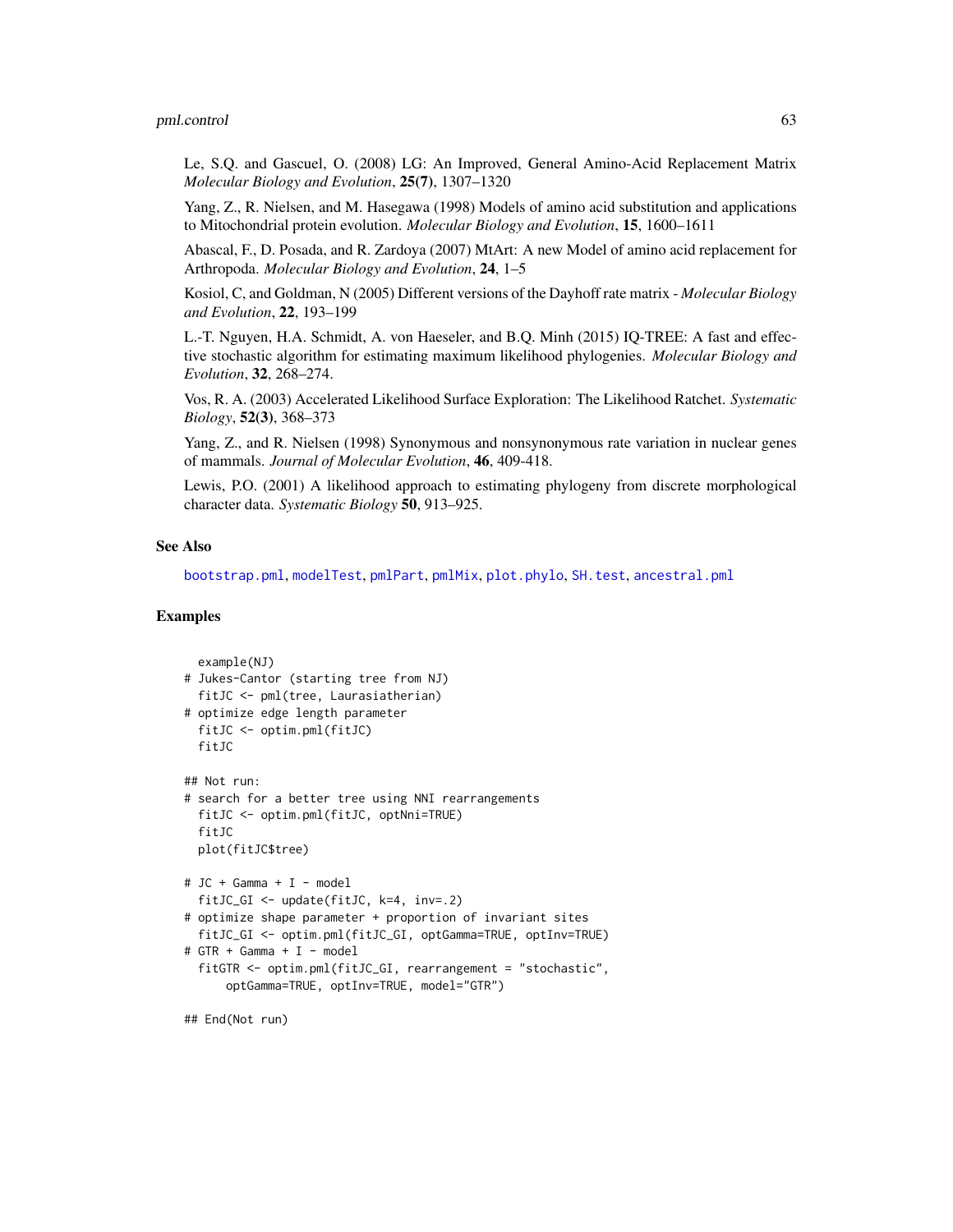#### pml.control 63

Le, S.Q. and Gascuel, O. (2008) LG: An Improved, General Amino-Acid Replacement Matrix *Molecular Biology and Evolution*, 25(7), 1307–1320

Yang, Z., R. Nielsen, and M. Hasegawa (1998) Models of amino acid substitution and applications to Mitochondrial protein evolution. *Molecular Biology and Evolution*, 15, 1600–1611

Abascal, F., D. Posada, and R. Zardoya (2007) MtArt: A new Model of amino acid replacement for Arthropoda. *Molecular Biology and Evolution*, 24, 1–5

Kosiol, C, and Goldman, N (2005) Different versions of the Dayhoff rate matrix - *Molecular Biology and Evolution*, 22, 193–199

L.-T. Nguyen, H.A. Schmidt, A. von Haeseler, and B.Q. Minh (2015) IQ-TREE: A fast and effective stochastic algorithm for estimating maximum likelihood phylogenies. *Molecular Biology and Evolution*, 32, 268–274.

Vos, R. A. (2003) Accelerated Likelihood Surface Exploration: The Likelihood Ratchet. *Systematic Biology*, 52(3), 368–373

Yang, Z., and R. Nielsen (1998) Synonymous and nonsynonymous rate variation in nuclear genes of mammals. *Journal of Molecular Evolution*, 46, 409-418.

Lewis, P.O. (2001) A likelihood approach to estimating phylogeny from discrete morphological character data. *Systematic Biology* 50, 913–925.

## See Also

[bootstrap.pml](#page-13-0), [modelTest](#page-47-0), [pmlPart](#page-48-0), [pmlMix](#page-65-0), [plot.phylo](#page-0-0), [SH.test](#page-69-0), [ancestral.pml](#page-9-0)

## Examples

```
example(NJ)
# Jukes-Cantor (starting tree from NJ)
 fitJC <- pml(tree, Laurasiatherian)
# optimize edge length parameter
 fitJC <- optim.pml(fitJC)
 fitJC
## Not run:
# search for a better tree using NNI rearrangements
 fitJC <- optim.pml(fitJC, optNni=TRUE)
 fitJC
 plot(fitJC$tree)
# JC + Gamma + I - model
 fitJC_GI <- update(fitJC, k=4, inv=.2)
# optimize shape parameter + proportion of invariant sites
 fitJC_GI <- optim.pml(fitJC_GI, optGamma=TRUE, optInv=TRUE)
# GTR + Gamma + I - model
 fitGTR <- optim.pml(fitJC_GI, rearrangement = "stochastic",
      optGamma=TRUE, optInv=TRUE, model="GTR")
```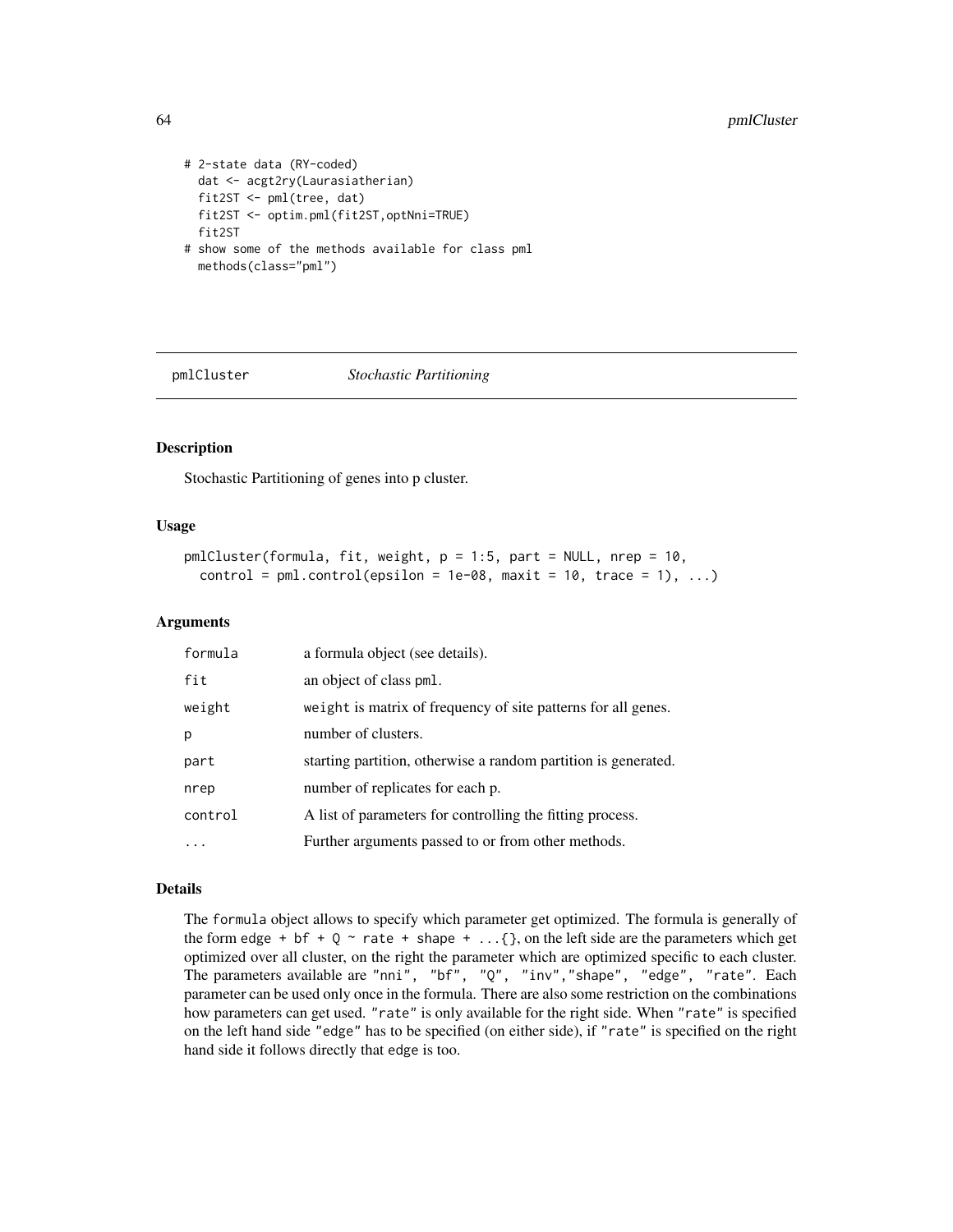```
# 2-state data (RY-coded)
 dat <- acgt2ry(Laurasiatherian)
 fit2ST <- pml(tree, dat)
 fit2ST <- optim.pml(fit2ST,optNni=TRUE)
 fit2ST
# show some of the methods available for class pml
 methods(class="pml")
```
<span id="page-63-0"></span>

pmlCluster *Stochastic Partitioning*

# Description

Stochastic Partitioning of genes into p cluster.

## Usage

```
pmlCluster(formula, fit, weight, p = 1:5, part = NULL, nrep = 10,
  control = pm1.contrib(epsilon = 1e-08, maxit = 10, trace = 1), ...
```
#### Arguments

| formula | a formula object (see details).                                |
|---------|----------------------------------------------------------------|
| fit     | an object of class pml.                                        |
| weight  | weight is matrix of frequency of site patterns for all genes.  |
| p       | number of clusters.                                            |
| part    | starting partition, otherwise a random partition is generated. |
| nrep    | number of replicates for each p.                               |
| control | A list of parameters for controlling the fitting process.      |
|         | Further arguments passed to or from other methods.             |

## Details

The formula object allows to specify which parameter get optimized. The formula is generally of the form edge + bf +  $Q \sim$  rate + shape + ...{ }, on the left side are the parameters which get optimized over all cluster, on the right the parameter which are optimized specific to each cluster. The parameters available are "nni", "bf", "Q", "inv","shape", "edge", "rate". Each parameter can be used only once in the formula. There are also some restriction on the combinations how parameters can get used. "rate" is only available for the right side. When "rate" is specified on the left hand side "edge" has to be specified (on either side), if "rate" is specified on the right hand side it follows directly that edge is too.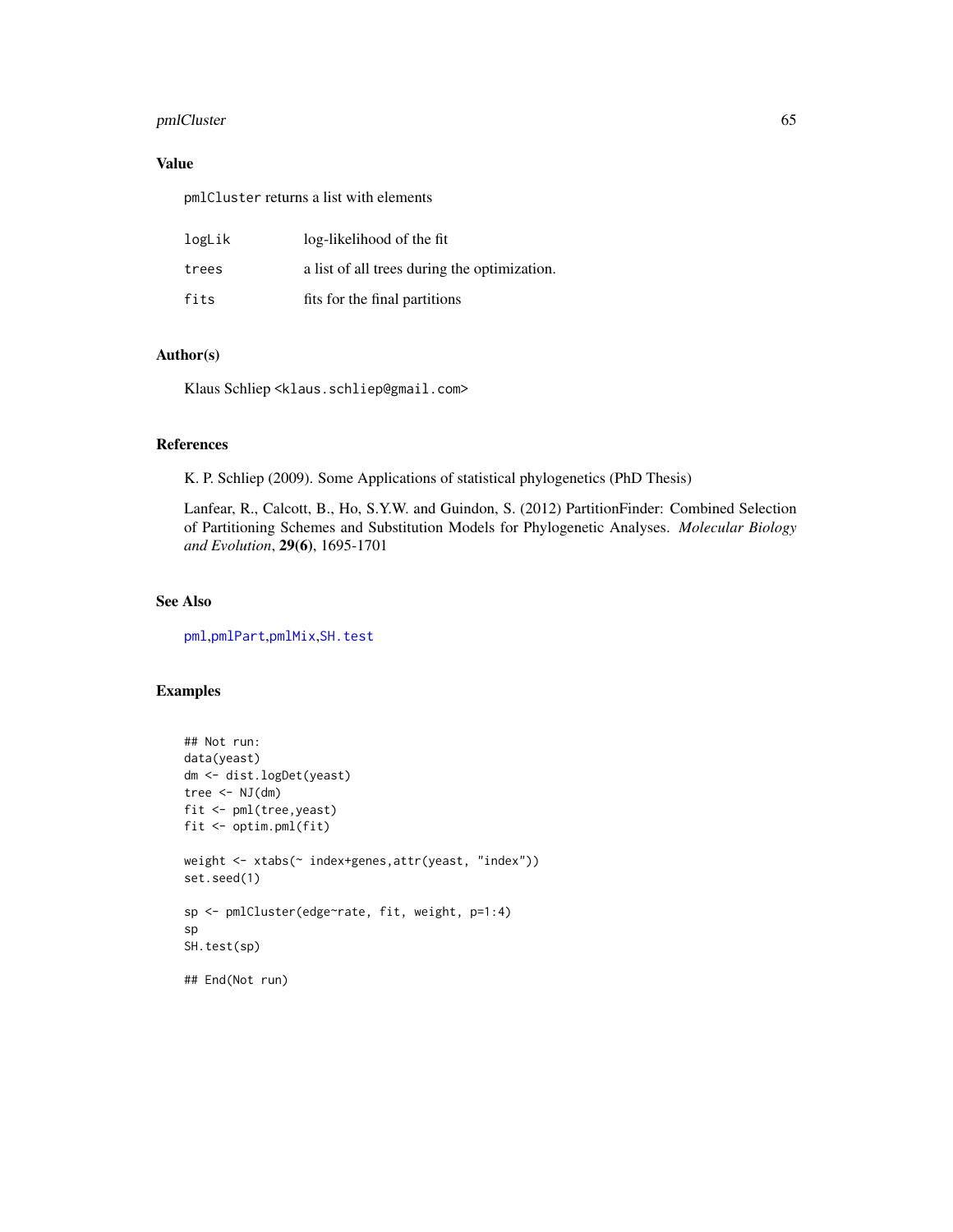# pmlCluster 65

# Value

pmlCluster returns a list with elements

| logLik | log-likelihood of the fit                    |
|--------|----------------------------------------------|
| trees  | a list of all trees during the optimization. |
| fits   | fits for the final partitions                |

# Author(s)

Klaus Schliep <klaus.schliep@gmail.com>

# References

K. P. Schliep (2009). Some Applications of statistical phylogenetics (PhD Thesis)

Lanfear, R., Calcott, B., Ho, S.Y.W. and Guindon, S. (2012) PartitionFinder: Combined Selection of Partitioning Schemes and Substitution Models for Phylogenetic Analyses. *Molecular Biology and Evolution*, 29(6), 1695-1701

# See Also

[pml](#page-59-0),[pmlPart](#page-48-0),[pmlMix](#page-65-0),[SH.test](#page-69-0)

# Examples

```
## Not run:
data(yeast)
dm <- dist.logDet(yeast)
tree \leq NJ(dm)fit <- pml(tree,yeast)
fit <- optim.pml(fit)
weight <- xtabs(~ index+genes, attr(yeast, "index"))
set.seed(1)
sp <- pmlCluster(edge~rate, fit, weight, p=1:4)
sp
SH.test(sp)
```
## End(Not run)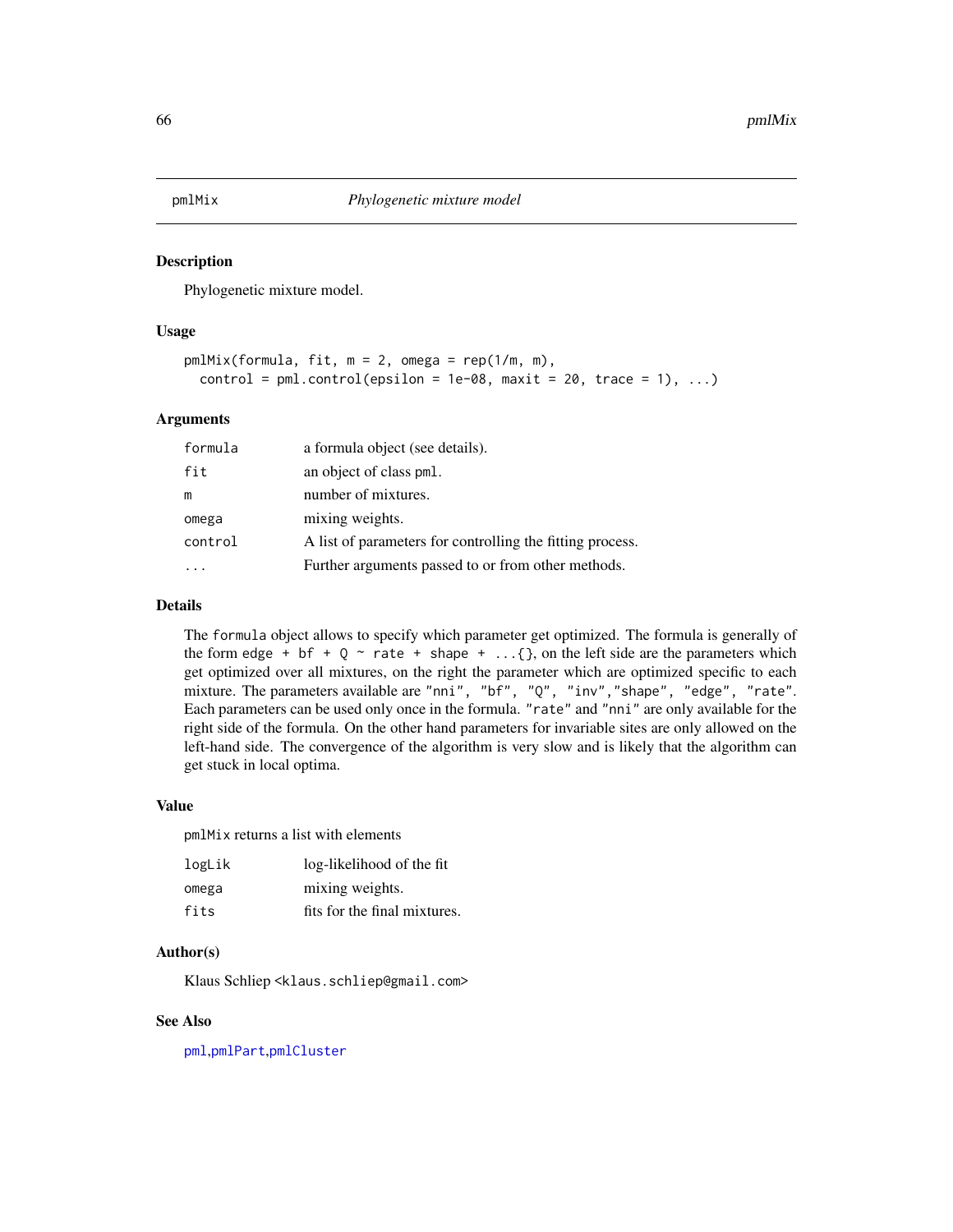<span id="page-65-0"></span>

#### Description

Phylogenetic mixture model.

## Usage

```
pmlMix(formula, fit, m = 2, omega = rep(1/m, m),
 control = pm1.control(epsilon = 1e-08, maxit = 20, trace = 1), ...)
```
# Arguments

| formula | a formula object (see details).                           |
|---------|-----------------------------------------------------------|
| fit     | an object of class pml.                                   |
| m       | number of mixtures.                                       |
| omega   | mixing weights.                                           |
| control | A list of parameters for controlling the fitting process. |
|         | Further arguments passed to or from other methods.        |

#### Details

The formula object allows to specify which parameter get optimized. The formula is generally of the form edge + bf +  $Q \sim$  rate + shape + ...{ }, on the left side are the parameters which get optimized over all mixtures, on the right the parameter which are optimized specific to each mixture. The parameters available are "nni", "bf", "Q", "inv","shape", "edge", "rate". Each parameters can be used only once in the formula. "rate" and "nni" are only available for the right side of the formula. On the other hand parameters for invariable sites are only allowed on the left-hand side. The convergence of the algorithm is very slow and is likely that the algorithm can get stuck in local optima.

# Value

pmlMix returns a list with elements

| logLik | log-likelihood of the fit    |
|--------|------------------------------|
| omega  | mixing weights.              |
| fits   | fits for the final mixtures. |

#### Author(s)

Klaus Schliep <klaus.schliep@gmail.com>

#### See Also

[pml](#page-59-0),[pmlPart](#page-48-0),[pmlCluster](#page-63-0)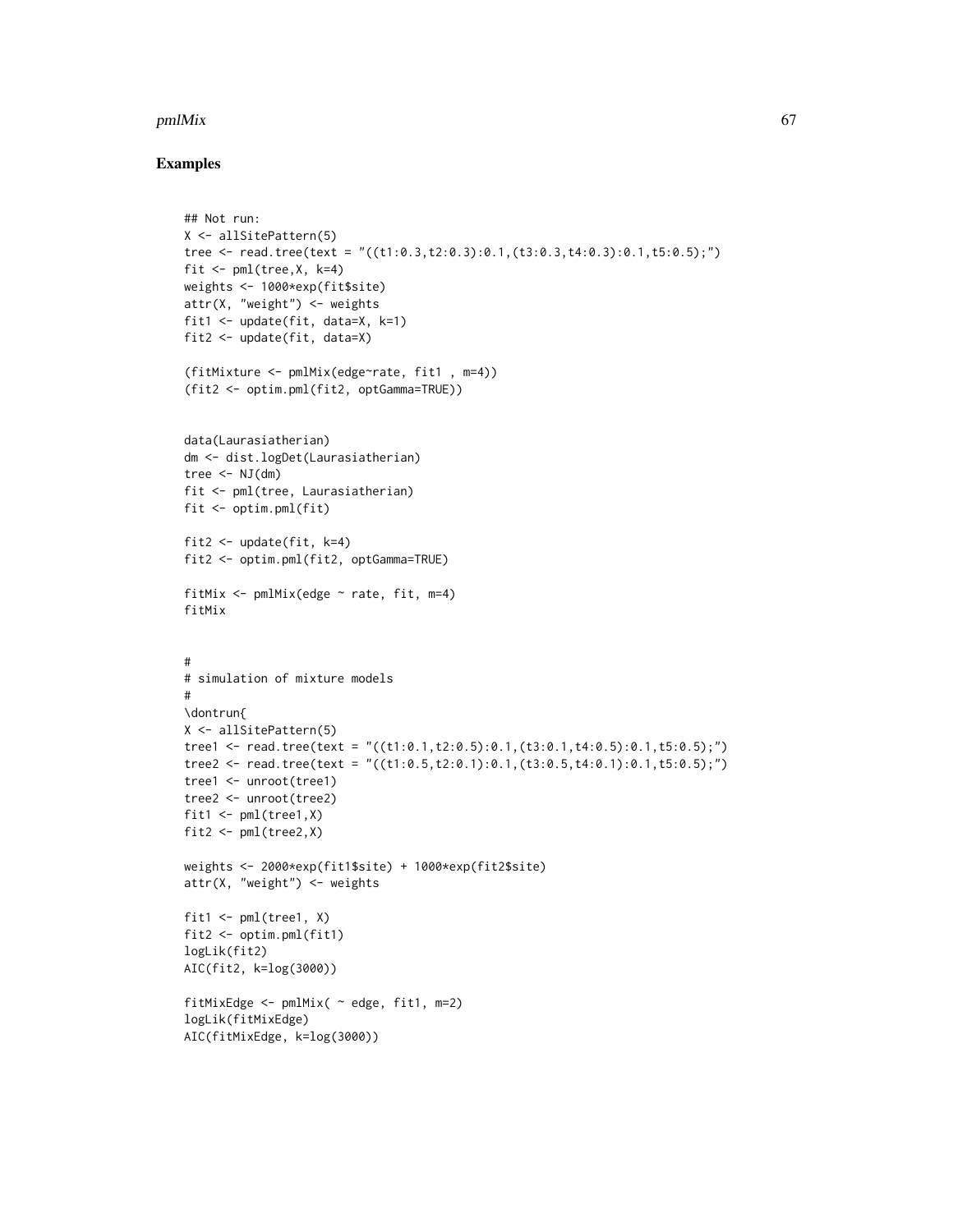#### pmlMix 67

## Examples

```
## Not run:
X <- allSitePattern(5)
tree <- read.tree(text = "((t1:0.3,t2:0.3):0.1,(t3:0.3,t4:0.3):0.1,t5:0.5);")
fit \leq pml(tree, X, k=4)
weights <- 1000*exp(fit$site)
attr(X, "weight") <- weights
fit1 <- update(fit, data=X, k=1)
fit2 <- update(fit, data=X)
(fitMixture <- pmlMix(edge~rate, fit1 , m=4))
(fit2 <- optim.pml(fit2, optGamma=TRUE))
data(Laurasiatherian)
dm <- dist.logDet(Laurasiatherian)
tree \leq NJ(dm)fit <- pml(tree, Laurasiatherian)
fit <- optim.pml(fit)
fit2 <- update(fit, k=4)
fit2 <- optim.pml(fit2, optGamma=TRUE)
fitMix \leq pmlMix(edge \sim rate, fit, m=4)
fitMix
#
# simulation of mixture models
#
\dontrun{
X <- allSitePattern(5)
tree1 <- read.tree(text = "((t1:0.1,t2:0.5):0.1,(t3:0.1,t4:0.5):0.1,t5:0.5);")
tree2 <- read.tree(text = "((t1:0.5,t2:0.1):0.1,(t3:0.5,t4:0.1):0.1,t5:0.5);")
tree1 <- unroot(tree1)
tree2 <- unroot(tree2)
fit1 \leftarrow pml(tree1,X)
fit2 \leftarrow pml(tree2,X)
weights <- 2000*exp(fit1$site) + 1000*exp(fit2$site)
attr(X, "weight") <- weights
fit1 \leftarrow pml(tree1, X)
fit2 <- optim.pml(fit1)
logLik(fit2)
AIC(fit2, k=log(3000))
fitMixEdge <- pmlMix( ~ edge, fit1, m=2)
logLik(fitMixEdge)
AIC(fitMixEdge, k=log(3000))
```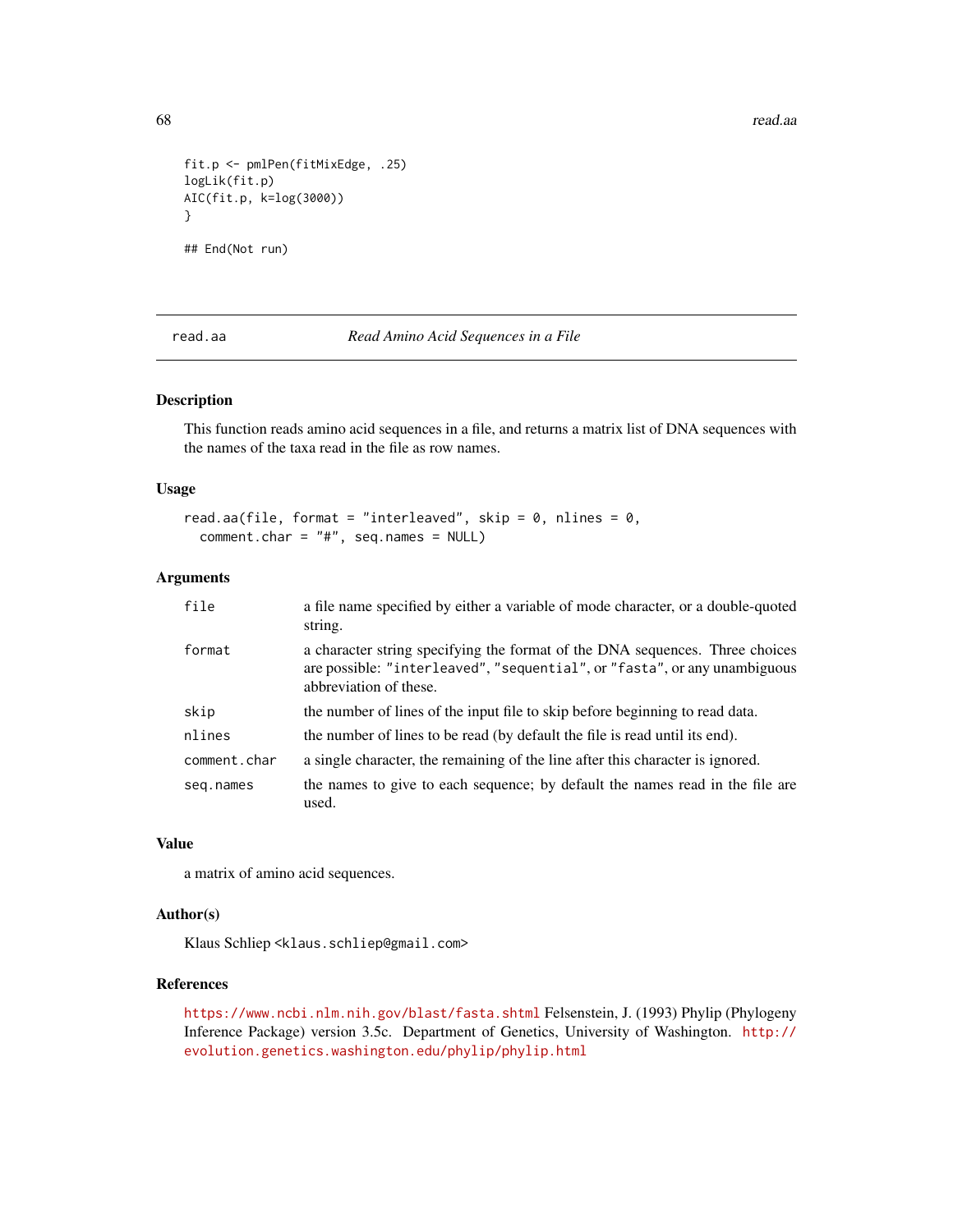68 read.aa $\epsilon$ 

```
fit.p <- pmlPen(fitMixEdge, .25)
logLik(fit.p)
AIC(fit.p, k=log(3000))
}
```
## End(Not run)

<span id="page-67-0"></span>read.aa *Read Amino Acid Sequences in a File*

#### Description

This function reads amino acid sequences in a file, and returns a matrix list of DNA sequences with the names of the taxa read in the file as row names.

#### Usage

```
read.aa(file, format = "interleaved", skip = 0, nlines = 0,
 comment.char = "#", seq.names = NULL)
```
#### Arguments

| file         | a file name specified by either a variable of mode character, or a double-quoted<br>string.                                                                                         |
|--------------|-------------------------------------------------------------------------------------------------------------------------------------------------------------------------------------|
| format       | a character string specifying the format of the DNA sequences. Three choices<br>are possible: "interleaved", "sequential", or "fasta", or any unambiguous<br>abbreviation of these. |
| skip         | the number of lines of the input file to skip before beginning to read data.                                                                                                        |
| nlines       | the number of lines to be read (by default the file is read until its end).                                                                                                         |
| comment.char | a single character, the remaining of the line after this character is ignored.                                                                                                      |
| seg.names    | the names to give to each sequence; by default the names read in the file are<br>used.                                                                                              |

#### Value

a matrix of amino acid sequences.

# Author(s)

Klaus Schliep <klaus.schliep@gmail.com>

# References

<https://www.ncbi.nlm.nih.gov/blast/fasta.shtml> Felsenstein, J. (1993) Phylip (Phylogeny Inference Package) version 3.5c. Department of Genetics, University of Washington. [http://](http://evolution.genetics.washington.edu/phylip/phylip.html) [evolution.genetics.washington.edu/phylip/phylip.html](http://evolution.genetics.washington.edu/phylip/phylip.html)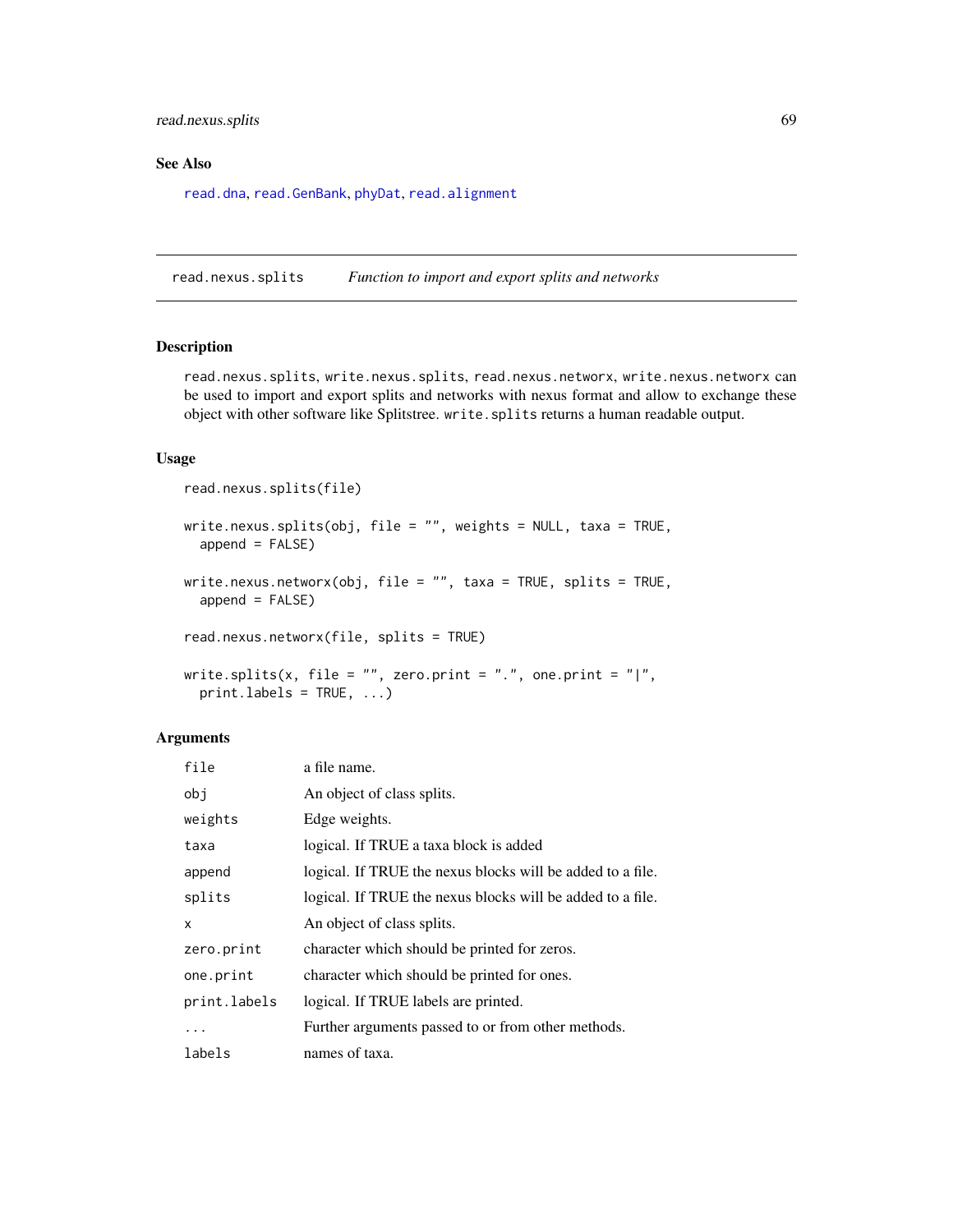# read.nexus.splits 69

## See Also

[read.dna](#page-0-0), [read.GenBank](#page-0-0), [phyDat](#page-53-0), [read.alignment](#page-0-0)

read.nexus.splits *Function to import and export splits and networks*

# Description

read.nexus.splits, write.nexus.splits, read.nexus.networx, write.nexus.networx can be used to import and export splits and networks with nexus format and allow to exchange these object with other software like Splitstree. write.splits returns a human readable output.

#### Usage

```
read.nexus.splits(file)
write.nexus.splits(obj, file = "", weights = NULL, taxa = TRUE,
  append = FALSE)write.nexus.networx(obj, file = "", taxa = TRUE, splits = TRUE,
  append = FALSE)read.nexus.networx(file, splits = TRUE)
write.splits(x, file = ", zero.print = "., one.print = "|",
 printu = TRUE, ...
```

| file         | a file name.                                               |
|--------------|------------------------------------------------------------|
| obj          | An object of class splits.                                 |
| weights      | Edge weights.                                              |
| taxa         | logical. If TRUE a taxa block is added                     |
| append       | logical. If TRUE the nexus blocks will be added to a file. |
| splits       | logical. If TRUE the nexus blocks will be added to a file. |
| X            | An object of class splits.                                 |
| zero.print   | character which should be printed for zeros.               |
| one.print    | character which should be printed for ones.                |
| print.labels | logical. If TRUE labels are printed.                       |
| .            | Further arguments passed to or from other methods.         |
| labels       | names of taxa.                                             |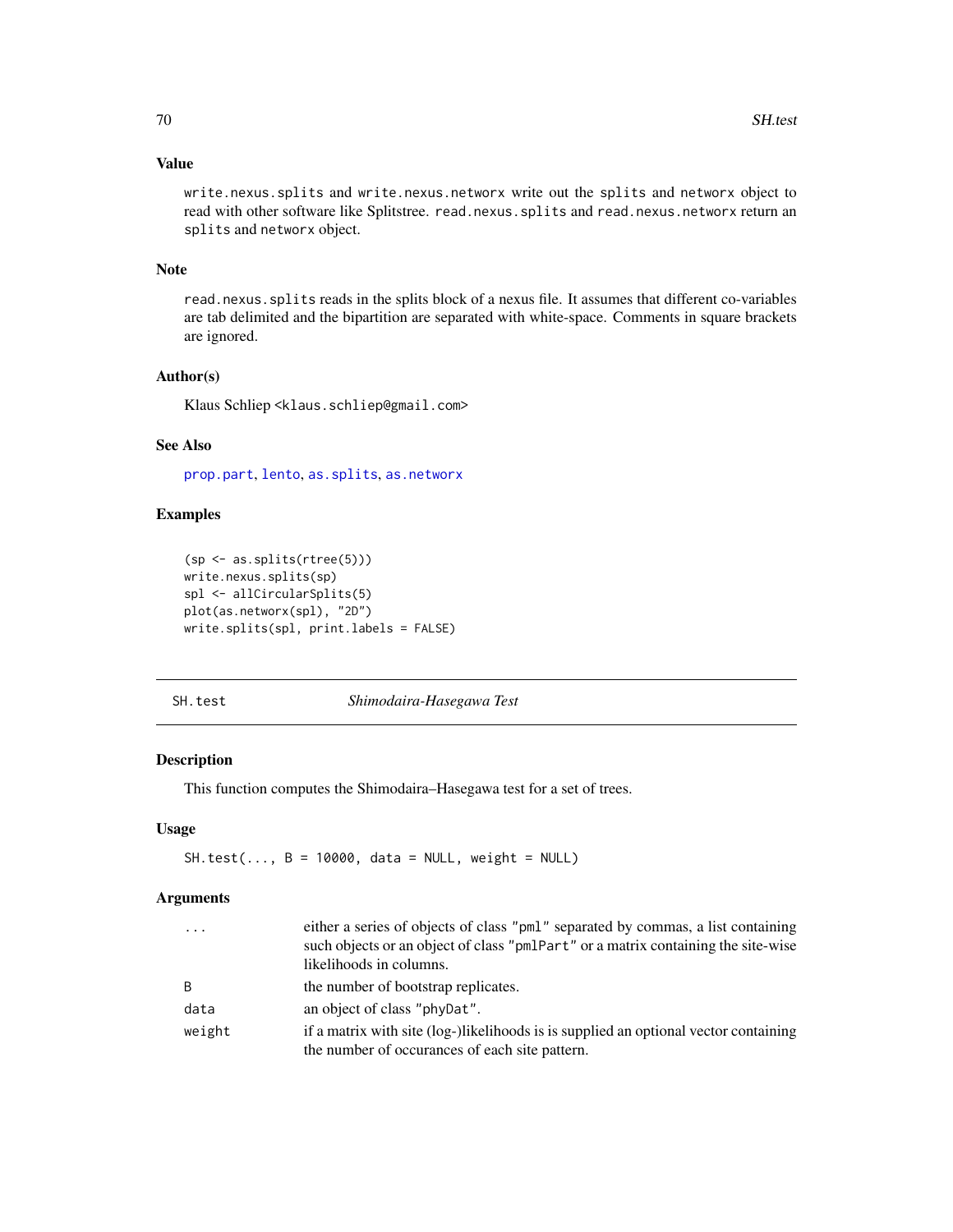# Value

write.nexus.splits and write.nexus.networx write out the splits and networx object to read with other software like Splitstree. read.nexus.splits and read.nexus.networx return an splits and networx object.

#### Note

read.nexus.splits reads in the splits block of a nexus file. It assumes that different co-variables are tab delimited and the bipartition are separated with white-space. Comments in square brackets are ignored.

# Author(s)

Klaus Schliep <klaus.schliep@gmail.com>

# See Also

[prop.part](#page-0-0), [lento](#page-41-0), [as.splits](#page-6-0), [as.networx](#page-10-0)

# Examples

```
(sp <- as.splits(rtree(5)))
write.nexus.splits(sp)
spl <- allCircularSplits(5)
plot(as.networx(spl), "2D")
write.splits(spl, print.labels = FALSE)
```
<span id="page-69-0"></span>SH.test *Shimodaira-Hasegawa Test*

## Description

This function computes the Shimodaira–Hasegawa test for a set of trees.

# Usage

 $SH.test($ ...,  $B = 10000$ , data = NULL, weight = NULL)

| $\ddots$     | either a series of objects of class "pml" separated by commas, a list containing<br>such objects or an object of class "pmlPart" or a matrix containing the site-wise<br>likelihoods in columns. |
|--------------|--------------------------------------------------------------------------------------------------------------------------------------------------------------------------------------------------|
| <sub>B</sub> | the number of bootstrap replicates.                                                                                                                                                              |
| data         | an object of class "phyDat".                                                                                                                                                                     |
| weight       | if a matrix with site (log-)likelihoods is is supplied an optional vector containing<br>the number of occurances of each site pattern.                                                           |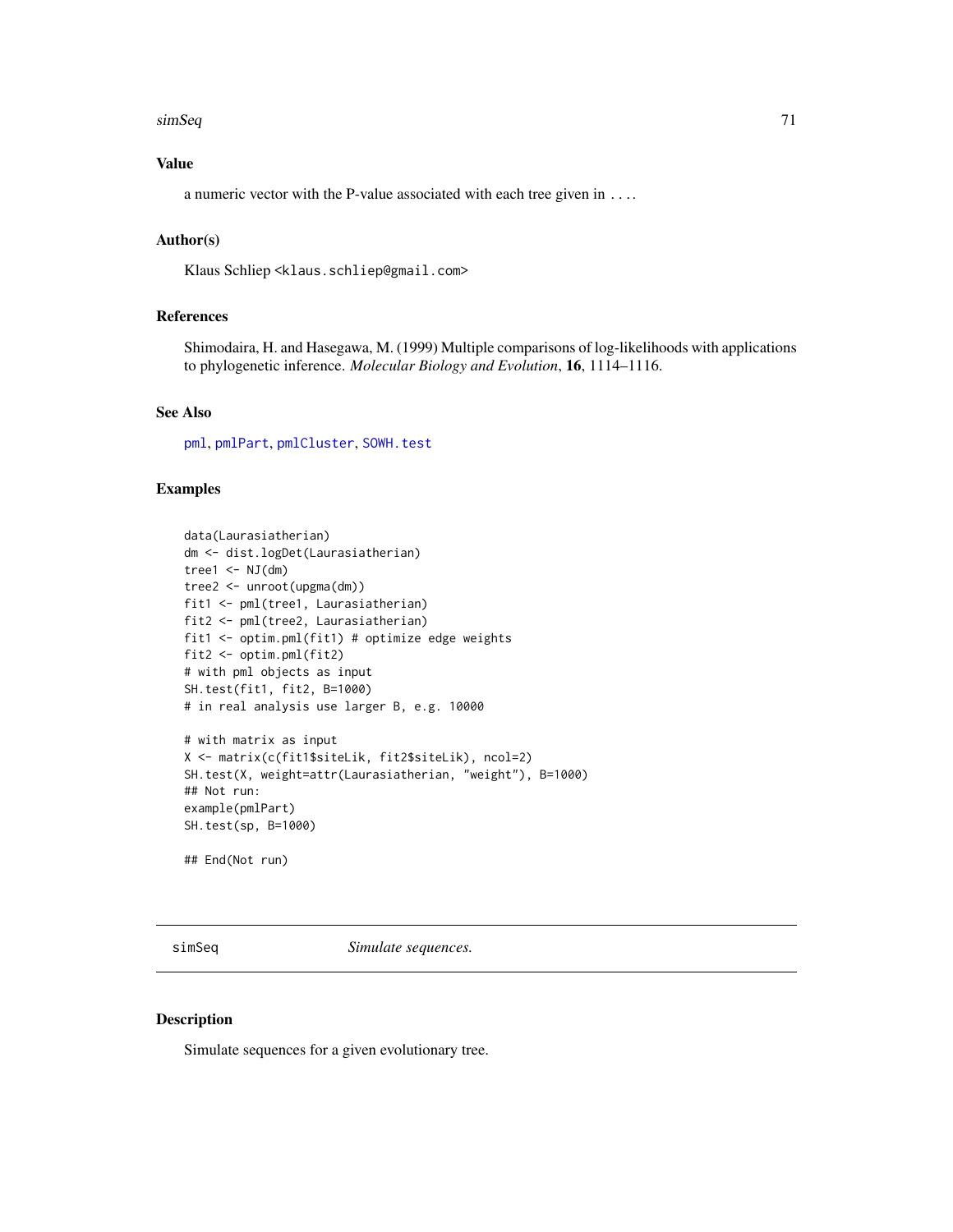#### $s$ imSeq 71

# Value

a numeric vector with the P-value associated with each tree given in ....

# Author(s)

Klaus Schliep <klaus.schliep@gmail.com>

# References

Shimodaira, H. and Hasegawa, M. (1999) Multiple comparisons of log-likelihoods with applications to phylogenetic inference. *Molecular Biology and Evolution*, 16, 1114–1116.

## See Also

[pml](#page-59-0), [pmlPart](#page-48-0), [pmlCluster](#page-63-0), [SOWH.test](#page-72-0)

## Examples

```
data(Laurasiatherian)
dm <- dist.logDet(Laurasiatherian)
tree1 \leq NJ(dm)
tree2 <- unroot(upgma(dm))
fit1 <- pml(tree1, Laurasiatherian)
fit2 <- pml(tree2, Laurasiatherian)
fit1 <- optim.pml(fit1) # optimize edge weights
fit2 <- optim.pml(fit2)
# with pml objects as input
SH.test(fit1, fit2, B=1000)
# in real analysis use larger B, e.g. 10000
# with matrix as input
X <- matrix(c(fit1$siteLik, fit2$siteLik), ncol=2)
SH.test(X, weight=attr(Laurasiatherian, "weight"), B=1000)
## Not run:
example(pmlPart)
SH.test(sp, B=1000)
```
## End(Not run)

simSeq *Simulate sequences.*

# Description

Simulate sequences for a given evolutionary tree.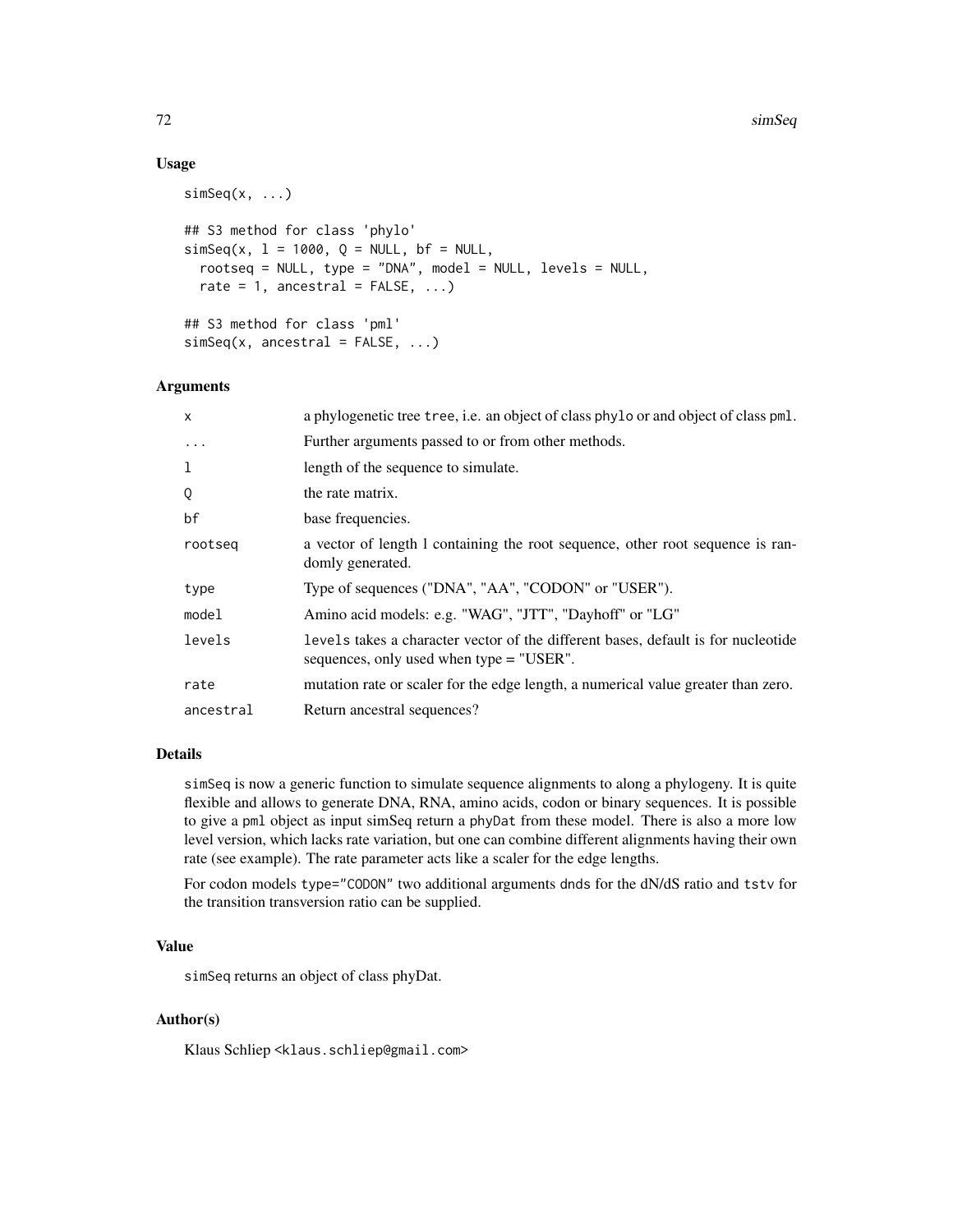#### 72 simSeq

## Usage

```
simeseq(x, \ldots)## S3 method for class 'phylo'
simSeq(x, 1 = 1000, Q = NULL, bf = NULL,rootseq = NULL, type = "DNA", model = NULL, levels = NULL,
  rate = 1, ancestral = FALSE, ...)
## S3 method for class 'pml'
simSeq(x, ancestral = FALSE, ...)
```
#### Arguments

| X          | a phylogenetic tree tree, i.e. an object of class phylo or and object of class pml.                                             |
|------------|---------------------------------------------------------------------------------------------------------------------------------|
| $\ddots$ . | Further arguments passed to or from other methods.                                                                              |
| 1          | length of the sequence to simulate.                                                                                             |
| Q          | the rate matrix.                                                                                                                |
| bf         | base frequencies.                                                                                                               |
| rootseg    | a vector of length 1 containing the root sequence, other root sequence is ran-<br>domly generated.                              |
| type       | Type of sequences ("DNA", "AA", "CODON" or "USER").                                                                             |
| model      | Amino acid models: e.g. "WAG", "JTT", "Dayhoff" or "LG"                                                                         |
| levels     | levels takes a character vector of the different bases, default is for nucleotide<br>sequences, only used when $type = "USER".$ |
| rate       | mutation rate or scaler for the edge length, a numerical value greater than zero.                                               |
| ancestral  | Return ancestral sequences?                                                                                                     |

# Details

simSeq is now a generic function to simulate sequence alignments to along a phylogeny. It is quite flexible and allows to generate DNA, RNA, amino acids, codon or binary sequences. It is possible to give a pml object as input simSeq return a phyDat from these model. There is also a more low level version, which lacks rate variation, but one can combine different alignments having their own rate (see example). The rate parameter acts like a scaler for the edge lengths.

For codon models type="CODON" two additional arguments dnds for the dN/dS ratio and tstv for the transition transversion ratio can be supplied.

#### Value

simSeq returns an object of class phyDat.

#### Author(s)

Klaus Schliep <klaus.schliep@gmail.com>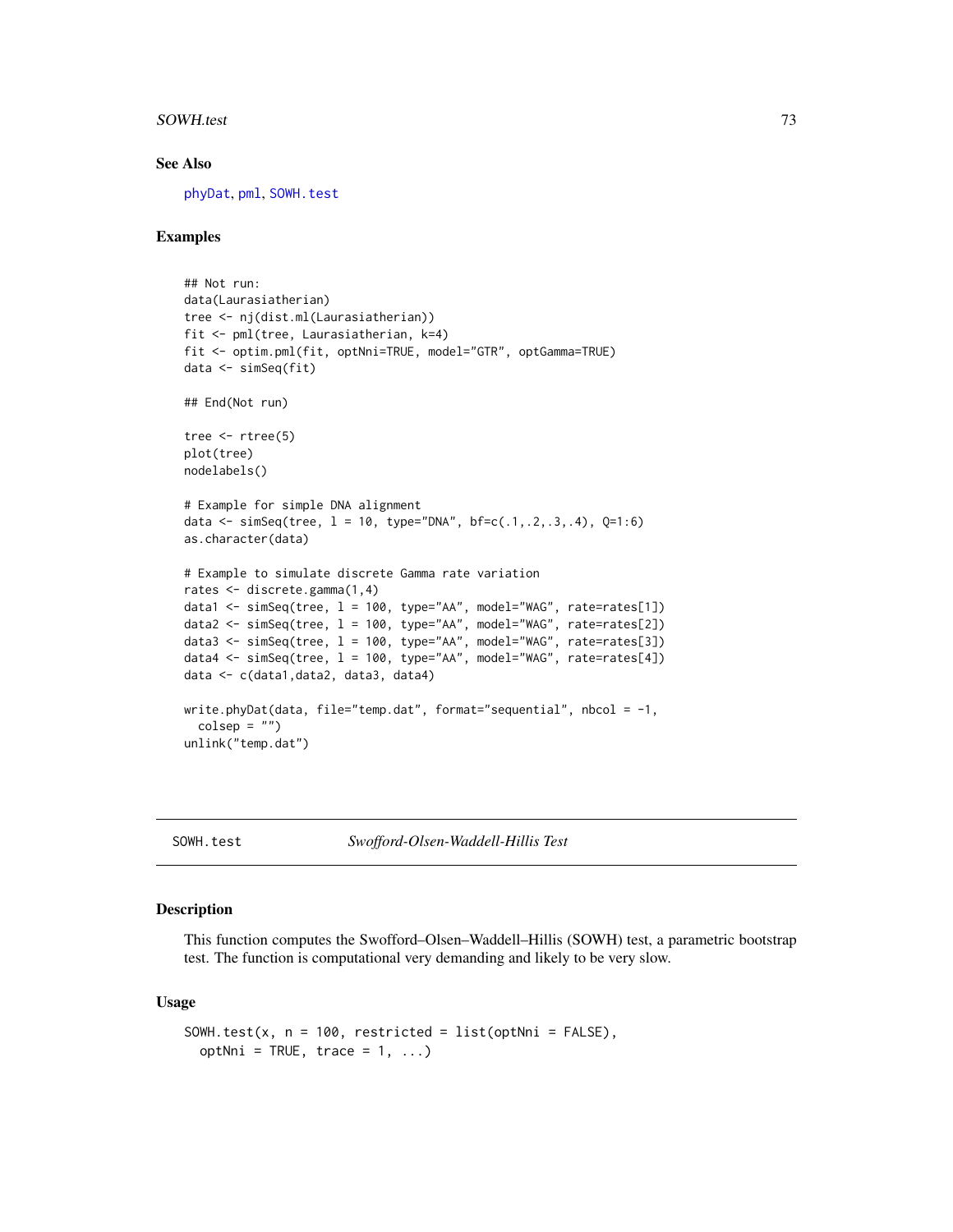#### <span id="page-72-1"></span>SOWH.test 73

#### See Also

[phyDat](#page-53-0), [pml](#page-59-0), [SOWH.test](#page-72-0)

# Examples

```
## Not run:
data(Laurasiatherian)
tree <- nj(dist.ml(Laurasiatherian))
fit <- pml(tree, Laurasiatherian, k=4)
fit <- optim.pml(fit, optNni=TRUE, model="GTR", optGamma=TRUE)
data <- simSeq(fit)
## End(Not run)
tree \leq rtree(5)
plot(tree)
nodelabels()
# Example for simple DNA alignment
data <- simSeq(tree, l = 10, type="DNA", bf=c(.1,.2,.3,.4), Q=1:6)
as.character(data)
# Example to simulate discrete Gamma rate variation
rates <- discrete.gamma(1,4)
data1 <- simSeq(tree, l = 100, type="AA", model="WAG", rate=rates[1])
data2 <- simSeq(tree, l = 100, type="AA", model="WAG", rate=rates[2])
data3 <- simSeq(tree, l = 100, type="AA", model="WAG", rate=rates[3])
data4 <- simSeq(tree, 1 = 100, type="AA", model="WAG", rate=rates[4])
data <- c(data1,data2, data3, data4)
write.phyDat(data, file="temp.dat", format="sequential", nbcol = -1,
  colsep = "")unlink("temp.dat")
```
<span id="page-72-0"></span>

SOWH.test *Swofford-Olsen-Waddell-Hillis Test*

#### Description

This function computes the Swofford–Olsen–Waddell–Hillis (SOWH) test, a parametric bootstrap test. The function is computational very demanding and likely to be very slow.

#### Usage

```
SOWH.test(x, n = 100, restricted = list(optNni = FALSE),
 optNni = TRUE, trace = 1, ...)
```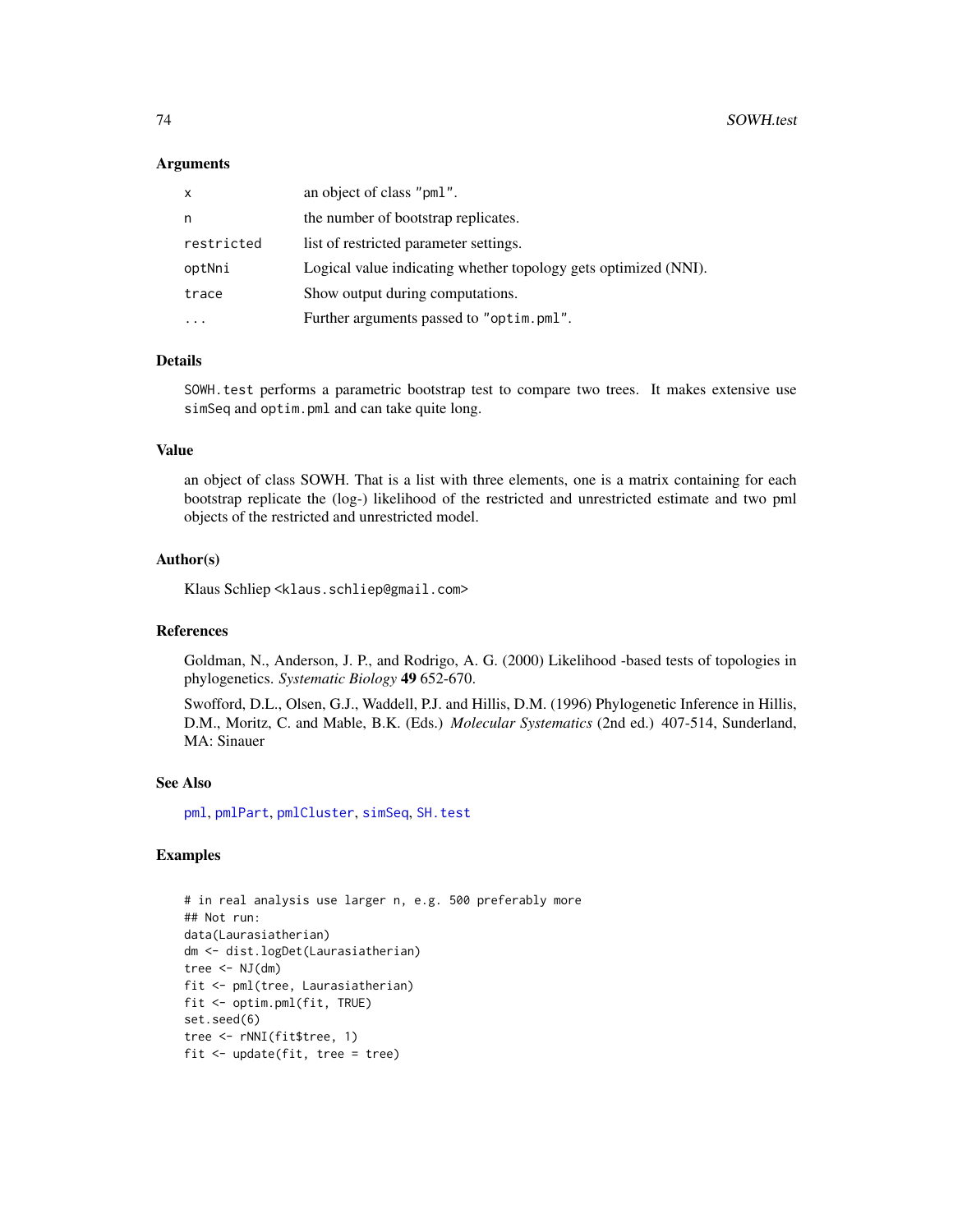# **Arguments**

| X          | an object of class "pml".                                       |
|------------|-----------------------------------------------------------------|
| n          | the number of bootstrap replicates.                             |
| restricted | list of restricted parameter settings.                          |
| optNni     | Logical value indicating whether topology gets optimized (NNI). |
| trace      | Show output during computations.                                |
|            | Further arguments passed to "optim.pml".                        |

# Details

SOWH.test performs a parametric bootstrap test to compare two trees. It makes extensive use simSeq and optim.pml and can take quite long.

# Value

an object of class SOWH. That is a list with three elements, one is a matrix containing for each bootstrap replicate the (log-) likelihood of the restricted and unrestricted estimate and two pml objects of the restricted and unrestricted model.

#### Author(s)

Klaus Schliep <klaus.schliep@gmail.com>

#### References

Goldman, N., Anderson, J. P., and Rodrigo, A. G. (2000) Likelihood -based tests of topologies in phylogenetics. *Systematic Biology* 49 652-670.

Swofford, D.L., Olsen, G.J., Waddell, P.J. and Hillis, D.M. (1996) Phylogenetic Inference in Hillis, D.M., Moritz, C. and Mable, B.K. (Eds.) *Molecular Systematics* (2nd ed.) 407-514, Sunderland, MA: Sinauer

# See Also

[pml](#page-59-0), [pmlPart](#page-48-0), [pmlCluster](#page-63-0), [simSeq](#page-70-0), [SH.test](#page-69-0)

# Examples

# in real analysis use larger n, e.g. 500 preferably more ## Not run: data(Laurasiatherian) dm <- dist.logDet(Laurasiatherian) tree  $<-$  NJ $(dm)$ fit <- pml(tree, Laurasiatherian) fit <- optim.pml(fit, TRUE) set.seed(6) tree <- rNNI(fit\$tree, 1) fit <- update(fit, tree = tree)

<span id="page-73-0"></span>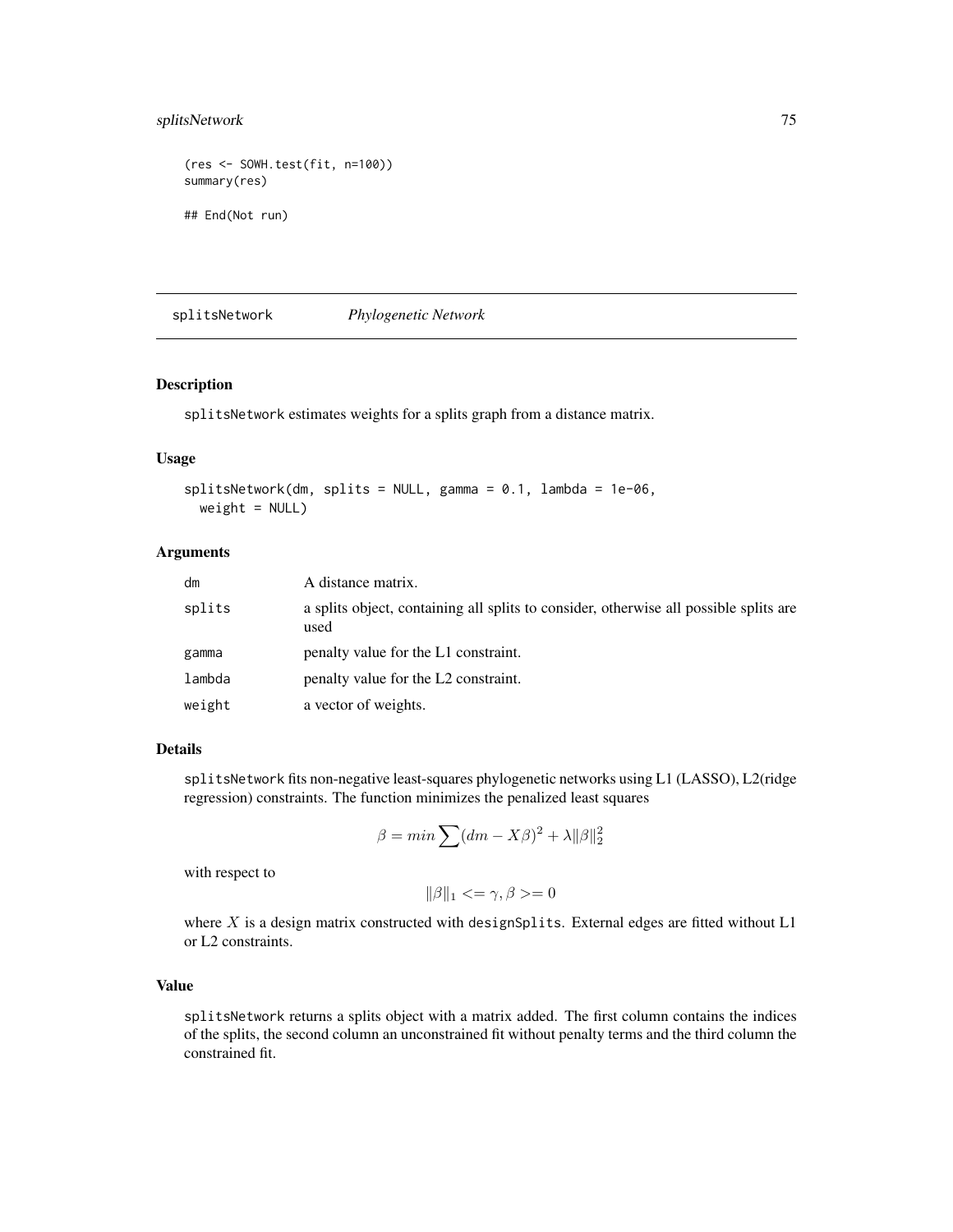# <span id="page-74-0"></span>splitsNetwork 75

```
(res <- SOWH.test(fit, n=100))
summary(res)
## End(Not run)
```
splitsNetwork *Phylogenetic Network*

# Description

splitsNetwork estimates weights for a splits graph from a distance matrix.

#### Usage

```
splitsNetwork(dm, splits = NULL, gamma = 0.1, lambda = 1e-06,
 weight = NULL)
```
# Arguments

| dm     | A distance matrix.                                                                            |
|--------|-----------------------------------------------------------------------------------------------|
| splits | a splits object, containing all splits to consider, otherwise all possible splits are<br>used |
| gamma  | penalty value for the L1 constraint.                                                          |
| lambda | penalty value for the L2 constraint.                                                          |
| weight | a vector of weights.                                                                          |

# Details

splitsNetwork fits non-negative least-squares phylogenetic networks using L1 (LASSO), L2(ridge regression) constraints. The function minimizes the penalized least squares

$$
\beta = \min \sum (dm - X\beta)^2 + \lambda ||\beta||_2^2
$$

with respect to

$$
\|\beta\|_1 <= \gamma, \beta >= 0
$$

where  $X$  is a design matrix constructed with designSplits. External edges are fitted without  $L1$ or L2 constraints.

# Value

splitsNetwork returns a splits object with a matrix added. The first column contains the indices of the splits, the second column an unconstrained fit without penalty terms and the third column the constrained fit.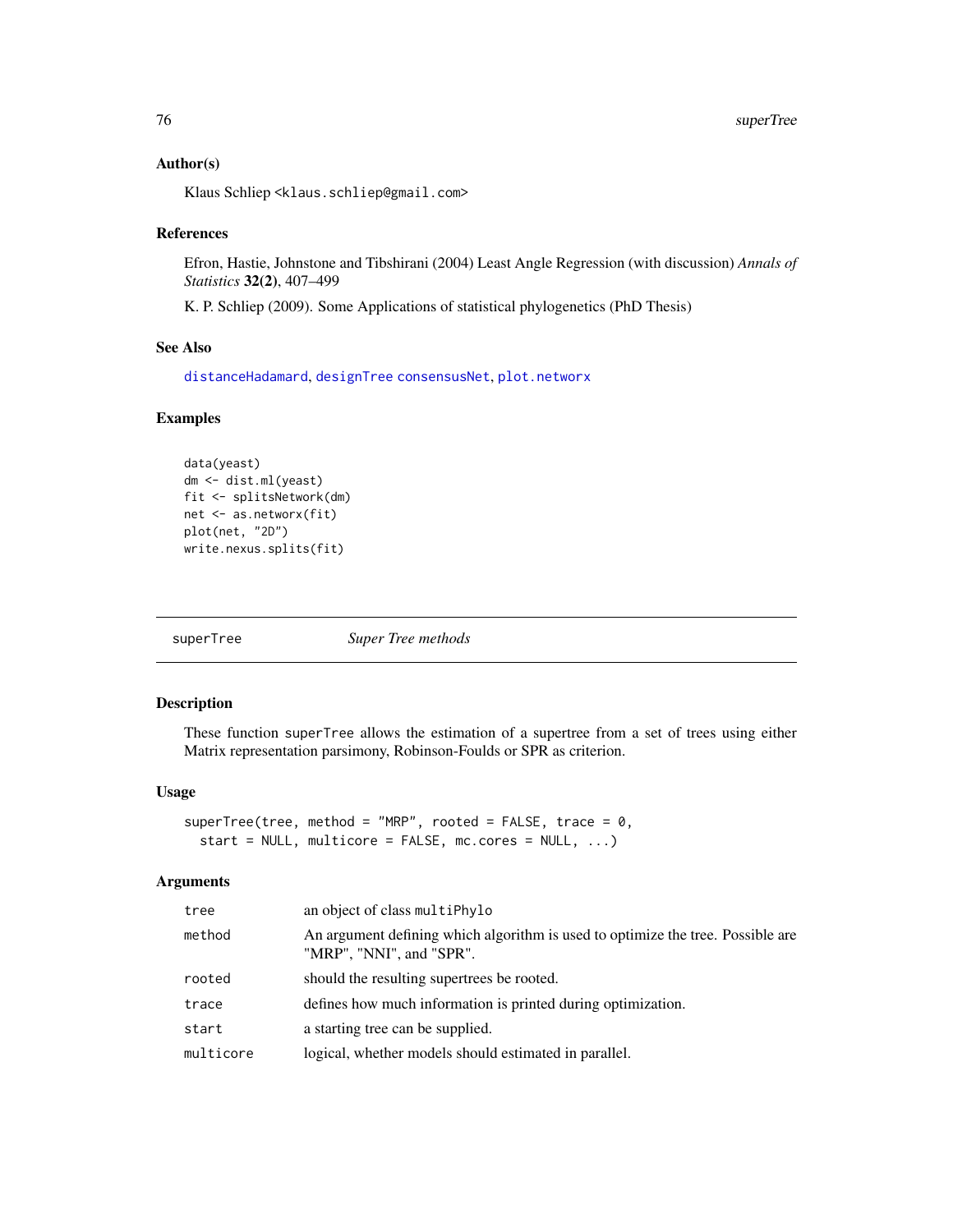# <span id="page-75-1"></span>Author(s)

Klaus Schliep <klaus.schliep@gmail.com>

#### References

Efron, Hastie, Johnstone and Tibshirani (2004) Least Angle Regression (with discussion) *Annals of Statistics* 32(2), 407–499

K. P. Schliep (2009). Some Applications of statistical phylogenetics (PhD Thesis)

#### See Also

[distanceHadamard](#page-32-0), [designTree](#page-26-0) [consensusNet](#page-20-0), [plot.networx](#page-57-0)

# Examples

```
data(yeast)
dm <- dist.ml(yeast)
fit <- splitsNetwork(dm)
net <- as.networx(fit)
plot(net, "2D")
write.nexus.splits(fit)
```
<span id="page-75-0"></span>

superTree *Super Tree methods*

# Description

These function superTree allows the estimation of a supertree from a set of trees using either Matrix representation parsimony, Robinson-Foulds or SPR as criterion.

# Usage

superTree(tree, method = "MRP", rooted = FALSE, trace =  $0$ , start = NULL, multicore =  $FALSE, mc. cores = NULL, ...$ 

# Arguments

| tree      | an object of class multiPhylo                                                                               |
|-----------|-------------------------------------------------------------------------------------------------------------|
| method    | An argument defining which algorithm is used to optimize the tree. Possible are<br>"MRP", "NNI", and "SPR". |
| rooted    | should the resulting supertrees be rooted.                                                                  |
| trace     | defines how much information is printed during optimization.                                                |
| start     | a starting tree can be supplied.                                                                            |
| multicore | logical, whether models should estimated in parallel.                                                       |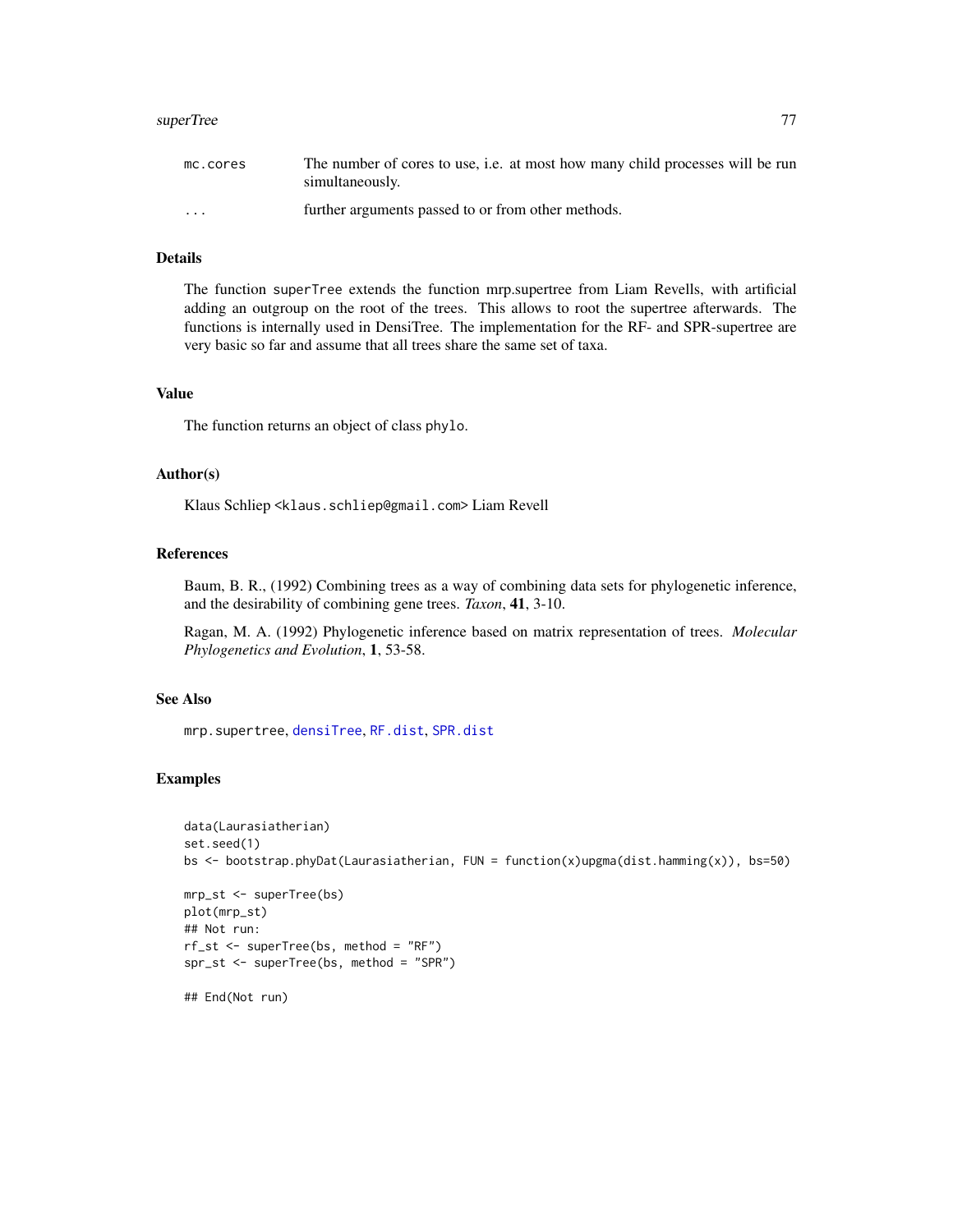#### <span id="page-76-0"></span>superTree 77

| mc.cores                | The number of cores to use, i.e. at most how many child processes will be run |
|-------------------------|-------------------------------------------------------------------------------|
|                         | simultaneously.                                                               |
| $\cdot$ $\cdot$ $\cdot$ | further arguments passed to or from other methods.                            |

# Details

The function superTree extends the function mrp.supertree from Liam Revells, with artificial adding an outgroup on the root of the trees. This allows to root the supertree afterwards. The functions is internally used in DensiTree. The implementation for the RF- and SPR-supertree are very basic so far and assume that all trees share the same set of taxa.

#### Value

The function returns an object of class phylo.

#### Author(s)

Klaus Schliep <klaus.schliep@gmail.com> Liam Revell

# References

Baum, B. R., (1992) Combining trees as a way of combining data sets for phylogenetic inference, and the desirability of combining gene trees. *Taxon*, 41, 3-10.

Ragan, M. A. (1992) Phylogenetic inference based on matrix representation of trees. *Molecular Phylogenetics and Evolution*, 1, 53-58.

# See Also

mrp.supertree, [densiTree](#page-24-0), [RF.dist](#page-77-0), [SPR.dist](#page-77-0)

# Examples

```
data(Laurasiatherian)
set.seed(1)
bs <- bootstrap.phyDat(Laurasiatherian, FUN = function(x)upgma(dist.hamming(x)), bs=50)
mrp_st <- superTree(bs)
plot(mrp_st)
## Not run:
rf_st <- superTree(bs, method = "RF")
spr_st <- superTree(bs, method = "SPR")
## End(Not run)
```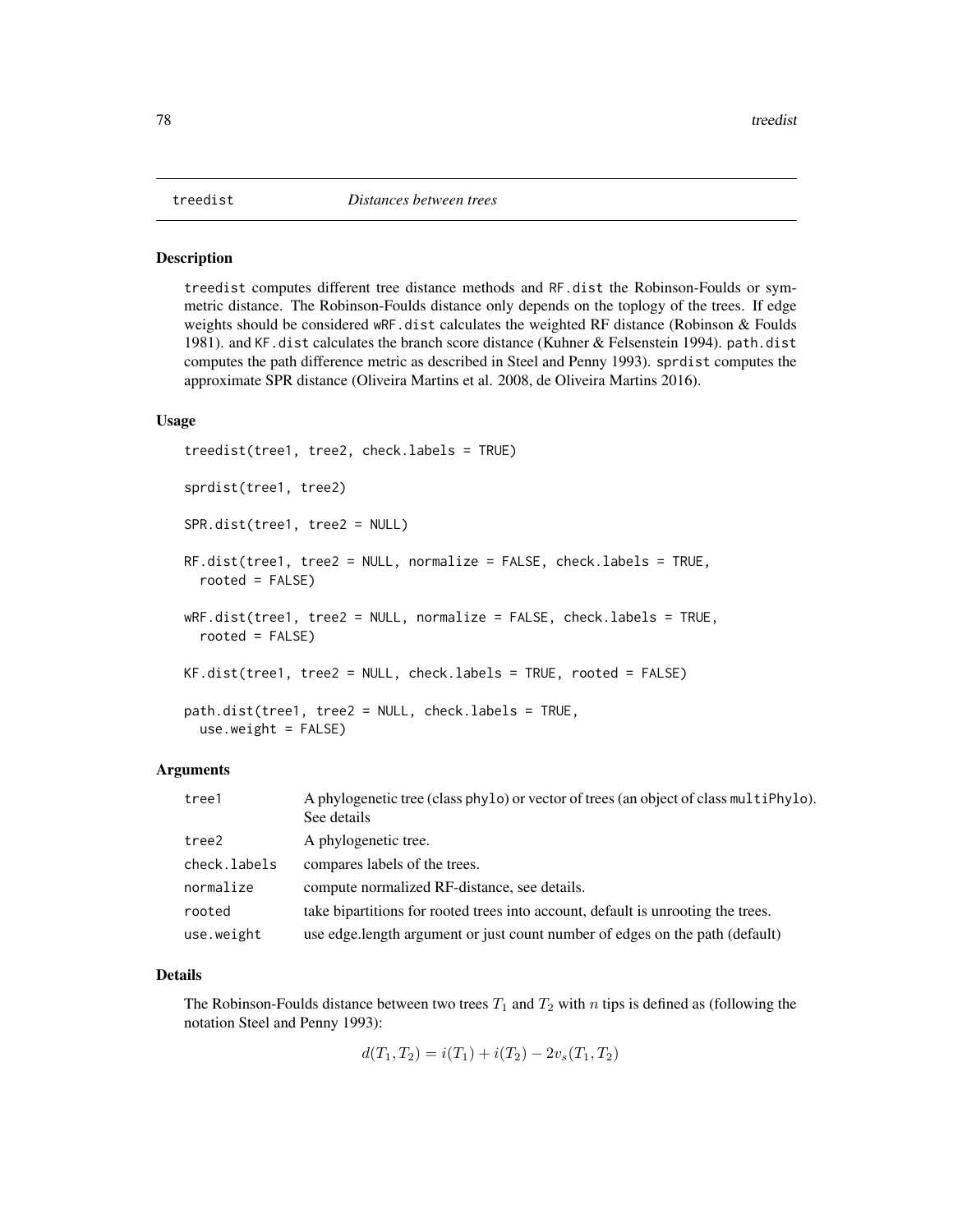#### <span id="page-77-1"></span><span id="page-77-0"></span>**Description**

treedist computes different tree distance methods and RF.dist the Robinson-Foulds or symmetric distance. The Robinson-Foulds distance only depends on the toplogy of the trees. If edge weights should be considered wRF.dist calculates the weighted RF distance (Robinson & Foulds 1981). and KF.dist calculates the branch score distance (Kuhner & Felsenstein 1994). path.dist computes the path difference metric as described in Steel and Penny 1993). sprdist computes the approximate SPR distance (Oliveira Martins et al. 2008, de Oliveira Martins 2016).

#### Usage

```
treedist(tree1, tree2, check.labels = TRUE)
sprdist(tree1, tree2)
SPR.dist(tree1, tree2 = NULL)
RF.dist(tree1, tree2 = NULL, normalize = FALSE, check.labels = TRUE,
  rooted = FALSE)
wRF.dist(tree1, tree2 = NULL, normalize = FALSE, check.labels = TRUE,
  rooted = FALSE)
KF.dist(tree1, tree2 = NULL, check.labels = TRUE, rooted = FALSE)
path.dist(tree1, tree2 = NULL, check.labels = TRUE,
  use.weight = FALSE)
```
# Arguments

| tree1        | A phylogenetic tree (class phylo) or vector of trees (an object of class multiphylo).<br>See details |
|--------------|------------------------------------------------------------------------------------------------------|
| tree2        | A phylogenetic tree.                                                                                 |
| check.labels | compares labels of the trees.                                                                        |
| normalize    | compute normalized RF-distance, see details.                                                         |
| rooted       | take bipartitions for rooted trees into account, default is unrooting the trees.                     |
| use.weight   | use edge.length argument or just count number of edges on the path (default)                         |

# Details

The Robinson-Foulds distance between two trees  $T_1$  and  $T_2$  with n tips is defined as (following the notation Steel and Penny 1993):

 $d(T_1, T_2) = i(T_1) + i(T_2) - 2v_s(T_1, T_2)$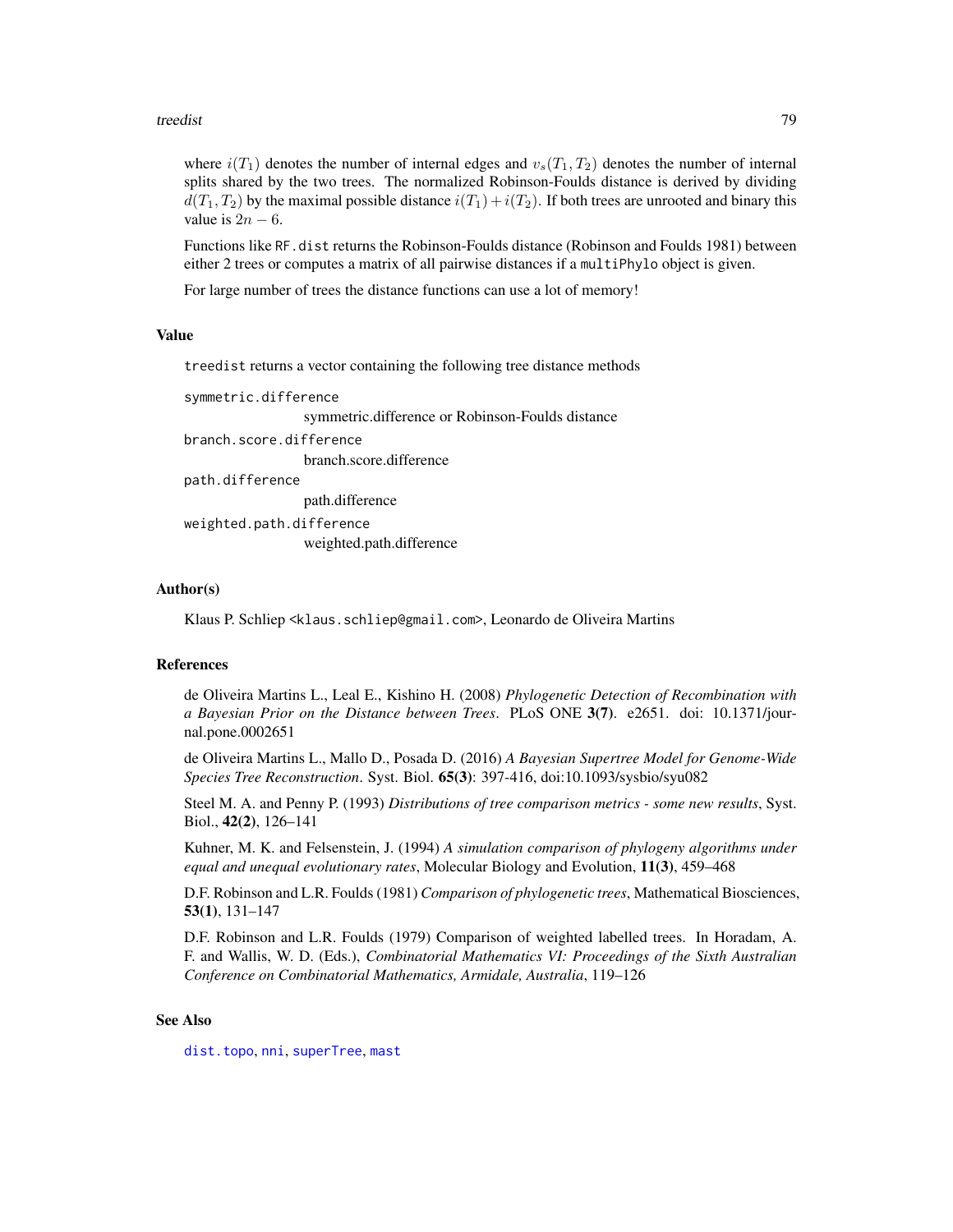#### <span id="page-78-0"></span>treedist 79

where  $i(T_1)$  denotes the number of internal edges and  $v_s(T_1, T_2)$  denotes the number of internal splits shared by the two trees. The normalized Robinson-Foulds distance is derived by dividing  $d(T_1, T_2)$  by the maximal possible distance  $i(T_1) + i(T_2)$ . If both trees are unrooted and binary this value is  $2n - 6$ .

Functions like RF.dist returns the Robinson-Foulds distance (Robinson and Foulds 1981) between either 2 trees or computes a matrix of all pairwise distances if a multiPhylo object is given.

For large number of trees the distance functions can use a lot of memory!

#### Value

treedist returns a vector containing the following tree distance methods

```
symmetric.difference
```
symmetric.difference or Robinson-Foulds distance

```
branch.score.difference
```
branch.score.difference

```
path.difference
```
path.difference

weighted.path.difference weighted.path.difference

### Author(s)

Klaus P. Schliep <klaus.schliep@gmail.com>, Leonardo de Oliveira Martins

# References

de Oliveira Martins L., Leal E., Kishino H. (2008) *Phylogenetic Detection of Recombination with a Bayesian Prior on the Distance between Trees*. PLoS ONE 3(7). e2651. doi: 10.1371/journal.pone.0002651

de Oliveira Martins L., Mallo D., Posada D. (2016) *A Bayesian Supertree Model for Genome-Wide Species Tree Reconstruction*. Syst. Biol. 65(3): 397-416, doi:10.1093/sysbio/syu082

Steel M. A. and Penny P. (1993) *Distributions of tree comparison metrics - some new results*, Syst. Biol., 42(2), 126–141

Kuhner, M. K. and Felsenstein, J. (1994) *A simulation comparison of phylogeny algorithms under equal and unequal evolutionary rates*, Molecular Biology and Evolution, 11(3), 459–468

D.F. Robinson and L.R. Foulds (1981) *Comparison of phylogenetic trees*, Mathematical Biosciences, 53(1), 131–147

D.F. Robinson and L.R. Foulds (1979) Comparison of weighted labelled trees. In Horadam, A. F. and Wallis, W. D. (Eds.), *Combinatorial Mathematics VI: Proceedings of the Sixth Australian Conference on Combinatorial Mathematics, Armidale, Australia*, 119–126

#### See Also

[dist.topo](#page-0-0), [nni](#page-52-0), [superTree](#page-75-0), [mast](#page-44-0)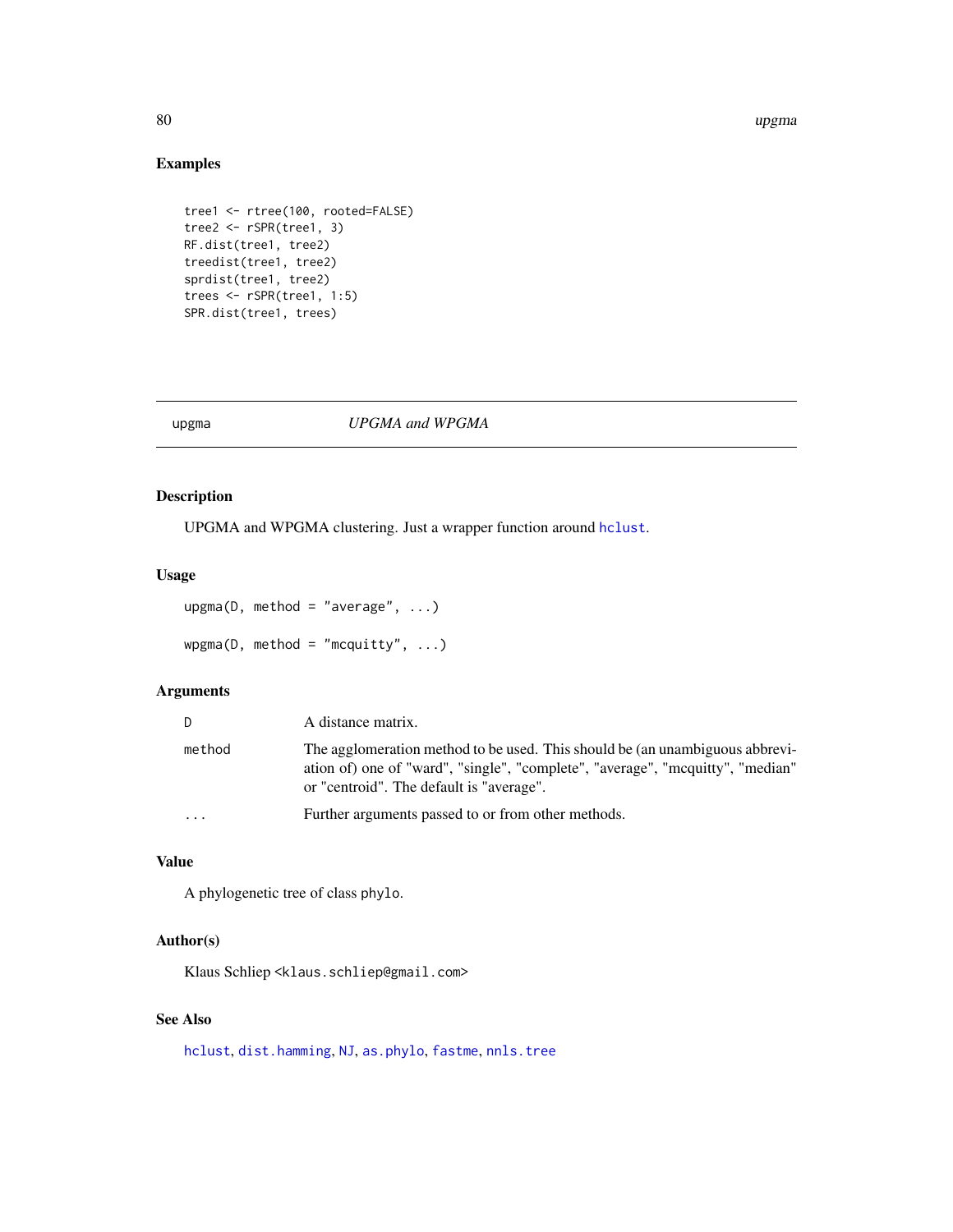#### <span id="page-79-0"></span>80 upgma

# Examples

```
tree1 <- rtree(100, rooted=FALSE)
tree2 <- rSPR(tree1, 3)
RF.dist(tree1, tree2)
treedist(tree1, tree2)
sprdist(tree1, tree2)
trees <- rSPR(tree1, 1:5)
SPR.dist(tree1, trees)
```
# upgma *UPGMA and WPGMA*

# Description

UPGMA and WPGMA clustering. Just a wrapper function around [hclust](#page-0-0).

# Usage

```
upsma(D, method = "average", ...)wpgma(D, method = "mequity", ...)
```
# Arguments

| D.     | A distance matrix.                                                                                                                                                                                         |
|--------|------------------------------------------------------------------------------------------------------------------------------------------------------------------------------------------------------------|
| method | The agglomeration method to be used. This should be (an unambiguous abbrevi-<br>ation of) one of "ward", "single", "complete", "average", "moquitty", "median"<br>or "centroid". The default is "average". |
| .      | Further arguments passed to or from other methods.                                                                                                                                                         |

# Value

A phylogenetic tree of class phylo.

# Author(s)

Klaus Schliep <klaus.schliep@gmail.com>

# See Also

[hclust](#page-0-0), [dist.hamming](#page-29-0), [NJ](#page-51-0), [as.phylo](#page-0-0), [fastme](#page-0-0), [nnls.tree](#page-26-1)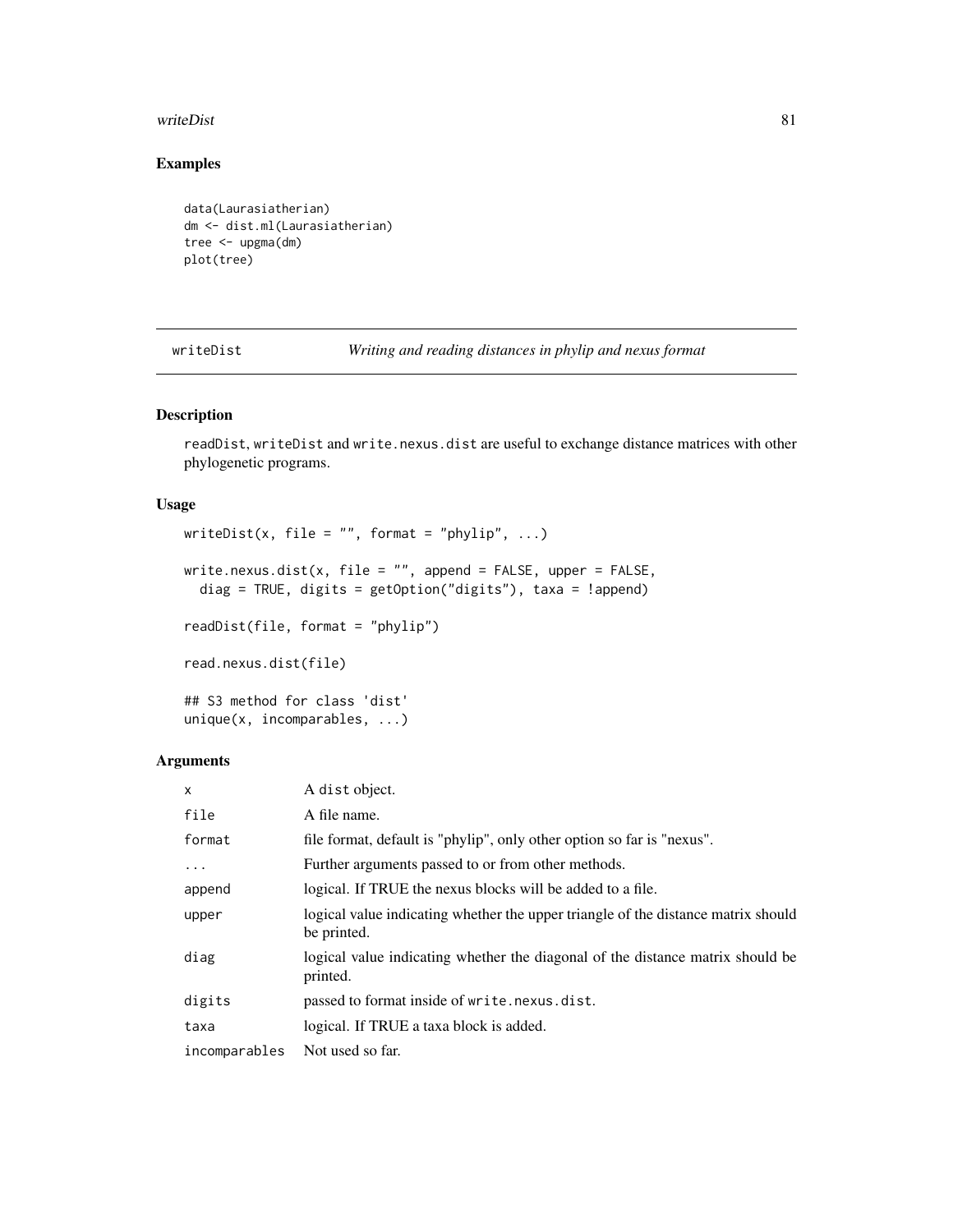#### <span id="page-80-0"></span>writeDist 81

# Examples

```
data(Laurasiatherian)
dm <- dist.ml(Laurasiatherian)
tree <- upgma(dm)
plot(tree)
```
writeDist *Writing and reading distances in phylip and nexus format*

# Description

readDist, writeDist and write.nexus.dist are useful to exchange distance matrices with other phylogenetic programs.

# Usage

```
writeDist(x, file = "", format = "phylip", \ldots)
write.nexus.dist(x, file = ", append = FALSE, upper = FALSE,
  diag = TRUE, digits = getOption("digits"), taxa = !append)
readDist(file, format = "phylip")
read.nexus.dist(file)
## S3 method for class 'dist'
```

```
unique(x, incomparables, ...)
```
# Arguments

| $\mathsf{x}$  | A dist object.                                                                                   |
|---------------|--------------------------------------------------------------------------------------------------|
| file          | A file name.                                                                                     |
| format        | file format, default is "phylip", only other option so far is "nexus".                           |
| $\cdots$      | Further arguments passed to or from other methods.                                               |
| append        | logical. If TRUE the nexus blocks will be added to a file.                                       |
| upper         | logical value indicating whether the upper triangle of the distance matrix should<br>be printed. |
| diag          | logical value indicating whether the diagonal of the distance matrix should be<br>printed.       |
| digits        | passed to format inside of write.nexus.dist.                                                     |
| taxa          | logical. If TRUE a taxa block is added.                                                          |
| incomparables | Not used so far.                                                                                 |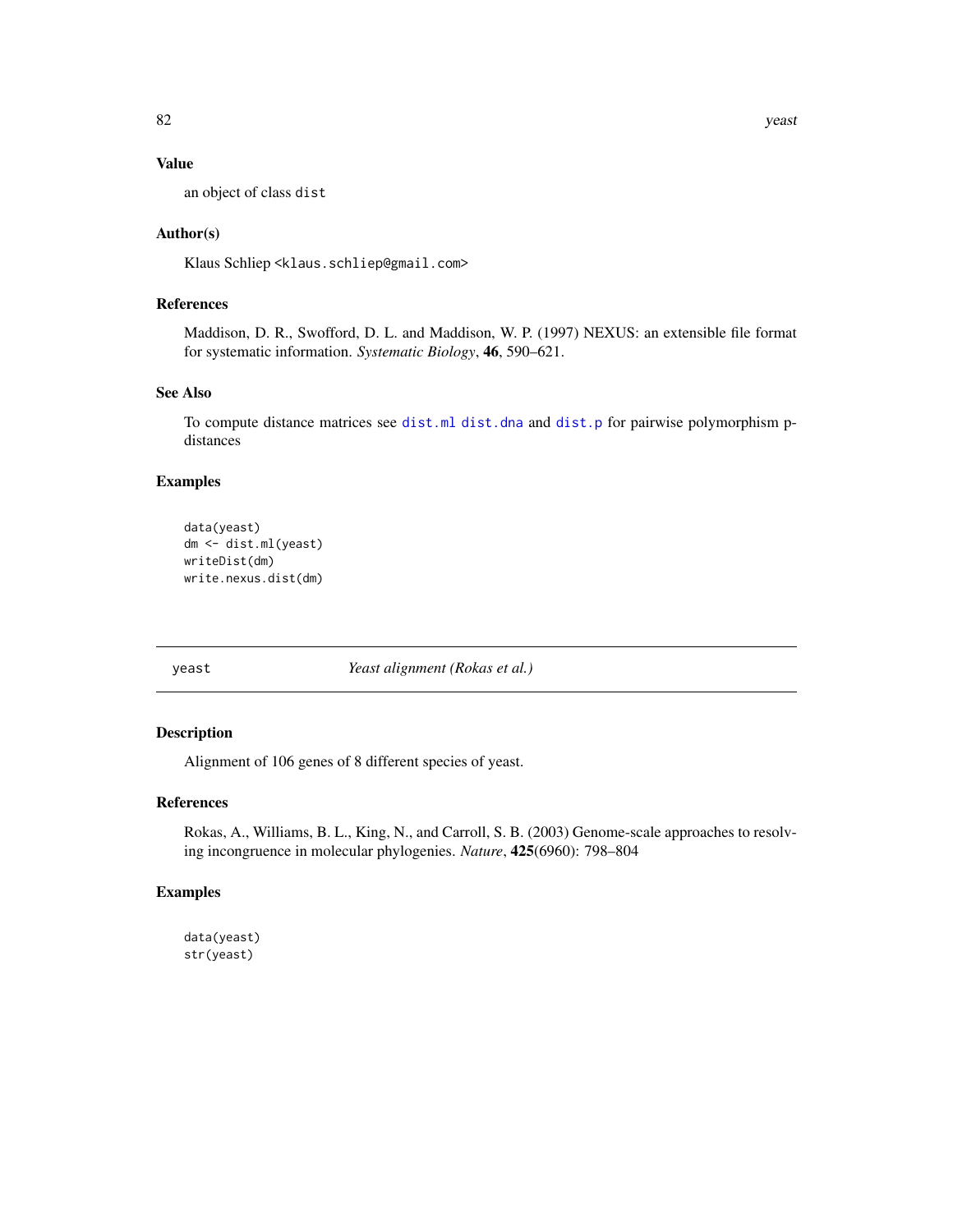# Value

an object of class dist

# Author(s)

Klaus Schliep <klaus.schliep@gmail.com>

# References

Maddison, D. R., Swofford, D. L. and Maddison, W. P. (1997) NEXUS: an extensible file format for systematic information. *Systematic Biology*, 46, 590–621.

# See Also

To compute distance matrices see [dist.ml](#page-29-1) [dist.dna](#page-0-0) and [dist.p](#page-31-0) for pairwise polymorphism pdistances

# Examples

```
data(yeast)
dm <- dist.ml(yeast)
writeDist(dm)
write.nexus.dist(dm)
```
yeast *Yeast alignment (Rokas et al.)*

# Description

Alignment of 106 genes of 8 different species of yeast.

# References

Rokas, A., Williams, B. L., King, N., and Carroll, S. B. (2003) Genome-scale approaches to resolving incongruence in molecular phylogenies. *Nature*, 425(6960): 798–804

# Examples

```
data(yeast)
str(yeast)
```
<span id="page-81-0"></span>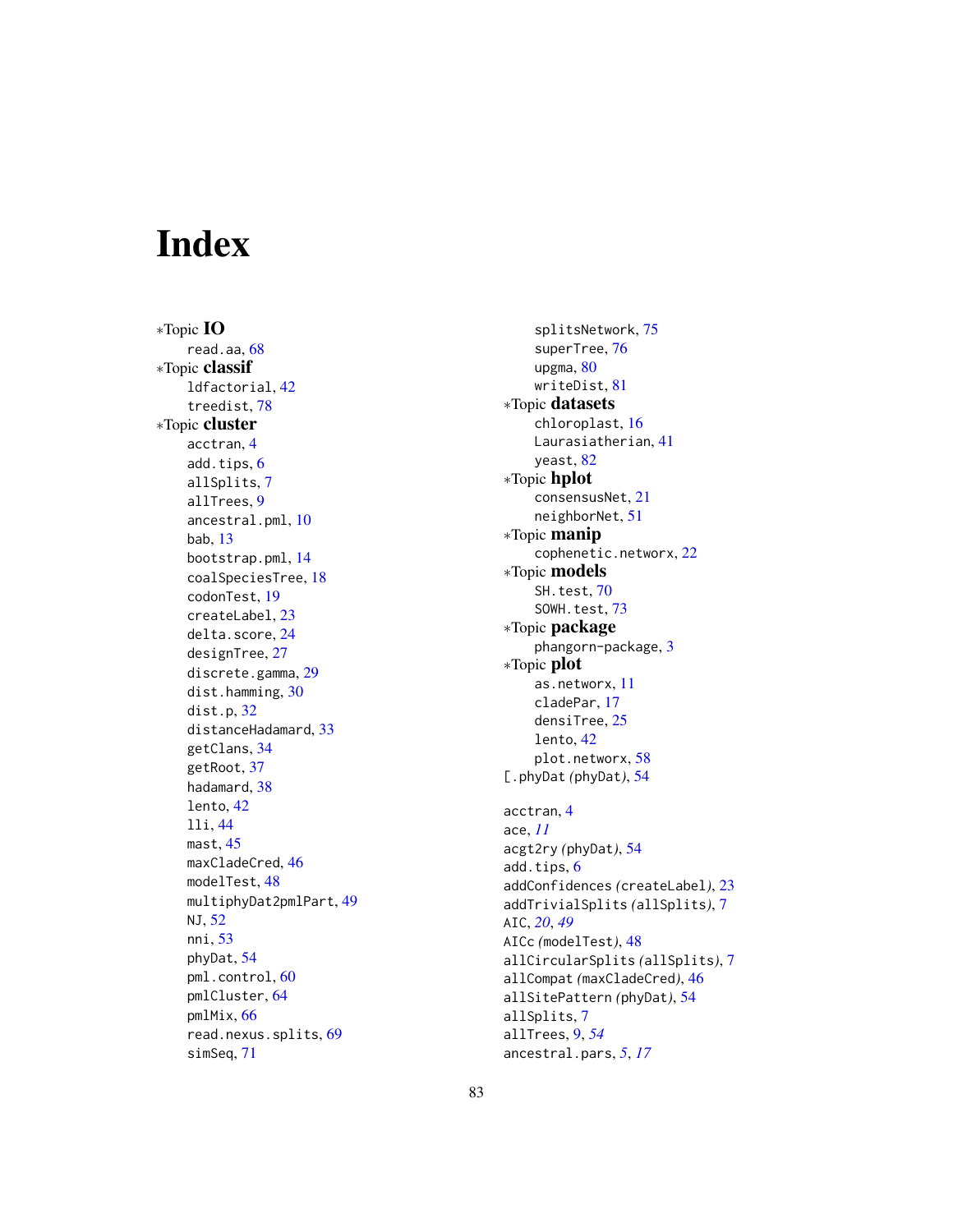# Index

∗Topic IO read.aa , [68](#page-67-0) ∗Topic classif ldfactorial , [42](#page-41-0) treedist , [78](#page-77-1) ∗Topic cluster acctran , [4](#page-3-0) add.tips, [6](#page-5-0) allSplits , [7](#page-6-0) allTrees , [9](#page-8-0) ancestral.pml , [10](#page-9-0) bab , [13](#page-12-0) bootstrap.pml , [14](#page-13-0) coalSpeciesTree , [18](#page-17-0) codonTest , [19](#page-18-0) createLabel , [23](#page-22-0) delta.score , [24](#page-23-0) designTree , [27](#page-26-2) discrete.gamma , [29](#page-28-0) dist.hamming, [30](#page-29-2) dist.p , [32](#page-31-1) distanceHadamard , [33](#page-32-1) getClans , [34](#page-33-0) getRoot , [37](#page-36-0) hadamard, [38](#page-37-0) lento , [42](#page-41-0) lli , [44](#page-43-0) mast , [45](#page-44-1) maxCladeCred, [46](#page-45-0) modelTest , [48](#page-47-0) multiphyDat2pmlPart , [49](#page-48-1) NJ , [52](#page-51-1) nni , [53](#page-52-1) phyDat , [54](#page-53-1) pml.control, [60](#page-59-1) pmlCluster , [64](#page-63-1) pmlMix , [66](#page-65-0) read.nexus.splits , [69](#page-68-0) simSeq , [71](#page-70-1)

splitsNetwork , [75](#page-74-0) superTree, [76](#page-75-1) upgma, [80](#page-79-0) writeDist , [81](#page-80-0) ∗Topic datasets chloroplast , [16](#page-15-0) Laurasiatherian , [41](#page-40-0) yeast, <mark>[82](#page-81-0)</mark> ∗Topic hplot consensusNet , [21](#page-20-1) neighborNet , [51](#page-50-0) ∗Topic manip cophenetic.networx , [22](#page-21-0) ∗Topic models SH.test, [70](#page-69-1) SOWH.test, [73](#page-72-1) ∗Topic package phangorn-package , [3](#page-2-0) ∗Topic plot as.networx , [11](#page-10-0) cladePar , [17](#page-16-0) densiTree, [25](#page-24-1) lento , [42](#page-41-0) plot.networx , [58](#page-57-1) [.phyDat *(*phyDat *)* , [54](#page-53-1) acctran , [4](#page-3-0) ace , *[11](#page-10-0)* acgt2ry *(*phyDat *)* , [54](#page-53-1) add.tips, $6$ addConfidences *(*createLabel *)* , [23](#page-22-0) addTrivialSplits *(*allSplits *)* , [7](#page-6-0) AIC , *[20](#page-19-0)* , *[49](#page-48-1)* AICc *(*modelTest *)* , [48](#page-47-0) allCircularSplits *(*allSplits *)* , [7](#page-6-0) allCompat *(*maxCladeCred *)* , [46](#page-45-0) allSitePattern *(*phyDat *)* , [54](#page-53-1) allSplits , [7](#page-6-0) allTrees , [9](#page-8-0) , *[54](#page-53-1)* ancestral.pars , *[5](#page-4-0)* , *[17](#page-16-0)*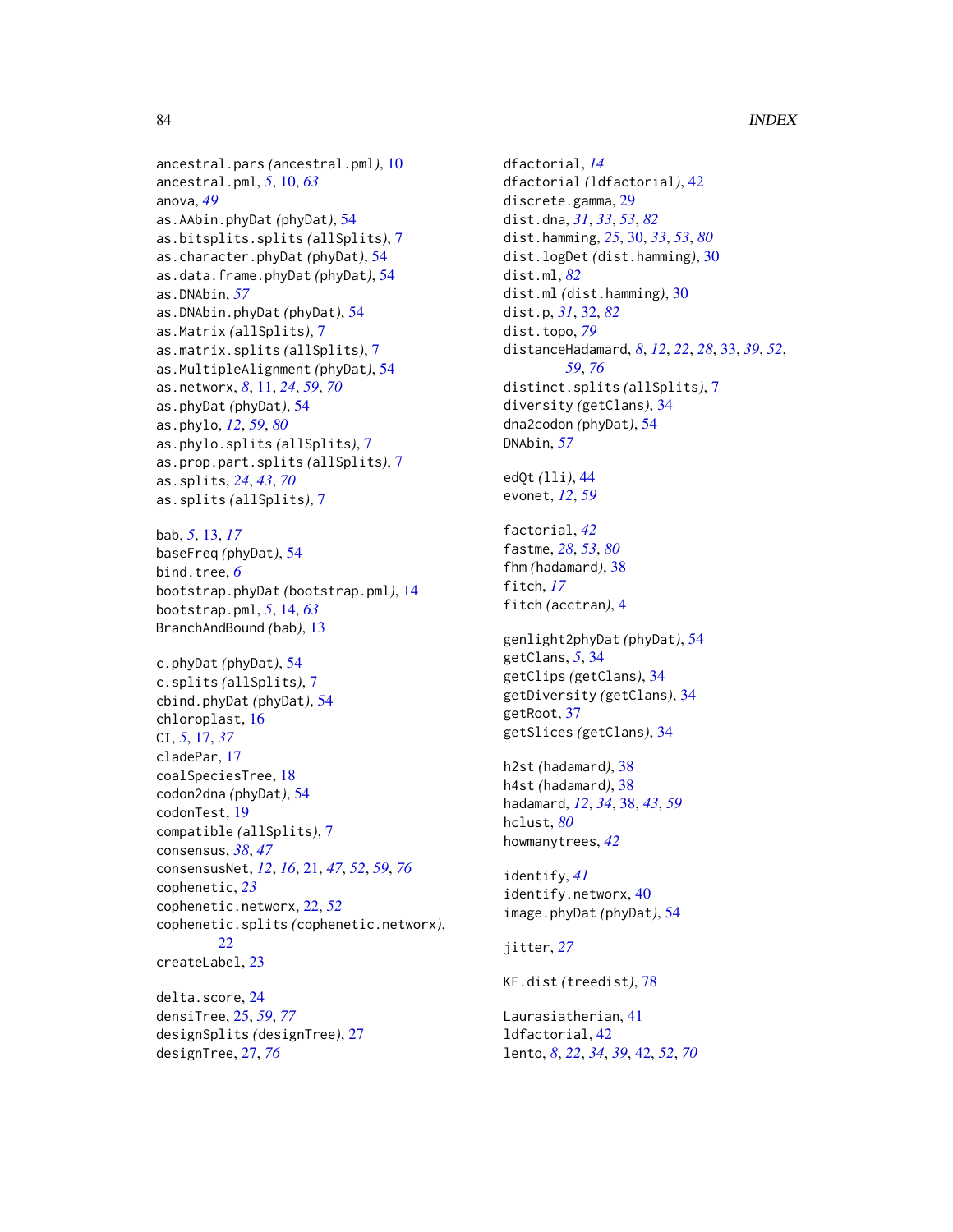ancestral.pars *(*ancestral.pml*)*, [10](#page-9-0) ancestral.pml, *[5](#page-4-0)*, [10,](#page-9-0) *[63](#page-62-0)* anova, *[49](#page-48-1)* as.AAbin.phyDat *(*phyDat*)*, [54](#page-53-1) as.bitsplits.splits *(*allSplits*)*, [7](#page-6-0) as.character.phyDat *(*phyDat*)*, [54](#page-53-1) as.data.frame.phyDat *(*phyDat*)*, [54](#page-53-1) as.DNAbin, *[57](#page-56-0)* as.DNAbin.phyDat *(*phyDat*)*, [54](#page-53-1) as.Matrix *(*allSplits*)*, [7](#page-6-0) as.matrix.splits *(*allSplits*)*, [7](#page-6-0) as.MultipleAlignment *(*phyDat*)*, [54](#page-53-1) as.networx, *[8](#page-7-0)*, [11,](#page-10-0) *[24](#page-23-0)*, *[59](#page-58-0)*, *[70](#page-69-1)* as.phyDat *(*phyDat*)*, [54](#page-53-1) as.phylo, *[12](#page-11-0)*, *[59](#page-58-0)*, *[80](#page-79-0)* as.phylo.splits *(*allSplits*)*, [7](#page-6-0) as.prop.part.splits *(*allSplits*)*, [7](#page-6-0) as.splits, *[24](#page-23-0)*, *[43](#page-42-0)*, *[70](#page-69-1)* as.splits *(*allSplits*)*, [7](#page-6-0)

bab, *[5](#page-4-0)*, [13,](#page-12-0) *[17](#page-16-0)* baseFreq *(*phyDat*)*, [54](#page-53-1) bind.tree, *[6](#page-5-0)* bootstrap.phyDat *(*bootstrap.pml*)*, [14](#page-13-0) bootstrap.pml, *[5](#page-4-0)*, [14,](#page-13-0) *[63](#page-62-0)* BranchAndBound *(*bab*)*, [13](#page-12-0)

c.phyDat *(*phyDat*)*, [54](#page-53-1) c.splits *(*allSplits*)*, [7](#page-6-0) cbind.phyDat *(*phyDat*)*, [54](#page-53-1) chloroplast, [16](#page-15-0) CI, *[5](#page-4-0)*, [17,](#page-16-0) *[37](#page-36-0)* cladePar, [17](#page-16-0) coalSpeciesTree, [18](#page-17-0) codon2dna *(*phyDat*)*, [54](#page-53-1) codonTest, [19](#page-18-0) compatible *(*allSplits*)*, [7](#page-6-0) consensus, *[38](#page-37-0)*, *[47](#page-46-0)* consensusNet, *[12](#page-11-0)*, *[16](#page-15-0)*, [21,](#page-20-1) *[47](#page-46-0)*, *[52](#page-51-1)*, *[59](#page-58-0)*, *[76](#page-75-1)* cophenetic, *[23](#page-22-0)* cophenetic.networx, [22,](#page-21-0) *[52](#page-51-1)* cophenetic.splits *(*cophenetic.networx*)*, [22](#page-21-0) createLabel, [23](#page-22-0) delta.score, [24](#page-23-0)

densiTree, [25,](#page-24-1) *[59](#page-58-0)*, *[77](#page-76-0)* designSplits *(*designTree*)*, [27](#page-26-2) designTree, [27,](#page-26-2) *[76](#page-75-1)*

dfactorial, *[14](#page-13-0)* dfactorial *(*ldfactorial*)*, [42](#page-41-0) discrete.gamma, [29](#page-28-0) dist.dna, *[31](#page-30-0)*, *[33](#page-32-1)*, *[53](#page-52-1)*, *[82](#page-81-0)* dist.hamming, *[25](#page-24-1)*, [30,](#page-29-2) *[33](#page-32-1)*, *[53](#page-52-1)*, *[80](#page-79-0)* dist.logDet *(*dist.hamming*)*, [30](#page-29-2) dist.ml, *[82](#page-81-0)* dist.ml *(*dist.hamming*)*, [30](#page-29-2) dist.p, *[31](#page-30-0)*, [32,](#page-31-1) *[82](#page-81-0)* dist.topo, *[79](#page-78-0)* distanceHadamard, *[8](#page-7-0)*, *[12](#page-11-0)*, *[22](#page-21-0)*, *[28](#page-27-0)*, [33,](#page-32-1) *[39](#page-38-0)*, *[52](#page-51-1)*, *[59](#page-58-0)*, *[76](#page-75-1)* distinct.splits *(*allSplits*)*, [7](#page-6-0) diversity *(*getClans*)*, [34](#page-33-0) dna2codon *(*phyDat*)*, [54](#page-53-1) DNAbin, *[57](#page-56-0)* edQt *(*lli*)*, [44](#page-43-0) evonet, *[12](#page-11-0)*, *[59](#page-58-0)* factorial, *[42](#page-41-0)* fastme, *[28](#page-27-0)*, *[53](#page-52-1)*, *[80](#page-79-0)* fhm *(*hadamard*)*, [38](#page-37-0) fitch, *[17](#page-16-0)* fitch *(*acctran*)*, [4](#page-3-0) genlight2phyDat *(*phyDat*)*, [54](#page-53-1) getClans, *[5](#page-4-0)*, [34](#page-33-0) getClips *(*getClans*)*, [34](#page-33-0) getDiversity *(*getClans*)*, [34](#page-33-0) getRoot, [37](#page-36-0) getSlices *(*getClans*)*, [34](#page-33-0) h2st *(*hadamard*)*, [38](#page-37-0) h4st *(*hadamard*)*, [38](#page-37-0) hadamard, *[12](#page-11-0)*, *[34](#page-33-0)*, [38,](#page-37-0) *[43](#page-42-0)*, *[59](#page-58-0)* hclust, *[80](#page-79-0)* howmanytrees, *[42](#page-41-0)* identify, *[41](#page-40-0)* identify.networx, [40](#page-39-0) image.phyDat *(*phyDat*)*, [54](#page-53-1) jitter, *[27](#page-26-2)* KF.dist *(*treedist*)*, [78](#page-77-1) Laurasiatherian, [41](#page-40-0) ldfactorial, [42](#page-41-0) lento, *[8](#page-7-0)*, *[22](#page-21-0)*, *[34](#page-33-0)*, *[39](#page-38-0)*, [42,](#page-41-0) *[52](#page-51-1)*, *[70](#page-69-1)*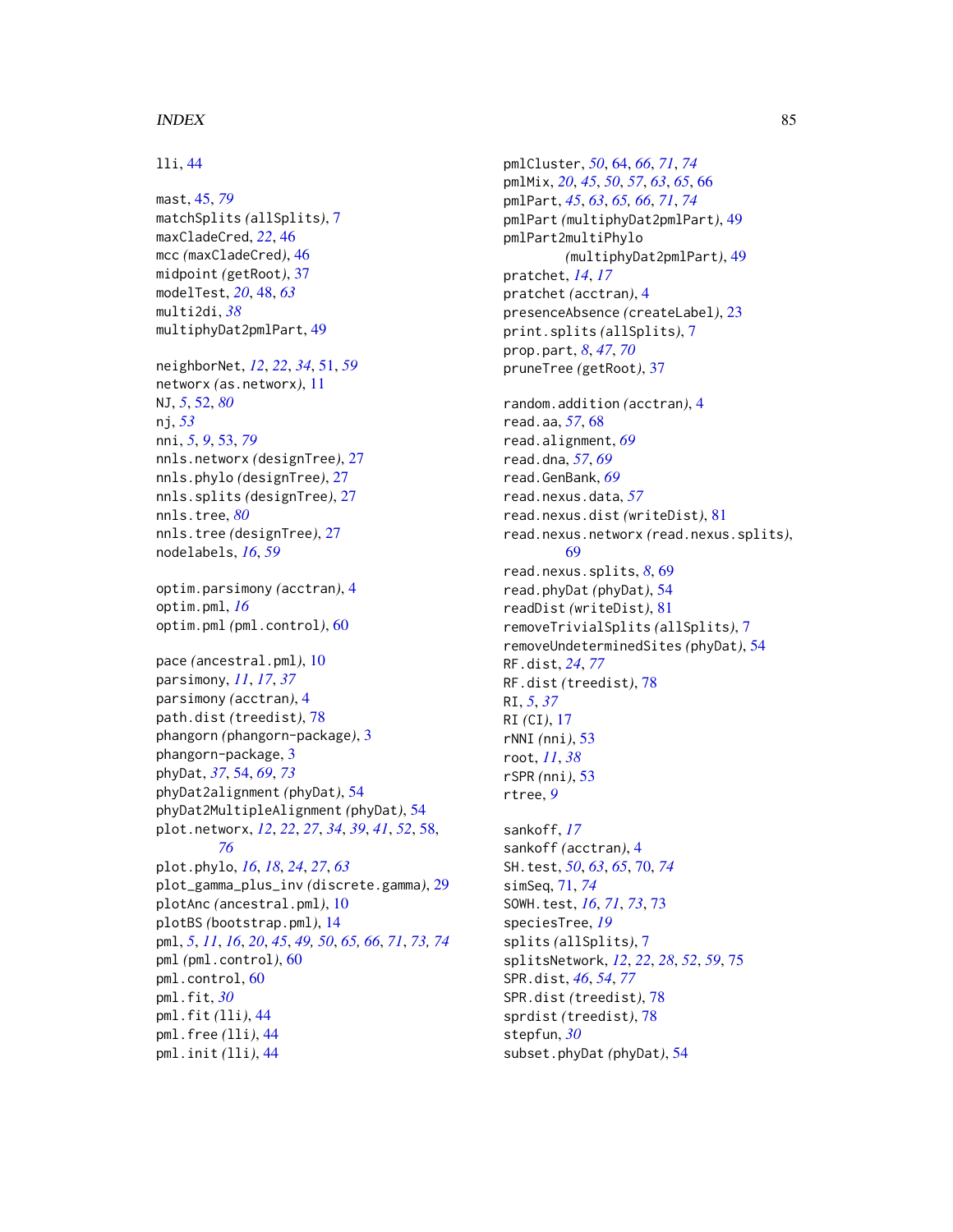# $INDEX$  85

# lli, [44](#page-43-0)

mast, [45,](#page-44-1) *[79](#page-78-0)* matchSplits *(*allSplits*)*, [7](#page-6-0) maxCladeCred, *[22](#page-21-0)*, [46](#page-45-0) mcc *(*maxCladeCred*)*, [46](#page-45-0) midpoint *(*getRoot*)*, [37](#page-36-0) modelTest, *[20](#page-19-0)*, [48,](#page-47-0) *[63](#page-62-0)* multi2di, *[38](#page-37-0)* multiphyDat2pmlPart, [49](#page-48-1)

neighborNet, *[12](#page-11-0)*, *[22](#page-21-0)*, *[34](#page-33-0)*, [51,](#page-50-0) *[59](#page-58-0)* networx *(*as.networx*)*, [11](#page-10-0) NJ, *[5](#page-4-0)*, [52,](#page-51-1) *[80](#page-79-0)* nj, *[53](#page-52-1)* nni, *[5](#page-4-0)*, *[9](#page-8-0)*, [53,](#page-52-1) *[79](#page-78-0)* nnls.networx *(*designTree*)*, [27](#page-26-2) nnls.phylo *(*designTree*)*, [27](#page-26-2) nnls.splits *(*designTree*)*, [27](#page-26-2) nnls.tree, *[80](#page-79-0)* nnls.tree *(*designTree*)*, [27](#page-26-2) nodelabels, *[16](#page-15-0)*, *[59](#page-58-0)*

optim.parsimony *(*acctran*)*, [4](#page-3-0) optim.pml, *[16](#page-15-0)* optim.pml *(*pml.control*)*, [60](#page-59-1)

pace *(*ancestral.pml*)*, [10](#page-9-0) parsimony, *[11](#page-10-0)*, *[17](#page-16-0)*, *[37](#page-36-0)* parsimony *(*acctran*)*, [4](#page-3-0) path.dist *(*treedist*)*, [78](#page-77-1) phangorn *(*phangorn-package*)*, [3](#page-2-0) phangorn-package, [3](#page-2-0) phyDat, *[37](#page-36-0)*, [54,](#page-53-1) *[69](#page-68-0)*, *[73](#page-72-1)* phyDat2alignment *(*phyDat*)*, [54](#page-53-1) phyDat2MultipleAlignment *(*phyDat*)*, [54](#page-53-1) plot.networx, *[12](#page-11-0)*, *[22](#page-21-0)*, *[27](#page-26-2)*, *[34](#page-33-0)*, *[39](#page-38-0)*, *[41](#page-40-0)*, *[52](#page-51-1)*, [58,](#page-57-1) *[76](#page-75-1)* plot.phylo, *[16](#page-15-0)*, *[18](#page-17-0)*, *[24](#page-23-0)*, *[27](#page-26-2)*, *[63](#page-62-0)* plot\_gamma\_plus\_inv *(*discrete.gamma*)*, [29](#page-28-0) plotAnc *(*ancestral.pml*)*, [10](#page-9-0) plotBS *(*bootstrap.pml*)*, [14](#page-13-0) pml, *[5](#page-4-0)*, *[11](#page-10-0)*, *[16](#page-15-0)*, *[20](#page-19-0)*, *[45](#page-44-1)*, *[49,](#page-48-1) [50](#page-49-0)*, *[65,](#page-64-0) [66](#page-65-0)*, *[71](#page-70-1)*, *[73,](#page-72-1) [74](#page-73-0)* pml *(*pml.control*)*, [60](#page-59-1) pml.control, [60](#page-59-1) pml.fit, *[30](#page-29-2)* pml.fit *(*lli*)*, [44](#page-43-0) pml.free *(*lli*)*, [44](#page-43-0) pml.init *(*lli*)*, [44](#page-43-0)

pmlCluster, *[50](#page-49-0)*, [64,](#page-63-1) *[66](#page-65-0)*, *[71](#page-70-1)*, *[74](#page-73-0)* pmlMix, *[20](#page-19-0)*, *[45](#page-44-1)*, *[50](#page-49-0)*, *[57](#page-56-0)*, *[63](#page-62-0)*, *[65](#page-64-0)*, [66](#page-65-0) pmlPart, *[45](#page-44-1)*, *[63](#page-62-0)*, *[65,](#page-64-0) [66](#page-65-0)*, *[71](#page-70-1)*, *[74](#page-73-0)* pmlPart *(*multiphyDat2pmlPart*)*, [49](#page-48-1) pmlPart2multiPhylo *(*multiphyDat2pmlPart*)*, [49](#page-48-1) pratchet, *[14](#page-13-0)*, *[17](#page-16-0)* pratchet *(*acctran*)*, [4](#page-3-0) presenceAbsence *(*createLabel*)*, [23](#page-22-0) print.splits *(*allSplits*)*, [7](#page-6-0) prop.part, *[8](#page-7-0)*, *[47](#page-46-0)*, *[70](#page-69-1)* pruneTree *(*getRoot*)*, [37](#page-36-0) random.addition *(*acctran*)*, [4](#page-3-0) read.aa, *[57](#page-56-0)*, [68](#page-67-0) read.alignment, *[69](#page-68-0)*

read.dna, *[57](#page-56-0)*, *[69](#page-68-0)* read.GenBank, *[69](#page-68-0)* read.nexus.data, *[57](#page-56-0)* read.nexus.dist *(*writeDist*)*, [81](#page-80-0) read.nexus.networx *(*read.nexus.splits*)*, [69](#page-68-0) read.nexus.splits, *[8](#page-7-0)*, [69](#page-68-0) read.phyDat *(*phyDat*)*, [54](#page-53-1) readDist *(*writeDist*)*, [81](#page-80-0) removeTrivialSplits *(*allSplits*)*, [7](#page-6-0) removeUndeterminedSites *(*phyDat*)*, [54](#page-53-1) RF.dist, *[24](#page-23-0)*, *[77](#page-76-0)* RF.dist *(*treedist*)*, [78](#page-77-1) RI, *[5](#page-4-0)*, *[37](#page-36-0)* RI *(*CI*)*, [17](#page-16-0) rNNI *(*nni*)*, [53](#page-52-1) root, *[11](#page-10-0)*, *[38](#page-37-0)* rSPR *(*nni*)*, [53](#page-52-1)

sankoff, *[17](#page-16-0)* sankoff *(*acctran*)*, [4](#page-3-0) SH.test, *[50](#page-49-0)*, *[63](#page-62-0)*, *[65](#page-64-0)*, [70,](#page-69-1) *[74](#page-73-0)* simSeq, [71,](#page-70-1) *[74](#page-73-0)* SOWH.test, *[16](#page-15-0)*, *[71](#page-70-1)*, *[73](#page-72-1)*, [73](#page-72-1) speciesTree, *[19](#page-18-0)* splits *(*allSplits*)*, [7](#page-6-0) splitsNetwork, *[12](#page-11-0)*, *[22](#page-21-0)*, *[28](#page-27-0)*, *[52](#page-51-1)*, *[59](#page-58-0)*, [75](#page-74-0) SPR.dist, *[46](#page-45-0)*, *[54](#page-53-1)*, *[77](#page-76-0)* SPR.dist *(*treedist*)*, [78](#page-77-1) sprdist *(*treedist*)*, [78](#page-77-1) stepfun, *[30](#page-29-2)* subset.phyDat *(*phyDat*)*, [54](#page-53-1)

rtree, *[9](#page-8-0)*